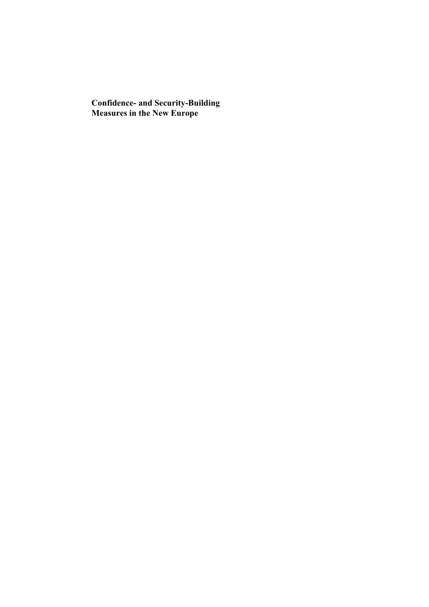**Confidence- and Security-Building Measures in the New Europe**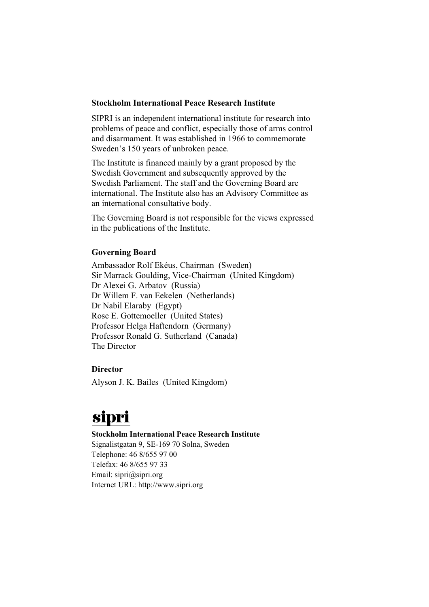### **Stockholm International Peace Research Institute**

SIPRI is an independent international institute for research into problems of peace and conflict, especially those of arms control and disarmament. It was established in 1966 to commemorate Sweden's 150 years of unbroken peace.

The Institute is financed mainly by a grant proposed by the Swedish Government and subsequently approved by the Swedish Parliament. The staff and the Governing Board are international. The Institute also has an Advisory Committee as an international consultative body.

The Governing Board is not responsible for the views expressed in the publications of the Institute.

### **Governing Board**

Ambassador Rolf Ekéus, Chairman (Sweden) Sir Marrack Goulding, Vice-Chairman (United Kingdom) Dr Alexei G. Arbatov (Russia) Dr Willem F. van Eekelen (Netherlands) Dr Nabil Elaraby (Egypt) Rose E. Gottemoeller (United States) Professor Helga Haftendorn (Germany) Professor Ronald G. Sutherland (Canada) The Director

### **Director**

Alyson J. K. Bailes (United Kingdom)

# sipri

#### **Stockholm International Peace Research Institute**

Signalistgatan 9, SE-169 70 Solna, Sweden Telephone: 46 8/655 97 00 Telefax: 46 8/655 97 33 Email: sipri@sipri.org Internet URL: http://www.sipri.org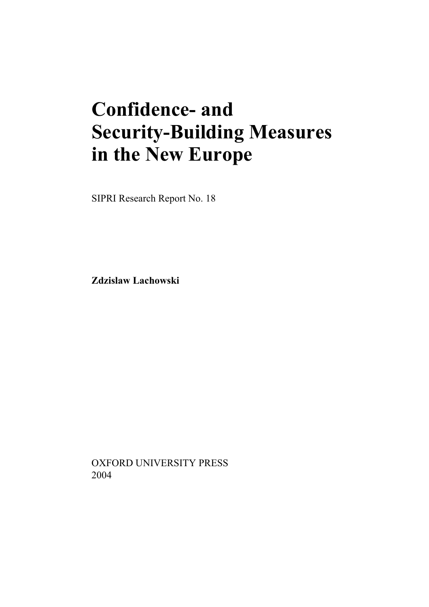# **Confidence- and Security-Building Measures in the New Europe**

SIPRI Research Report No. 18

**Zdzislaw Lachowski**

OXFORD UNIVERSITY PRESS 2004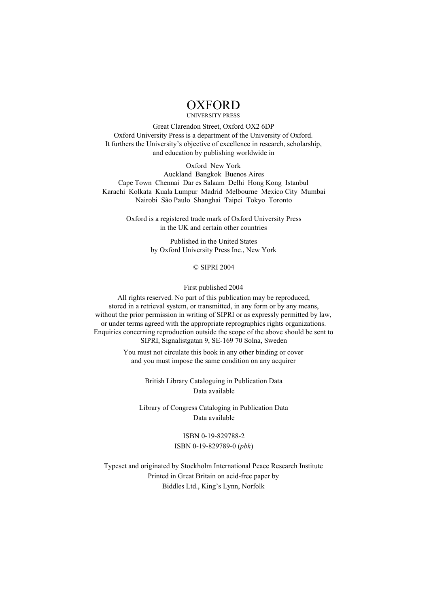## **OXFORD**

UNIVERSITY PRESS

Great Clarendon Street, Oxford OX2 6DP Oxford University Press is a department of the University of Oxford. It furthers the University's objective of excellence in research, scholarship, and education by publishing worldwide in

Oxford New York Auckland Bangkok Buenos Aires Cape Town Chennai Dar es Salaam Delhi Hong Kong Istanbul Karachi Kolkata Kuala Lumpur Madrid Melbourne Mexico City Mumbai Nairobi São Paulo Shanghai Taipei Tokyo Toronto

> Oxford is a registered trade mark of Oxford University Press in the UK and certain other countries

> > Published in the United States by Oxford University Press Inc., New York

#### © SIPRI 2004

First published 2004

All rights reserved. No part of this publication may be reproduced, stored in a retrieval system, or transmitted, in any form or by any means, without the prior permission in writing of SIPRI or as expressly permitted by law, or under terms agreed with the appropriate reprographics rights organizations. Enquiries concerning reproduction outside the scope of the above should be sent to SIPRI, Signalistgatan 9, SE-169 70 Solna, Sweden

> You must not circulate this book in any other binding or cover and you must impose the same condition on any acquirer

> > British Library Cataloguing in Publication Data Data available

Library of Congress Cataloging in Publication Data Data available

> ISBN 0-19-829788-2 ISBN 0-19-829789-0 (*pbk*)

Typeset and originated by Stockholm International Peace Research Institute Printed in Great Britain on acid-free paper by Biddles Ltd., King's Lynn, Norfolk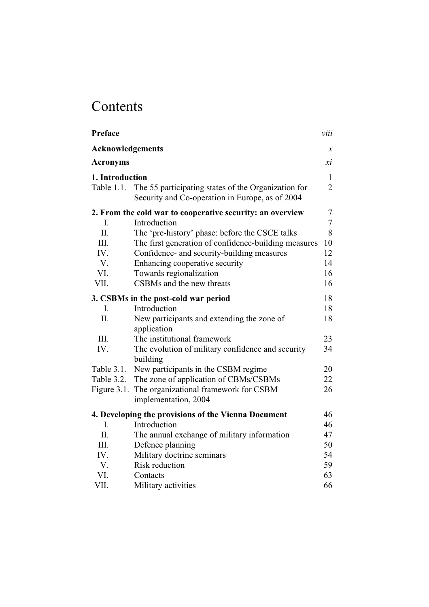## Contents

| Preface                 |                                                                                                        | viii                |
|-------------------------|--------------------------------------------------------------------------------------------------------|---------------------|
| <b>Acknowledgements</b> |                                                                                                        | $\boldsymbol{\chi}$ |
| <b>Acronyms</b>         |                                                                                                        | хi                  |
| 1. Introduction         |                                                                                                        | $\mathbf{1}$        |
| Table 1.1.              | The 55 participating states of the Organization for<br>Security and Co-operation in Europe, as of 2004 | $\overline{c}$      |
|                         | 2. From the cold war to cooperative security: an overview                                              | $\tau$              |
| I.                      | Introduction                                                                                           | $\overline{7}$      |
| Π.                      | The 'pre-history' phase: before the CSCE talks                                                         | 8                   |
| III.                    | The first generation of confidence-building measures                                                   | 10                  |
| IV.                     | Confidence- and security-building measures                                                             | 12                  |
| V.                      | Enhancing cooperative security                                                                         | 14                  |
| VI.                     | Towards regionalization                                                                                | 16                  |
| VII.                    | CSBMs and the new threats                                                                              | 16                  |
|                         | 3. CSBMs in the post-cold war period                                                                   | 18                  |
| $\mathbf{I}$ .          | Introduction                                                                                           | 18                  |
| Π.                      | New participants and extending the zone of<br>application                                              | 18                  |
| III.                    | The institutional framework                                                                            | 23                  |
| IV.                     | The evolution of military confidence and security<br>building                                          | 34                  |
| Table 3.1.              | New participants in the CSBM regime                                                                    | 20                  |
| Table 3.2.              | The zone of application of CBMs/CSBMs                                                                  | 22                  |
|                         | Figure 3.1. The organizational framework for CSBM<br>implementation, 2004                              | 26                  |
|                         | 4. Developing the provisions of the Vienna Document                                                    | 46                  |
| I.                      | Introduction                                                                                           | 46                  |
| II.                     | The annual exchange of military information                                                            | 47                  |
| III.                    | Defence planning                                                                                       | 50                  |
| IV.                     | Military doctrine seminars                                                                             | 54                  |
| V.                      | Risk reduction                                                                                         | 59                  |
| VI.                     | Contacts                                                                                               | 63                  |
| VII.                    | Military activities                                                                                    | 66                  |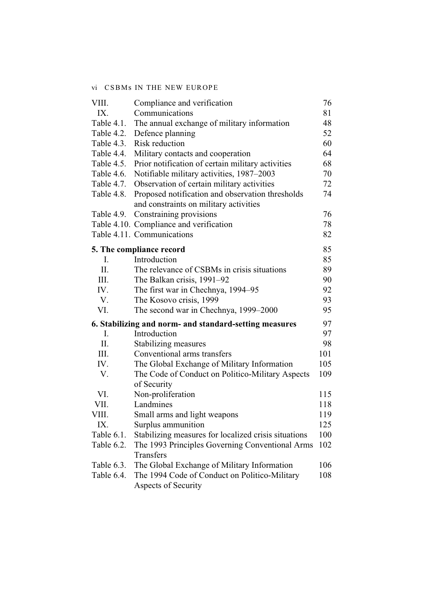### vi CSBMs IN THE NEW EUROPE

| VIII.      | Compliance and verification                            | 76  |
|------------|--------------------------------------------------------|-----|
| IX.        | Communications                                         | 81  |
| Table 4.1. | The annual exchange of military information            | 48  |
| Table 4.2. | Defence planning                                       | 52  |
| Table 4.3. | Risk reduction                                         | 60  |
| Table 4.4. | Military contacts and cooperation                      | 64  |
| Table 4.5. | Prior notification of certain military activities      | 68  |
| Table 4.6. | Notifiable military activities, 1987–2003              | 70  |
| Table 4.7. | Observation of certain military activities             | 72  |
| Table 4.8. | Proposed notification and observation thresholds       | 74  |
|            | and constraints on military activities                 |     |
| Table 4.9. | Constraining provisions                                | 76  |
|            | Table 4.10. Compliance and verification                | 78  |
|            | Table 4.11. Communications                             | 82  |
|            | 5. The compliance record                               | 85  |
| I.         | Introduction                                           | 85  |
| II.        | The relevance of CSBMs in crisis situations            | 89  |
| III.       | The Balkan crisis, 1991–92                             | 90  |
| IV.        | The first war in Chechnya, 1994–95                     | 92  |
| V.         | The Kosovo crisis, 1999                                | 93  |
| VI.        | The second war in Chechnya, 1999–2000                  | 95  |
|            | 6. Stabilizing and norm- and standard-setting measures | 97  |
| I.         | Introduction                                           | 97  |
| Π.         | Stabilizing measures                                   | 98  |
| III.       | Conventional arms transfers                            | 101 |
| IV.        | The Global Exchange of Military Information            | 105 |
| V.         | The Code of Conduct on Politico-Military Aspects       | 109 |
|            | of Security                                            |     |
| VI.        | Non-proliferation                                      | 115 |
| VII.       | Landmines                                              | 118 |
| VIII.      | Small arms and light weapons                           | 119 |
| IX.        | Surplus ammunition                                     | 125 |
| Table 6.1. | Stabilizing measures for localized crisis situations   | 100 |
| Table 6.2. | The 1993 Principles Governing Conventional Arms        | 102 |
|            | Transfers                                              |     |
| Table 6.3. | The Global Exchange of Military Information            | 106 |
| Table 6.4. | The 1994 Code of Conduct on Politico-Military          | 108 |
|            | Aspects of Security                                    |     |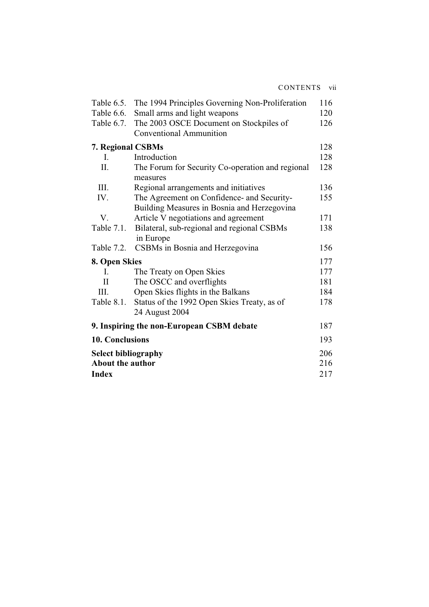| Table 6.5.              | The 1994 Principles Governing Non-Proliferation              | 116 |
|-------------------------|--------------------------------------------------------------|-----|
| Table 6.6.              | Small arms and light weapons                                 | 120 |
| Table 6.7.              | The 2003 OSCE Document on Stockpiles of                      | 126 |
|                         | <b>Conventional Ammunition</b>                               |     |
| 7. Regional CSBMs       |                                                              | 128 |
| $\mathbf{I}$ .          | Introduction                                                 | 128 |
| II.                     | The Forum for Security Co-operation and regional<br>measures | 128 |
| III.                    | Regional arrangements and initiatives                        | 136 |
| IV.                     | The Agreement on Confidence- and Security-                   | 155 |
|                         | Building Measures in Bosnia and Herzegovina                  |     |
| V.                      | Article V negotiations and agreement                         | 171 |
| Table 7.1.              | Bilateral, sub-regional and regional CSBMs                   | 138 |
|                         | in Europe                                                    |     |
| Table 7.2.              | CSBMs in Bosnia and Herzegovina                              | 156 |
| 8. Open Skies           |                                                              | 177 |
| Ι.                      | The Treaty on Open Skies                                     | 177 |
| $\mathbf{I}$            | The OSCC and overflights                                     | 181 |
| III.                    | Open Skies flights in the Balkans                            | 184 |
| Table 8.1.              | Status of the 1992 Open Skies Treaty, as of                  | 178 |
|                         | 24 August 2004                                               |     |
|                         | 9. Inspiring the non-European CSBM debate                    | 187 |
| 10. Conclusions         |                                                              | 193 |
|                         | <b>Select bibliography</b>                                   |     |
| <b>About the author</b> |                                                              | 216 |
| <b>Index</b>            |                                                              | 217 |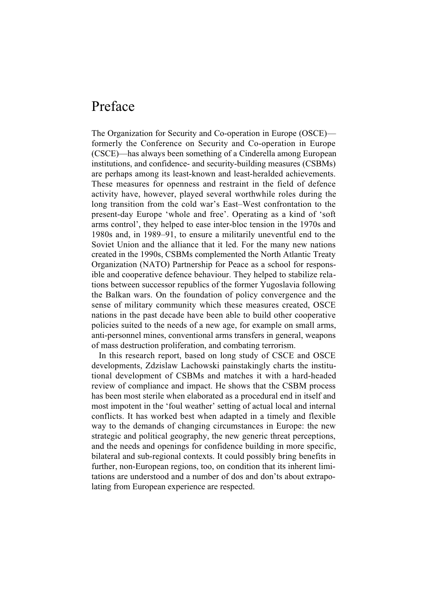## Preface

The Organization for Security and Co-operation in Europe (OSCE) formerly the Conference on Security and Co-operation in Europe (CSCE)—has always been something of a Cinderella among European institutions, and confidence- and security-building measures (CSBMs) are perhaps among its least-known and least-heralded achievements. These measures for openness and restraint in the field of defence activity have, however, played several worthwhile roles during the long transition from the cold war's East–West confrontation to the present-day Europe 'whole and free'. Operating as a kind of 'soft arms control', they helped to ease inter-bloc tension in the 1970s and 1980s and, in 1989–91, to ensure a militarily uneventful end to the Soviet Union and the alliance that it led. For the many new nations created in the 1990s, CSBMs complemented the North Atlantic Treaty Organization (NATO) Partnership for Peace as a school for responsible and cooperative defence behaviour. They helped to stabilize relations between successor republics of the former Yugoslavia following the Balkan wars. On the foundation of policy convergence and the sense of military community which these measures created, OSCE nations in the past decade have been able to build other cooperative policies suited to the needs of a new age, for example on small arms, anti-personnel mines, conventional arms transfers in general, weapons of mass destruction proliferation, and combating terrorism.

In this research report, based on long study of CSCE and OSCE developments, Zdzislaw Lachowski painstakingly charts the institutional development of CSBMs and matches it with a hard-headed review of compliance and impact. He shows that the CSBM process has been most sterile when elaborated as a procedural end in itself and most impotent in the 'foul weather' setting of actual local and internal conflicts. It has worked best when adapted in a timely and flexible way to the demands of changing circumstances in Europe: the new strategic and political geography, the new generic threat perceptions, and the needs and openings for confidence building in more specific, bilateral and sub-regional contexts. It could possibly bring benefits in further, non-European regions, too, on condition that its inherent limitations are understood and a number of dos and don'ts about extrapolating from European experience are respected.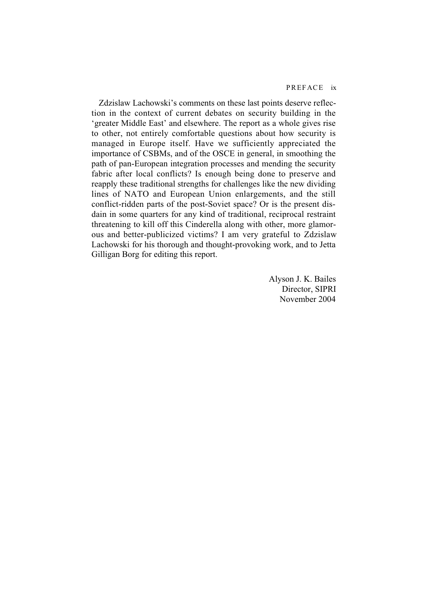Zdzislaw Lachowski's comments on these last points deserve reflection in the context of current debates on security building in the 'greater Middle East' and elsewhere. The report as a whole gives rise to other, not entirely comfortable questions about how security is managed in Europe itself. Have we sufficiently appreciated the importance of CSBMs, and of the OSCE in general, in smoothing the path of pan-European integration processes and mending the security fabric after local conflicts? Is enough being done to preserve and reapply these traditional strengths for challenges like the new dividing lines of NATO and European Union enlargements, and the still conflict-ridden parts of the post-Soviet space? Or is the present disdain in some quarters for any kind of traditional, reciprocal restraint threatening to kill off this Cinderella along with other, more glamorous and better-publicized victims? I am very grateful to Zdzislaw Lachowski for his thorough and thought-provoking work, and to Jetta Gilligan Borg for editing this report.

> Alyson J. K. Bailes Director, SIPRI November 2004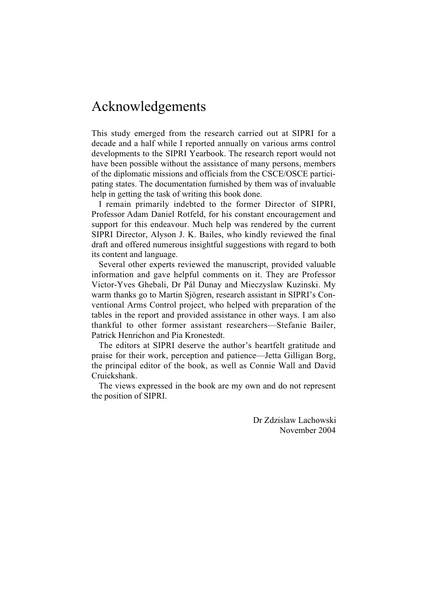## Acknowledgements

This study emerged from the research carried out at SIPRI for a decade and a half while I reported annually on various arms control developments to the SIPRI Yearbook. The research report would not have been possible without the assistance of many persons, members of the diplomatic missions and officials from the CSCE/OSCE participating states. The documentation furnished by them was of invaluable help in getting the task of writing this book done.

I remain primarily indebted to the former Director of SIPRI, Professor Adam Daniel Rotfeld, for his constant encouragement and support for this endeavour. Much help was rendered by the current SIPRI Director, Alyson J. K. Bailes, who kindly reviewed the final draft and offered numerous insightful suggestions with regard to both its content and language.

Several other experts reviewed the manuscript, provided valuable information and gave helpful comments on it. They are Professor Victor-Yves Ghebali, Dr Pál Dunay and Mieczyslaw Kuzinski. My warm thanks go to Martin Sjögren, research assistant in SIPRI's Conventional Arms Control project, who helped with preparation of the tables in the report and provided assistance in other ways. I am also thankful to other former assistant researchers—Stefanie Bailer, Patrick Henrichon and Pia Kronestedt.

The editors at SIPRI deserve the author's heartfelt gratitude and praise for their work, perception and patience—Jetta Gilligan Borg, the principal editor of the book, as well as Connie Wall and David Cruickshank.

The views expressed in the book are my own and do not represent the position of SIPRI.

> Dr Zdzislaw Lachowski November 2004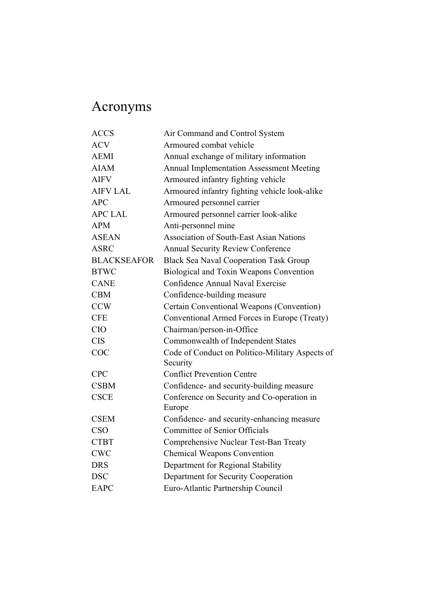## Acronyms

| <b>ACCS</b>        | Air Command and Control System                              |
|--------------------|-------------------------------------------------------------|
| <b>ACV</b>         | Armoured combat vehicle                                     |
| <b>AEMI</b>        | Annual exchange of military information                     |
| <b>AIAM</b>        | <b>Annual Implementation Assessment Meeting</b>             |
| <b>AIFV</b>        | Armoured infantry fighting vehicle                          |
| <b>AIFV LAL</b>    | Armoured infantry fighting vehicle look-alike               |
| APC                | Armoured personnel carrier                                  |
| <b>APC LAL</b>     | Armoured personnel carrier look-alike                       |
| <b>APM</b>         | Anti-personnel mine                                         |
| <b>ASEAN</b>       | <b>Association of South-East Asian Nations</b>              |
| <b>ASRC</b>        | <b>Annual Security Review Conference</b>                    |
| <b>BLACKSEAFOR</b> | <b>Black Sea Naval Cooperation Task Group</b>               |
| <b>BTWC</b>        | Biological and Toxin Weapons Convention                     |
| <b>CANE</b>        | Confidence Annual Naval Exercise                            |
| <b>CBM</b>         | Confidence-building measure                                 |
| <b>CCW</b>         | Certain Conventional Weapons (Convention)                   |
| <b>CFE</b>         | Conventional Armed Forces in Europe (Treaty)                |
| <b>CIO</b>         | Chairman/person-in-Office                                   |
| <b>CIS</b>         | Commonwealth of Independent States                          |
| <b>COC</b>         | Code of Conduct on Politico-Military Aspects of<br>Security |
| <b>CPC</b>         | <b>Conflict Prevention Centre</b>                           |
| <b>CSBM</b>        | Confidence- and security-building measure                   |
| <b>CSCE</b>        | Conference on Security and Co-operation in                  |
|                    | Europe                                                      |
| <b>CSEM</b>        | Confidence- and security-enhancing measure                  |
| <b>CSO</b>         | Committee of Senior Officials                               |
| <b>CTBT</b>        | Comprehensive Nuclear Test-Ban Treaty                       |
| <b>CWC</b>         | <b>Chemical Weapons Convention</b>                          |
| <b>DRS</b>         | Department for Regional Stability                           |
| <b>DSC</b>         | Department for Security Cooperation                         |
| <b>EAPC</b>        | Euro-Atlantic Partnership Council                           |
|                    |                                                             |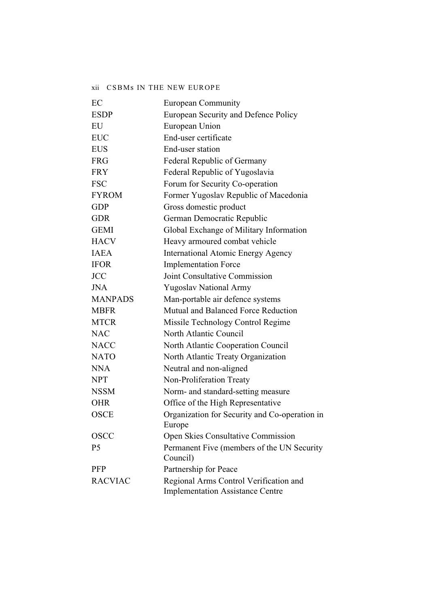#### xii CSBMs IN THE NEW EUROPE

| EC             | <b>European Community</b>                                                         |
|----------------|-----------------------------------------------------------------------------------|
| <b>ESDP</b>    | European Security and Defence Policy                                              |
| EU             | European Union                                                                    |
| <b>EUC</b>     | End-user certificate                                                              |
| <b>EUS</b>     | End-user station                                                                  |
| <b>FRG</b>     | Federal Republic of Germany                                                       |
| <b>FRY</b>     | Federal Republic of Yugoslavia                                                    |
| <b>FSC</b>     | Forum for Security Co-operation                                                   |
| <b>FYROM</b>   | Former Yugoslav Republic of Macedonia                                             |
| <b>GDP</b>     | Gross domestic product                                                            |
| <b>GDR</b>     | German Democratic Republic                                                        |
| <b>GEMI</b>    | Global Exchange of Military Information                                           |
| <b>HACV</b>    | Heavy armoured combat vehicle                                                     |
| <b>IAEA</b>    | <b>International Atomic Energy Agency</b>                                         |
| <b>IFOR</b>    | <b>Implementation Force</b>                                                       |
| <b>JCC</b>     | Joint Consultative Commission                                                     |
| <b>JNA</b>     | <b>Yugoslav National Army</b>                                                     |
| <b>MANPADS</b> | Man-portable air defence systems                                                  |
| <b>MBFR</b>    | Mutual and Balanced Force Reduction                                               |
| <b>MTCR</b>    | Missile Technology Control Regime                                                 |
| <b>NAC</b>     | North Atlantic Council                                                            |
| <b>NACC</b>    | North Atlantic Cooperation Council                                                |
| <b>NATO</b>    | North Atlantic Treaty Organization                                                |
| <b>NNA</b>     | Neutral and non-aligned                                                           |
| <b>NPT</b>     | Non-Proliferation Treaty                                                          |
| <b>NSSM</b>    | Norm- and standard-setting measure                                                |
| <b>OHR</b>     | Office of the High Representative                                                 |
| <b>OSCE</b>    | Organization for Security and Co-operation in                                     |
|                | Europe                                                                            |
| <b>OSCC</b>    | <b>Open Skies Consultative Commission</b>                                         |
| P <sub>5</sub> | Permanent Five (members of the UN Security<br>Council)                            |
| <b>PFP</b>     | Partnership for Peace                                                             |
| <b>RACVIAC</b> | Regional Arms Control Verification and<br><b>Implementation Assistance Centre</b> |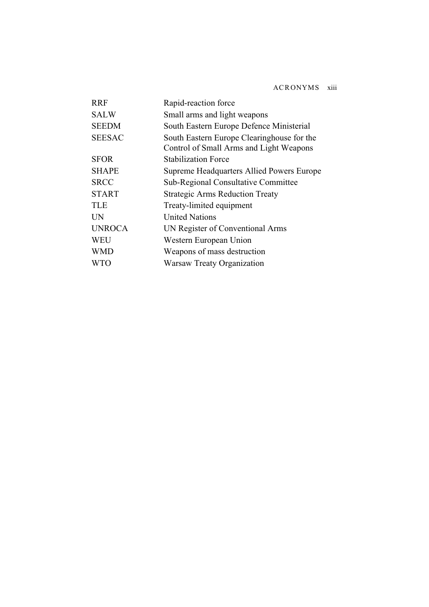| Rapid-reaction force                                                                  |
|---------------------------------------------------------------------------------------|
| Small arms and light weapons                                                          |
| South Eastern Europe Defence Ministerial                                              |
| South Eastern Europe Clearinghouse for the<br>Control of Small Arms and Light Weapons |
| <b>Stabilization Force</b>                                                            |
| Supreme Headquarters Allied Powers Europe                                             |
| <b>Sub-Regional Consultative Committee</b>                                            |
| <b>Strategic Arms Reduction Treaty</b>                                                |
| Treaty-limited equipment                                                              |
| <b>United Nations</b>                                                                 |
| UN Register of Conventional Arms                                                      |
| Western European Union                                                                |
| Weapons of mass destruction                                                           |
| <b>Warsaw Treaty Organization</b>                                                     |
|                                                                                       |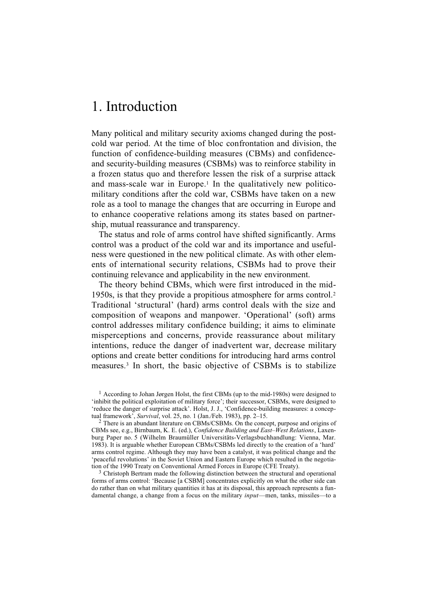## 1. Introduction

Many political and military security axioms changed during the postcold war period. At the time of bloc confrontation and division, the function of confidence-building measures (CBMs) and confidenceand security-building measures (CSBMs) was to reinforce stability in a frozen status quo and therefore lessen the risk of a surprise attack and mass-scale war in Europe.<sup>1</sup> In the qualitatively new politicomilitary conditions after the cold war, CSBMs have taken on a new role as a tool to manage the changes that are occurring in Europe and to enhance cooperative relations among its states based on partnership, mutual reassurance and transparency.

The status and role of arms control have shifted significantly. Arms control was a product of the cold war and its importance and usefulness were questioned in the new political climate. As with other elements of international security relations, CSBMs had to prove their continuing relevance and applicability in the new environment.

The theory behind CBMs, which were first introduced in the mid-1950s, is that they provide a propitious atmosphere for arms control.2 Traditional 'structural' (hard) arms control deals with the size and composition of weapons and manpower. 'Operational' (soft) arms control addresses military confidence building; it aims to eliminate misperceptions and concerns, provide reassurance about military intentions, reduce the danger of inadvertent war, decrease military options and create better conditions for introducing hard arms control measures.3 In short, the basic objective of CSBMs is to stabilize

<sup>1</sup> According to Johan Jørgen Holst, the first CBMs (up to the mid-1980s) were designed to 'inhibit the political exploitation of military force'; their successor, CSBMs, were designed to 'reduce the danger of surprise attack'. Holst, J. J., 'Confidence-building measures: a conceptual framework', *Survival*, vol. 25, no. 1 (Jan./Feb. 1983), pp. 2–15.

2 There is an abundant literature on CBMs/CSBMs. On the concept, purpose and origins of CBMs see, e.g., Birnbaum, K. E. (ed.), *Confidence Building and East–West Relations*, Laxenburg Paper no. 5 (Wilhelm Braumüller Universitäts-Verlagsbuchhandlung: Vienna, Mar. 1983). It is arguable whether European CBMs/CSBMs led directly to the creation of a 'hard' arms control regime. Although they may have been a catalyst, it was political change and the 'peaceful revolutions' in the Soviet Union and Eastern Europe which resulted in the negotiation of the 1990 Treaty on Conventional Armed Forces in Europe (CFE Treaty).

<sup>3</sup> Christoph Bertram made the following distinction between the structural and operational forms of arms control: 'Because [a CSBM] concentrates explicitly on what the other side can do rather than on what military quantities it has at its disposal, this approach represents a fundamental change, a change from a focus on the military *input*—men, tanks, missiles—to a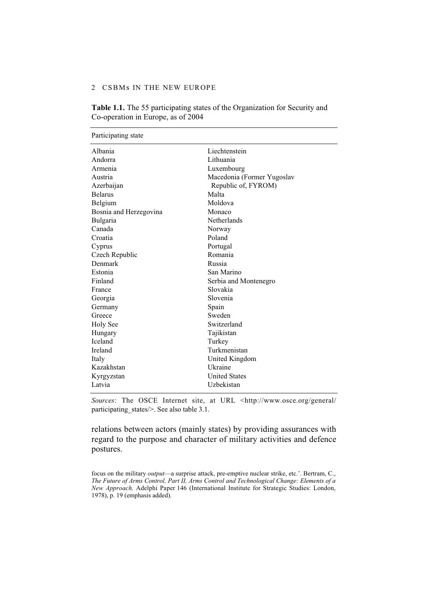#### 2 CSBMs IN THE NEW EUROPE

| Participating state    |                            |
|------------------------|----------------------------|
| Albania                | Liechtenstein              |
| Andorra                | Lithuania                  |
| Armenia                | Luxembourg                 |
| Austria                | Macedonia (Former Yugoslav |
| Azerbaijan             | Republic of, FYROM)        |
| <b>Belarus</b>         | Malta                      |
| Belgium                | Moldova                    |
| Bosnia and Herzegovina | Monaco                     |
| <b>Bulgaria</b>        | Netherlands                |
| Canada                 | Norway                     |
| Croatia                | Poland                     |
| Cyprus                 | Portugal                   |
| Czech Republic         | Romania                    |
| Denmark                | Russia                     |
| Estonia                | San Marino                 |
| Finland                | Serbia and Montenegro      |
| France                 | Slovakia                   |
| Georgia                | Slovenia                   |
| Germany                | Spain                      |
| Greece                 | Sweden                     |
| <b>Holy See</b>        | Switzerland                |
| Hungary                | Tajikistan                 |
| <b>Iceland</b>         | Turkey                     |
| Ireland                | Turkmenistan               |
| Italy                  | United Kingdom             |
| Kazakhstan             | Ukraine                    |
| Kyrgyzstan             | <b>United States</b>       |
| Latvia                 | Uzbekistan                 |

**Table 1.1.** The 55 participating states of the Organization for Security and Co-operation in Europe, as of 2004

*Sources*: The OSCE Internet site, at URL <http://www.osce.org/general/ participating states/>. See also table 3.1.

relations between actors (mainly states) by providing assurances with regard to the purpose and character of military activities and defence postures.

focus on the military *output*—a surprise attack, pre-emptive nuclear strike, etc.'. Bertram, C., *The Future of Arms Control, Part II, Arms Control and Technological Change: Elements of a New Approach,* Adelphi Paper 146 (International Institute for Strategic Studies: London, 1978), p. 19 (emphasis added).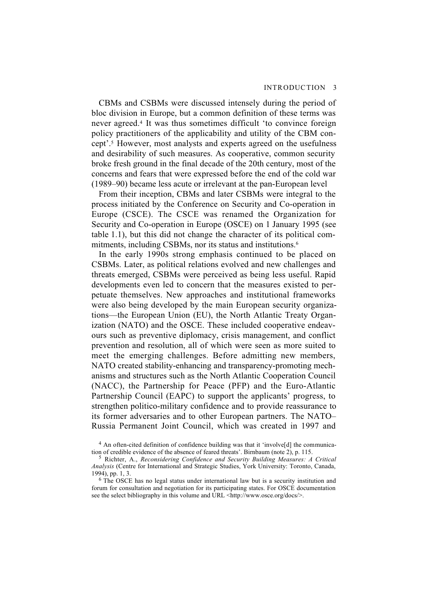CBMs and CSBMs were discussed intensely during the period of bloc division in Europe, but a common definition of these terms was never agreed.4 It was thus sometimes difficult 'to convince foreign policy practitioners of the applicability and utility of the CBM concept'.5 However, most analysts and experts agreed on the usefulness and desirability of such measures. As cooperative, common security broke fresh ground in the final decade of the 20th century, most of the concerns and fears that were expressed before the end of the cold war (1989–90) became less acute or irrelevant at the pan-European level

From their inception, CBMs and later CSBMs were integral to the process initiated by the Conference on Security and Co-operation in Europe (CSCE). The CSCE was renamed the Organization for Security and Co-operation in Europe (OSCE) on 1 January 1995 (see table 1.1), but this did not change the character of its political commitments, including CSBMs, nor its status and institutions.6

In the early 1990s strong emphasis continued to be placed on CSBMs. Later, as political relations evolved and new challenges and threats emerged, CSBMs were perceived as being less useful. Rapid developments even led to concern that the measures existed to perpetuate themselves. New approaches and institutional frameworks were also being developed by the main European security organizations—the European Union (EU), the North Atlantic Treaty Organization (NATO) and the OSCE. These included cooperative endeavours such as preventive diplomacy, crisis management, and conflict prevention and resolution, all of which were seen as more suited to meet the emerging challenges. Before admitting new members, NATO created stability-enhancing and transparency-promoting mechanisms and structures such as the North Atlantic Cooperation Council (NACC), the Partnership for Peace (PFP) and the Euro-Atlantic Partnership Council (EAPC) to support the applicants' progress, to strengthen politico-military confidence and to provide reassurance to its former adversaries and to other European partners. The NATO– Russia Permanent Joint Council, which was created in 1997 and

<sup>&</sup>lt;sup>4</sup> An often-cited definition of confidence building was that it 'involve<sup>[d]</sup> the communication of credible evidence of the absence of feared threats'. Birnbaum (note 2), p. 115.

<sup>5</sup> Richter, A., *Reconsidering Confidence and Security Building Measures: A Critical Analysis* (Centre for International and Strategic Studies, York University: Toronto, Canada, 1994), pp. 1, 3.

<sup>&</sup>lt;sup>6</sup> The OSCE has no legal status under international law but is a security institution and forum for consultation and negotiation for its participating states. For OSCE documentation see the select bibliography in this volume and URL <http://www.osce.org/docs/>.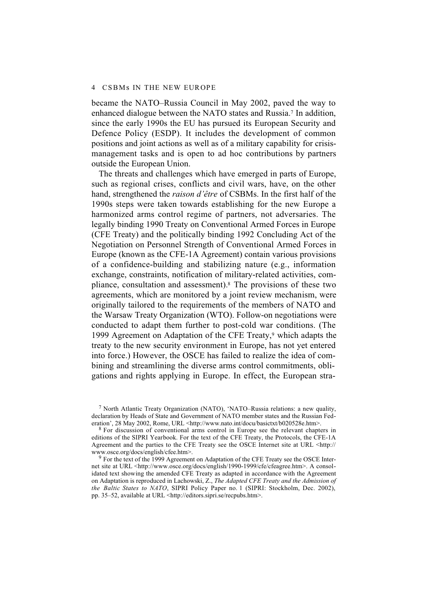became the NATO–Russia Council in May 2002, paved the way to enhanced dialogue between the NATO states and Russia.7 In addition, since the early 1990s the EU has pursued its European Security and Defence Policy (ESDP). It includes the development of common positions and joint actions as well as of a military capability for crisismanagement tasks and is open to ad hoc contributions by partners outside the European Union.

The threats and challenges which have emerged in parts of Europe, such as regional crises, conflicts and civil wars, have, on the other hand, strengthened the *raison d'être* of CSBMs. In the first half of the 1990s steps were taken towards establishing for the new Europe a harmonized arms control regime of partners, not adversaries. The legally binding 1990 Treaty on Conventional Armed Forces in Europe (CFE Treaty) and the politically binding 1992 Concluding Act of the Negotiation on Personnel Strength of Conventional Armed Forces in Europe (known as the CFE-1A Agreement) contain various provisions of a confidence-building and stabilizing nature (e.g., information exchange, constraints, notification of military-related activities, compliance, consultation and assessment).8 The provisions of these two agreements, which are monitored by a joint review mechanism, were originally tailored to the requirements of the members of NATO and the Warsaw Treaty Organization (WTO). Follow-on negotiations were conducted to adapt them further to post-cold war conditions. (The 1999 Agreement on Adaptation of the CFE Treaty,<sup>9</sup> which adapts the treaty to the new security environment in Europe, has not yet entered into force.) However, the OSCE has failed to realize the idea of combining and streamlining the diverse arms control commitments, obligations and rights applying in Europe. In effect, the European stra-

7 North Atlantic Treaty Organization (NATO), 'NATO–Russia relations: a new quality, declaration by Heads of State and Government of NATO member states and the Russian Federation', 28 May 2002, Rome, URL <http://www.nato.int/docu/basictxt/b020528e.htm>.

8 For discussion of conventional arms control in Europe see the relevant chapters in editions of the SIPRI Yearbook. For the text of the CFE Treaty, the Protocols, the CFE-1A Agreement and the parties to the CFE Treaty see the OSCE Internet site at URL <http:// www.osce.org/docs/english/cfee.htm>.

<sup>9</sup> For the text of the 1999 Agreement on Adaptation of the CFE Treaty see the OSCE Internet site at URL <http://www.osce.org/docs/english/1990-1999/cfe/cfeagree.htm>. A consolidated text showing the amended CFE Treaty as adapted in accordance with the Agreement on Adaptation is reproduced in Lachowski, Z., *The Adapted CFE Treaty and the Admission of the Baltic States to NATO*, SIPRI Policy Paper no. 1 (SIPRI: Stockholm, Dec. 2002), pp. 35–52, available at URL <http://editors.sipri.se/recpubs.htm>.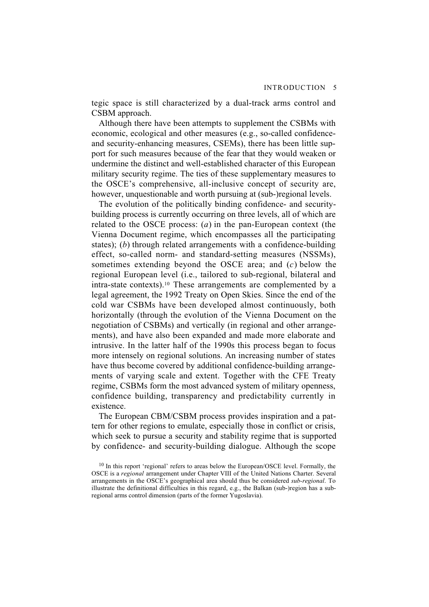tegic space is still characterized by a dual-track arms control and CSBM approach.

Although there have been attempts to supplement the CSBMs with economic, ecological and other measures (e.g., so-called confidenceand security-enhancing measures, CSEMs), there has been little support for such measures because of the fear that they would weaken or undermine the distinct and well-established character of this European military security regime. The ties of these supplementary measures to the OSCE's comprehensive, all-inclusive concept of security are, however, unquestionable and worth pursuing at (sub-)regional levels.

The evolution of the politically binding confidence- and securitybuilding process is currently occurring on three levels, all of which are related to the OSCE process: (*a*) in the pan-European context (the Vienna Document regime, which encompasses all the participating states); (*b*) through related arrangements with a confidence-building effect, so-called norm- and standard-setting measures (NSSMs), sometimes extending beyond the OSCE area; and (*c*) below the regional European level (i.e., tailored to sub-regional, bilateral and intra-state contexts).10 These arrangements are complemented by a legal agreement, the 1992 Treaty on Open Skies. Since the end of the cold war CSBMs have been developed almost continuously, both horizontally (through the evolution of the Vienna Document on the negotiation of CSBMs) and vertically (in regional and other arrangements), and have also been expanded and made more elaborate and intrusive. In the latter half of the 1990s this process began to focus more intensely on regional solutions. An increasing number of states have thus become covered by additional confidence-building arrangements of varying scale and extent. Together with the CFE Treaty regime, CSBMs form the most advanced system of military openness, confidence building, transparency and predictability currently in existence.

The European CBM/CSBM process provides inspiration and a pattern for other regions to emulate, especially those in conflict or crisis, which seek to pursue a security and stability regime that is supported by confidence- and security-building dialogue. Although the scope

 $10$  In this report 'regional' refers to areas below the European/OSCE level. Formally, the OSCE is a *regional* arrangement under Chapter VIII of the United Nations Charter. Several arrangements in the OSCE's geographical area should thus be considered *sub-regional*. To illustrate the definitional difficulties in this regard, e.g., the Balkan (sub-)region has a subregional arms control dimension (parts of the former Yugoslavia).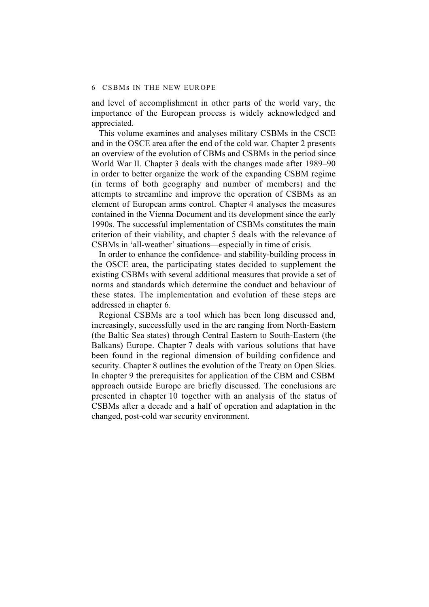and level of accomplishment in other parts of the world vary, the importance of the European process is widely acknowledged and appreciated.

This volume examines and analyses military CSBMs in the CSCE and in the OSCE area after the end of the cold war. Chapter 2 presents an overview of the evolution of CBMs and CSBMs in the period since World War II. Chapter 3 deals with the changes made after 1989–90 in order to better organize the work of the expanding CSBM regime (in terms of both geography and number of members) and the attempts to streamline and improve the operation of CSBMs as an element of European arms control. Chapter 4 analyses the measures contained in the Vienna Document and its development since the early 1990s. The successful implementation of CSBMs constitutes the main criterion of their viability, and chapter 5 deals with the relevance of CSBMs in 'all-weather' situations—especially in time of crisis.

In order to enhance the confidence- and stability-building process in the OSCE area, the participating states decided to supplement the existing CSBMs with several additional measures that provide a set of norms and standards which determine the conduct and behaviour of these states. The implementation and evolution of these steps are addressed in chapter 6.

Regional CSBMs are a tool which has been long discussed and, increasingly, successfully used in the arc ranging from North-Eastern (the Baltic Sea states) through Central Eastern to South-Eastern (the Balkans) Europe. Chapter 7 deals with various solutions that have been found in the regional dimension of building confidence and security. Chapter 8 outlines the evolution of the Treaty on Open Skies. In chapter 9 the prerequisites for application of the CBM and CSBM approach outside Europe are briefly discussed. The conclusions are presented in chapter 10 together with an analysis of the status of CSBMs after a decade and a half of operation and adaptation in the changed, post-cold war security environment.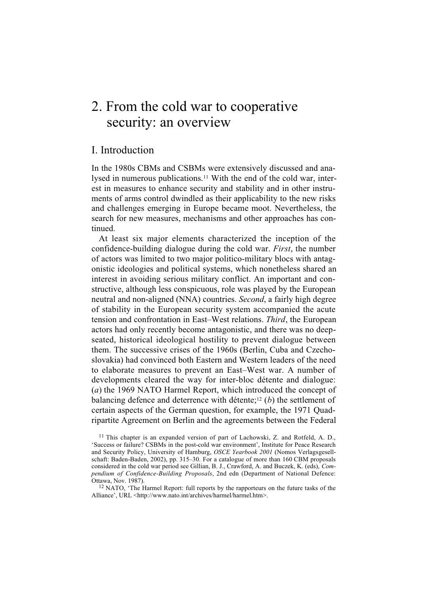## 2. From the cold war to cooperative security: an overview

### I. Introduction

In the 1980s CBMs and CSBMs were extensively discussed and analysed in numerous publications.11 With the end of the cold war, interest in measures to enhance security and stability and in other instruments of arms control dwindled as their applicability to the new risks and challenges emerging in Europe became moot. Nevertheless, the search for new measures, mechanisms and other approaches has continued.

At least six major elements characterized the inception of the confidence-building dialogue during the cold war. *First*, the number of actors was limited to two major politico-military blocs with antagonistic ideologies and political systems, which nonetheless shared an interest in avoiding serious military conflict. An important and constructive, although less conspicuous, role was played by the European neutral and non-aligned (NNA) countries. *Second*, a fairly high degree of stability in the European security system accompanied the acute tension and confrontation in East–West relations. *Third*, the European actors had only recently become antagonistic, and there was no deepseated, historical ideological hostility to prevent dialogue between them. The successive crises of the 1960s (Berlin, Cuba and Czechoslovakia) had convinced both Eastern and Western leaders of the need to elaborate measures to prevent an East–West war. A number of developments cleared the way for inter-bloc détente and dialogue: (*a*) the 1969 NATO Harmel Report, which introduced the concept of balancing defence and deterrence with détente;12 (*b*) the settlement of certain aspects of the German question, for example, the 1971 Quadripartite Agreement on Berlin and the agreements between the Federal

 $11$  This chapter is an expanded version of part of Lachowski, Z. and Rotfeld, A. D., 'Success or failure? CSBMs in the post-cold war environment', Institute for Peace Research and Security Policy, University of Hamburg, *OSCE Yearbook 2001* (Nomos Verlagsgesellschaft: Baden-Baden, 2002), pp. 315–30. For a catalogue of more than 160 CBM proposals considered in the cold war period see Gillian, B. J., Crawford, A. and Buczek, K. (eds), *Compendium of Confidence-Building Proposals*, 2nd edn (Department of National Defence: Ottawa, Nov. 1987).

 $12$  NATO, 'The Harmel Report: full reports by the rapporteurs on the future tasks of the Alliance', URL <http://www.nato.int/archives/harmel/harmel.htm>.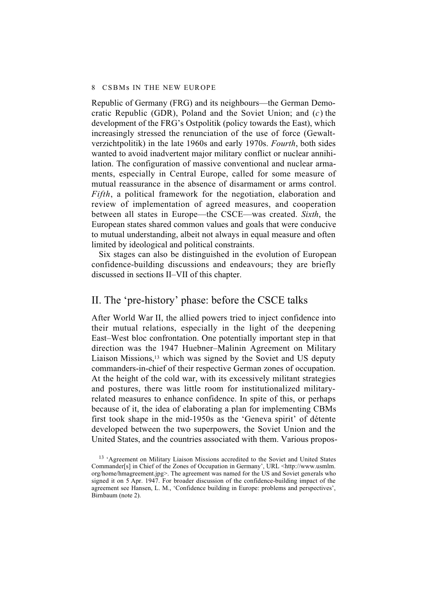Republic of Germany (FRG) and its neighbours—the German Democratic Republic (GDR), Poland and the Soviet Union; and (*c*) the development of the FRG's Ostpolitik (policy towards the East), which increasingly stressed the renunciation of the use of force (Gewaltverzichtpolitik) in the late 1960s and early 1970s. *Fourth*, both sides wanted to avoid inadvertent major military conflict or nuclear annihilation. The configuration of massive conventional and nuclear armaments, especially in Central Europe, called for some measure of mutual reassurance in the absence of disarmament or arms control. *Fifth*, a political framework for the negotiation, elaboration and review of implementation of agreed measures, and cooperation between all states in Europe—the CSCE—was created. *Sixth*, the European states shared common values and goals that were conducive to mutual understanding, albeit not always in equal measure and often limited by ideological and political constraints.

Six stages can also be distinguished in the evolution of European confidence-building discussions and endeavours; they are briefly discussed in sections II–VII of this chapter.

## II. The 'pre-history' phase: before the CSCE talks

After World War II, the allied powers tried to inject confidence into their mutual relations, especially in the light of the deepening East–West bloc confrontation. One potentially important step in that direction was the 1947 Huebner–Malinin Agreement on Military Liaison Missions,13 which was signed by the Soviet and US deputy commanders-in-chief of their respective German zones of occupation. At the height of the cold war, with its excessively militant strategies and postures, there was little room for institutionalized militaryrelated measures to enhance confidence. In spite of this, or perhaps because of it, the idea of elaborating a plan for implementing CBMs first took shape in the mid-1950s as the 'Geneva spirit' of détente developed between the two superpowers, the Soviet Union and the United States, and the countries associated with them. Various propos-

<sup>&</sup>lt;sup>13</sup> 'Agreement on Military Liaison Missions accredited to the Soviet and United States Commander[s] in Chief of the Zones of Occupation in Germany', URL <http://www.usmlm. org/home/hmagreement.jpg>. The agreement was named for the US and Soviet generals who signed it on 5 Apr. 1947. For broader discussion of the confidence-building impact of the agreement see Hansen, L. M., 'Confidence building in Europe: problems and perspectives', Birnbaum (note 2).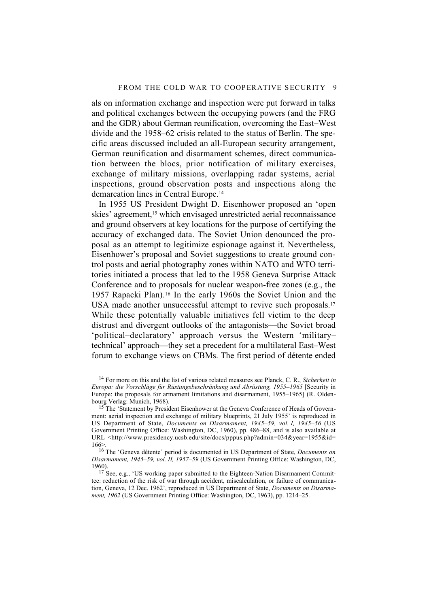als on information exchange and inspection were put forward in talks and political exchanges between the occupying powers (and the FRG and the GDR) about German reunification, overcoming the East–West divide and the 1958–62 crisis related to the status of Berlin. The specific areas discussed included an all-European security arrangement, German reunification and disarmament schemes, direct communication between the blocs, prior notification of military exercises, exchange of military missions, overlapping radar systems, aerial inspections, ground observation posts and inspections along the demarcation lines in Central Europe.14

In 1955 US President Dwight D. Eisenhower proposed an 'open skies' agreement,<sup>15</sup> which envisaged unrestricted aerial reconnaissance and ground observers at key locations for the purpose of certifying the accuracy of exchanged data. The Soviet Union denounced the proposal as an attempt to legitimize espionage against it. Nevertheless, Eisenhower's proposal and Soviet suggestions to create ground control posts and aerial photography zones within NATO and WTO territories initiated a process that led to the 1958 Geneva Surprise Attack Conference and to proposals for nuclear weapon-free zones (e.g., the 1957 Rapacki Plan).16 In the early 1960s the Soviet Union and the USA made another unsuccessful attempt to revive such proposals.<sup>17</sup> While these potentially valuable initiatives fell victim to the deep distrust and divergent outlooks of the antagonists—the Soviet broad 'political–declaratory' approach versus the Western 'military– technical' approach—they set a precedent for a multilateral East–West forum to exchange views on CBMs. The first period of détente ended

14 For more on this and the list of various related measures see Planck, C. R., *Sicherheit in Europa: die Vorschläge für Rüstungsbeschränkung und Abrüstung, 1955–1965* [Security in Europe: the proposals for armament limitations and disarmament, 1955–1965] (R. Oldenbourg Verlag: Munich, 1968).

<sup>15</sup> The 'Statement by President Eisenhower at the Geneva Conference of Heads of Government: aerial inspection and exchange of military blueprints, 21 July 1955' is reproduced in US Department of State, *Documents on Disarmament, 1945–59, vol. I, 1945–56* (US Government Printing Office: Washington, DC, 1960), pp. 486–88, and is also available at URL <http://www.presidency.ucsb.edu/site/docs/pppus.php?admin=034&year=1955&id= 166>.

16 The 'Geneva détente' period is documented in US Department of State, *Documents on Disarmament, 1945–59, vol. II, 1957–59* (US Government Printing Office: Washington, DC, 1960).

 $17$  See, e.g., 'US working paper submitted to the Eighteen-Nation Disarmament Committee: reduction of the risk of war through accident, miscalculation, or failure of communication, Geneva, 12 Dec. 1962', reproduced in US Department of State, *Documents on Disarmament, 1962* (US Government Printing Office: Washington, DC, 1963), pp. 1214–25.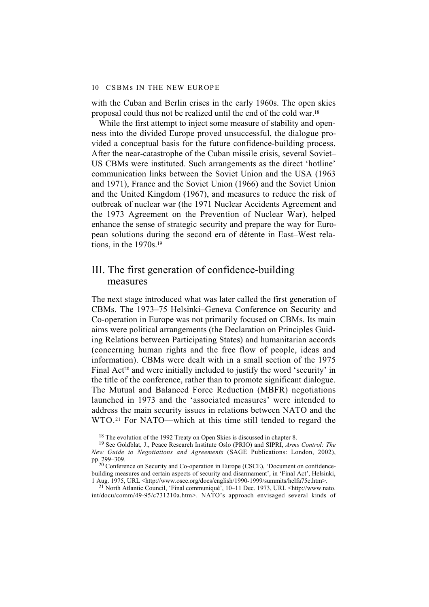with the Cuban and Berlin crises in the early 1960s. The open skies proposal could thus not be realized until the end of the cold war.18

While the first attempt to inject some measure of stability and openness into the divided Europe proved unsuccessful, the dialogue provided a conceptual basis for the future confidence-building process. After the near-catastrophe of the Cuban missile crisis, several Soviet– US CBMs were instituted. Such arrangements as the direct 'hotline' communication links between the Soviet Union and the USA (1963 and 1971), France and the Soviet Union (1966) and the Soviet Union and the United Kingdom (1967), and measures to reduce the risk of outbreak of nuclear war (the 1971 Nuclear Accidents Agreement and the 1973 Agreement on the Prevention of Nuclear War), helped enhance the sense of strategic security and prepare the way for European solutions during the second era of détente in East–West relations, in the 1970s.19

## III. The first generation of confidence-building measures

The next stage introduced what was later called the first generation of CBMs. The 1973–75 Helsinki–Geneva Conference on Security and Co-operation in Europe was not primarily focused on CBMs. Its main aims were political arrangements (the Declaration on Principles Guiding Relations between Participating States) and humanitarian accords (concerning human rights and the free flow of people, ideas and information). CBMs were dealt with in a small section of the 1975 Final Act<sup>20</sup> and were initially included to justify the word 'security' in the title of the conference, rather than to promote significant dialogue. The Mutual and Balanced Force Reduction (MBFR) negotiations launched in 1973 and the 'associated measures' were intended to address the main security issues in relations between NATO and the WTO.21 For NATO—which at this time still tended to regard the

<sup>18</sup> The evolution of the 1992 Treaty on Open Skies is discussed in chapter 8.

21 North Atlantic Council, 'Final communiqué', 10–11 Dec. 1973, URL <http://www.nato. int/docu/comm/49-95/c731210a.htm>. NATO's approach envisaged several kinds of

<sup>19</sup> See Goldblat, J., Peace Research Institute Oslo (PRIO) and SIPRI, *Arms Control: The New Guide to Negotiations and Agreements* (SAGE Publications: London, 2002), pp. 299–309.

<sup>&</sup>lt;sup>20</sup> Conference on Security and Co-operation in Europe (CSCE), 'Document on confidencebuilding measures and certain aspects of security and disarmament', in 'Final Act', Helsinki, 1 Aug. 1975, URL <http://www.osce.org/docs/english/1990-1999/summits/helfa75e.htm>.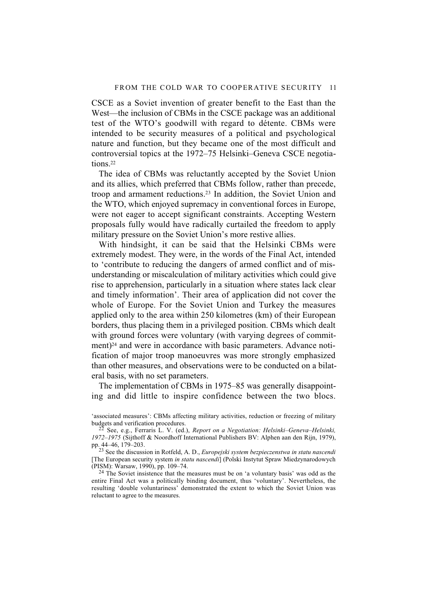CSCE as a Soviet invention of greater benefit to the East than the West—the inclusion of CBMs in the CSCE package was an additional test of the WTO's goodwill with regard to détente. CBMs were intended to be security measures of a political and psychological nature and function, but they became one of the most difficult and controversial topics at the 1972–75 Helsinki–Geneva CSCE negotiations.22

The idea of CBMs was reluctantly accepted by the Soviet Union and its allies, which preferred that CBMs follow, rather than precede, troop and armament reductions.23 In addition, the Soviet Union and the WTO, which enjoyed supremacy in conventional forces in Europe, were not eager to accept significant constraints. Accepting Western proposals fully would have radically curtailed the freedom to apply military pressure on the Soviet Union's more restive allies.

With hindsight, it can be said that the Helsinki CBMs were extremely modest. They were, in the words of the Final Act, intended to 'contribute to reducing the dangers of armed conflict and of misunderstanding or miscalculation of military activities which could give rise to apprehension, particularly in a situation where states lack clear and timely information'. Their area of application did not cover the whole of Europe. For the Soviet Union and Turkey the measures applied only to the area within 250 kilometres (km) of their European borders, thus placing them in a privileged position. CBMs which dealt with ground forces were voluntary (with varying degrees of commitment)<sup>24</sup> and were in accordance with basic parameters. Advance notification of major troop manoeuvres was more strongly emphasized than other measures, and observations were to be conducted on a bilateral basis, with no set parameters.

The implementation of CBMs in 1975–85 was generally disappointing and did little to inspire confidence between the two blocs.

'associated measures': CBMs affecting military activities, reduction or freezing of military budgets and verification procedures.

22 See, e.g., Ferraris L. V. (ed.), *Report on a Negotiation: Helsinki–Geneva–Helsinki, 1972–1975* (Sijthoff & Noordhoff International Publishers BV: Alphen aan den Rijn, 1979), pp. 44–46, 179–203.

23 See the discussion in Rotfeld, A. D., *Europejski system bezpieczenstwa in statu nascendi* [The European security system *in statu nascendi*] (Polski Instytut Spraw Miedzynarodowych (PISM): Warsaw, 1990), pp. 109–74.

<sup>24</sup> The Soviet insistence that the measures must be on 'a voluntary basis' was odd as the entire Final Act was a politically binding document, thus 'voluntary'. Nevertheless, the resulting 'double voluntariness' demonstrated the extent to which the Soviet Union was reluctant to agree to the measures.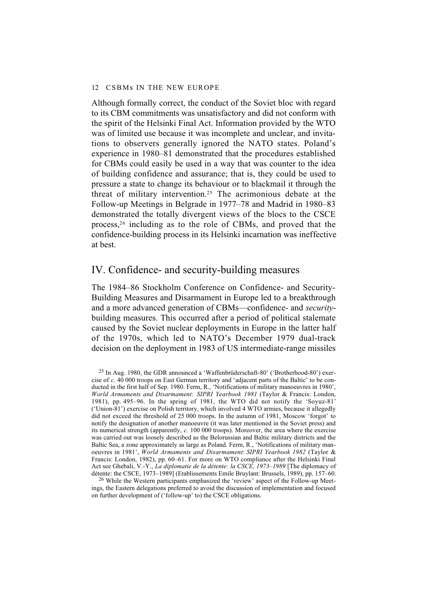Although formally correct, the conduct of the Soviet bloc with regard to its CBM commitments was unsatisfactory and did not conform with the spirit of the Helsinki Final Act. Information provided by the WTO was of limited use because it was incomplete and unclear, and invitations to observers generally ignored the NATO states. Poland's experience in 1980–81 demonstrated that the procedures established for CBMs could easily be used in a way that was counter to the idea of building confidence and assurance; that is, they could be used to pressure a state to change its behaviour or to blackmail it through the threat of military intervention.25 The acrimonious debate at the Follow-up Meetings in Belgrade in 1977–78 and Madrid in 1980–83 demonstrated the totally divergent views of the blocs to the CSCE process,26 including as to the role of CBMs, and proved that the confidence-building process in its Helsinki incarnation was ineffective at best.

## IV. Confidence- and security-building measures

The 1984–86 Stockholm Conference on Confidence- and Security-Building Measures and Disarmament in Europe led to a breakthrough and a more advanced generation of CBMs—confidence- and *security*building measures. This occurred after a period of political stalemate caused by the Soviet nuclear deployments in Europe in the latter half of the 1970s, which led to NATO's December 1979 dual-track decision on the deployment in 1983 of US intermediate-range missiles

<sup>26</sup> While the Western participants emphasized the 'review' aspect of the Follow-up Meetings, the Eastern delegations preferred to avoid the discussion of implementation and focused on further development of ('follow-up' to) the CSCE obligations.

<sup>25</sup> In Aug. 1980, the GDR announced a 'Waffenbrüderschaft-80' ('Brotherhood-80') exercise of *c*. 40 000 troops on East German territory and 'adjacent parts of the Baltic' to be conducted in the first half of Sep. 1980. Ferm, R., 'Notifications of military manoeuvres in 1980', *World Armaments and Disarmament*: *SIPRI Yearbook 1981* (Taylor & Francis: London, 1981), pp. 495–96. In the spring of 1981, the WTO did not notify the 'Soyuz-81' ('Union-81') exercise on Polish territory, which involved 4 WTO armies, because it allegedly did not exceed the threshold of 25 000 troops. In the autumn of 1981, Moscow 'forgot' to notify the designation of another manoeuvre (it was later mentioned in the Soviet press) and its numerical strength (apparently, *c.* 100 000 troops). Moreover, the area where the exercise was carried out was loosely described as the Belorussian and Baltic military districts and the Baltic Sea, a zone approximately as large as Poland. Ferm, R., 'Notifications of military manoeuvres in 1981', *World Armaments and Disarmament*: *SIPRI Yearbook 1982* (Taylor & Francis: London, 1982), pp. 60–61. For more on WTO compliance after the Helsinki Final Act see Ghebali, V.-Y., *La diplomatie de la détente: la CSCE, 1973–1989* [The diplomacy of détente: the CSCE, 1973–1989] (Etablissements Emile Bruylant: Brussels, 1989), pp. 157–60.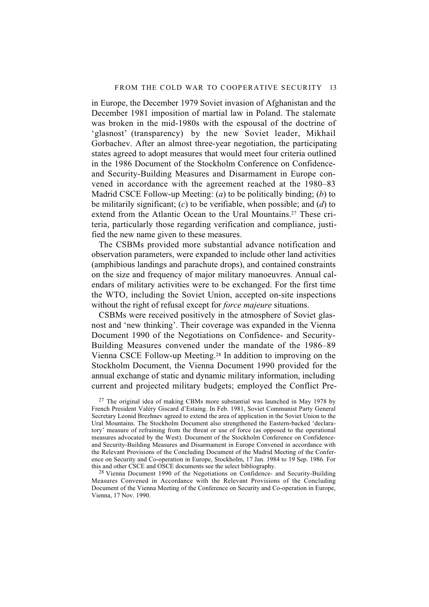in Europe, the December 1979 Soviet invasion of Afghanistan and the December 1981 imposition of martial law in Poland. The stalemate was broken in the mid-1980s with the espousal of the doctrine of 'glasnost' (transparency) by the new Soviet leader, Mikhail Gorbachev. After an almost three-year negotiation, the participating states agreed to adopt measures that would meet four criteria outlined in the 1986 Document of the Stockholm Conference on Confidenceand Security-Building Measures and Disarmament in Europe convened in accordance with the agreement reached at the 1980–83 Madrid CSCE Follow-up Meeting: (*a*) to be politically binding; (*b*) to be militarily significant; (*c*) to be verifiable, when possible; and (*d*) to extend from the Atlantic Ocean to the Ural Mountains.<sup>27</sup> These criteria, particularly those regarding verification and compliance, justified the new name given to these measures.

The CSBMs provided more substantial advance notification and observation parameters, were expanded to include other land activities (amphibious landings and parachute drops), and contained constraints on the size and frequency of major military manoeuvres. Annual calendars of military activities were to be exchanged. For the first time the WTO, including the Soviet Union, accepted on-site inspections without the right of refusal except for *force majeure* situations.

CSBMs were received positively in the atmosphere of Soviet glasnost and 'new thinking'. Their coverage was expanded in the Vienna Document 1990 of the Negotiations on Confidence- and Security-Building Measures convened under the mandate of the 1986–89 Vienna CSCE Follow-up Meeting.28 In addition to improving on the Stockholm Document, the Vienna Document 1990 provided for the annual exchange of static and dynamic military information, including current and projected military budgets; employed the Conflict Pre-

 $27$  The original idea of making CBMs more substantial was launched in May 1978 by French President Valéry Giscard d'Estaing. In Feb. 1981, Soviet Communist Party General Secretary Leonid Brezhnev agreed to extend the area of application in the Soviet Union to the Ural Mountains. The Stockholm Document also strengthened the Eastern-backed 'declaratory' measure of refraining from the threat or use of force (as opposed to the operational measures advocated by the West). Document of the Stockholm Conference on Confidenceand Security-Building Measures and Disarmament in Europe Convened in accordance with the Relevant Provisions of the Concluding Document of the Madrid Meeting of the Conference on Security and Co-operation in Europe, Stockholm, 17 Jan. 1984 to 19 Sep. 1986. For this and other CSCE and OSCE documents see the select bibliography.

28 Vienna Document 1990 of the Negotiations on Confidence- and Security-Building Measures Convened in Accordance with the Relevant Provisions of the Concluding Document of the Vienna Meeting of the Conference on Security and Co-operation in Europe, Vienna, 17 Nov. 1990.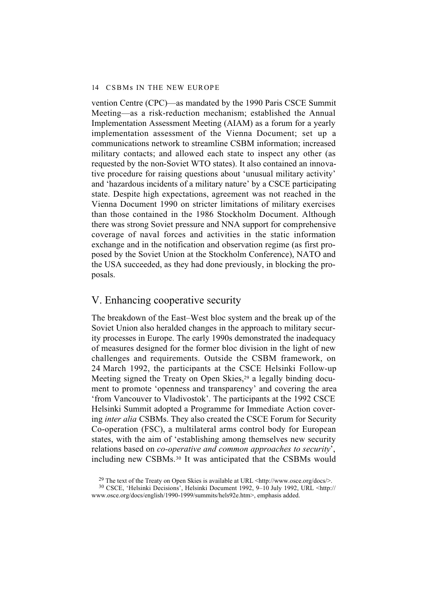vention Centre (CPC)—as mandated by the 1990 Paris CSCE Summit Meeting—as a risk-reduction mechanism; established the Annual Implementation Assessment Meeting (AIAM) as a forum for a yearly implementation assessment of the Vienna Document; set up a communications network to streamline CSBM information; increased military contacts; and allowed each state to inspect any other (as requested by the non-Soviet WTO states). It also contained an innovative procedure for raising questions about 'unusual military activity' and 'hazardous incidents of a military nature' by a CSCE participating state. Despite high expectations, agreement was not reached in the Vienna Document 1990 on stricter limitations of military exercises than those contained in the 1986 Stockholm Document. Although there was strong Soviet pressure and NNA support for comprehensive coverage of naval forces and activities in the static information exchange and in the notification and observation regime (as first proposed by the Soviet Union at the Stockholm Conference), NATO and the USA succeeded, as they had done previously, in blocking the proposals.

## V. Enhancing cooperative security

The breakdown of the East–West bloc system and the break up of the Soviet Union also heralded changes in the approach to military security processes in Europe. The early 1990s demonstrated the inadequacy of measures designed for the former bloc division in the light of new challenges and requirements. Outside the CSBM framework, on 24 March 1992, the participants at the CSCE Helsinki Follow-up Meeting signed the Treaty on Open Skies,<sup>29</sup> a legally binding document to promote 'openness and transparency' and covering the area 'from Vancouver to Vladivostok'. The participants at the 1992 CSCE Helsinki Summit adopted a Programme for Immediate Action covering *inter alia* CSBMs. They also created the CSCE Forum for Security Co-operation (FSC), a multilateral arms control body for European states, with the aim of 'establishing among themselves new security relations based on *co-operative and common approaches to security*', including new CSBMs.30 It was anticipated that the CSBMs would

<sup>&</sup>lt;sup>29</sup> The text of the Treaty on Open Skies is available at URL  $\langle$ http://www.osce.org/docs/>.

<sup>30</sup> CSCE, 'Helsinki Decisions', Helsinki Document 1992, 9–10 July 1992, URL <http:// www.osce.org/docs/english/1990-1999/summits/hels92e.htm>, emphasis added.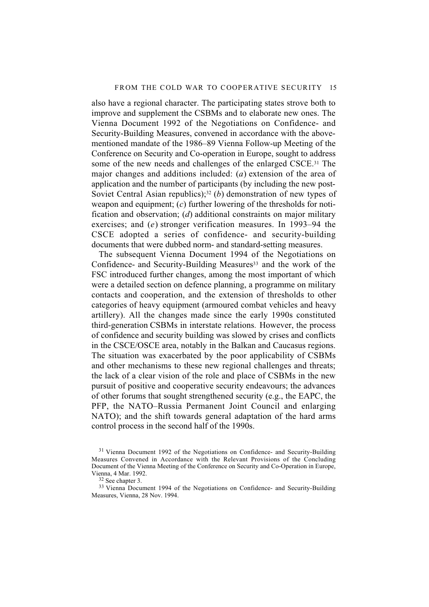also have a regional character. The participating states strove both to improve and supplement the CSBMs and to elaborate new ones. The Vienna Document 1992 of the Negotiations on Confidence- and Security-Building Measures, convened in accordance with the abovementioned mandate of the 1986–89 Vienna Follow-up Meeting of the Conference on Security and Co-operation in Europe, sought to address some of the new needs and challenges of the enlarged CSCE.31 The major changes and additions included: (*a*) extension of the area of application and the number of participants (by including the new post-Soviet Central Asian republics);<sup>32</sup> (*b*) demonstration of new types of weapon and equipment; (*c*) further lowering of the thresholds for notification and observation; (*d*) additional constraints on major military exercises; and (*e*) stronger verification measures. In 1993–94 the CSCE adopted a series of confidence- and security-building documents that were dubbed norm- and standard-setting measures.

The subsequent Vienna Document 1994 of the Negotiations on Confidence- and Security-Building Measures<sup>33</sup> and the work of the FSC introduced further changes, among the most important of which were a detailed section on defence planning, a programme on military contacts and cooperation, and the extension of thresholds to other categories of heavy equipment (armoured combat vehicles and heavy artillery). All the changes made since the early 1990s constituted third-generation CSBMs in interstate relations*.* However, the process of confidence and security building was slowed by crises and conflicts in the CSCE/OSCE area, notably in the Balkan and Caucasus regions. The situation was exacerbated by the poor applicability of CSBMs and other mechanisms to these new regional challenges and threats; the lack of a clear vision of the role and place of CSBMs in the new pursuit of positive and cooperative security endeavours; the advances of other forums that sought strengthened security (e.g., the EAPC, the PFP, the NATO–Russia Permanent Joint Council and enlarging NATO); and the shift towards general adaptation of the hard arms control process in the second half of the 1990s.

<sup>&</sup>lt;sup>31</sup> Vienna Document 1992 of the Negotiations on Confidence- and Security-Building Measures Convened in Accordance with the Relevant Provisions of the Concluding Document of the Vienna Meeting of the Conference on Security and Co-Operation in Europe, Vienna, 4 Mar. 1992.

 $32$  See chapter 3.

<sup>&</sup>lt;sup>33</sup> Vienna Document 1994 of the Negotiations on Confidence- and Security-Building Measures, Vienna, 28 Nov. 1994.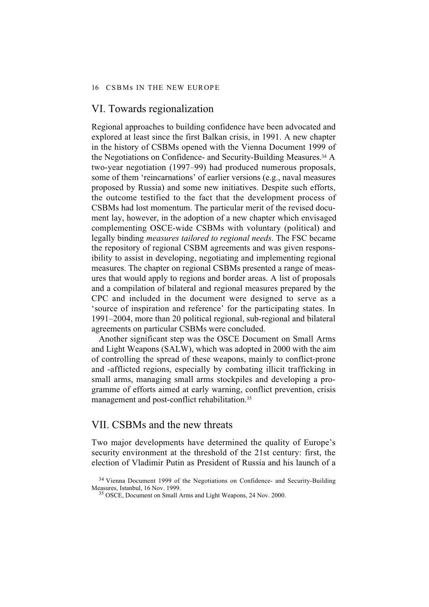### VI. Towards regionalization

Regional approaches to building confidence have been advocated and explored at least since the first Balkan crisis, in 1991. A new chapter in the history of CSBMs opened with the Vienna Document 1999 of the Negotiations on Confidence- and Security-Building Measures.34 A two-year negotiation (1997–99) had produced numerous proposals, some of them 'reincarnations' of earlier versions (e.g., naval measures proposed by Russia) and some new initiatives. Despite such efforts, the outcome testified to the fact that the development process of CSBMs had lost momentum. The particular merit of the revised document lay, however, in the adoption of a new chapter which envisaged complementing OSCE-wide CSBMs with voluntary (political) and legally binding *measures tailored to regional needs*. The FSC became the repository of regional CSBM agreements and was given responsibility to assist in developing, negotiating and implementing regional measures. The chapter on regional CSBMs presented a range of measures that would apply to regions and border areas. A list of proposals and a compilation of bilateral and regional measures prepared by the CPC and included in the document were designed to serve as a 'source of inspiration and reference' for the participating states. In 1991–2004, more than 20 political regional, sub-regional and bilateral agreements on particular CSBMs were concluded.

Another significant step was the OSCE Document on Small Arms and Light Weapons (SALW), which was adopted in 2000 with the aim of controlling the spread of these weapons, mainly to conflict-prone and -afflicted regions, especially by combating illicit trafficking in small arms, managing small arms stockpiles and developing a programme of efforts aimed at early warning, conflict prevention, crisis management and post-conflict rehabilitation.35

### VII. CSBMs and the new threats

Two major developments have determined the quality of Europe's security environment at the threshold of the 21st century: first, the election of Vladimir Putin as President of Russia and his launch of a

<sup>&</sup>lt;sup>34</sup> Vienna Document 1999 of the Negotiations on Confidence- and Security-Building Measures, Istanbul, 16 Nov. 1999.

<sup>35</sup> OSCE, Document on Small Arms and Light Weapons, 24 Nov. 2000.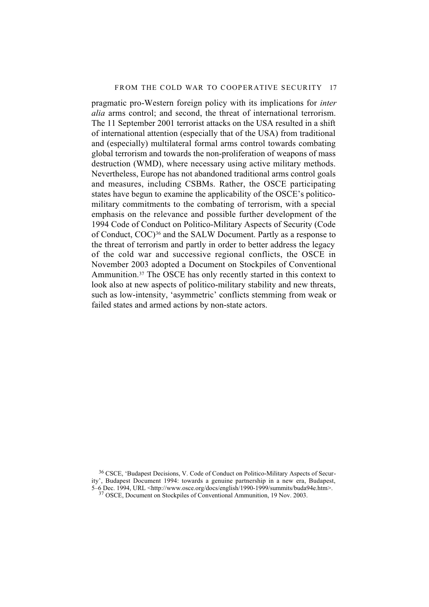pragmatic pro-Western foreign policy with its implications for *inter alia* arms control; and second, the threat of international terrorism. The 11 September 2001 terrorist attacks on the USA resulted in a shift of international attention (especially that of the USA) from traditional and (especially) multilateral formal arms control towards combating global terrorism and towards the non-proliferation of weapons of mass destruction (WMD), where necessary using active military methods. Nevertheless, Europe has not abandoned traditional arms control goals and measures, including CSBMs. Rather, the OSCE participating states have begun to examine the applicability of the OSCE's politicomilitary commitments to the combating of terrorism, with a special emphasis on the relevance and possible further development of the 1994 Code of Conduct on Politico-Military Aspects of Security (Code of Conduct, COC)36 and the SALW Document. Partly as a response to the threat of terrorism and partly in order to better address the legacy of the cold war and successive regional conflicts, the OSCE in November 2003 adopted a Document on Stockpiles of Conventional Ammunition.37 The OSCE has only recently started in this context to look also at new aspects of politico-military stability and new threats, such as low-intensity, 'asymmetric' conflicts stemming from weak or failed states and armed actions by non-state actors.

<sup>36</sup> CSCE, 'Budapest Decisions, V. Code of Conduct on Politico-Military Aspects of Security', Budapest Document 1994: towards a genuine partnership in a new era, Budapest, 5–6 Dec. 1994, URL <http://www.osce.org/docs/english/1990-1999/summits/buda94e.htm>. 37 OSCE, Document on Stockpiles of Conventional Ammunition, 19 Nov. 2003.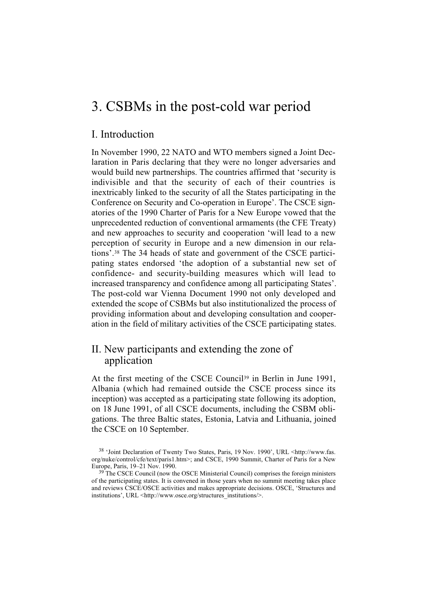## 3. CSBMs in the post-cold war period

## I. Introduction

In November 1990, 22 NATO and WTO members signed a Joint Declaration in Paris declaring that they were no longer adversaries and would build new partnerships. The countries affirmed that 'security is indivisible and that the security of each of their countries is inextricably linked to the security of all the States participating in the Conference on Security and Co-operation in Europe'. The CSCE signatories of the 1990 Charter of Paris for a New Europe vowed that the unprecedented reduction of conventional armaments (the CFE Treaty) and new approaches to security and cooperation 'will lead to a new perception of security in Europe and a new dimension in our relations'.38 The 34 heads of state and government of the CSCE participating states endorsed 'the adoption of a substantial new set of confidence- and security-building measures which will lead to increased transparency and confidence among all participating States'. The post-cold war Vienna Document 1990 not only developed and extended the scope of CSBMs but also institutionalized the process of providing information about and developing consultation and cooperation in the field of military activities of the CSCE participating states.

## II. New participants and extending the zone of application

At the first meeting of the CSCE Council39 in Berlin in June 1991, Albania (which had remained outside the CSCE process since its inception) was accepted as a participating state following its adoption, on 18 June 1991, of all CSCE documents, including the CSBM obligations. The three Baltic states, Estonia, Latvia and Lithuania, joined the CSCE on 10 September.

<sup>38 &#</sup>x27;Joint Declaration of Twenty Two States, Paris, 19 Nov. 1990', URL <http://www.fas. org/nuke/control/cfe/text/paris1.htm>; and CSCE, 1990 Summit, Charter of Paris for a New Europe, Paris, 19–21 Nov. 1990.

 $39<sup>39</sup>$ The CSCE Council (now the OSCE Ministerial Council) comprises the foreign ministers of the participating states. It is convened in those years when no summit meeting takes place and reviews CSCE/OSCE activities and makes appropriate decisions. OSCE, 'Structures and institutions', URL <http://www.osce.org/structures\_institutions/>.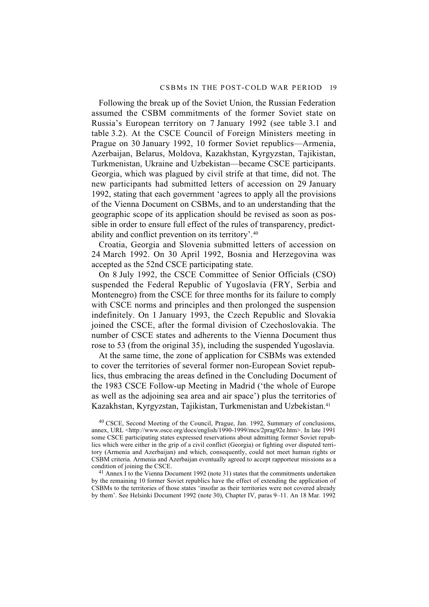Following the break up of the Soviet Union, the Russian Federation assumed the CSBM commitments of the former Soviet state on Russia's European territory on 7 January 1992 (see table 3.1 and table 3.2). At the CSCE Council of Foreign Ministers meeting in Prague on 30 January 1992, 10 former Soviet republics—Armenia, Azerbaijan, Belarus, Moldova, Kazakhstan, Kyrgyzstan, Tajikistan, Turkmenistan, Ukraine and Uzbekistan—became CSCE participants. Georgia, which was plagued by civil strife at that time, did not. The new participants had submitted letters of accession on 29 January 1992, stating that each government 'agrees to apply all the provisions of the Vienna Document on CSBMs, and to an understanding that the geographic scope of its application should be revised as soon as possible in order to ensure full effect of the rules of transparency, predictability and conflict prevention on its territory'.40

Croatia, Georgia and Slovenia submitted letters of accession on 24 March 1992. On 30 April 1992, Bosnia and Herzegovina was accepted as the 52nd CSCE participating state.

On 8 July 1992, the CSCE Committee of Senior Officials (CSO) suspended the Federal Republic of Yugoslavia (FRY, Serbia and Montenegro) from the CSCE for three months for its failure to comply with CSCE norms and principles and then prolonged the suspension indefinitely. On 1 January 1993, the Czech Republic and Slovakia joined the CSCE, after the formal division of Czechoslovakia. The number of CSCE states and adherents to the Vienna Document thus rose to 53 (from the original 35), including the suspended Yugoslavia.

At the same time, the zone of application for CSBMs was extended to cover the territories of several former non-European Soviet republics, thus embracing the areas defined in the Concluding Document of the 1983 CSCE Follow-up Meeting in Madrid ('the whole of Europe as well as the adjoining sea area and air space') plus the territories of Kazakhstan, Kyrgyzstan, Tajikistan, Turkmenistan and Uzbekistan.41

40 CSCE, Second Meeting of the Council, Prague, Jan. 1992, Summary of conclusions, annex, URL <http://www.osce.org/docs/english/1990-1999/mcs/2prag92e.htm>. In late 1991 some CSCE participating states expressed reservations about admitting former Soviet republics which were either in the grip of a civil conflict (Georgia) or fighting over disputed territory (Armenia and Azerbaijan) and which, consequently, could not meet human rights or CSBM criteria. Armenia and Azerbaijan eventually agreed to accept rapporteur missions as a condition of joining the CSCE.

<sup>41</sup> Annex I to the Vienna Document 1992 (note 31) states that the commitments undertaken by the remaining 10 former Soviet republics have the effect of extending the application of CSBMs to the territories of those states 'insofar as their territories were not covered already by them'. See Helsinki Document 1992 (note 30), Chapter IV, paras 9–11. An 18 Mar. 1992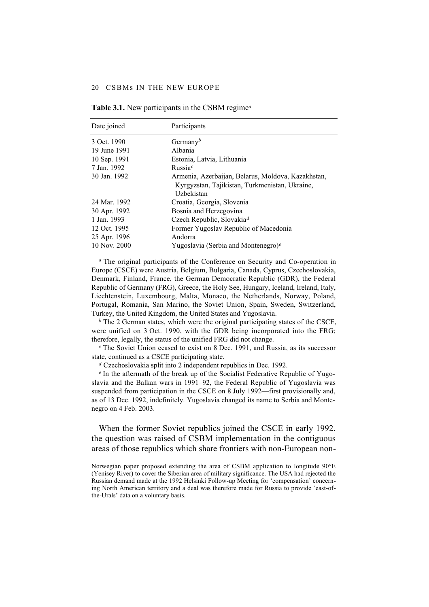#### 20 CSBMs IN THE NEW EUROPE

| Date joined  | Participants                                                                                                       |
|--------------|--------------------------------------------------------------------------------------------------------------------|
| 3 Oct. 1990  | Germany <sup>b</sup>                                                                                               |
| 19 June 1991 | Albania                                                                                                            |
| 10 Sep. 1991 | Estonia, Latvia, Lithuania                                                                                         |
| 7 Jan. 1992  | Russia <sup>c</sup>                                                                                                |
| 30 Jan. 1992 | Armenia, Azerbaijan, Belarus, Moldova, Kazakhstan,<br>Kyrgyzstan, Tajikistan, Turkmenistan, Ukraine,<br>Uzbekistan |
| 24 Mar. 1992 | Croatia, Georgia, Slovenia                                                                                         |
| 30 Apr. 1992 | Bosnia and Herzegovina                                                                                             |
| 1 Jan. 1993  | Czech Republic, Slovakia <sup>d</sup>                                                                              |
| 12 Oct. 1995 | Former Yugoslav Republic of Macedonia                                                                              |
| 25 Apr. 1996 | Andorra                                                                                                            |
| 10 Nov. 2000 | Yugoslavia (Serbia and Montenegro) <sup>e</sup>                                                                    |

**Table 3.1.** New participants in the CSBM regime*<sup>a</sup>*

*<sup>a</sup>* The original participants of the Conference on Security and Co-operation in Europe (CSCE) were Austria, Belgium, Bulgaria, Canada, Cyprus, Czechoslovakia, Denmark, Finland, France, the German Democratic Republic (GDR), the Federal Republic of Germany (FRG), Greece, the Holy See, Hungary, Iceland, Ireland, Italy, Liechtenstein, Luxembourg, Malta, Monaco, the Netherlands, Norway, Poland, Portugal, Romania, San Marino, the Soviet Union, Spain, Sweden, Switzerland, Turkey, the United Kingdom, the United States and Yugoslavia.

*<sup>b</sup>* The 2 German states, which were the original participating states of the CSCE, were unified on 3 Oct. 1990, with the GDR being incorporated into the FRG; therefore, legally, the status of the unified FRG did not change.

*<sup>c</sup>* The Soviet Union ceased to exist on 8 Dec. 1991, and Russia, as its successor state, continued as a CSCE participating state.

*<sup>d</sup>* Czechoslovakia split into 2 independent republics in Dec. 1992.

*e* In the aftermath of the break up of the Socialist Federative Republic of Yugoslavia and the Balkan wars in 1991–92, the Federal Republic of Yugoslavia was suspended from participation in the CSCE on 8 July 1992—first provisionally and, as of 13 Dec. 1992, indefinitely. Yugoslavia changed its name to Serbia and Montenegro on 4 Feb. 2003.

When the former Soviet republics joined the CSCE in early 1992, the question was raised of CSBM implementation in the contiguous areas of those republics which share frontiers with non-European non-

Norwegian paper proposed extending the area of CSBM application to longitude 90°E (Yenisey River) to cover the Siberian area of military significance. The USA had rejected the Russian demand made at the 1992 Helsinki Follow-up Meeting for 'compensation' concerning North American territory and a deal was therefore made for Russia to provide 'east-ofthe-Urals' data on a voluntary basis.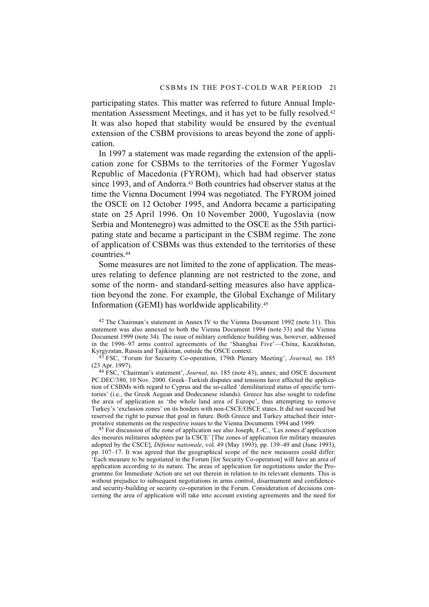participating states. This matter was referred to future Annual Implementation Assessment Meetings, and it has yet to be fully resolved.42 It was also hoped that stability would be ensured by the eventual extension of the CSBM provisions to areas beyond the zone of application.

In 1997 a statement was made regarding the extension of the application zone for CSBMs to the territories of the Former Yugoslav Republic of Macedonia (FYROM), which had had observer status since 1993, and of Andorra.<sup>43</sup> Both countries had observer status at the time the Vienna Document 1994 was negotiated. The FYROM joined the OSCE on 12 October 1995, and Andorra became a participating state on 25 April 1996. On 10 November 2000, Yugoslavia (now Serbia and Montenegro) was admitted to the OSCE as the 55th participating state and became a participant in the CSBM regime. The zone of application of CSBMs was thus extended to the territories of these countries.44

Some measures are not limited to the zone of application. The measures relating to defence planning are not restricted to the zone, and some of the norm- and standard-setting measures also have application beyond the zone. For example, the Global Exchange of Military Information (GEMI) has worldwide applicability.45

44 FSC, 'Chairman's statement', *Journal*, no. 185 (note 43), annex; and OSCE document PC.DEC/380, 10 Nov. 2000. Greek–Turkish disputes and tensions have affected the application of CSBMs with regard to Cyprus and the so-called 'demilitarized status of specific territories' (i.e., the Greek Aegean and Dodecanese islands). Greece has also sought to redefine the area of application as 'the whole land area of Europe', thus attempting to remove Turkey's 'exclusion zones' on its borders with non-CSCE/OSCE states. It did not succeed but reserved the right to pursue that goal in future. Both Greece and Turkey attached their interpretative statements on the respective issues to the Vienna Documents 1994 and 1999.

45 For discussion of the zone of application see also Joseph, J.-C., 'Les zones d'application des mesures militaires adoptées par la CSCE' [The zones of application for military measures adopted by the CSCE], *Défense nationale*, vol. 49 (May 1993), pp. 139–49 and (June 1993), pp. 107–17. It was agreed that the geographical scope of the new measures could differ: 'Each measure to be negotiated in the Forum [for Security Co-operation] will have an area of application according to its nature. The areas of application for negotiations under the Programme for Immediate Action are set out therein in relation to its relevant elements. This is without prejudice to subsequent negotiations in arms control, disarmament and confidenceand security-building or security co-operation in the Forum. Consideration of decisions concerning the area of application will take into account existing agreements and the need for

<sup>42</sup> The Chairman's statement in Annex IV to the Vienna Document 1992 (note 31). This statement was also annexed to both the Vienna Document 1994 (note 33) and the Vienna Document 1999 (note 34). The issue of military confidence building was, however, addressed in the 1996–97 arms control agreements of the 'Shanghai Five'—China, Kazakhstan, Kyrgyzstan, Russia and Tajikistan, outside the OSCE context.

<sup>43</sup> FSC, 'Forum for Security Co-operation, 179th Plenary Meeting', *Journal*, no. 185 (23 Apr. 1997).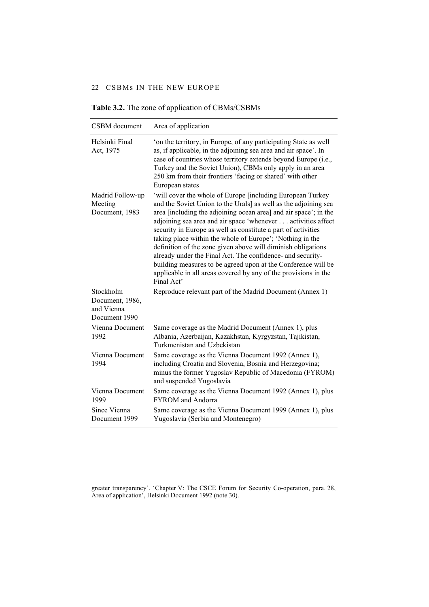| CSBM document                                               | Area of application                                                                                                                                                                                                                                                                                                                                                                                                                                                                                                                                                                                                                                                             |
|-------------------------------------------------------------|---------------------------------------------------------------------------------------------------------------------------------------------------------------------------------------------------------------------------------------------------------------------------------------------------------------------------------------------------------------------------------------------------------------------------------------------------------------------------------------------------------------------------------------------------------------------------------------------------------------------------------------------------------------------------------|
| Helsinki Final<br>Act, 1975                                 | 'on the territory, in Europe, of any participating State as well<br>as, if applicable, in the adjoining sea area and air space'. In<br>case of countries whose territory extends beyond Europe (i.e.,<br>Turkey and the Soviet Union), CBMs only apply in an area<br>250 km from their frontiers 'facing or shared' with other<br>European states                                                                                                                                                                                                                                                                                                                               |
| Madrid Follow-up<br>Meeting<br>Document, 1983               | 'will cover the whole of Europe [including European Turkey<br>and the Soviet Union to the Urals] as well as the adjoining sea<br>area [including the adjoining ocean area] and air space'; in the<br>adjoining sea area and air space 'whenever activities affect<br>security in Europe as well as constitute a part of activities<br>taking place within the whole of Europe'; 'Nothing in the<br>definition of the zone given above will diminish obligations<br>already under the Final Act. The confidence- and security-<br>building measures to be agreed upon at the Conference will be<br>applicable in all areas covered by any of the provisions in the<br>Final Act' |
| Stockholm<br>Document, 1986,<br>and Vienna<br>Document 1990 | Reproduce relevant part of the Madrid Document (Annex 1)                                                                                                                                                                                                                                                                                                                                                                                                                                                                                                                                                                                                                        |
| Vienna Document<br>1992                                     | Same coverage as the Madrid Document (Annex 1), plus<br>Albania, Azerbaijan, Kazakhstan, Kyrgyzstan, Tajikistan,<br>Turkmenistan and Uzbekistan                                                                                                                                                                                                                                                                                                                                                                                                                                                                                                                                 |
| Vienna Document<br>1994                                     | Same coverage as the Vienna Document 1992 (Annex 1),<br>including Croatia and Slovenia, Bosnia and Herzegovina;<br>minus the former Yugoslav Republic of Macedonia (FYROM)<br>and suspended Yugoslavia                                                                                                                                                                                                                                                                                                                                                                                                                                                                          |
| Vienna Document<br>1999                                     | Same coverage as the Vienna Document 1992 (Annex 1), plus<br><b>FYROM</b> and Andorra                                                                                                                                                                                                                                                                                                                                                                                                                                                                                                                                                                                           |
| Since Vienna<br>Document 1999                               | Same coverage as the Vienna Document 1999 (Annex 1), plus<br>Yugoslavia (Serbia and Montenegro)                                                                                                                                                                                                                                                                                                                                                                                                                                                                                                                                                                                 |

**Table 3.2.** The zone of application of CBMs/CSBMs

greater transparency'. 'Chapter V: The CSCE Forum for Security Co-operation, para. 28, Area of application', Helsinki Document 1992 (note 30).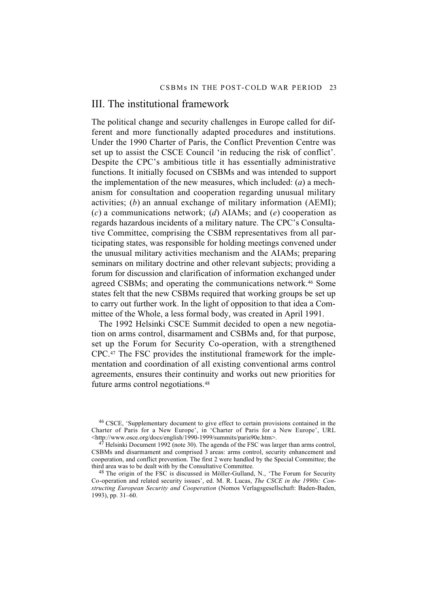## III. The institutional framework

The political change and security challenges in Europe called for different and more functionally adapted procedures and institutions. Under the 1990 Charter of Paris, the Conflict Prevention Centre was set up to assist the CSCE Council 'in reducing the risk of conflict'. Despite the CPC's ambitious title it has essentially administrative functions. It initially focused on CSBMs and was intended to support the implementation of the new measures, which included: (*a*) a mechanism for consultation and cooperation regarding unusual military activities; (*b*) an annual exchange of military information (AEMI); (*c*) a communications network; (*d*) AIAMs; and (*e*) cooperation as regards hazardous incidents of a military nature. The CPC's Consultative Committee, comprising the CSBM representatives from all participating states, was responsible for holding meetings convened under the unusual military activities mechanism and the AIAMs; preparing seminars on military doctrine and other relevant subjects; providing a forum for discussion and clarification of information exchanged under agreed CSBMs; and operating the communications network.46 Some states felt that the new CSBMs required that working groups be set up to carry out further work. In the light of opposition to that idea a Committee of the Whole, a less formal body, was created in April 1991.

The 1992 Helsinki CSCE Summit decided to open a new negotiation on arms control, disarmament and CSBMs and, for that purpose, set up the Forum for Security Co-operation, with a strengthened CPC.47 The FSC provides the institutional framework for the implementation and coordination of all existing conventional arms control agreements, ensures their continuity and works out new priorities for future arms control negotiations.48

46 CSCE, 'Supplementary document to give effect to certain provisions contained in the Charter of Paris for a New Europe', in 'Charter of Paris for a New Europe', URL <http://www.osce.org/docs/english/1990-1999/summits/paris90e.htm>.

48 The origin of the FSC is discussed in Möller-Gulland, N., 'The Forum for Security Co-operation and related security issues', ed. M. R. Lucas, *The CSCE in the 1990s: Constructing European Security and Cooperation* (Nomos Verlagsgesellschaft: Baden-Baden, 1993), pp. 31–60.

 $47$  Helsinki Document 1992 (note 30). The agenda of the FSC was larger than arms control, CSBMs and disarmament and comprised 3 areas: arms control, security enhancement and cooperation, and conflict prevention. The first 2 were handled by the Special Committee; the third area was to be dealt with by the Consultative Committee.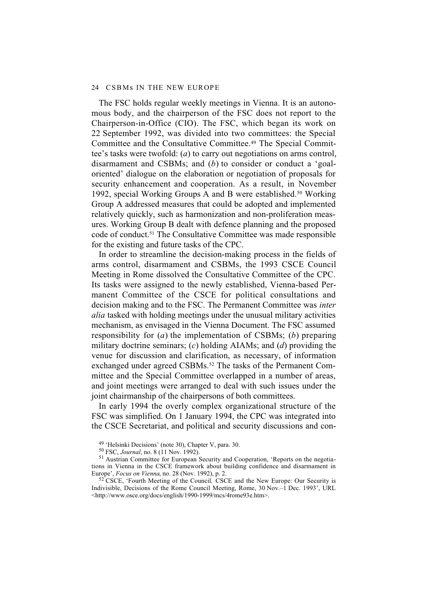The FSC holds regular weekly meetings in Vienna. It is an autonomous body, and the chairperson of the FSC does not report to the Chairperson-in-Office (CIO). The FSC, which began its work on 22 September 1992, was divided into two committees: the Special Committee and the Consultative Committee.49 The Special Committee's tasks were twofold: (*a*) to carry out negotiations on arms control, disarmament and CSBMs; and (*b*) to consider or conduct a 'goaloriented' dialogue on the elaboration or negotiation of proposals for security enhancement and cooperation. As a result, in November 1992, special Working Groups A and B were established.<sup>50</sup> Working Group A addressed measures that could be adopted and implemented relatively quickly, such as harmonization and non-proliferation measures. Working Group B dealt with defence planning and the proposed code of conduct.51 The Consultative Committee was made responsible for the existing and future tasks of the CPC.

In order to streamline the decision-making process in the fields of arms control, disarmament and CSBMs, the 1993 CSCE Council Meeting in Rome dissolved the Consultative Committee of the CPC. Its tasks were assigned to the newly established, Vienna-based Permanent Committee of the CSCE for political consultations and decision making and to the FSC. The Permanent Committee was *inter alia* tasked with holding meetings under the unusual military activities mechanism, as envisaged in the Vienna Document. The FSC assumed responsibility for (*a*) the implementation of CSBMs; (*b*) preparing military doctrine seminars; (*c*) holding AIAMs; and (*d*) providing the venue for discussion and clarification, as necessary, of information exchanged under agreed CSBMs.<sup>52</sup> The tasks of the Permanent Committee and the Special Committee overlapped in a number of areas, and joint meetings were arranged to deal with such issues under the joint chairmanship of the chairpersons of both committees.

In early 1994 the overly complex organizational structure of the FSC was simplified. On 1 January 1994, the CPC was integrated into the CSCE Secretariat, and political and security discussions and con-

<sup>49 &#</sup>x27;Helsinki Decisions' (note 30), Chapter V, para. 30.

<sup>50</sup> FSC, *Journal*, no. 8 (11 Nov. 1992).

<sup>51</sup> Austrian Committee for European Security and Cooperation, 'Reports on the negotiations in Vienna in the CSCE framework about building confidence and disarmament in Europe', *Focus on Vienna*, no. 28 (Nov. 1992), p. 2.

<sup>52</sup> CSCE, 'Fourth Meeting of the Council*,* CSCE and the New Europe: Our Security is Indivisible, Decisions of the Rome Council Meeting, Rome, 30 Nov.–1 Dec. 1993', URL <http://www.osce.org/docs/english/1990-1999/mcs/4rome93e.htm>.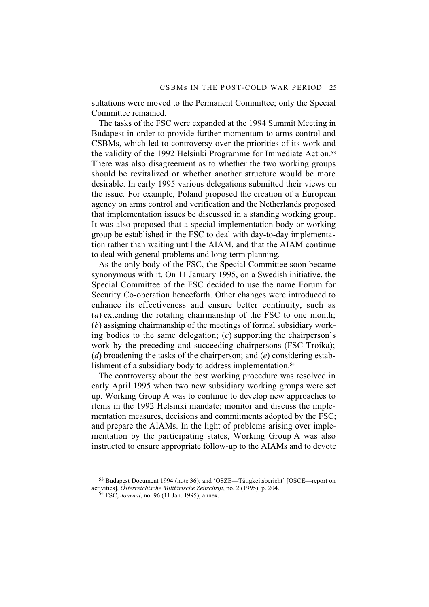sultations were moved to the Permanent Committee; only the Special Committee remained.

The tasks of the FSC were expanded at the 1994 Summit Meeting in Budapest in order to provide further momentum to arms control and CSBMs, which led to controversy over the priorities of its work and the validity of the 1992 Helsinki Programme for Immediate Action.53 There was also disagreement as to whether the two working groups should be revitalized or whether another structure would be more desirable. In early 1995 various delegations submitted their views on the issue. For example, Poland proposed the creation of a European agency on arms control and verification and the Netherlands proposed that implementation issues be discussed in a standing working group. It was also proposed that a special implementation body or working group be established in the FSC to deal with day-to-day implementation rather than waiting until the AIAM, and that the AIAM continue to deal with general problems and long-term planning.

As the only body of the FSC, the Special Committee soon became synonymous with it. On 11 January 1995, on a Swedish initiative, the Special Committee of the FSC decided to use the name Forum for Security Co-operation henceforth. Other changes were introduced to enhance its effectiveness and ensure better continuity, such as (*a*) extending the rotating chairmanship of the FSC to one month; (*b*) assigning chairmanship of the meetings of formal subsidiary working bodies to the same delegation; (*c*) supporting the chairperson's work by the preceding and succeeding chairpersons (FSC Troika); (*d*) broadening the tasks of the chairperson; and (*e*) considering establishment of a subsidiary body to address implementation.<sup>54</sup>

The controversy about the best working procedure was resolved in early April 1995 when two new subsidiary working groups were set up. Working Group A was to continue to develop new approaches to items in the 1992 Helsinki mandate; monitor and discuss the implementation measures, decisions and commitments adopted by the FSC; and prepare the AIAMs. In the light of problems arising over implementation by the participating states, Working Group A was also instructed to ensure appropriate follow-up to the AIAMs and to devote

<sup>53</sup> Budapest Document 1994 (note 36); and 'OSZE—Tätigkeitsbericht' [OSCE—report on activities], *Österreichische Militärische Zeitschrift*, no. 2 (1995), p. 204.

<sup>54</sup> FSC, *Journal*, no. 96 (11 Jan. 1995), annex.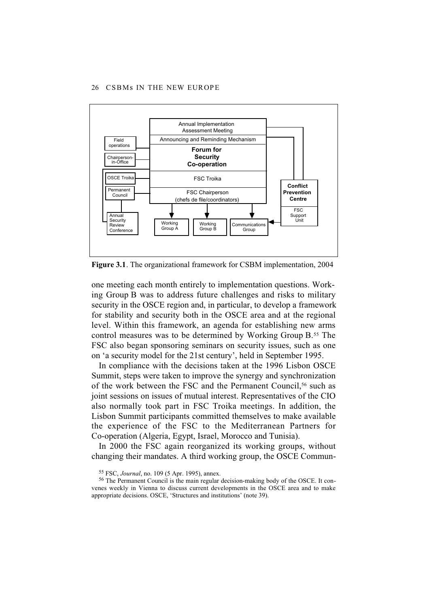

**Figure 3.1**. The organizational framework for CSBM implementation, 2004

one meeting each month entirely to implementation questions. Working Group B was to address future challenges and risks to military security in the OSCE region and, in particular, to develop a framework for stability and security both in the OSCE area and at the regional level. Within this framework, an agenda for establishing new arms control measures was to be determined by Working Group B.55 The FSC also began sponsoring seminars on security issues, such as one on 'a security model for the 21st century', held in September 1995.

In compliance with the decisions taken at the 1996 Lisbon OSCE Summit, steps were taken to improve the synergy and synchronization of the work between the FSC and the Permanent Council,<sup>56</sup> such as joint sessions on issues of mutual interest. Representatives of the CIO also normally took part in FSC Troika meetings. In addition, the Lisbon Summit participants committed themselves to make available the experience of the FSC to the Mediterranean Partners for Co-operation (Algeria, Egypt, Israel, Morocco and Tunisia).

In 2000 the FSC again reorganized its working groups, without changing their mandates. A third working group, the OSCE Commun-

<sup>55</sup> FSC, *Journal*, no. 109 (5 Apr. 1995), annex.

<sup>56</sup> The Permanent Council is the main regular decision-making body of the OSCE. It convenes weekly in Vienna to discuss current developments in the OSCE area and to make appropriate decisions. OSCE, 'Structures and institutions' (note 39).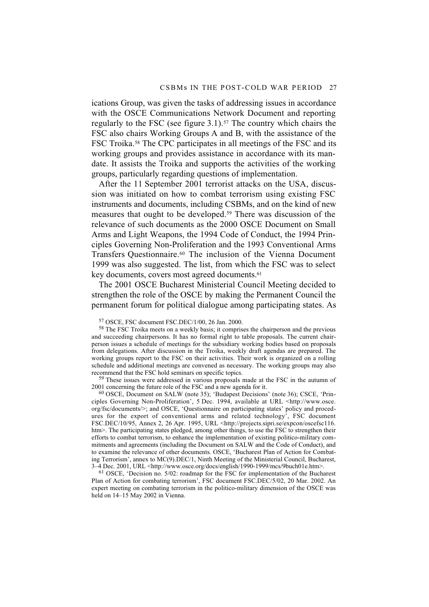ications Group, was given the tasks of addressing issues in accordance with the OSCE Communications Network Document and reporting regularly to the FSC (see figure  $3.1$ ).<sup>57</sup> The country which chairs the FSC also chairs Working Groups A and B, with the assistance of the FSC Troika.<sup>58</sup> The CPC participates in all meetings of the FSC and its working groups and provides assistance in accordance with its mandate. It assists the Troika and supports the activities of the working groups, particularly regarding questions of implementation.

After the 11 September 2001 terrorist attacks on the USA, discussion was initiated on how to combat terrorism using existing FSC instruments and documents, including CSBMs, and on the kind of new measures that ought to be developed.59 There was discussion of the relevance of such documents as the 2000 OSCE Document on Small Arms and Light Weapons, the 1994 Code of Conduct, the 1994 Principles Governing Non-Proliferation and the 1993 Conventional Arms Transfers Questionnaire.60 The inclusion of the Vienna Document 1999 was also suggested. The list, from which the FSC was to select key documents, covers most agreed documents.<sup>61</sup>

The 2001 OSCE Bucharest Ministerial Council Meeting decided to strengthen the role of the OSCE by making the Permanent Council the permanent forum for political dialogue among participating states. As

59 These issues were addressed in various proposals made at the FSC in the autumn of 2001 concerning the future role of the FSC and a new agenda for it.

60 OSCE, Document on SALW (note 35); 'Budapest Decisions' (note 36); CSCE, 'Principles Governing Non-Proliferation', 5 Dec. 1994, available at URL <http://www.osce. org/fsc/documents/>; and OSCE, 'Questionnaire on participating states' policy and procedures for the export of conventional arms and related technology', FSC document FSC.DEC/10/95, Annex 2, 26 Apr. 1995, URL <http://projects.sipri.se/expcon/oscefsc116. htm>. The participating states pledged, among other things, to use the FSC to strengthen their efforts to combat terrorism, to enhance the implementation of existing politico-military commitments and agreements (including the Document on SALW and the Code of Conduct), and to examine the relevance of other documents. OSCE, 'Bucharest Plan of Action for Combating Terrorism', annex to MC(9).DEC/1, Ninth Meeting of the Ministerial Council, Bucharest, 3–4 Dec. 2001, URL <http://www.osce.org/docs/english/1990-1999/mcs/9buch01e.htm>.

61 OSCE, 'Decision no. 5/02: roadmap for the FSC for implementation of the Bucharest Plan of Action for combating terrorism', FSC document FSC.DEC/5/02, 20 Mar. 2002. An expert meeting on combating terrorism in the politico-military dimension of the OSCE was held on 14–15 May 2002 in Vienna.

<sup>57</sup> OSCE, FSC document FSC.DEC/1/00, 26 Jan. 2000.

<sup>&</sup>lt;sup>58</sup> The FSC Troika meets on a weekly basis; it comprises the chairperson and the previous and succeeding chairpersons. It has no formal right to table proposals. The current chairperson issues a schedule of meetings for the subsidiary working bodies based on proposals from delegations. After discussion in the Troika, weekly draft agendas are prepared. The working groups report to the FSC on their activities. Their work is organized on a rolling schedule and additional meetings are convened as necessary. The working groups may also recommend that the FSC hold seminars on specific topics.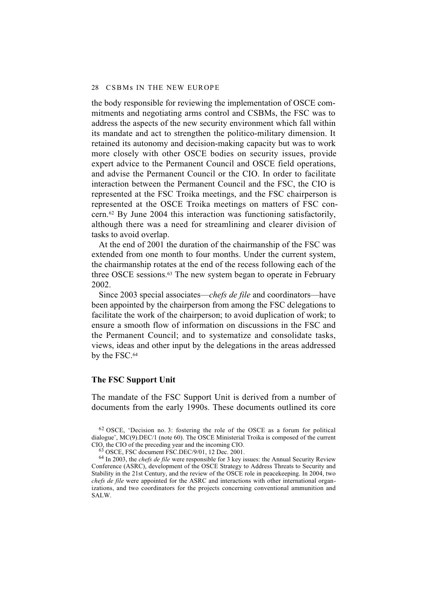the body responsible for reviewing the implementation of OSCE commitments and negotiating arms control and CSBMs, the FSC was to address the aspects of the new security environment which fall within its mandate and act to strengthen the politico-military dimension. It retained its autonomy and decision-making capacity but was to work more closely with other OSCE bodies on security issues, provide expert advice to the Permanent Council and OSCE field operations, and advise the Permanent Council or the CIO. In order to facilitate interaction between the Permanent Council and the FSC, the CIO is represented at the FSC Troika meetings, and the FSC chairperson is represented at the OSCE Troika meetings on matters of FSC concern.62 By June 2004 this interaction was functioning satisfactorily, although there was a need for streamlining and clearer division of tasks to avoid overlap.

At the end of 2001 the duration of the chairmanship of the FSC was extended from one month to four months. Under the current system, the chairmanship rotates at the end of the recess following each of the three OSCE sessions.<sup>63</sup> The new system began to operate in February 2002.

Since 2003 special associates—*chefs de file* and coordinators—have been appointed by the chairperson from among the FSC delegations to facilitate the work of the chairperson; to avoid duplication of work; to ensure a smooth flow of information on discussions in the FSC and the Permanent Council; and to systematize and consolidate tasks, views, ideas and other input by the delegations in the areas addressed by the FSC.64

### **The FSC Support Unit**

The mandate of the FSC Support Unit is derived from a number of documents from the early 1990s. These documents outlined its core

<sup>62</sup> OSCE, 'Decision no. 3: fostering the role of the OSCE as a forum for political dialogue', MC(9).DEC/1 (note 60). The OSCE Ministerial Troika is composed of the current CIO, the CIO of the preceding year and the incoming CIO.

<sup>63</sup> OSCE, FSC document FSC.DEC/9/01, 12 Dec. 2001.

<sup>64</sup> In 2003, the *chefs de file* were responsible for 3 key issues: the Annual Security Review Conference (ASRC), development of the OSCE Strategy to Address Threats to Security and Stability in the 21st Century, and the review of the OSCE role in peacekeeping. In 2004, two *chefs de file* were appointed for the ASRC and interactions with other international organizations, and two coordinators for the projects concerning conventional ammunition and SALW.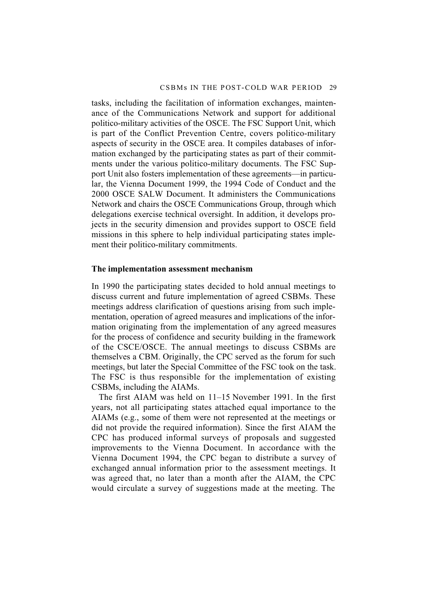tasks, including the facilitation of information exchanges, maintenance of the Communications Network and support for additional politico-military activities of the OSCE. The FSC Support Unit, which is part of the Conflict Prevention Centre, covers politico-military aspects of security in the OSCE area. It compiles databases of information exchanged by the participating states as part of their commitments under the various politico-military documents. The FSC Support Unit also fosters implementation of these agreements—in particular, the Vienna Document 1999, the 1994 Code of Conduct and the 2000 OSCE SALW Document. It administers the Communications Network and chairs the OSCE Communications Group, through which delegations exercise technical oversight. In addition, it develops projects in the security dimension and provides support to OSCE field missions in this sphere to help individual participating states implement their politico-military commitments.

### **The implementation assessment mechanism**

In 1990 the participating states decided to hold annual meetings to discuss current and future implementation of agreed CSBMs. These meetings address clarification of questions arising from such implementation, operation of agreed measures and implications of the information originating from the implementation of any agreed measures for the process of confidence and security building in the framework of the CSCE/OSCE. The annual meetings to discuss CSBMs are themselves a CBM. Originally, the CPC served as the forum for such meetings, but later the Special Committee of the FSC took on the task. The FSC is thus responsible for the implementation of existing CSBMs, including the AIAMs.

The first AIAM was held on 11–15 November 1991. In the first years, not all participating states attached equal importance to the AIAMs (e.g., some of them were not represented at the meetings or did not provide the required information). Since the first AIAM the CPC has produced informal surveys of proposals and suggested improvements to the Vienna Document. In accordance with the Vienna Document 1994, the CPC began to distribute a survey of exchanged annual information prior to the assessment meetings. It was agreed that, no later than a month after the AIAM, the CPC would circulate a survey of suggestions made at the meeting. The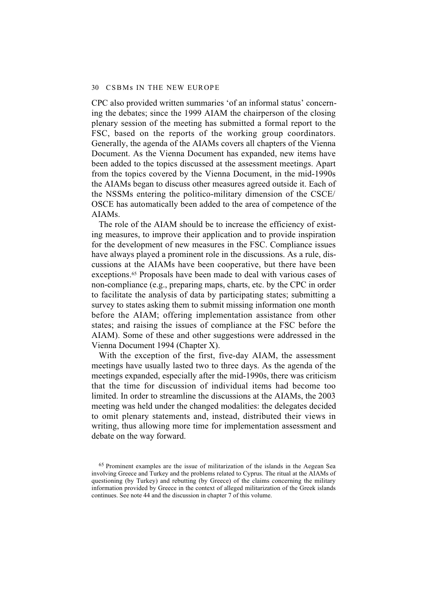CPC also provided written summaries 'of an informal status' concerning the debates; since the 1999 AIAM the chairperson of the closing plenary session of the meeting has submitted a formal report to the FSC, based on the reports of the working group coordinators. Generally, the agenda of the AIAMs covers all chapters of the Vienna Document. As the Vienna Document has expanded, new items have been added to the topics discussed at the assessment meetings. Apart from the topics covered by the Vienna Document, in the mid-1990s the AIAMs began to discuss other measures agreed outside it. Each of the NSSMs entering the politico-military dimension of the CSCE/ OSCE has automatically been added to the area of competence of the AIAMs.

The role of the AIAM should be to increase the efficiency of existing measures, to improve their application and to provide inspiration for the development of new measures in the FSC. Compliance issues have always played a prominent role in the discussions. As a rule, discussions at the AIAMs have been cooperative, but there have been exceptions.<sup>65</sup> Proposals have been made to deal with various cases of non-compliance (e.g., preparing maps, charts, etc. by the CPC in order to facilitate the analysis of data by participating states; submitting a survey to states asking them to submit missing information one month before the AIAM; offering implementation assistance from other states; and raising the issues of compliance at the FSC before the AIAM). Some of these and other suggestions were addressed in the Vienna Document 1994 (Chapter X).

With the exception of the first, five-day AIAM, the assessment meetings have usually lasted two to three days. As the agenda of the meetings expanded, especially after the mid-1990s, there was criticism that the time for discussion of individual items had become too limited. In order to streamline the discussions at the AIAMs, the 2003 meeting was held under the changed modalities: the delegates decided to omit plenary statements and, instead, distributed their views in writing, thus allowing more time for implementation assessment and debate on the way forward.

<sup>65</sup> Prominent examples are the issue of militarization of the islands in the Aegean Sea involving Greece and Turkey and the problems related to Cyprus. The ritual at the AIAMs of questioning (by Turkey) and rebutting (by Greece) of the claims concerning the military information provided by Greece in the context of alleged militarization of the Greek islands continues. See note 44 and the discussion in chapter 7 of this volume.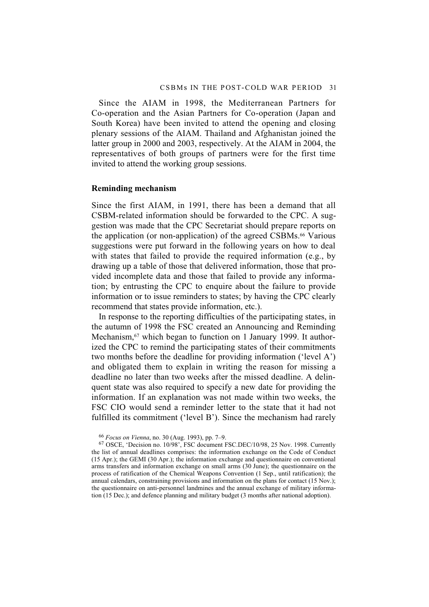Since the AIAM in 1998, the Mediterranean Partners for Co-operation and the Asian Partners for Co-operation (Japan and South Korea) have been invited to attend the opening and closing plenary sessions of the AIAM. Thailand and Afghanistan joined the latter group in 2000 and 2003, respectively. At the AIAM in 2004, the representatives of both groups of partners were for the first time invited to attend the working group sessions.

### **Reminding mechanism**

Since the first AIAM, in 1991, there has been a demand that all CSBM-related information should be forwarded to the CPC. A suggestion was made that the CPC Secretariat should prepare reports on the application (or non-application) of the agreed CSBMs.66 Various suggestions were put forward in the following years on how to deal with states that failed to provide the required information (e.g., by drawing up a table of those that delivered information, those that provided incomplete data and those that failed to provide any information; by entrusting the CPC to enquire about the failure to provide information or to issue reminders to states; by having the CPC clearly recommend that states provide information, etc.).

In response to the reporting difficulties of the participating states, in the autumn of 1998 the FSC created an Announcing and Reminding Mechanism,<sup>67</sup> which began to function on 1 January 1999. It authorized the CPC to remind the participating states of their commitments two months before the deadline for providing information ('level A') and obligated them to explain in writing the reason for missing a deadline no later than two weeks after the missed deadline. A delinquent state was also required to specify a new date for providing the information. If an explanation was not made within two weeks, the FSC CIO would send a reminder letter to the state that it had not fulfilled its commitment ('level B'). Since the mechanism had rarely

<sup>66</sup> *Focus on Vienna*, no. 30 (Aug. 1993), pp. 7–9.

<sup>67</sup> OSCE, 'Decision no. 10/98', FSC document FSC.DEC/10/98, 25 Nov. 1998. Currently the list of annual deadlines comprises: the information exchange on the Code of Conduct (15 Apr.); the GEMI (30 Apr.); the information exchange and questionnaire on conventional arms transfers and information exchange on small arms (30 June); the questionnaire on the process of ratification of the Chemical Weapons Convention (1 Sep., until ratification); the annual calendars, constraining provisions and information on the plans for contact (15 Nov.); the questionnaire on anti-personnel landmines and the annual exchange of military information (15 Dec.); and defence planning and military budget (3 months after national adoption).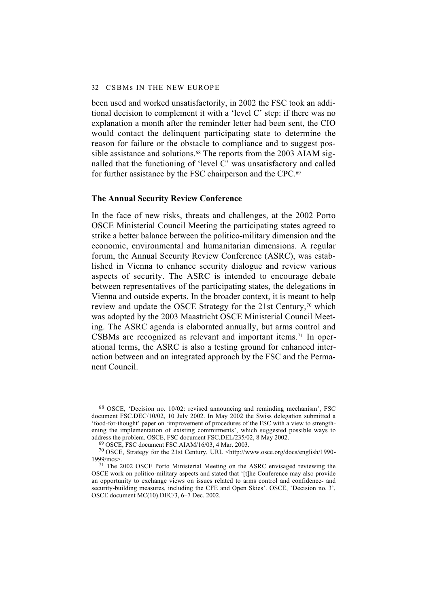#### 32 CSBMs IN THE NEW EUROPE

been used and worked unsatisfactorily, in 2002 the FSC took an additional decision to complement it with a 'level C' step: if there was no explanation a month after the reminder letter had been sent, the CIO would contact the delinquent participating state to determine the reason for failure or the obstacle to compliance and to suggest possible assistance and solutions.<sup>68</sup> The reports from the 2003 AIAM signalled that the functioning of 'level C' was unsatisfactory and called for further assistance by the FSC chairperson and the CPC.69

### **The Annual Security Review Conference**

In the face of new risks, threats and challenges, at the 2002 Porto OSCE Ministerial Council Meeting the participating states agreed to strike a better balance between the politico-military dimension and the economic, environmental and humanitarian dimensions. A regular forum, the Annual Security Review Conference (ASRC), was established in Vienna to enhance security dialogue and review various aspects of security. The ASRC is intended to encourage debate between representatives of the participating states, the delegations in Vienna and outside experts. In the broader context, it is meant to help review and update the OSCE Strategy for the 21st Century,<sup>70</sup> which was adopted by the 2003 Maastricht OSCE Ministerial Council Meeting. The ASRC agenda is elaborated annually, but arms control and CSBMs are recognized as relevant and important items.71 In operational terms, the ASRC is also a testing ground for enhanced interaction between and an integrated approach by the FSC and the Permanent Council.

68 OSCE, 'Decision no. 10/02: revised announcing and reminding mechanism', FSC document FSC.DEC/10/02, 10 July 2002. In May 2002 the Swiss delegation submitted a 'food-for-thought' paper on 'improvement of procedures of the FSC with a view to strengthening the implementation of existing commitments', which suggested possible ways to address the problem. OSCE, FSC document FSC.DEL/235/02, 8 May 2002.

69 OSCE, FSC document FSC.AIAM/16/03, 4 Mar. 2003.

70 OSCE, Strategy for the 21st Century, URL <http://www.osce.org/docs/english/1990- 1999/mcs>.

71 The 2002 OSCE Porto Ministerial Meeting on the ASRC envisaged reviewing the OSCE work on politico-military aspects and stated that '[t]he Conference may also provide an opportunity to exchange views on issues related to arms control and confidence- and security-building measures, including the CFE and Open Skies'. OSCE, 'Decision no. 3', OSCE document MC(10).DEC/3, 6–7 Dec. 2002.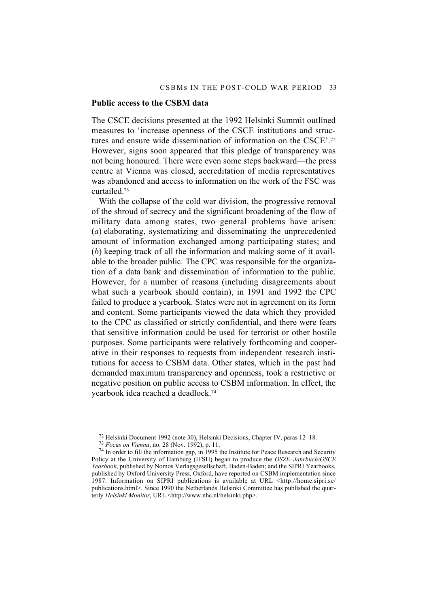#### **Public access to the CSBM data**

The CSCE decisions presented at the 1992 Helsinki Summit outlined measures to 'increase openness of the CSCE institutions and structures and ensure wide dissemination of information on the CSCE'.72 However, signs soon appeared that this pledge of transparency was not being honoured. There were even some steps backward—the press centre at Vienna was closed, accreditation of media representatives was abandoned and access to information on the work of the FSC was curtailed<sup>73</sup>

With the collapse of the cold war division, the progressive removal of the shroud of secrecy and the significant broadening of the flow of military data among states, two general problems have arisen: (*a*) elaborating, systematizing and disseminating the unprecedented amount of information exchanged among participating states; and (*b*) keeping track of all the information and making some of it available to the broader public. The CPC was responsible for the organization of a data bank and dissemination of information to the public. However, for a number of reasons (including disagreements about what such a yearbook should contain), in 1991 and 1992 the CPC failed to produce a yearbook. States were not in agreement on its form and content. Some participants viewed the data which they provided to the CPC as classified or strictly confidential, and there were fears that sensitive information could be used for terrorist or other hostile purposes. Some participants were relatively forthcoming and cooperative in their responses to requests from independent research institutions for access to CSBM data. Other states, which in the past had demanded maximum transparency and openness, took a restrictive or negative position on public access to CSBM information. In effect, the yearbook idea reached a deadlock.74

<sup>72</sup> Helsinki Document 1992 (note 30), Helsinki Decisions, Chapter IV, paras 12–18.

<sup>73</sup> *Focus on Vienna*, no. 28 (Nov. 1992), p. 11.

 $74$  In order to fill the information gap, in 1995 the Institute for Peace Research and Security Policy at the University of Hamburg (IFSH) began to produce the *OSZE–Jahrbuch/OSCE Yearbook*, published by Nomos Verlagsgesellschaft, Baden-Baden; and the SIPRI Yearbooks, published by Oxford University Press, Oxford, have reported on CSBM implementation since 1987. Information on SIPRI publications is available at URL <http://home.sipri.se/ publications.html>. Since 1990 the Netherlands Helsinki Committee has published the quarterly *Helsinki Monitor*, URL <http://www.nhc.nl/helsinki.php>.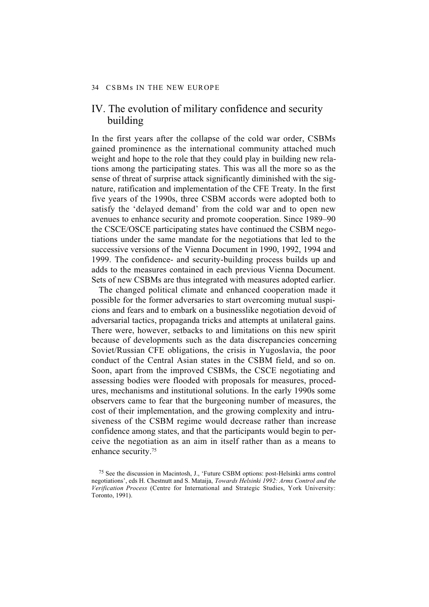# IV. The evolution of military confidence and security building

In the first years after the collapse of the cold war order, CSBMs gained prominence as the international community attached much weight and hope to the role that they could play in building new relations among the participating states. This was all the more so as the sense of threat of surprise attack significantly diminished with the signature, ratification and implementation of the CFE Treaty. In the first five years of the 1990s, three CSBM accords were adopted both to satisfy the 'delayed demand' from the cold war and to open new avenues to enhance security and promote cooperation. Since 1989–90 the CSCE/OSCE participating states have continued the CSBM negotiations under the same mandate for the negotiations that led to the successive versions of the Vienna Document in 1990, 1992, 1994 and 1999. The confidence- and security-building process builds up and adds to the measures contained in each previous Vienna Document. Sets of new CSBMs are thus integrated with measures adopted earlier.

The changed political climate and enhanced cooperation made it possible for the former adversaries to start overcoming mutual suspicions and fears and to embark on a businesslike negotiation devoid of adversarial tactics, propaganda tricks and attempts at unilateral gains. There were, however, setbacks to and limitations on this new spirit because of developments such as the data discrepancies concerning Soviet/Russian CFE obligations, the crisis in Yugoslavia, the poor conduct of the Central Asian states in the CSBM field, and so on. Soon, apart from the improved CSBMs, the CSCE negotiating and assessing bodies were flooded with proposals for measures, procedures, mechanisms and institutional solutions. In the early 1990s some observers came to fear that the burgeoning number of measures, the cost of their implementation, and the growing complexity and intrusiveness of the CSBM regime would decrease rather than increase confidence among states, and that the participants would begin to perceive the negotiation as an aim in itself rather than as a means to enhance security.75

<sup>75</sup> See the discussion in Macintosh, J., 'Future CSBM options: post-Helsinki arms control negotiations', eds H. Chestnutt and S. Mataija, *Towards Helsinki 1992: Arms Control and the Verification Process* (Centre for International and Strategic Studies, York University: Toronto, 1991).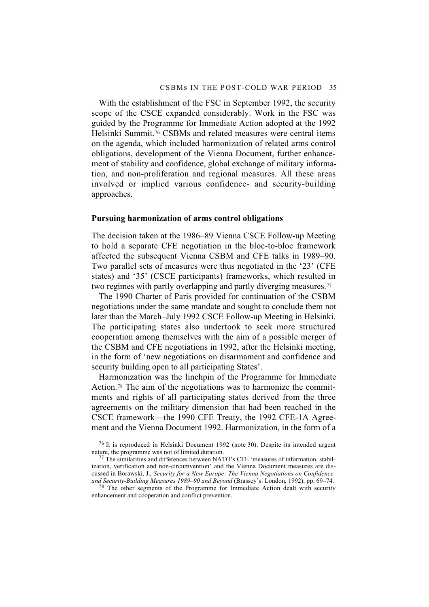With the establishment of the FSC in September 1992, the security scope of the CSCE expanded considerably. Work in the FSC was guided by the Programme for Immediate Action adopted at the 1992 Helsinki Summit.76 CSBMs and related measures were central items on the agenda, which included harmonization of related arms control obligations, development of the Vienna Document, further enhancement of stability and confidence, global exchange of military information, and non-proliferation and regional measures. All these areas involved or implied various confidence- and security-building approaches.

### **Pursuing harmonization of arms control obligations**

The decision taken at the 1986–89 Vienna CSCE Follow-up Meeting to hold a separate CFE negotiation in the bloc-to-bloc framework affected the subsequent Vienna CSBM and CFE talks in 1989–90. Two parallel sets of measures were thus negotiated in the '23' (CFE states) and '35' (CSCE participants) frameworks, which resulted in two regimes with partly overlapping and partly diverging measures.<sup>77</sup>

The 1990 Charter of Paris provided for continuation of the CSBM negotiations under the same mandate and sought to conclude them not later than the March–July 1992 CSCE Follow-up Meeting in Helsinki. The participating states also undertook to seek more structured cooperation among themselves with the aim of a possible merger of the CSBM and CFE negotiations in 1992, after the Helsinki meeting, in the form of 'new negotiations on disarmament and confidence and security building open to all participating States'.

Harmonization was the linchpin of the Programme for Immediate Action.78 The aim of the negotiations was to harmonize the commitments and rights of all participating states derived from the three agreements on the military dimension that had been reached in the CSCE framework—the 1990 CFE Treaty, the 1992 CFE-1A Agreement and the Vienna Document 1992. Harmonization, in the form of a

<sup>78</sup> The other segments of the Programme for Immediate Action dealt with security enhancement and cooperation and conflict prevention.

 $76$  It is reproduced in Helsinki Document 1992 (note 30). Despite its intended urgent nature, the programme was not of limited duration.

 $77$  The similarities and differences between NATO's CFE 'measures of information, stabilization, verification and non-circumvention' and the Vienna Document measures are discussed in Borawski, J., *Security for a New Europe: The Vienna Negotiations on Confidenceand Security-Building Measures 1989–90 and Beyond* (Brassey's: London, 1992), pp. 69–74.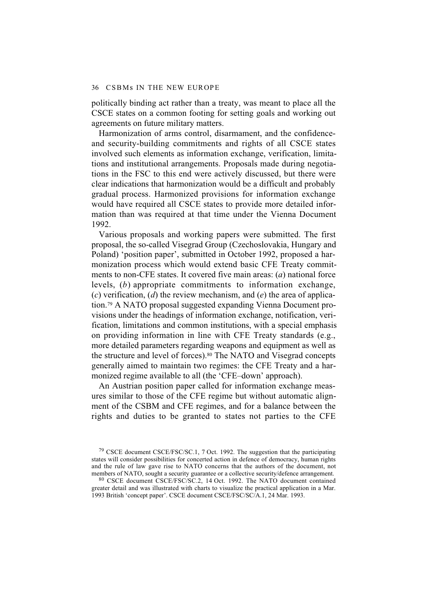politically binding act rather than a treaty, was meant to place all the CSCE states on a common footing for setting goals and working out agreements on future military matters.

Harmonization of arms control, disarmament, and the confidenceand security-building commitments and rights of all CSCE states involved such elements as information exchange, verification, limitations and institutional arrangements. Proposals made during negotiations in the FSC to this end were actively discussed, but there were clear indications that harmonization would be a difficult and probably gradual process. Harmonized provisions for information exchange would have required all CSCE states to provide more detailed information than was required at that time under the Vienna Document 1992.

Various proposals and working papers were submitted. The first proposal, the so-called Visegrad Group (Czechoslovakia, Hungary and Poland) 'position paper', submitted in October 1992, proposed a harmonization process which would extend basic CFE Treaty commitments to non-CFE states. It covered five main areas: (*a*) national force levels, (*b*) appropriate commitments to information exchange, (*c*) verification, (*d*) the review mechanism, and (*e*) the area of application.79 A NATO proposal suggested expanding Vienna Document provisions under the headings of information exchange, notification, verification, limitations and common institutions, with a special emphasis on providing information in line with CFE Treaty standards (e.g., more detailed parameters regarding weapons and equipment as well as the structure and level of forces).80 The NATO and Visegrad concepts generally aimed to maintain two regimes: the CFE Treaty and a harmonized regime available to all (the 'CFE–down' approach).

An Austrian position paper called for information exchange measures similar to those of the CFE regime but without automatic alignment of the CSBM and CFE regimes, and for a balance between the rights and duties to be granted to states not parties to the CFE

80 CSCE document CSCE/FSC/SC.2, 14 Oct. 1992. The NATO document contained greater detail and was illustrated with charts to visualize the practical application in a Mar. 1993 British 'concept paper'. CSCE document CSCE/FSC/SC/A.1, 24 Mar. 1993.

<sup>79</sup> CSCE document CSCE/FSC/SC.1, 7 Oct. 1992. The suggestion that the participating states will consider possibilities for concerted action in defence of democracy, human rights and the rule of law gave rise to NATO concerns that the authors of the document, not members of NATO, sought a security guarantee or a collective security/defence arrangement.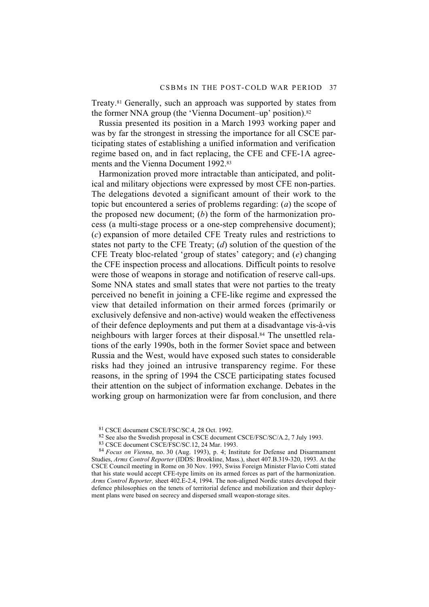Treaty.81 Generally, such an approach was supported by states from the former NNA group (the 'Vienna Document–up' position).<sup>82</sup>

Russia presented its position in a March 1993 working paper and was by far the strongest in stressing the importance for all CSCE participating states of establishing a unified information and verification regime based on, and in fact replacing, the CFE and CFE-1A agreements and the Vienna Document 1992.83

Harmonization proved more intractable than anticipated, and political and military objections were expressed by most CFE non-parties. The delegations devoted a significant amount of their work to the topic but encountered a series of problems regarding: (*a*) the scope of the proposed new document; (*b*) the form of the harmonization process (a multi-stage process or a one-step comprehensive document); (*c*) expansion of more detailed CFE Treaty rules and restrictions to states not party to the CFE Treaty; (*d*) solution of the question of the CFE Treaty bloc-related 'group of states' category; and (*e*) changing the CFE inspection process and allocations. Difficult points to resolve were those of weapons in storage and notification of reserve call-ups. Some NNA states and small states that were not parties to the treaty perceived no benefit in joining a CFE-like regime and expressed the view that detailed information on their armed forces (primarily or exclusively defensive and non-active) would weaken the effectiveness of their defence deployments and put them at a disadvantage vis-à-vis neighbours with larger forces at their disposal.84 The unsettled relations of the early 1990s, both in the former Soviet space and between Russia and the West, would have exposed such states to considerable risks had they joined an intrusive transparency regime. For these reasons, in the spring of 1994 the CSCE participating states focused their attention on the subject of information exchange. Debates in the working group on harmonization were far from conclusion, and there

<sup>81</sup> CSCE document CSCE/FSC/SC.4, 28 Oct. 1992.

<sup>82</sup> See also the Swedish proposal in CSCE document CSCE/FSC/SC/A.2, 7 July 1993.

<sup>83</sup> CSCE document CSCE/FSC/SC.12, 24 Mar. 1993.

<sup>84</sup> *Focus on Vienna*, no. 30 (Aug. 1993), p. 4; Institute for Defense and Disarmament Studies, *Arms Control Reporter* (IDDS: Brookline, Mass.), sheet 407.B.319-320, 1993. At the CSCE Council meeting in Rome on 30 Nov. 1993, Swiss Foreign Minister Flavio Cotti stated that his state would accept CFE-type limits on its armed forces as part of the harmonization. *Arms Control Reporter,* sheet 402.E-2.4, 1994. The non-aligned Nordic states developed their defence philosophies on the tenets of territorial defence and mobilization and their deployment plans were based on secrecy and dispersed small weapon-storage sites.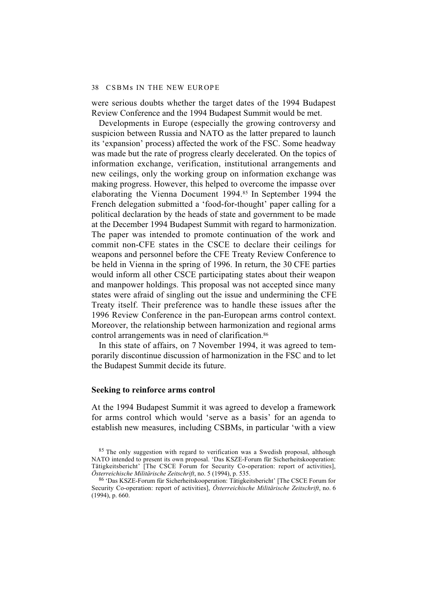were serious doubts whether the target dates of the 1994 Budapest Review Conference and the 1994 Budapest Summit would be met.

Developments in Europe (especially the growing controversy and suspicion between Russia and NATO as the latter prepared to launch its 'expansion' process) affected the work of the FSC. Some headway was made but the rate of progress clearly decelerated. On the topics of information exchange, verification, institutional arrangements and new ceilings, only the working group on information exchange was making progress. However, this helped to overcome the impasse over elaborating the Vienna Document 1994.85 In September 1994 the French delegation submitted a 'food-for-thought' paper calling for a political declaration by the heads of state and government to be made at the December 1994 Budapest Summit with regard to harmonization. The paper was intended to promote continuation of the work and commit non-CFE states in the CSCE to declare their ceilings for weapons and personnel before the CFE Treaty Review Conference to be held in Vienna in the spring of 1996. In return, the 30 CFE parties would inform all other CSCE participating states about their weapon and manpower holdings. This proposal was not accepted since many states were afraid of singling out the issue and undermining the CFE Treaty itself. Their preference was to handle these issues after the 1996 Review Conference in the pan-European arms control context. Moreover, the relationship between harmonization and regional arms control arrangements was in need of clarification.<sup>86</sup>

In this state of affairs, on 7 November 1994, it was agreed to temporarily discontinue discussion of harmonization in the FSC and to let the Budapest Summit decide its future.

#### **Seeking to reinforce arms control**

At the 1994 Budapest Summit it was agreed to develop a framework for arms control which would 'serve as a basis' for an agenda to establish new measures, including CSBMs, in particular 'with a view

<sup>85</sup> The only suggestion with regard to verification was a Swedish proposal, although NATO intended to present its own proposal. 'Das KSZE-Forum für Sicherheitskooperation: Tätigkeitsbericht' [The CSCE Forum for Security Co-operation: report of activities], *Österreichische Militärische Zeitschrift*, no. 5 (1994), p. 535.

<sup>86 &#</sup>x27;Das KSZE-Forum für Sicherheitskooperation: Tätigkeitsbericht' [The CSCE Forum for Security Co-operation: report of activities], *Österreichische Militärische Zeitschrift*, no. 6 (1994), p. 660.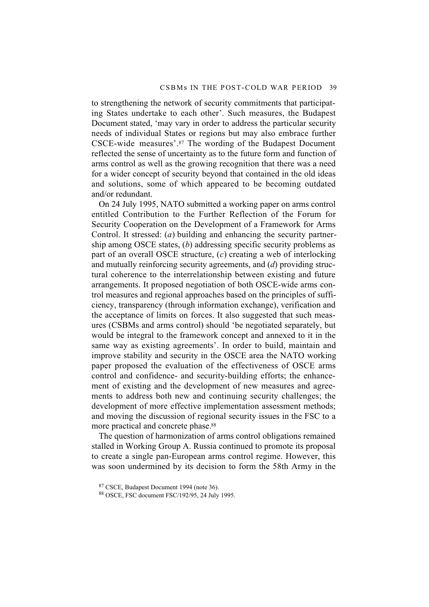to strengthening the network of security commitments that participating States undertake to each other'. Such measures, the Budapest Document stated, 'may vary in order to address the particular security needs of individual States or regions but may also embrace further CSCE-wide measures'.87 The wording of the Budapest Document reflected the sense of uncertainty as to the future form and function of arms control as well as the growing recognition that there was a need for a wider concept of security beyond that contained in the old ideas and solutions, some of which appeared to be becoming outdated and/or redundant.

On 24 July 1995, NATO submitted a working paper on arms control entitled Contribution to the Further Reflection of the Forum for Security Cooperation on the Development of a Framework for Arms Control. It stressed: (*a*) building and enhancing the security partnership among OSCE states, (*b*) addressing specific security problems as part of an overall OSCE structure, (*c*) creating a web of interlocking and mutually reinforcing security agreements, and (*d*) providing structural coherence to the interrelationship between existing and future arrangements. It proposed negotiation of both OSCE-wide arms control measures and regional approaches based on the principles of sufficiency, transparency (through information exchange), verification and the acceptance of limits on forces. It also suggested that such measures (CSBMs and arms control) should 'be negotiated separately, but would be integral to the framework concept and annexed to it in the same way as existing agreements'. In order to build, maintain and improve stability and security in the OSCE area the NATO working paper proposed the evaluation of the effectiveness of OSCE arms control and confidence- and security-building efforts; the enhancement of existing and the development of new measures and agreements to address both new and continuing security challenges; the development of more effective implementation assessment methods; and moving the discussion of regional security issues in the FSC to a more practical and concrete phase.<sup>88</sup>

The question of harmonization of arms control obligations remained stalled in Working Group A. Russia continued to promote its proposal to create a single pan-European arms control regime. However, this was soon undermined by its decision to form the 58th Army in the

<sup>87</sup> CSCE, Budapest Document 1994 (note 36).

<sup>88</sup> OSCE, FSC document FSC/192/95, 24 July 1995.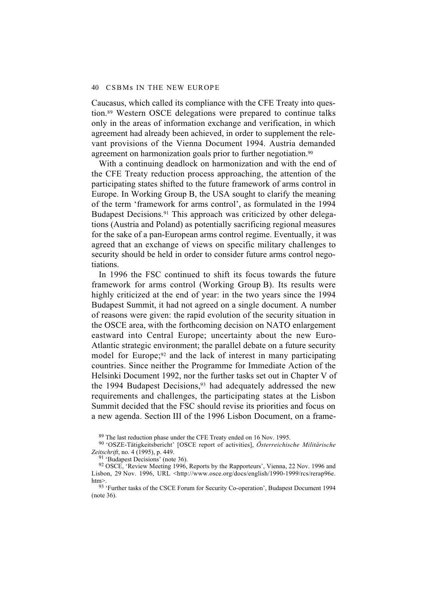Caucasus, which called its compliance with the CFE Treaty into question.89 Western OSCE delegations were prepared to continue talks only in the areas of information exchange and verification, in which agreement had already been achieved, in order to supplement the relevant provisions of the Vienna Document 1994. Austria demanded agreement on harmonization goals prior to further negotiation.<sup>90</sup>

With a continuing deadlock on harmonization and with the end of the CFE Treaty reduction process approaching, the attention of the participating states shifted to the future framework of arms control in Europe. In Working Group B, the USA sought to clarify the meaning of the term 'framework for arms control', as formulated in the 1994 Budapest Decisions.<sup>91</sup> This approach was criticized by other delegations (Austria and Poland) as potentially sacrificing regional measures for the sake of a pan-European arms control regime. Eventually, it was agreed that an exchange of views on specific military challenges to security should be held in order to consider future arms control negotiations.

In 1996 the FSC continued to shift its focus towards the future framework for arms control (Working Group B). Its results were highly criticized at the end of year: in the two years since the 1994 Budapest Summit, it had not agreed on a single document. A number of reasons were given: the rapid evolution of the security situation in the OSCE area, with the forthcoming decision on NATO enlargement eastward into Central Europe; uncertainty about the new Euro-Atlantic strategic environment; the parallel debate on a future security model for Europe;<sup>92</sup> and the lack of interest in many participating countries. Since neither the Programme for Immediate Action of the Helsinki Document 1992, nor the further tasks set out in Chapter V of the 1994 Budapest Decisions.<sup>93</sup> had adequately addressed the new requirements and challenges, the participating states at the Lisbon Summit decided that the FSC should revise its priorities and focus on a new agenda. Section III of the 1996 Lisbon Document, on a frame-

89 The last reduction phase under the CFE Treaty ended on 16 Nov. 1995.

90 'OSZE-Tätigkeitsbericht' [OSCE report of activities], *Österreichische Militärische Zeitschrift*, no. 4 (1995), p. 449.

91 'Budapest Decisions' (note 36).

<sup>92</sup> OSCE, 'Review Meeting 1996, Reports by the Rapporteurs', Vienna, 22 Nov. 1996 and Lisbon, 29 Nov. 1996, URL <http://www.osce.org/docs/english/1990-1999/rcs/rerap96e. htm>.

93 'Further tasks of the CSCE Forum for Security Co-operation', Budapest Document 1994 (note 36).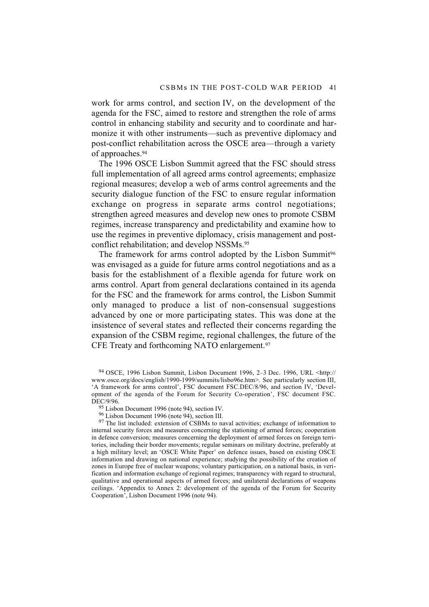work for arms control, and section IV, on the development of the agenda for the FSC, aimed to restore and strengthen the role of arms control in enhancing stability and security and to coordinate and harmonize it with other instruments—such as preventive diplomacy and post-conflict rehabilitation across the OSCE area—through a variety of approaches.94

The 1996 OSCE Lisbon Summit agreed that the FSC should stress full implementation of all agreed arms control agreements; emphasize regional measures; develop a web of arms control agreements and the security dialogue function of the FSC to ensure regular information exchange on progress in separate arms control negotiations; strengthen agreed measures and develop new ones to promote CSBM regimes, increase transparency and predictability and examine how to use the regimes in preventive diplomacy, crisis management and postconflict rehabilitation; and develop NSSMs.<sup>95</sup>

The framework for arms control adopted by the Lisbon Summit<sup>96</sup> was envisaged as a guide for future arms control negotiations and as a basis for the establishment of a flexible agenda for future work on arms control. Apart from general declarations contained in its agenda for the FSC and the framework for arms control, the Lisbon Summit only managed to produce a list of non-consensual suggestions advanced by one or more participating states. This was done at the insistence of several states and reflected their concerns regarding the expansion of the CSBM regime, regional challenges, the future of the CFE Treaty and forthcoming NATO enlargement.97

94 OSCE, 1996 Lisbon Summit, Lisbon Document 1996, 2–3 Dec. 1996, URL <http:// www.osce.org/docs/english/1990-1999/summits/lisbo96e.htm>. See particularly section III, 'A framework for arms control', FSC document FSC.DEC/8/96, and section IV, 'Development of the agenda of the Forum for Security Co-operation', FSC document FSC. DEC/9/96.

 $97$  The list included: extension of CSBMs to naval activities; exchange of information to internal security forces and measures concerning the stationing of armed forces; cooperation in defence conversion; measures concerning the deployment of armed forces on foreign territories, including their border movements; regular seminars on military doctrine, preferably at a high military level; an 'OSCE White Paper' on defence issues, based on existing OSCE information and drawing on national experience; studying the possibility of the creation of zones in Europe free of nuclear weapons; voluntary participation, on a national basis, in verification and information exchange of regional regimes; transparency with regard to structural, qualitative and operational aspects of armed forces; and unilateral declarations of weapons ceilings. 'Appendix to Annex 2: development of the agenda of the Forum for Security Cooperation', Lisbon Document 1996 (note 94).

<sup>95</sup> Lisbon Document 1996 (note 94), section IV.

<sup>96</sup> Lisbon Document 1996 (note 94), section III.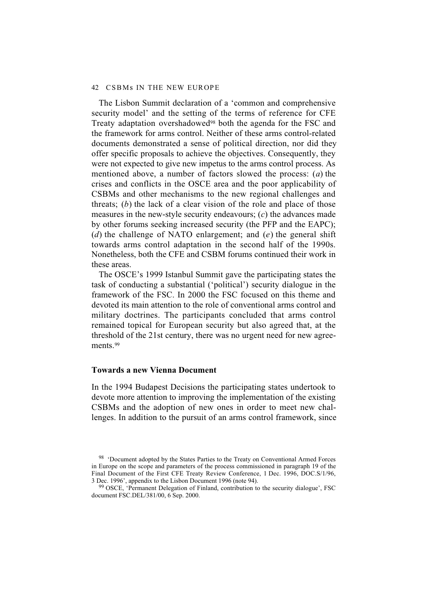#### 42 CSBMs IN THE NEW EUROPE

The Lisbon Summit declaration of a 'common and comprehensive security model' and the setting of the terms of reference for CFE Treaty adaptation overshadowed98 both the agenda for the FSC and the framework for arms control. Neither of these arms control-related documents demonstrated a sense of political direction, nor did they offer specific proposals to achieve the objectives. Consequently, they were not expected to give new impetus to the arms control process. As mentioned above, a number of factors slowed the process: (*a*) the crises and conflicts in the OSCE area and the poor applicability of CSBMs and other mechanisms to the new regional challenges and threats; (*b*) the lack of a clear vision of the role and place of those measures in the new-style security endeavours; (*c*) the advances made by other forums seeking increased security (the PFP and the EAPC); (*d*) the challenge of NATO enlargement; and (*e*) the general shift towards arms control adaptation in the second half of the 1990s. Nonetheless, both the CFE and CSBM forums continued their work in these areas.

The OSCE's 1999 Istanbul Summit gave the participating states the task of conducting a substantial ('political') security dialogue in the framework of the FSC. In 2000 the FSC focused on this theme and devoted its main attention to the role of conventional arms control and military doctrines. The participants concluded that arms control remained topical for European security but also agreed that, at the threshold of the 21st century, there was no urgent need for new agreements.<sup>99</sup>

### **Towards a new Vienna Document**

In the 1994 Budapest Decisions the participating states undertook to devote more attention to improving the implementation of the existing CSBMs and the adoption of new ones in order to meet new challenges. In addition to the pursuit of an arms control framework, since

<sup>&</sup>lt;sup>98</sup> 'Document adopted by the States Parties to the Treaty on Conventional Armed Forces in Europe on the scope and parameters of the process commissioned in paragraph 19 of the Final Document of the First CFE Treaty Review Conference, 1 Dec. 1996, DOC.S/1/96, 3 Dec. 1996', appendix to the Lisbon Document 1996 (note 94).

<sup>99</sup> OSCE, 'Permanent Delegation of Finland, contribution to the security dialogue', FSC document FSC.DEL/381/00, 6 Sep. 2000.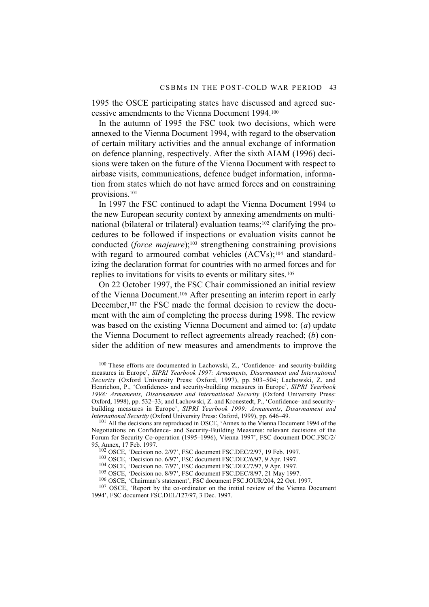1995 the OSCE participating states have discussed and agreed successive amendments to the Vienna Document 1994.100

In the autumn of 1995 the FSC took two decisions, which were annexed to the Vienna Document 1994, with regard to the observation of certain military activities and the annual exchange of information on defence planning, respectively. After the sixth AIAM (1996) decisions were taken on the future of the Vienna Document with respect to airbase visits, communications, defence budget information, information from states which do not have armed forces and on constraining provisions.101

In 1997 the FSC continued to adapt the Vienna Document 1994 to the new European security context by annexing amendments on multinational (bilateral or trilateral) evaluation teams;<sup>102</sup> clarifying the procedures to be followed if inspections or evaluation visits cannot be conducted (*force majeure*);<sup>103</sup> strengthening constraining provisions with regard to armoured combat vehicles (ACVs);<sup>104</sup> and standardizing the declaration format for countries with no armed forces and for replies to invitations for visits to events or military sites.105

On 22 October 1997, the FSC Chair commissioned an initial review of the Vienna Document.106 After presenting an interim report in early December,<sup>107</sup> the FSC made the formal decision to review the document with the aim of completing the process during 1998. The review was based on the existing Vienna Document and aimed to: (*a*) update the Vienna Document to reflect agreements already reached; (*b*) consider the addition of new measures and amendments to improve the

100 These efforts are documented in Lachowski, Z., 'Confidence- and security-building measures in Europe', *SIPRI Yearbook 1997: Armaments, Disarmament and International Security* (Oxford University Press: Oxford, 1997), pp. 503–504; Lachowski, Z. and Henrichon, P., 'Confidence- and security-building measures in Europe', *SIPRI Yearbook 1998: Armaments, Disarmament and International Security* (Oxford University Press: Oxford, 1998), pp. 532–33; and Lachowski, Z. and Kronestedt, P., 'Confidence- and securitybuilding measures in Europe', *SIPRI Yearbook 1999: Armaments, Disarmament and International Security* (Oxford University Press: Oxford, 1999), pp. 646–49.

101 All the decisions are reproduced in OSCE, 'Annex to the Vienna Document 1994 of the Negotiations on Confidence- and Security-Building Measures: relevant decisions of the Forum for Security Co-operation (1995–1996), Vienna 1997', FSC document DOC.FSC/2/ 95, Annex, 17 Feb. 1997.

102 OSCE, 'Decision no. 2/97', FSC document FSC.DEC/2/97, 19 Feb. 1997.

103 OSCE, 'Decision no. 6/97', FSC document FSC.DEC/6/97, 9 Apr. 1997.

 $104 \text{ OSCE}$ , 'Decision no. 7/97', FSC document FSC.DEC/7/97, 9 Apr. 1997.

105 OSCE, 'Decision no. 8/97', FSC document FSC.DEC/8/97, 21 May 1997.

<sup>107</sup> OSCE, 'Report by the co-ordinator on the initial review of the Vienna Document 1994', FSC document FSC.DEL/127/97, 3 Dec. 1997.

<sup>106</sup> OSCE, 'Chairman's statement', FSC document FSC.JOUR/204, 22 Oct. 1997.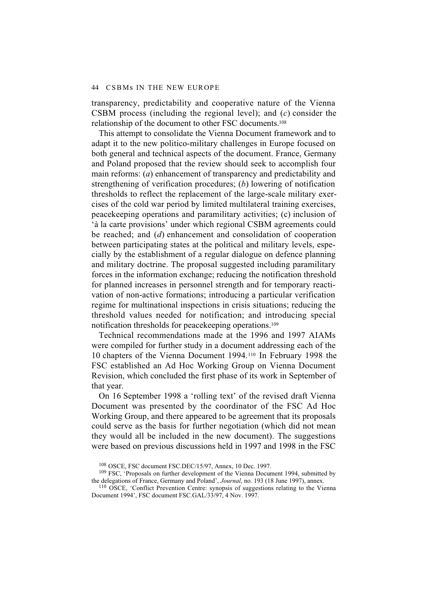transparency, predictability and cooperative nature of the Vienna CSBM process (including the regional level); and (*c*) consider the relationship of the document to other FSC documents.108

This attempt to consolidate the Vienna Document framework and to adapt it to the new politico-military challenges in Europe focused on both general and technical aspects of the document. France, Germany and Poland proposed that the review should seek to accomplish four main reforms: (*a*) enhancement of transparency and predictability and strengthening of verification procedures; (*b*) lowering of notification thresholds to reflect the replacement of the large-scale military exercises of the cold war period by limited multilateral training exercises, peacekeeping operations and paramilitary activities; (c) inclusion of 'à la carte provisions' under which regional CSBM agreements could be reached; and (*d*) enhancement and consolidation of cooperation between participating states at the political and military levels, especially by the establishment of a regular dialogue on defence planning and military doctrine. The proposal suggested including paramilitary forces in the information exchange; reducing the notification threshold for planned increases in personnel strength and for temporary reactivation of non-active formations; introducing a particular verification regime for multinational inspections in crisis situations; reducing the threshold values needed for notification; and introducing special notification thresholds for peacekeeping operations.109

Technical recommendations made at the 1996 and 1997 AIAMs were compiled for further study in a document addressing each of the 10 chapters of the Vienna Document 1994.110 In February 1998 the FSC established an Ad Hoc Working Group on Vienna Document Revision, which concluded the first phase of its work in September of that year.

On 16 September 1998 a 'rolling text' of the revised draft Vienna Document was presented by the coordinator of the FSC Ad Hoc Working Group, and there appeared to be agreement that its proposals could serve as the basis for further negotiation (which did not mean they would all be included in the new document). The suggestions were based on previous discussions held in 1997 and 1998 in the FSC

<sup>108</sup> OSCE, FSC document FSC.DEC/15/97, Annex, 10 Dec. 1997.

<sup>109</sup> FSC, 'Proposals on further development of the Vienna Document 1994, submitted by the delegations of France, Germany and Poland', *Journal*, no. 193 (18 June 1997), annex.

<sup>&</sup>lt;sup>110</sup> OSCE, 'Conflict Prevention Centre: synopsis of suggestions relating to the Vienna Document 1994', FSC document FSC.GAL/33/97, 4 Nov. 1997.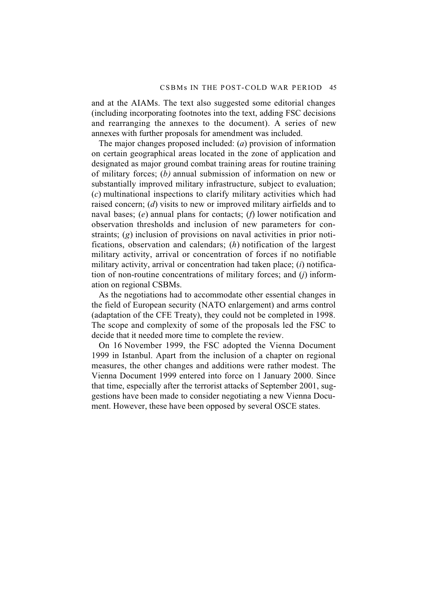and at the AIAMs. The text also suggested some editorial changes (including incorporating footnotes into the text, adding FSC decisions and rearranging the annexes to the document). A series of new annexes with further proposals for amendment was included.

The major changes proposed included: (*a*) provision of information on certain geographical areas located in the zone of application and designated as major ground combat training areas for routine training of military forces; (*b)* annual submission of information on new or substantially improved military infrastructure, subject to evaluation; (*c*) multinational inspections to clarify military activities which had raised concern; (*d*) visits to new or improved military airfields and to naval bases; (*e*) annual plans for contacts; (*f*) lower notification and observation thresholds and inclusion of new parameters for constraints; (*g*) inclusion of provisions on naval activities in prior notifications, observation and calendars; (*h*) notification of the largest military activity, arrival or concentration of forces if no notifiable military activity, arrival or concentration had taken place; (*i*) notification of non-routine concentrations of military forces; and (*j*) information on regional CSBMs.

As the negotiations had to accommodate other essential changes in the field of European security (NATO enlargement) and arms control (adaptation of the CFE Treaty), they could not be completed in 1998. The scope and complexity of some of the proposals led the FSC to decide that it needed more time to complete the review.

On 16 November 1999, the FSC adopted the Vienna Document 1999 in Istanbul. Apart from the inclusion of a chapter on regional measures, the other changes and additions were rather modest. The Vienna Document 1999 entered into force on 1 January 2000. Since that time, especially after the terrorist attacks of September 2001, suggestions have been made to consider negotiating a new Vienna Document. However, these have been opposed by several OSCE states.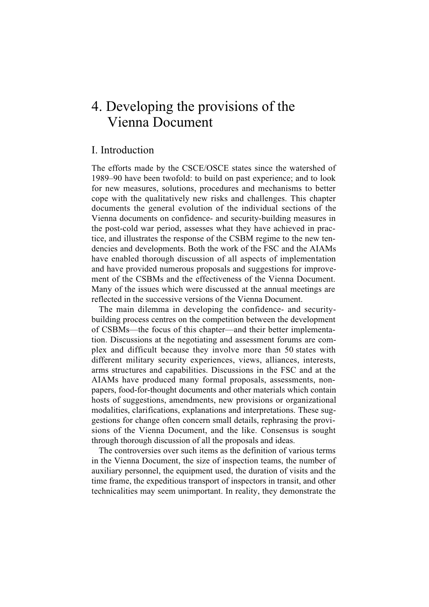# 4. Developing the provisions of the Vienna Document

# I. Introduction

The efforts made by the CSCE/OSCE states since the watershed of 1989–90 have been twofold: to build on past experience; and to look for new measures, solutions, procedures and mechanisms to better cope with the qualitatively new risks and challenges. This chapter documents the general evolution of the individual sections of the Vienna documents on confidence- and security-building measures in the post-cold war period, assesses what they have achieved in practice, and illustrates the response of the CSBM regime to the new tendencies and developments. Both the work of the FSC and the AIAMs have enabled thorough discussion of all aspects of implementation and have provided numerous proposals and suggestions for improvement of the CSBMs and the effectiveness of the Vienna Document. Many of the issues which were discussed at the annual meetings are reflected in the successive versions of the Vienna Document.

The main dilemma in developing the confidence- and securitybuilding process centres on the competition between the development of CSBMs—the focus of this chapter—and their better implementation. Discussions at the negotiating and assessment forums are complex and difficult because they involve more than 50 states with different military security experiences, views, alliances, interests, arms structures and capabilities. Discussions in the FSC and at the AIAMs have produced many formal proposals, assessments, nonpapers, food-for-thought documents and other materials which contain hosts of suggestions, amendments, new provisions or organizational modalities, clarifications, explanations and interpretations. These suggestions for change often concern small details, rephrasing the provisions of the Vienna Document, and the like. Consensus is sought through thorough discussion of all the proposals and ideas.

The controversies over such items as the definition of various terms in the Vienna Document, the size of inspection teams, the number of auxiliary personnel, the equipment used, the duration of visits and the time frame, the expeditious transport of inspectors in transit, and other technicalities may seem unimportant. In reality, they demonstrate the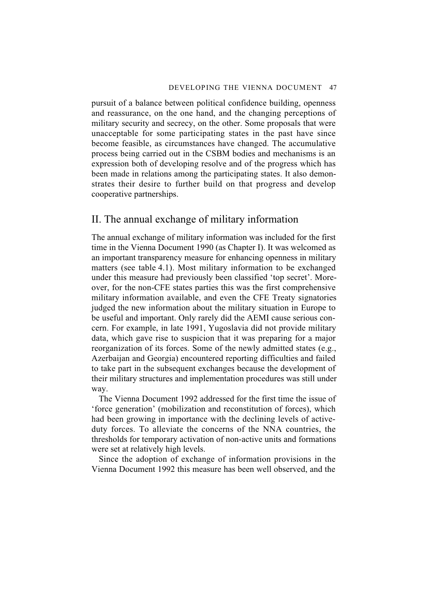pursuit of a balance between political confidence building, openness and reassurance, on the one hand, and the changing perceptions of military security and secrecy, on the other. Some proposals that were unacceptable for some participating states in the past have since become feasible, as circumstances have changed. The accumulative process being carried out in the CSBM bodies and mechanisms is an expression both of developing resolve and of the progress which has been made in relations among the participating states. It also demonstrates their desire to further build on that progress and develop cooperative partnerships.

# II. The annual exchange of military information

The annual exchange of military information was included for the first time in the Vienna Document 1990 (as Chapter I). It was welcomed as an important transparency measure for enhancing openness in military matters (see table 4.1). Most military information to be exchanged under this measure had previously been classified 'top secret'. Moreover, for the non-CFE states parties this was the first comprehensive military information available, and even the CFE Treaty signatories judged the new information about the military situation in Europe to be useful and important. Only rarely did the AEMI cause serious concern. For example, in late 1991, Yugoslavia did not provide military data, which gave rise to suspicion that it was preparing for a major reorganization of its forces. Some of the newly admitted states (e.g., Azerbaijan and Georgia) encountered reporting difficulties and failed to take part in the subsequent exchanges because the development of their military structures and implementation procedures was still under way.

The Vienna Document 1992 addressed for the first time the issue of 'force generation' (mobilization and reconstitution of forces), which had been growing in importance with the declining levels of activeduty forces. To alleviate the concerns of the NNA countries, the thresholds for temporary activation of non-active units and formations were set at relatively high levels.

Since the adoption of exchange of information provisions in the Vienna Document 1992 this measure has been well observed, and the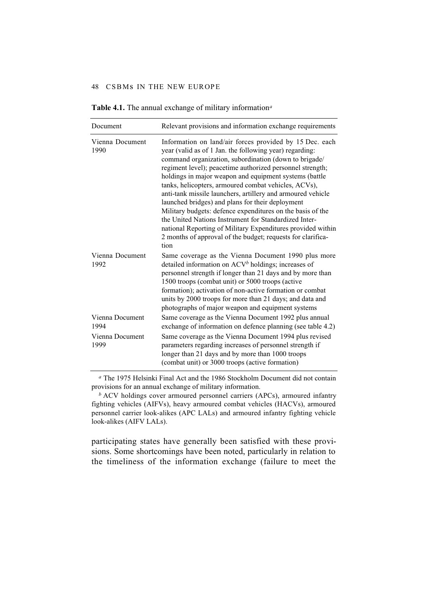| Document                | Relevant provisions and information exchange requirements                                                                                                                                                                                                                                                                                                                                                                                                                                                                                                                                                                                                                                                                                  |
|-------------------------|--------------------------------------------------------------------------------------------------------------------------------------------------------------------------------------------------------------------------------------------------------------------------------------------------------------------------------------------------------------------------------------------------------------------------------------------------------------------------------------------------------------------------------------------------------------------------------------------------------------------------------------------------------------------------------------------------------------------------------------------|
| Vienna Document<br>1990 | Information on land/air forces provided by 15 Dec. each<br>year (valid as of 1 Jan. the following year) regarding:<br>command organization, subordination (down to brigade/<br>regiment level); peacetime authorized personnel strength;<br>holdings in major weapon and equipment systems (battle<br>tanks, helicopters, armoured combat vehicles, ACVs),<br>anti-tank missile launchers, artillery and armoured vehicle<br>launched bridges) and plans for their deployment<br>Military budgets: defence expenditures on the basis of the<br>the United Nations Instrument for Standardized Inter-<br>national Reporting of Military Expenditures provided within<br>2 months of approval of the budget; requests for clarifica-<br>tion |
| Vienna Document<br>1992 | Same coverage as the Vienna Document 1990 plus more<br>detailed information on $ACVb$ holdings; increases of<br>personnel strength if longer than 21 days and by more than<br>1500 troops (combat unit) or 5000 troops (active<br>formation); activation of non-active formation or combat<br>units by 2000 troops for more than 21 days; and data and<br>photographs of major weapon and equipment systems                                                                                                                                                                                                                                                                                                                                |
| Vienna Document<br>1994 | Same coverage as the Vienna Document 1992 plus annual<br>exchange of information on defence planning (see table 4.2)                                                                                                                                                                                                                                                                                                                                                                                                                                                                                                                                                                                                                       |
| Vienna Document<br>1999 | Same coverage as the Vienna Document 1994 plus revised<br>parameters regarding increases of personnel strength if<br>longer than 21 days and by more than 1000 troops<br>(combat unit) or 3000 troops (active formation)                                                                                                                                                                                                                                                                                                                                                                                                                                                                                                                   |

**Table 4.1.** The annual exchange of military information*<sup>a</sup>*

*<sup>a</sup>* The 1975 Helsinki Final Act and the 1986 Stockholm Document did not contain provisions for an annual exchange of military information.

*<sup>b</sup>* ACV holdings cover armoured personnel carriers (APCs), armoured infantry fighting vehicles (AIFVs), heavy armoured combat vehicles (HACVs), armoured personnel carrier look-alikes (APC LALs) and armoured infantry fighting vehicle look-alikes (AIFV LALs).

participating states have generally been satisfied with these provisions. Some shortcomings have been noted, particularly in relation to the timeliness of the information exchange (failure to meet the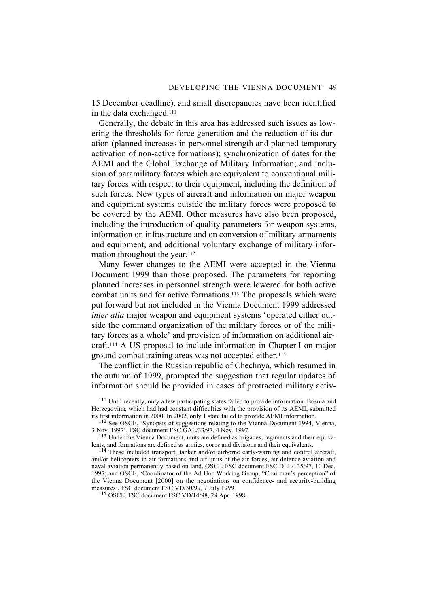15 December deadline), and small discrepancies have been identified in the data exchanged.111

Generally, the debate in this area has addressed such issues as lowering the thresholds for force generation and the reduction of its duration (planned increases in personnel strength and planned temporary activation of non-active formations); synchronization of dates for the AEMI and the Global Exchange of Military Information; and inclusion of paramilitary forces which are equivalent to conventional military forces with respect to their equipment, including the definition of such forces. New types of aircraft and information on major weapon and equipment systems outside the military forces were proposed to be covered by the AEMI. Other measures have also been proposed, including the introduction of quality parameters for weapon systems, information on infrastructure and on conversion of military armaments and equipment, and additional voluntary exchange of military information throughout the year.<sup>112</sup>

Many fewer changes to the AEMI were accepted in the Vienna Document 1999 than those proposed. The parameters for reporting planned increases in personnel strength were lowered for both active combat units and for active formations.<sup>113</sup> The proposals which were put forward but not included in the Vienna Document 1999 addressed *inter alia* major weapon and equipment systems 'operated either outside the command organization of the military forces or of the military forces as a whole' and provision of information on additional aircraft.114 A US proposal to include information in Chapter I on major ground combat training areas was not accepted either.<sup>115</sup>

The conflict in the Russian republic of Chechnya, which resumed in the autumn of 1999, prompted the suggestion that regular updates of information should be provided in cases of protracted military activ-

115 OSCE, FSC document FSC.VD/14/98, 29 Apr. 1998.

<sup>&</sup>lt;sup>111</sup> Until recently, only a few participating states failed to provide information. Bosnia and Herzegovina, which had had constant difficulties with the provision of its AEMI, submitted its first information in 2000. In 2002, only 1 state failed to provide AEMI information.

<sup>112</sup> See OSCE, 'Synopsis of suggestions relating to the Vienna Document 1994, Vienna, 3 Nov. 1997', FSC document FSC.GAL/33/97, 4 Nov. 1997.

<sup>&</sup>lt;sup>113</sup> Under the Vienna Document, units are defined as brigades, regiments and their equivalents, and formations are defined as armies, corps and divisions and their equivalents.

<sup>&</sup>lt;sup>114</sup> These included transport, tanker and/or airborne early-warning and control aircraft, and/or helicopters in air formations and air units of the air forces, air defence aviation and naval aviation permanently based on land. OSCE, FSC document FSC.DEL/135/97, 10 Dec. 1997; and OSCE, 'Coordinator of the Ad Hoc Working Group, "Chairman's perception" of the Vienna Document [2000] on the negotiations on confidence- and security-building measures', FSC document FSC.VD/30/99, 7 July 1999.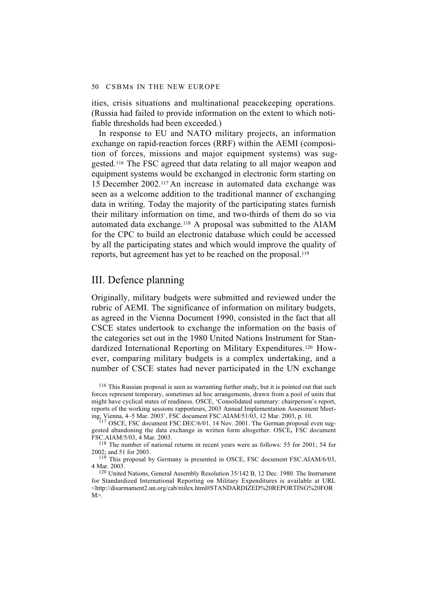ities, crisis situations and multinational peacekeeping operations. (Russia had failed to provide information on the extent to which notifiable thresholds had been exceeded.)

In response to EU and NATO military projects, an information exchange on rapid-reaction forces (RRF) within the AEMI (composition of forces, missions and major equipment systems) was suggested.116 The FSC agreed that data relating to all major weapon and equipment systems would be exchanged in electronic form starting on 15 December 2002.117 An increase in automated data exchange was seen as a welcome addition to the traditional manner of exchanging data in writing. Today the majority of the participating states furnish their military information on time, and two-thirds of them do so via automated data exchange.118 A proposal was submitted to the AIAM for the CPC to build an electronic database which could be accessed by all the participating states and which would improve the quality of reports, but agreement has yet to be reached on the proposal.119

# III. Defence planning

Originally, military budgets were submitted and reviewed under the rubric of AEMI. The significance of information on military budgets, as agreed in the Vienna Document 1990, consisted in the fact that all CSCE states undertook to exchange the information on the basis of the categories set out in the 1980 United Nations Instrument for Standardized International Reporting on Military Expenditures.120 However, comparing military budgets is a complex undertaking, and a number of CSCE states had never participated in the UN exchange

<sup>116</sup> This Russian proposal is seen as warranting further study, but it is pointed out that such forces represent temporary, sometimes ad hoc arrangements, drawn from a pool of units that might have cyclical states of readiness. OSCE, 'Consolidated summary: chairperson's report, reports of the working sessions rapporteurs, 2003 Annual Implementation Assessment Meeting, Vienna, 4–5 Mar. 2003', FSC document FSC.AIAM/51/03, 12 Mar. 2003, p. 10.

<sup>117</sup> OSCE, FSC document FSC.DEC/6/01, 14 Nov. 2001. The German proposal even suggested abandoning the data exchange in written form altogether. OSCE**,** FSC document FSC.AIAM/5/03, 4 Mar. 2003.

118 The number of national returns in recent years were as follows: 55 for 2001; 54 for 2002; and 51 for 2003.

119 This proposal by Germany is presented in OSCE, FSC document FSC.AIAM/6/03, 4 Mar. 2003.

120 United Nations, General Assembly Resolution 35/142 B, 12 Dec. 1980. The Instrument for Standardized International Reporting on Military Expenditures is available at URL <http://disarmament2.un.org/cab/milex.html#STANDARDIZED%20REPORTING%20FOR  $M$  $\geq$ .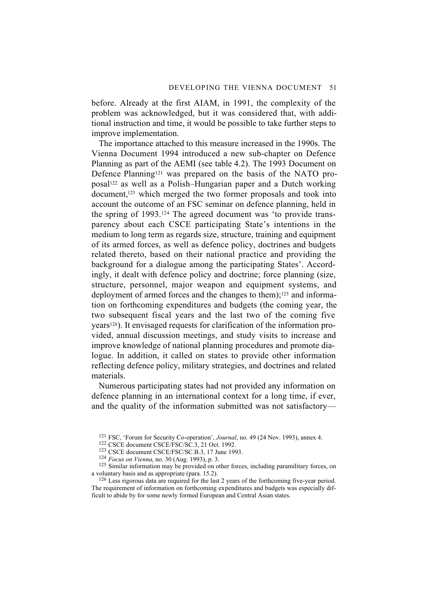before. Already at the first AIAM, in 1991, the complexity of the problem was acknowledged, but it was considered that, with additional instruction and time, it would be possible to take further steps to improve implementation.

The importance attached to this measure increased in the 1990s. The Vienna Document 1994 introduced a new sub-chapter on Defence Planning as part of the AEMI (see table 4.2). The 1993 Document on Defence Planning121 was prepared on the basis of the NATO proposal122 as well as a Polish–Hungarian paper and a Dutch working document,<sup>123</sup> which merged the two former proposals and took into account the outcome of an FSC seminar on defence planning, held in the spring of 1993.124 The agreed document was 'to provide transparency about each CSCE participating State's intentions in the medium to long term as regards size, structure, training and equipment of its armed forces, as well as defence policy, doctrines and budgets related thereto, based on their national practice and providing the background for a dialogue among the participating States'. Accordingly, it dealt with defence policy and doctrine; force planning (size, structure, personnel, major weapon and equipment systems, and deployment of armed forces and the changes to them);<sup>125</sup> and information on forthcoming expenditures and budgets (the coming year, the two subsequent fiscal years and the last two of the coming five years126). It envisaged requests for clarification of the information provided, annual discussion meetings, and study visits to increase and improve knowledge of national planning procedures and promote dialogue. In addition, it called on states to provide other information reflecting defence policy, military strategies, and doctrines and related materials.

Numerous participating states had not provided any information on defence planning in an international context for a long time, if ever, and the quality of the information submitted was not satisfactory—

<sup>121</sup> FSC, 'Forum for Security Co-operation', *Journal*, no. 49 (24 Nov. 1993), annex 4.

<sup>122</sup> CSCE document CSCE/FSC/SC.3, 21 Oct. 1992.

<sup>123</sup> CSCE document CSCE/FSC/SC.B.3, 17 June 1993.

<sup>124</sup> *Focus on Vienna*, no. 30 (Aug. 1993), p. 3.

<sup>&</sup>lt;sup>125</sup> Similar information may be provided on other forces, including paramilitary forces, on a voluntary basis and as appropriate (para. 15.2).

<sup>&</sup>lt;sup>126</sup> Less rigorous data are required for the last 2 years of the forthcoming five-year period. The requirement of information on forthcoming expenditures and budgets was especially difficult to abide by for some newly formed European and Central Asian states.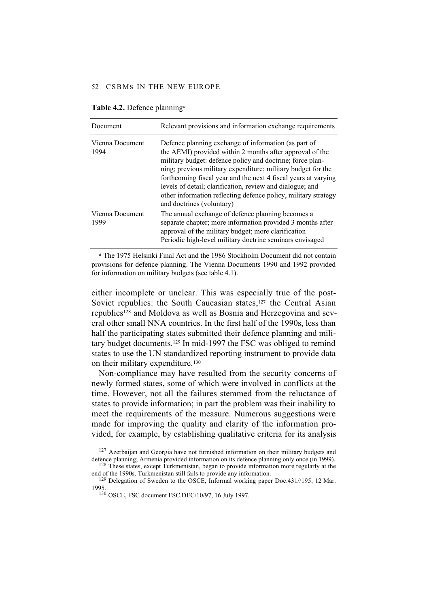| Document                | Relevant provisions and information exchange requirements                                                                                                                                                                                                                                                                                                                                                                                                                   |
|-------------------------|-----------------------------------------------------------------------------------------------------------------------------------------------------------------------------------------------------------------------------------------------------------------------------------------------------------------------------------------------------------------------------------------------------------------------------------------------------------------------------|
| Vienna Document<br>1994 | Defence planning exchange of information (as part of<br>the AEMI) provided within 2 months after approval of the<br>military budget: defence policy and doctrine; force plan-<br>ning; previous military expenditure; military budget for the<br>forthcoming fiscal year and the next 4 fiscal years at varying<br>levels of detail; clarification, review and dialogue; and<br>other information reflecting defence policy, military strategy<br>and doctrines (voluntary) |
| Vienna Document<br>1999 | The annual exchange of defence planning becomes a<br>separate chapter; more information provided 3 months after<br>approval of the military budget; more clarification<br>Periodic high-level military doctrine seminars envisaged                                                                                                                                                                                                                                          |

**Table 4.2.** Defence planning*<sup>a</sup>*

*<sup>a</sup>* The 1975 Helsinki Final Act and the 1986 Stockholm Document did not contain provisions for defence planning. The Vienna Documents 1990 and 1992 provided for information on military budgets (see table 4.1).

either incomplete or unclear. This was especially true of the post-Soviet republics: the South Caucasian states,<sup>127</sup> the Central Asian republics<sup>128</sup> and Moldova as well as Bosnia and Herzegovina and several other small NNA countries. In the first half of the 1990s, less than half the participating states submitted their defence planning and military budget documents.129 In mid-1997 the FSC was obliged to remind states to use the UN standardized reporting instrument to provide data on their military expenditure.130

Non-compliance may have resulted from the security concerns of newly formed states, some of which were involved in conflicts at the time. However, not all the failures stemmed from the reluctance of states to provide information; in part the problem was their inability to meet the requirements of the measure. Numerous suggestions were made for improving the quality and clarity of the information provided, for example, by establishing qualitative criteria for its analysis

 $127$  Azerbaijan and Georgia have not furnished information on their military budgets and defence planning; Armenia provided information on its defence planning only once (in 1999).

<sup>&</sup>lt;sup>128</sup> These states, except Turkmenistan, began to provide information more regularly at the end of the 1990s. Turkmenistan still fails to provide any information.

<sup>&</sup>lt;sup>129</sup> Delegation of Sweden to the OSCE, Informal working paper Doc.431//195, 12 Mar. 1995.

<sup>130</sup> OSCE, FSC document FSC.DEC/10/97, 16 July 1997.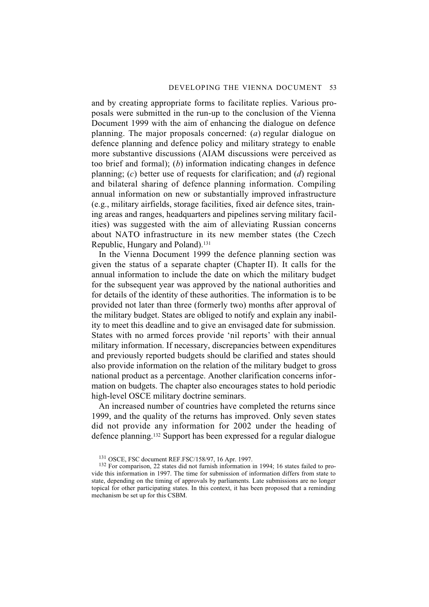and by creating appropriate forms to facilitate replies. Various proposals were submitted in the run-up to the conclusion of the Vienna Document 1999 with the aim of enhancing the dialogue on defence planning. The major proposals concerned: (*a*) regular dialogue on defence planning and defence policy and military strategy to enable more substantive discussions (AIAM discussions were perceived as too brief and formal); (*b*) information indicating changes in defence planning; (*c*) better use of requests for clarification; and (*d*) regional and bilateral sharing of defence planning information. Compiling annual information on new or substantially improved infrastructure (e.g., military airfields, storage facilities, fixed air defence sites, training areas and ranges, headquarters and pipelines serving military facilities) was suggested with the aim of alleviating Russian concerns about NATO infrastructure in its new member states (the Czech Republic, Hungary and Poland).131

In the Vienna Document 1999 the defence planning section was given the status of a separate chapter (Chapter II). It calls for the annual information to include the date on which the military budget for the subsequent year was approved by the national authorities and for details of the identity of these authorities. The information is to be provided not later than three (formerly two) months after approval of the military budget. States are obliged to notify and explain any inability to meet this deadline and to give an envisaged date for submission. States with no armed forces provide 'nil reports' with their annual military information. If necessary, discrepancies between expenditures and previously reported budgets should be clarified and states should also provide information on the relation of the military budget to gross national product as a percentage. Another clarification concerns information on budgets. The chapter also encourages states to hold periodic high-level OSCE military doctrine seminars.

An increased number of countries have completed the returns since 1999, and the quality of the returns has improved. Only seven states did not provide any information for 2002 under the heading of defence planning.132 Support has been expressed for a regular dialogue

<sup>131</sup> OSCE, FSC document REF.FSC/158/97, 16 Apr. 1997.

<sup>132</sup> For comparison, 22 states did not furnish information in 1994; 16 states failed to provide this information in 1997. The time for submission of information differs from state to state, depending on the timing of approvals by parliaments. Late submissions are no longer topical for other participating states. In this context, it has been proposed that a reminding mechanism be set up for this CSBM.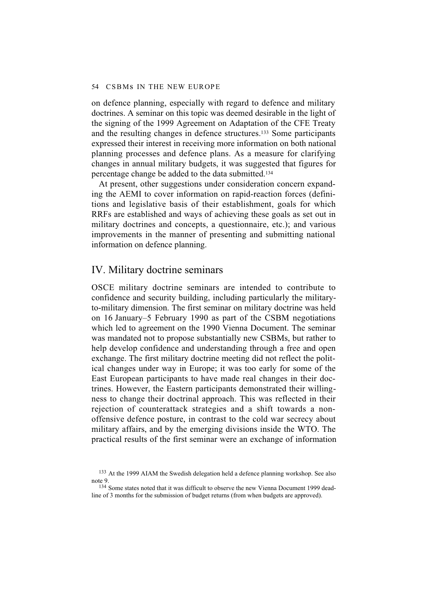on defence planning, especially with regard to defence and military doctrines. A seminar on this topic was deemed desirable in the light of the signing of the 1999 Agreement on Adaptation of the CFE Treaty and the resulting changes in defence structures.133 Some participants expressed their interest in receiving more information on both national planning processes and defence plans. As a measure for clarifying changes in annual military budgets, it was suggested that figures for percentage change be added to the data submitted.134

At present, other suggestions under consideration concern expanding the AEMI to cover information on rapid-reaction forces (definitions and legislative basis of their establishment, goals for which RRFs are established and ways of achieving these goals as set out in military doctrines and concepts, a questionnaire, etc.); and various improvements in the manner of presenting and submitting national information on defence planning.

# IV. Military doctrine seminars

OSCE military doctrine seminars are intended to contribute to confidence and security building, including particularly the militaryto-military dimension. The first seminar on military doctrine was held on 16 January–5 February 1990 as part of the CSBM negotiations which led to agreement on the 1990 Vienna Document. The seminar was mandated not to propose substantially new CSBMs, but rather to help develop confidence and understanding through a free and open exchange. The first military doctrine meeting did not reflect the political changes under way in Europe; it was too early for some of the East European participants to have made real changes in their doctrines. However, the Eastern participants demonstrated their willingness to change their doctrinal approach. This was reflected in their rejection of counterattack strategies and a shift towards a nonoffensive defence posture, in contrast to the cold war secrecy about military affairs, and by the emerging divisions inside the WTO. The practical results of the first seminar were an exchange of information

<sup>133</sup> At the 1999 AIAM the Swedish delegation held a defence planning workshop. See also note 9.

<sup>&</sup>lt;sup>134</sup> Some states noted that it was difficult to observe the new Vienna Document 1999 deadline of 3 months for the submission of budget returns (from when budgets are approved).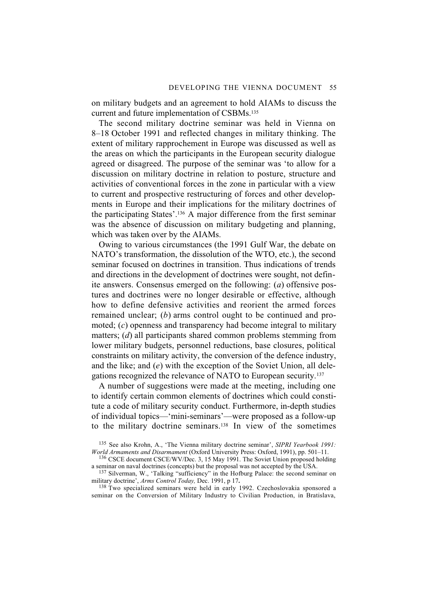on military budgets and an agreement to hold AIAMs to discuss the current and future implementation of CSBMs.135

The second military doctrine seminar was held in Vienna on 8–18 October 1991 and reflected changes in military thinking. The extent of military rapprochement in Europe was discussed as well as the areas on which the participants in the European security dialogue agreed or disagreed. The purpose of the seminar was 'to allow for a discussion on military doctrine in relation to posture, structure and activities of conventional forces in the zone in particular with a view to current and prospective restructuring of forces and other developments in Europe and their implications for the military doctrines of the participating States'.136 A major difference from the first seminar was the absence of discussion on military budgeting and planning, which was taken over by the AIAMs.

Owing to various circumstances (the 1991 Gulf War, the debate on NATO's transformation, the dissolution of the WTO, etc.), the second seminar focused on doctrines in transition. Thus indications of trends and directions in the development of doctrines were sought, not definite answers. Consensus emerged on the following: (*a*) offensive postures and doctrines were no longer desirable or effective, although how to define defensive activities and reorient the armed forces remained unclear; (*b*) arms control ought to be continued and promoted; (*c*) openness and transparency had become integral to military matters; (*d*) all participants shared common problems stemming from lower military budgets, personnel reductions, base closures, political constraints on military activity, the conversion of the defence industry, and the like; and (*e*) with the exception of the Soviet Union, all delegations recognized the relevance of NATO to European security.137

A number of suggestions were made at the meeting, including one to identify certain common elements of doctrines which could constitute a code of military security conduct. Furthermore, in-depth studies of individual topics—'mini-seminars'—were proposed as a follow-up to the military doctrine seminars.138 In view of the sometimes

<sup>138</sup> Two specialized seminars were held in early 1992. Czechoslovakia sponsored a seminar on the Conversion of Military Industry to Civilian Production, in Bratislava,

<sup>135</sup> See also Krohn, A., 'The Vienna military doctrine seminar', *SIPRI Yearbook 1991: World Armaments and Disarmament* (Oxford University Press: Oxford, 1991), pp. 501–11.

<sup>&</sup>lt;sup>136</sup> CSCE document CSCE/WV/Dec. 3, 15 May 1991. The Soviet Union proposed holding a seminar on naval doctrines (concepts) but the proposal was not accepted by the USA.

 $137$  Silverman, W., 'Talking "sufficiency" in the Hofburg Palace: the second seminar on military doctrine', Arms Control Today, Dec. 1991, p 17.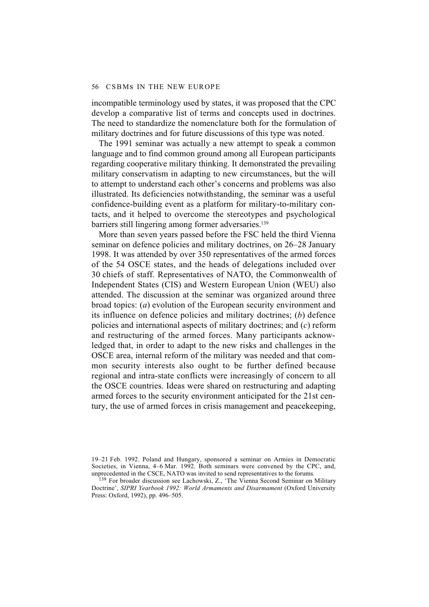incompatible terminology used by states, it was proposed that the CPC develop a comparative list of terms and concepts used in doctrines. The need to standardize the nomenclature both for the formulation of military doctrines and for future discussions of this type was noted.

The 1991 seminar was actually a new attempt to speak a common language and to find common ground among all European participants regarding cooperative military thinking. It demonstrated the prevailing military conservatism in adapting to new circumstances, but the will to attempt to understand each other's concerns and problems was also illustrated. Its deficiencies notwithstanding, the seminar was a useful confidence-building event as a platform for military-to-military contacts, and it helped to overcome the stereotypes and psychological barriers still lingering among former adversaries.139

More than seven years passed before the FSC held the third Vienna seminar on defence policies and military doctrines, on 26–28 January 1998. It was attended by over 350 representatives of the armed forces of the 54 OSCE states, and the heads of delegations included over 30 chiefs of staff. Representatives of NATO, the Commonwealth of Independent States (CIS) and Western European Union (WEU) also attended. The discussion at the seminar was organized around three broad topics: (*a*) evolution of the European security environment and its influence on defence policies and military doctrines; (*b*) defence policies and international aspects of military doctrines; and (*c*) reform and restructuring of the armed forces. Many participants acknowledged that, in order to adapt to the new risks and challenges in the OSCE area, internal reform of the military was needed and that common security interests also ought to be further defined because regional and intra-state conflicts were increasingly of concern to all the OSCE countries. Ideas were shared on restructuring and adapting armed forces to the security environment anticipated for the 21st century, the use of armed forces in crisis management and peacekeeping,

<sup>19–21</sup> Feb. 1992. Poland and Hungary, sponsored a seminar on Armies in Democratic Societies, in Vienna, 4–6 Mar. 1992. Both seminars were convened by the CPC, and, unprecedented in the CSCE, NATO was invited to send representatives to the forums.

<sup>139</sup> For broader discussion see Lachowski, Z., 'The Vienna Second Seminar on Military Doctrine', *SIPRI Yearbook 1992: World Armaments and Disarmament* (Oxford University Press: Oxford, 1992), pp. 496–505.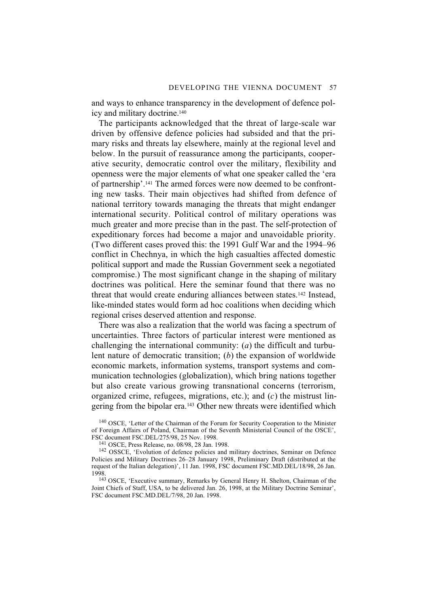and ways to enhance transparency in the development of defence policy and military doctrine.140

The participants acknowledged that the threat of large-scale war driven by offensive defence policies had subsided and that the primary risks and threats lay elsewhere, mainly at the regional level and below. In the pursuit of reassurance among the participants, cooperative security, democratic control over the military, flexibility and openness were the major elements of what one speaker called the 'era of partnership'.141 The armed forces were now deemed to be confronting new tasks. Their main objectives had shifted from defence of national territory towards managing the threats that might endanger international security. Political control of military operations was much greater and more precise than in the past. The self-protection of expeditionary forces had become a major and unavoidable priority. (Two different cases proved this: the 1991 Gulf War and the 1994–96 conflict in Chechnya, in which the high casualties affected domestic political support and made the Russian Government seek a negotiated compromise.) The most significant change in the shaping of military doctrines was political. Here the seminar found that there was no threat that would create enduring alliances between states.142 Instead, like-minded states would form ad hoc coalitions when deciding which regional crises deserved attention and response.

There was also a realization that the world was facing a spectrum of uncertainties. Three factors of particular interest were mentioned as challenging the international community: (*a*) the difficult and turbulent nature of democratic transition; (*b*) the expansion of worldwide economic markets, information systems, transport systems and communication technologies (globalization), which bring nations together but also create various growing transnational concerns (terrorism, organized crime, refugees, migrations, etc.); and (*c*) the mistrust lingering from the bipolar era.143 Other new threats were identified which

<sup>140</sup> OSCE, 'Letter of the Chairman of the Forum for Security Cooperation to the Minister of Foreign Affairs of Poland, Chairman of the Seventh Ministerial Council of the OSCE', FSC document FSC.DEL/275/98, 25 Nov. 1998.

<sup>141</sup> OSCE, Press Release, no. 08/98, 28 Jan. 1998.

<sup>142</sup> OSSCE, 'Evolution of defence policies and military doctrines, Seminar on Defence Policies and Military Doctrines 26–28 January 1998, Preliminary Draft (distributed at the request of the Italian delegation)', 11 Jan. 1998, FSC document FSC.MD.DEL/18/98, 26 Jan. 1998.

<sup>143</sup> OSCE, 'Executive summary, Remarks by General Henry H. Shelton, Chairman of the Joint Chiefs of Staff, USA, to be delivered Jan. 26, 1998, at the Military Doctrine Seminar', FSC document FSC.MD.DEL/7/98, 20 Jan. 1998.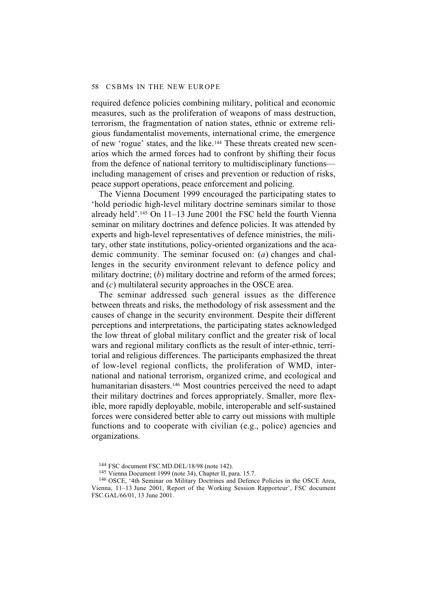required defence policies combining military, political and economic measures, such as the proliferation of weapons of mass destruction, terrorism, the fragmentation of nation states, ethnic or extreme religious fundamentalist movements, international crime, the emergence of new 'rogue' states, and the like.144 These threats created new scenarios which the armed forces had to confront by shifting their focus from the defence of national territory to multidisciplinary functions including management of crises and prevention or reduction of risks, peace support operations, peace enforcement and policing.

The Vienna Document 1999 encouraged the participating states to 'hold periodic high-level military doctrine seminars similar to those already held'.145 On 11–13 June 2001 the FSC held the fourth Vienna seminar on military doctrines and defence policies. It was attended by experts and high-level representatives of defence ministries, the military, other state institutions, policy-oriented organizations and the academic community. The seminar focused on: (*a*) changes and challenges in the security environment relevant to defence policy and military doctrine; (*b*) military doctrine and reform of the armed forces; and (*c*) multilateral security approaches in the OSCE area.

The seminar addressed such general issues as the difference between threats and risks, the methodology of risk assessment and the causes of change in the security environment. Despite their different perceptions and interpretations, the participating states acknowledged the low threat of global military conflict and the greater risk of local wars and regional military conflicts as the result of inter-ethnic, territorial and religious differences. The participants emphasized the threat of low-level regional conflicts, the proliferation of WMD, international and national terrorism, organized crime, and ecological and humanitarian disasters.<sup>146</sup> Most countries perceived the need to adapt their military doctrines and forces appropriately. Smaller, more flexible, more rapidly deployable, mobile, interoperable and self-sustained forces were considered better able to carry out missions with multiple functions and to cooperate with civilian (e.g., police) agencies and organizations.

<sup>144</sup> FSC document FSC.MD.DEL/18/98 (note 142).

<sup>145</sup> Vienna Document 1999 (note 34), Chapter II, para. 15.7.

<sup>146</sup> OSCE, '4th Seminar on Military Doctrines and Defence Policies in the OSCE Area, Vienna, 11–13 June 2001, Report of the Working Session Rapporteur', FSC document FSC.GAL/66/01, 13 June 2001.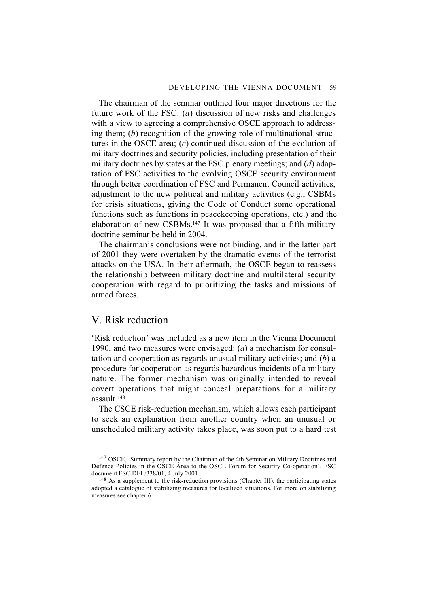The chairman of the seminar outlined four major directions for the future work of the FSC: (*a*) discussion of new risks and challenges with a view to agreeing a comprehensive OSCE approach to addressing them; (*b*) recognition of the growing role of multinational structures in the OSCE area; (*c*) continued discussion of the evolution of military doctrines and security policies, including presentation of their military doctrines by states at the FSC plenary meetings; and (*d*) adaptation of FSC activities to the evolving OSCE security environment through better coordination of FSC and Permanent Council activities, adjustment to the new political and military activities (e.g., CSBMs for crisis situations, giving the Code of Conduct some operational functions such as functions in peacekeeping operations, etc.) and the elaboration of new CSBMs.147 It was proposed that a fifth military doctrine seminar be held in 2004.

The chairman's conclusions were not binding, and in the latter part of 2001 they were overtaken by the dramatic events of the terrorist attacks on the USA. In their aftermath, the OSCE began to reassess the relationship between military doctrine and multilateral security cooperation with regard to prioritizing the tasks and missions of armed forces.

# V. Risk reduction

'Risk reduction' was included as a new item in the Vienna Document 1990, and two measures were envisaged: (*a*) a mechanism for consultation and cooperation as regards unusual military activities; and (*b*) a procedure for cooperation as regards hazardous incidents of a military nature. The former mechanism was originally intended to reveal covert operations that might conceal preparations for a military assault<sup>148</sup>

The CSCE risk-reduction mechanism, which allows each participant to seek an explanation from another country when an unusual or unscheduled military activity takes place, was soon put to a hard test

<sup>147</sup> OSCE, 'Summary report by the Chairman of the 4th Seminar on Military Doctrines and Defence Policies in the OSCE Area to the OSCE Forum for Security Co-operation', FSC document FSC.DEL/338/01, 4 July 2001.

 $148$  As a supplement to the risk-reduction provisions (Chapter III), the participating states adopted a catalogue of stabilizing measures for localized situations. For more on stabilizing measures see chapter 6.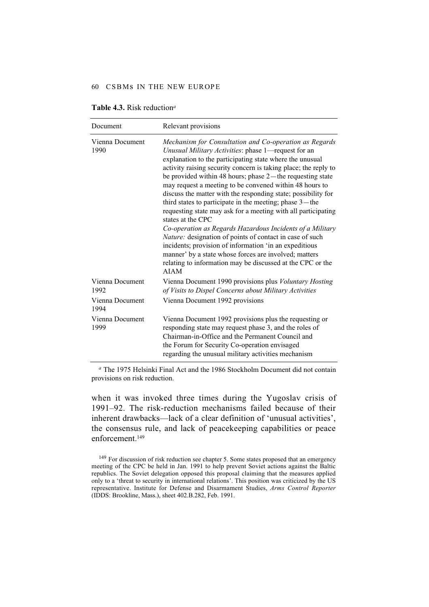| Document                | Relevant provisions                                                                                                                                                                                                                                                                                                                                                                                                                                                                                                                                                                                                                                                                                                                                                                                                                                                                                                   |
|-------------------------|-----------------------------------------------------------------------------------------------------------------------------------------------------------------------------------------------------------------------------------------------------------------------------------------------------------------------------------------------------------------------------------------------------------------------------------------------------------------------------------------------------------------------------------------------------------------------------------------------------------------------------------------------------------------------------------------------------------------------------------------------------------------------------------------------------------------------------------------------------------------------------------------------------------------------|
| Vienna Document<br>1990 | Mechanism for Consultation and Co-operation as Regards<br>Unusual Military Activities: phase 1-request for an<br>explanation to the participating state where the unusual<br>activity raising security concern is taking place; the reply to<br>be provided within 48 hours; phase $2$ —the requesting state<br>may request a meeting to be convened within 48 hours to<br>discuss the matter with the responding state; possibility for<br>third states to participate in the meeting; phase $3$ —the<br>requesting state may ask for a meeting with all participating<br>states at the CPC<br>Co-operation as Regards Hazardous Incidents of a Military<br>Nature: designation of points of contact in case of such<br>incidents; provision of information 'in an expeditious<br>manner' by a state whose forces are involved; matters<br>relating to information may be discussed at the CPC or the<br><b>AIAM</b> |
| Vienna Document<br>1992 | Vienna Document 1990 provisions plus Voluntary Hosting<br>of Visits to Dispel Concerns about Military Activities                                                                                                                                                                                                                                                                                                                                                                                                                                                                                                                                                                                                                                                                                                                                                                                                      |
| Vienna Document<br>1994 | Vienna Document 1992 provisions                                                                                                                                                                                                                                                                                                                                                                                                                                                                                                                                                                                                                                                                                                                                                                                                                                                                                       |
| Vienna Document<br>1999 | Vienna Document 1992 provisions plus the requesting or<br>responding state may request phase 3, and the roles of<br>Chairman-in-Office and the Permanent Council and<br>the Forum for Security Co-operation envisaged<br>regarding the unusual military activities mechanism                                                                                                                                                                                                                                                                                                                                                                                                                                                                                                                                                                                                                                          |

| <b>Table 4.3.</b> Risk reduction <sup>a</sup> |
|-----------------------------------------------|
|-----------------------------------------------|

*<sup>a</sup>* The 1975 Helsinki Final Act and the 1986 Stockholm Document did not contain provisions on risk reduction.

when it was invoked three times during the Yugoslav crisis of 1991–92. The risk-reduction mechanisms failed because of their inherent drawbacks—lack of a clear definition of 'unusual activities', the consensus rule, and lack of peacekeeping capabilities or peace enforcement.149

<sup>&</sup>lt;sup>149</sup> For discussion of risk reduction see chapter 5. Some states proposed that an emergency meeting of the CPC be held in Jan. 1991 to help prevent Soviet actions against the Baltic republics. The Soviet delegation opposed this proposal claiming that the measures applied only to a 'threat to security in international relations'. This position was criticized by the US representative. Institute for Defense and Disarmament Studies, *Arms Control Reporter* (IDDS: Brookline, Mass.), sheet 402.B.282, Feb. 1991.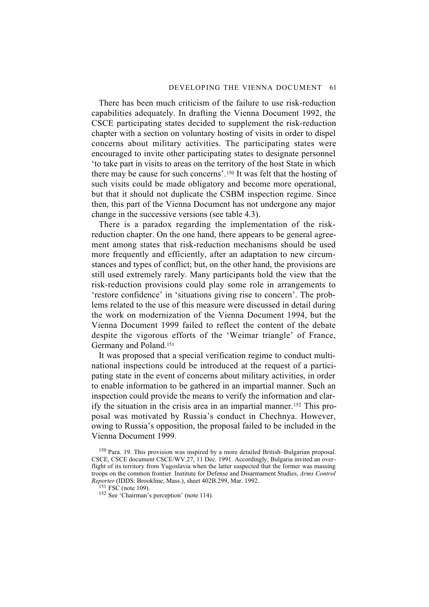There has been much criticism of the failure to use risk-reduction capabilities adequately. In drafting the Vienna Document 1992, the CSCE participating states decided to supplement the risk-reduction chapter with a section on voluntary hosting of visits in order to dispel concerns about military activities. The participating states were encouraged to invite other participating states to designate personnel 'to take part in visits to areas on the territory of the host State in which there may be cause for such concerns'.150 It was felt that the hosting of such visits could be made obligatory and become more operational, but that it should not duplicate the CSBM inspection regime. Since then, this part of the Vienna Document has not undergone any major change in the successive versions (see table 4.3).

There is a paradox regarding the implementation of the riskreduction chapter. On the one hand, there appears to be general agreement among states that risk-reduction mechanisms should be used more frequently and efficiently, after an adaptation to new circumstances and types of conflict; but, on the other hand, the provisions are still used extremely rarely. Many participants hold the view that the risk-reduction provisions could play some role in arrangements to 'restore confidence' in 'situations giving rise to concern'. The problems related to the use of this measure were discussed in detail during the work on modernization of the Vienna Document 1994, but the Vienna Document 1999 failed to reflect the content of the debate despite the vigorous efforts of the 'Weimar triangle' of France, Germany and Poland.151

It was proposed that a special verification regime to conduct multinational inspections could be introduced at the request of a participating state in the event of concerns about military activities, in order to enable information to be gathered in an impartial manner. Such an inspection could provide the means to verify the information and clarify the situation in the crisis area in an impartial manner.152 This proposal was motivated by Russia's conduct in Chechnya. However, owing to Russia's opposition, the proposal failed to be included in the Vienna Document 1999.

<sup>150</sup> Para. 19. This provision was inspired by a more detailed British–Bulgarian proposal. CSCE, CSCE document CSCE/WV.27, 11 Dec. 1991. Accordingly, Bulgaria invited an overflight of its territory from Yugoslavia when the latter suspected that the former was massing troops on the common frontier. Institute for Defense and Disarmament Studies, *Arms Control Reporter* (IDDS: Brookline, Mass.), sheet 402B.299, Mar. 1992.

 $151$  FSC (note 109).

<sup>152</sup> See 'Chairman's perception' (note 114).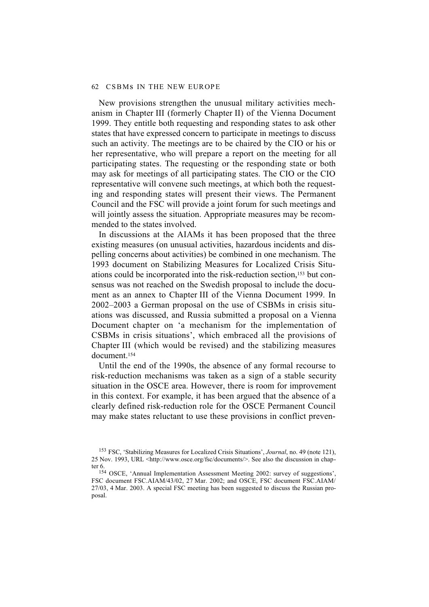New provisions strengthen the unusual military activities mechanism in Chapter III (formerly Chapter II) of the Vienna Document 1999. They entitle both requesting and responding states to ask other states that have expressed concern to participate in meetings to discuss such an activity. The meetings are to be chaired by the CIO or his or her representative, who will prepare a report on the meeting for all participating states. The requesting or the responding state or both may ask for meetings of all participating states. The CIO or the CIO representative will convene such meetings, at which both the requesting and responding states will present their views. The Permanent Council and the FSC will provide a joint forum for such meetings and will jointly assess the situation. Appropriate measures may be recommended to the states involved.

In discussions at the AIAMs it has been proposed that the three existing measures (on unusual activities, hazardous incidents and dispelling concerns about activities) be combined in one mechanism. The 1993 document on Stabilizing Measures for Localized Crisis Situations could be incorporated into the risk-reduction section,153 but consensus was not reached on the Swedish proposal to include the document as an annex to Chapter III of the Vienna Document 1999. In 2002–2003 a German proposal on the use of CSBMs in crisis situations was discussed, and Russia submitted a proposal on a Vienna Document chapter on 'a mechanism for the implementation of CSBMs in crisis situations', which embraced all the provisions of Chapter III (which would be revised) and the stabilizing measures document.154

Until the end of the 1990s, the absence of any formal recourse to risk-reduction mechanisms was taken as a sign of a stable security situation in the OSCE area. However, there is room for improvement in this context. For example, it has been argued that the absence of a clearly defined risk-reduction role for the OSCE Permanent Council may make states reluctant to use these provisions in conflict preven-

<sup>153</sup> FSC, 'Stabilizing Measures for Localized Crisis Situations', *Journal*, no. 49 (note 121), 25 Nov. 1993, URL <http://www.osce.org/fsc/documents/>. See also the discussion in chapter 6.

<sup>154</sup> OSCE, 'Annual Implementation Assessment Meeting 2002: survey of suggestions', FSC document FSC.AIAM/43/02, 27 Mar. 2002; and OSCE, FSC document FSC.AIAM/ 27/03, 4 Mar. 2003. A special FSC meeting has been suggested to discuss the Russian proposal.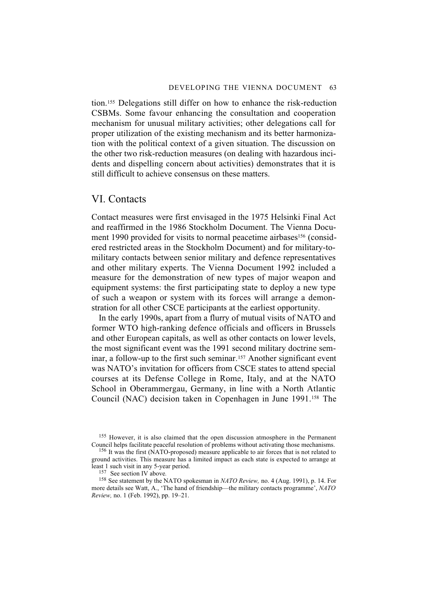tion.155 Delegations still differ on how to enhance the risk-reduction CSBMs. Some favour enhancing the consultation and cooperation mechanism for unusual military activities; other delegations call for proper utilization of the existing mechanism and its better harmonization with the political context of a given situation. The discussion on the other two risk-reduction measures (on dealing with hazardous incidents and dispelling concern about activities) demonstrates that it is still difficult to achieve consensus on these matters.

### VI. Contacts

Contact measures were first envisaged in the 1975 Helsinki Final Act and reaffirmed in the 1986 Stockholm Document. The Vienna Document 1990 provided for visits to normal peacetime airbases<sup>156</sup> (considered restricted areas in the Stockholm Document) and for military-tomilitary contacts between senior military and defence representatives and other military experts. The Vienna Document 1992 included a measure for the demonstration of new types of major weapon and equipment systems: the first participating state to deploy a new type of such a weapon or system with its forces will arrange a demonstration for all other CSCE participants at the earliest opportunity.

In the early 1990s, apart from a flurry of mutual visits of NATO and former WTO high-ranking defence officials and officers in Brussels and other European capitals, as well as other contacts on lower levels, the most significant event was the 1991 second military doctrine seminar, a follow-up to the first such seminar.157 Another significant event was NATO's invitation for officers from CSCE states to attend special courses at its Defense College in Rome, Italy, and at the NATO School in Oberammergau, Germany, in line with a North Atlantic Council (NAC) decision taken in Copenhagen in June 1991.158 The

155 However, it is also claimed that the open discussion atmosphere in the Permanent Council helps facilitate peaceful resolution of problems without activating those mechanisms.

<sup>158</sup> See statement by the NATO spokesman in *NATO Review*, no. 4 (Aug. 1991), p. 14. For more details see Watt, A., 'The hand of friendship—the military contacts programme', *NATO Review,* no. 1 (Feb. 1992), pp. 19–21.

<sup>156</sup> It was the first (NATO-proposed) measure applicable to air forces that is not related to ground activities. This measure has a limited impact as each state is expected to arrange at least 1 such visit in any 5-year period.<br> $\frac{157}{157}$  See section IV above.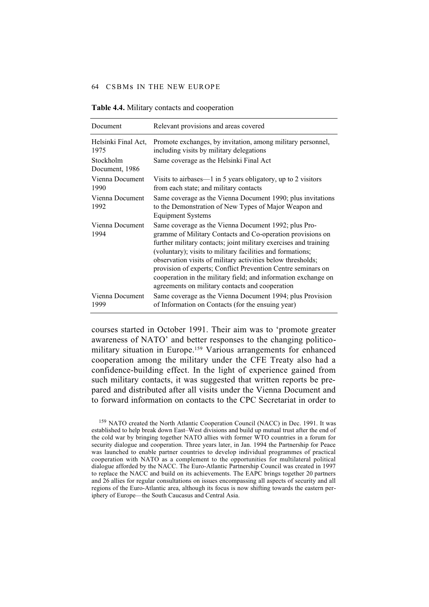| Document                    | Relevant provisions and areas covered                                                                                                                                                                                                                                                                                                                                                                                                                                                                    |
|-----------------------------|----------------------------------------------------------------------------------------------------------------------------------------------------------------------------------------------------------------------------------------------------------------------------------------------------------------------------------------------------------------------------------------------------------------------------------------------------------------------------------------------------------|
| Helsinki Final Act,<br>1975 | Promote exchanges, by invitation, among military personnel,<br>including visits by military delegations                                                                                                                                                                                                                                                                                                                                                                                                  |
| Stockholm<br>Document, 1986 | Same coverage as the Helsinki Final Act                                                                                                                                                                                                                                                                                                                                                                                                                                                                  |
| Vienna Document<br>1990     | Visits to airbases— $1$ in 5 years obligatory, up to 2 visitors<br>from each state; and military contacts                                                                                                                                                                                                                                                                                                                                                                                                |
| Vienna Document<br>1992     | Same coverage as the Vienna Document 1990; plus invitations<br>to the Demonstration of New Types of Major Weapon and<br>Equipment Systems                                                                                                                                                                                                                                                                                                                                                                |
| Vienna Document<br>1994     | Same coverage as the Vienna Document 1992; plus Pro-<br>gramme of Military Contacts and Co-operation provisions on<br>further military contacts; joint military exercises and training<br>(voluntary); visits to military facilities and formations;<br>observation visits of military activities below thresholds;<br>provision of experts; Conflict Prevention Centre seminars on<br>cooperation in the military field; and information exchange on<br>agreements on military contacts and cooperation |
| Vienna Document<br>1999     | Same coverage as the Vienna Document 1994; plus Provision<br>of Information on Contacts (for the ensuing year)                                                                                                                                                                                                                                                                                                                                                                                           |

**Table 4.4.** Military contacts and cooperation

courses started in October 1991. Their aim was to 'promote greater awareness of NATO' and better responses to the changing politicomilitary situation in Europe.159 Various arrangements for enhanced cooperation among the military under the CFE Treaty also had a confidence-building effect. In the light of experience gained from such military contacts, it was suggested that written reports be prepared and distributed after all visits under the Vienna Document and to forward information on contacts to the CPC Secretariat in order to

159 NATO created the North Atlantic Cooperation Council (NACC) in Dec. 1991. It was established to help break down East–West divisions and build up mutual trust after the end of the cold war by bringing together NATO allies with former WTO countries in a forum for security dialogue and cooperation. Three years later, in Jan. 1994 the Partnership for Peace was launched to enable partner countries to develop individual programmes of practical cooperation with NATO as a complement to the opportunities for multilateral political dialogue afforded by the NACC. The Euro-Atlantic Partnership Council was created in 1997 to replace the NACC and build on its achievements. The EAPC brings together 20 partners and 26 allies for regular consultations on issues encompassing all aspects of security and all regions of the Euro-Atlantic area, although its focus is now shifting towards the eastern periphery of Europe—the South Caucasus and Central Asia.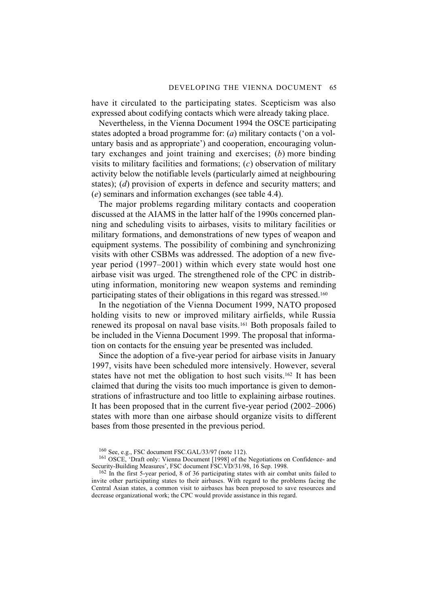have it circulated to the participating states. Scepticism was also expressed about codifying contacts which were already taking place.

Nevertheless, in the Vienna Document 1994 the OSCE participating states adopted a broad programme for: (*a*) military contacts ('on a voluntary basis and as appropriate') and cooperation, encouraging voluntary exchanges and joint training and exercises; (*b*) more binding visits to military facilities and formations; (*c*) observation of military activity below the notifiable levels (particularly aimed at neighbouring states); (*d*) provision of experts in defence and security matters; and (*e*) seminars and information exchanges (see table 4.4).

The major problems regarding military contacts and cooperation discussed at the AIAMS in the latter half of the 1990s concerned planning and scheduling visits to airbases, visits to military facilities or military formations, and demonstrations of new types of weapon and equipment systems. The possibility of combining and synchronizing visits with other CSBMs was addressed. The adoption of a new fiveyear period (1997–2001) within which every state would host one airbase visit was urged. The strengthened role of the CPC in distributing information, monitoring new weapon systems and reminding participating states of their obligations in this regard was stressed.160

In the negotiation of the Vienna Document 1999, NATO proposed holding visits to new or improved military airfields, while Russia renewed its proposal on naval base visits.161 Both proposals failed to be included in the Vienna Document 1999. The proposal that information on contacts for the ensuing year be presented was included.

Since the adoption of a five-year period for airbase visits in January 1997, visits have been scheduled more intensively. However, several states have not met the obligation to host such visits.162 It has been claimed that during the visits too much importance is given to demonstrations of infrastructure and too little to explaining airbase routines. It has been proposed that in the current five-year period (2002–2006) states with more than one airbase should organize visits to different bases from those presented in the previous period.

<sup>160</sup> See, e.g., FSC document FSC.GAL/33/97 (note 112).

<sup>161</sup> OSCE, 'Draft only: Vienna Document [1998] of the Negotiations on Confidence- and Security-Building Measures', FSC document FSC.VD/31/98, 16 Sep. 1998.

<sup>&</sup>lt;sup>162</sup> In the first 5-year period, 8 of 36 participating states with air combat units failed to invite other participating states to their airbases. With regard to the problems facing the Central Asian states, a common visit to airbases has been proposed to save resources and decrease organizational work; the CPC would provide assistance in this regard.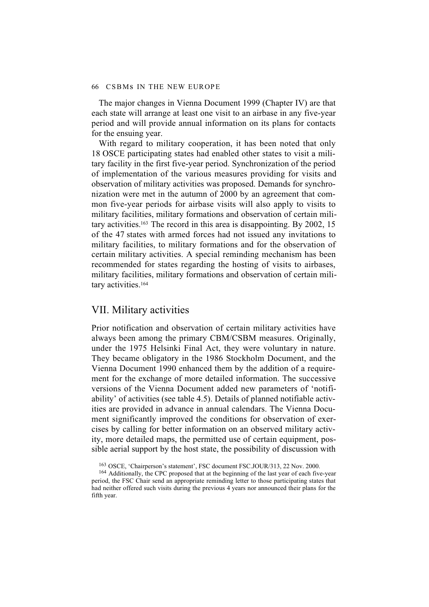The major changes in Vienna Document 1999 (Chapter IV) are that each state will arrange at least one visit to an airbase in any five-year period and will provide annual information on its plans for contacts for the ensuing year.

With regard to military cooperation, it has been noted that only 18 OSCE participating states had enabled other states to visit a military facility in the first five-year period. Synchronization of the period of implementation of the various measures providing for visits and observation of military activities was proposed. Demands for synchronization were met in the autumn of 2000 by an agreement that common five-year periods for airbase visits will also apply to visits to military facilities, military formations and observation of certain military activities.163 The record in this area is disappointing. By 2002, 15 of the 47 states with armed forces had not issued any invitations to military facilities, to military formations and for the observation of certain military activities. A special reminding mechanism has been recommended for states regarding the hosting of visits to airbases, military facilities, military formations and observation of certain military activities.<sup>164</sup>

### VII. Military activities

Prior notification and observation of certain military activities have always been among the primary CBM/CSBM measures. Originally, under the 1975 Helsinki Final Act, they were voluntary in nature. They became obligatory in the 1986 Stockholm Document, and the Vienna Document 1990 enhanced them by the addition of a requirement for the exchange of more detailed information. The successive versions of the Vienna Document added new parameters of 'notifiability' of activities (see table 4.5). Details of planned notifiable activities are provided in advance in annual calendars. The Vienna Document significantly improved the conditions for observation of exercises by calling for better information on an observed military activity, more detailed maps, the permitted use of certain equipment, possible aerial support by the host state, the possibility of discussion with

<sup>163</sup> OSCE, 'Chairperson's statement', FSC document FSC.JOUR/313, 22 Nov. 2000.

<sup>&</sup>lt;sup>164</sup> Additionally, the CPC proposed that at the beginning of the last year of each five-year period, the FSC Chair send an appropriate reminding letter to those participating states that had neither offered such visits during the previous 4 years nor announced their plans for the fifth year.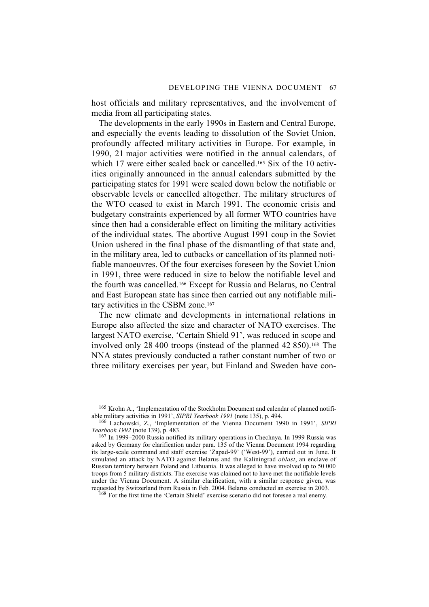host officials and military representatives, and the involvement of media from all participating states.

The developments in the early 1990s in Eastern and Central Europe, and especially the events leading to dissolution of the Soviet Union, profoundly affected military activities in Europe. For example, in 1990, 21 major activities were notified in the annual calendars, of which 17 were either scaled back or cancelled.<sup>165</sup> Six of the 10 activities originally announced in the annual calendars submitted by the participating states for 1991 were scaled down below the notifiable or observable levels or cancelled altogether. The military structures of the WTO ceased to exist in March 1991. The economic crisis and budgetary constraints experienced by all former WTO countries have since then had a considerable effect on limiting the military activities of the individual states. The abortive August 1991 coup in the Soviet Union ushered in the final phase of the dismantling of that state and, in the military area, led to cutbacks or cancellation of its planned notifiable manoeuvres. Of the four exercises foreseen by the Soviet Union in 1991, three were reduced in size to below the notifiable level and the fourth was cancelled.166 Except for Russia and Belarus, no Central and East European state has since then carried out any notifiable military activities in the CSBM zone.<sup>167</sup>

The new climate and developments in international relations in Europe also affected the size and character of NATO exercises. The largest NATO exercise, 'Certain Shield 91', was reduced in scope and involved only 28 400 troops (instead of the planned 42 850).<sup>168</sup> The NNA states previously conducted a rather constant number of two or three military exercises per year, but Finland and Sweden have con-

<sup>168</sup> For the first time the 'Certain Shield' exercise scenario did not foresee a real enemy.

<sup>&</sup>lt;sup>165</sup> Krohn A., 'Implementation of the Stockholm Document and calendar of planned notifiable military activities in 1991', *SIPRI Yearbook 1991* (note 135), p. 494.

<sup>166</sup> Lachowski, Z., 'Implementation of the Vienna Document 1990 in 1991', *SIPRI Yearbook 1992* (note 139), p. 483.

<sup>167</sup> In 1999–2000 Russia notified its military operations in Chechnya. In 1999 Russia was asked by Germany for clarification under para. 135 of the Vienna Document 1994 regarding its large-scale command and staff exercise 'Zapad-99' ('West-99'), carried out in June. It simulated an attack by NATO against Belarus and the Kaliningrad *oblast*, an enclave of Russian territory between Poland and Lithuania. It was alleged to have involved up to 50 000 troops from 5 military districts. The exercise was claimed not to have met the notifiable levels under the Vienna Document. A similar clarification, with a similar response given, was requested by Switzerland from Russia in Feb. 2004. Belarus conducted an exercise in 2003.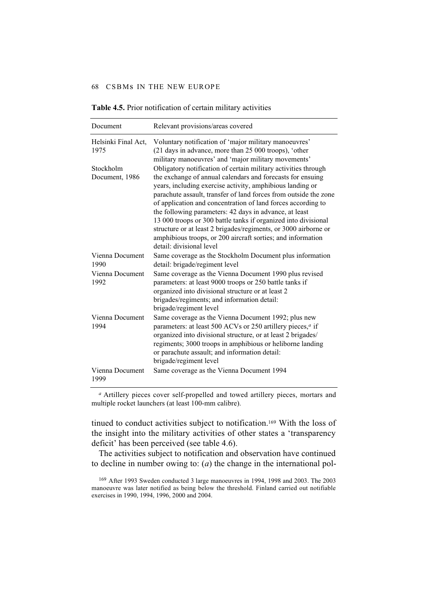| Document                    | Relevant provisions/areas covered                                                                                                                                                                                                                                                                                                                                                                                                                                                                                                                                                                                       |
|-----------------------------|-------------------------------------------------------------------------------------------------------------------------------------------------------------------------------------------------------------------------------------------------------------------------------------------------------------------------------------------------------------------------------------------------------------------------------------------------------------------------------------------------------------------------------------------------------------------------------------------------------------------------|
| Helsinki Final Act,<br>1975 | Voluntary notification of 'major military manoeuvres'<br>(21 days in advance, more than 25 000 troops), 'other<br>military manoeuvres' and 'major military movements'                                                                                                                                                                                                                                                                                                                                                                                                                                                   |
| Stockholm<br>Document, 1986 | Obligatory notification of certain military activities through<br>the exchange of annual calendars and forecasts for ensuing<br>years, including exercise activity, amphibious landing or<br>parachute assault, transfer of land forces from outside the zone<br>of application and concentration of land forces according to<br>the following parameters: 42 days in advance, at least<br>13 000 troops or 300 battle tanks if organized into divisional<br>structure or at least 2 brigades/regiments, or 3000 airborne or<br>amphibious troops, or 200 aircraft sorties; and information<br>detail: divisional level |
| Vienna Document<br>1990     | Same coverage as the Stockholm Document plus information<br>detail: brigade/regiment level                                                                                                                                                                                                                                                                                                                                                                                                                                                                                                                              |
| Vienna Document<br>1992     | Same coverage as the Vienna Document 1990 plus revised<br>parameters: at least 9000 troops or 250 battle tanks if<br>organized into divisional structure or at least 2<br>brigades/regiments; and information detail:<br>brigade/regiment level                                                                                                                                                                                                                                                                                                                                                                         |
| Vienna Document<br>1994     | Same coverage as the Vienna Document 1992; plus new<br>parameters: at least 500 ACVs or 250 artillery pieces, <sup>a</sup> if<br>organized into divisional structure, or at least 2 brigades/<br>regiments; 3000 troops in amphibious or heliborne landing<br>or parachute assault; and information detail:<br>brigade/regiment level                                                                                                                                                                                                                                                                                   |
| Vienna Document<br>1999     | Same coverage as the Vienna Document 1994                                                                                                                                                                                                                                                                                                                                                                                                                                                                                                                                                                               |

**Table 4.5.** Prior notification of certain military activities

*<sup>a</sup>* Artillery pieces cover self-propelled and towed artillery pieces, mortars and multiple rocket launchers (at least 100-mm calibre).

tinued to conduct activities subject to notification.169 With the loss of the insight into the military activities of other states a 'transparency deficit' has been perceived (see table 4.6).

The activities subject to notification and observation have continued to decline in number owing to: (*a*) the change in the international pol-

<sup>169</sup> After 1993 Sweden conducted 3 large manoeuvres in 1994, 1998 and 2003. The 2003 manoeuvre was later notified as being below the threshold. Finland carried out notifiable exercises in 1990, 1994, 1996, 2000 and 2004.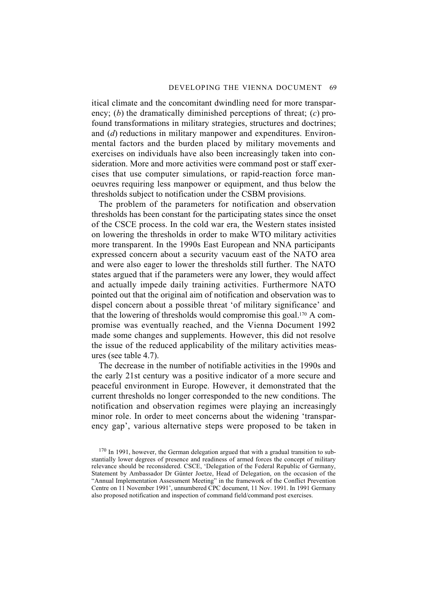itical climate and the concomitant dwindling need for more transparency; (*b*) the dramatically diminished perceptions of threat; (*c*) profound transformations in military strategies, structures and doctrines; and (*d*) reductions in military manpower and expenditures. Environmental factors and the burden placed by military movements and exercises on individuals have also been increasingly taken into consideration. More and more activities were command post or staff exercises that use computer simulations, or rapid-reaction force manoeuvres requiring less manpower or equipment, and thus below the thresholds subject to notification under the CSBM provisions.

The problem of the parameters for notification and observation thresholds has been constant for the participating states since the onset of the CSCE process. In the cold war era, the Western states insisted on lowering the thresholds in order to make WTO military activities more transparent. In the 1990s East European and NNA participants expressed concern about a security vacuum east of the NATO area and were also eager to lower the thresholds still further. The NATO states argued that if the parameters were any lower, they would affect and actually impede daily training activities. Furthermore NATO pointed out that the original aim of notification and observation was to dispel concern about a possible threat 'of military significance' and that the lowering of thresholds would compromise this goal.170 A compromise was eventually reached, and the Vienna Document 1992 made some changes and supplements. However, this did not resolve the issue of the reduced applicability of the military activities measures (see table 4.7).

The decrease in the number of notifiable activities in the 1990s and the early 21st century was a positive indicator of a more secure and peaceful environment in Europe. However, it demonstrated that the current thresholds no longer corresponded to the new conditions. The notification and observation regimes were playing an increasingly minor role. In order to meet concerns about the widening 'transparency gap', various alternative steps were proposed to be taken in

 $170$  In 1991, however, the German delegation argued that with a gradual transition to substantially lower degrees of presence and readiness of armed forces the concept of military relevance should be reconsidered. CSCE, 'Delegation of the Federal Republic of Germany, Statement by Ambassador Dr Günter Joetze, Head of Delegation, on the occasion of the "Annual Implementation Assessment Meeting" in the framework of the Conflict Prevention Centre on 11 November 1991', unnumbered CPC document, 11 Nov. 1991. In 1991 Germany also proposed notification and inspection of command field/command post exercises.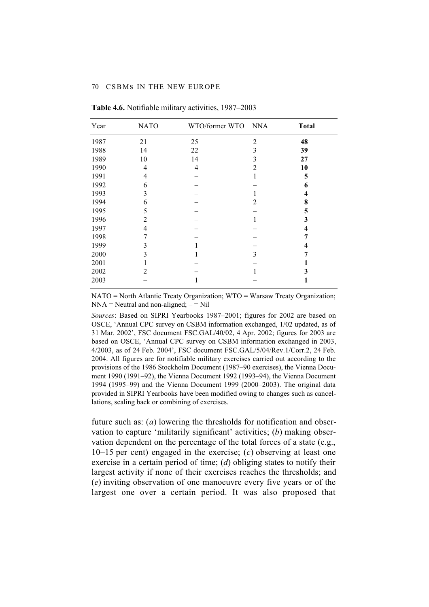| Year | <b>NATO</b> | WTO/former WTO NNA |                | <b>Total</b> |
|------|-------------|--------------------|----------------|--------------|
| 1987 | 21          | 25                 | $\overline{2}$ | 48           |
| 1988 | 14          | 22                 | 3              | 39           |
| 1989 | 10          | 14                 | 3              | 27           |
| 1990 | 4           | 4                  | 2              | 10           |
| 1991 | 4           |                    | 1              | 5            |
| 1992 | 6           |                    |                | 6            |
| 1993 | 3           |                    |                | 4            |
| 1994 | 6           |                    | 2              | 8            |
| 1995 | 5           |                    |                | 5            |
| 1996 | 2           |                    | 1              | 3            |
| 1997 | 4           |                    |                | 4            |
| 1998 | 7           |                    |                |              |
| 1999 | 3           |                    |                |              |
| 2000 | 3           |                    | 3              |              |
| 2001 |             |                    |                |              |
| 2002 | 2           |                    |                | 3            |
| 2003 |             |                    |                |              |
|      |             |                    |                |              |

**Table 4.6.** Notifiable military activities, 1987–2003

NATO = North Atlantic Treaty Organization; WTO = Warsaw Treaty Organization;  $NNA =$  Neutral and non-aligned;  $-$  = Nil

*Sources*: Based on SIPRI Yearbooks 1987–2001; figures for 2002 are based on OSCE, 'Annual CPC survey on CSBM information exchanged, 1/02 updated, as of 31 Mar. 2002', FSC document FSC.GAL/40/02, 4 Apr. 2002; figures for 2003 are based on OSCE, 'Annual CPC survey on CSBM information exchanged in 2003, 4/2003, as of 24 Feb. 2004', FSC document FSC.GAL/5/04/Rev.1/Corr.2, 24 Feb. 2004. All figures are for notifiable military exercises carried out according to the provisions of the 1986 Stockholm Document (1987–90 exercises), the Vienna Document 1990 (1991–92), the Vienna Document 1992 (1993–94), the Vienna Document 1994 (1995–99) and the Vienna Document 1999 (2000–2003). The original data provided in SIPRI Yearbooks have been modified owing to changes such as cancellations, scaling back or combining of exercises.

future such as: (*a*) lowering the thresholds for notification and observation to capture 'militarily significant' activities; (*b*) making observation dependent on the percentage of the total forces of a state (e.g., 10–15 per cent) engaged in the exercise; (*c*) observing at least one exercise in a certain period of time; (*d*) obliging states to notify their largest activity if none of their exercises reaches the thresholds; and (*e*) inviting observation of one manoeuvre every five years or of the largest one over a certain period. It was also proposed that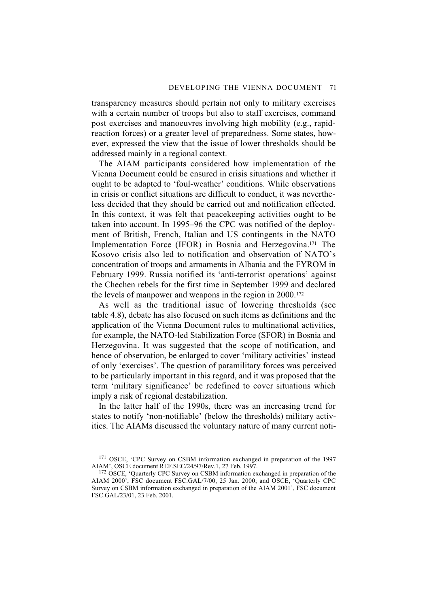transparency measures should pertain not only to military exercises with a certain number of troops but also to staff exercises, command post exercises and manoeuvres involving high mobility (e.g., rapidreaction forces) or a greater level of preparedness. Some states, however, expressed the view that the issue of lower thresholds should be addressed mainly in a regional context.

The AIAM participants considered how implementation of the Vienna Document could be ensured in crisis situations and whether it ought to be adapted to 'foul-weather' conditions. While observations in crisis or conflict situations are difficult to conduct, it was nevertheless decided that they should be carried out and notification effected. In this context, it was felt that peacekeeping activities ought to be taken into account. In 1995–96 the CPC was notified of the deployment of British, French, Italian and US contingents in the NATO Implementation Force (IFOR) in Bosnia and Herzegovina.171 The Kosovo crisis also led to notification and observation of NATO's concentration of troops and armaments in Albania and the FYROM in February 1999. Russia notified its 'anti-terrorist operations' against the Chechen rebels for the first time in September 1999 and declared the levels of manpower and weapons in the region in 2000.<sup>172</sup>

As well as the traditional issue of lowering thresholds (see table 4.8), debate has also focused on such items as definitions and the application of the Vienna Document rules to multinational activities, for example, the NATO-led Stabilization Force (SFOR) in Bosnia and Herzegovina. It was suggested that the scope of notification, and hence of observation, be enlarged to cover 'military activities' instead of only 'exercises'. The question of paramilitary forces was perceived to be particularly important in this regard, and it was proposed that the term 'military significance' be redefined to cover situations which imply a risk of regional destabilization.

In the latter half of the 1990s, there was an increasing trend for states to notify 'non-notifiable' (below the thresholds) military activities. The AIAMs discussed the voluntary nature of many current noti-

<sup>171</sup> OSCE, 'CPC Survey on CSBM information exchanged in preparation of the 1997 AIAM', OSCE document REF.SEC/24/97/Rev.1, 27 Feb. 1997.

<sup>&</sup>lt;sup>172</sup> OSCE, 'Quarterly CPC Survey on CSBM information exchanged in preparation of the AIAM 2000', FSC document FSC.GAL/7/00, 25 Jan. 2000; and OSCE, 'Quarterly CPC Survey on CSBM information exchanged in preparation of the AIAM 2001', FSC document FSC.GAL/23/01, 23 Feb. 2001.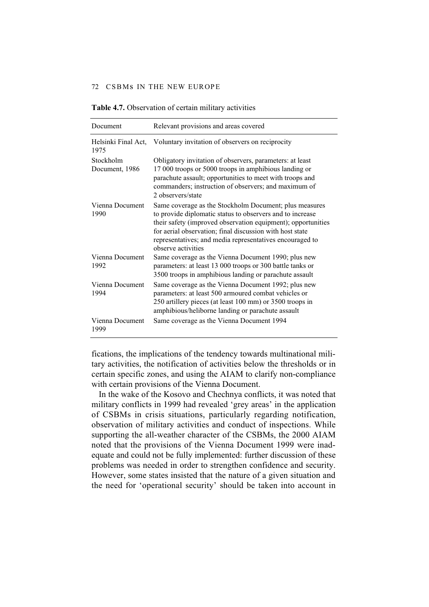| Document                    | Relevant provisions and areas covered                                                                                                                                                                                                                                                                                             |
|-----------------------------|-----------------------------------------------------------------------------------------------------------------------------------------------------------------------------------------------------------------------------------------------------------------------------------------------------------------------------------|
| Helsinki Final Act,<br>1975 | Voluntary invitation of observers on reciprocity                                                                                                                                                                                                                                                                                  |
| Stockholm<br>Document, 1986 | Obligatory invitation of observers, parameters: at least<br>17 000 troops or 5000 troops in amphibious landing or<br>parachute assault; opportunities to meet with troops and<br>commanders; instruction of observers; and maximum of<br>2 observers/state                                                                        |
| Vienna Document<br>1990     | Same coverage as the Stockholm Document; plus measures<br>to provide diplomatic status to observers and to increase<br>their safety (improved observation equipment); opportunities<br>for aerial observation; final discussion with host state<br>representatives; and media representatives encouraged to<br>observe activities |
| Vienna Document<br>1992     | Same coverage as the Vienna Document 1990; plus new<br>parameters: at least 13 000 troops or 300 battle tanks or<br>3500 troops in amphibious landing or parachute assault                                                                                                                                                        |
| Vienna Document<br>1994     | Same coverage as the Vienna Document 1992; plus new<br>parameters: at least 500 armoured combat vehicles or<br>250 artillery pieces (at least 100 mm) or 3500 troops in<br>amphibious/heliborne landing or parachute assault                                                                                                      |
| Vienna Document<br>1999     | Same coverage as the Vienna Document 1994                                                                                                                                                                                                                                                                                         |

#### **Table 4.7.** Observation of certain military activities

fications, the implications of the tendency towards multinational military activities, the notification of activities below the thresholds or in certain specific zones, and using the AIAM to clarify non-compliance with certain provisions of the Vienna Document.

In the wake of the Kosovo and Chechnya conflicts, it was noted that military conflicts in 1999 had revealed 'grey areas' in the application of CSBMs in crisis situations, particularly regarding notification, observation of military activities and conduct of inspections. While supporting the all-weather character of the CSBMs, the 2000 AIAM noted that the provisions of the Vienna Document 1999 were inadequate and could not be fully implemented: further discussion of these problems was needed in order to strengthen confidence and security. However, some states insisted that the nature of a given situation and the need for 'operational security' should be taken into account in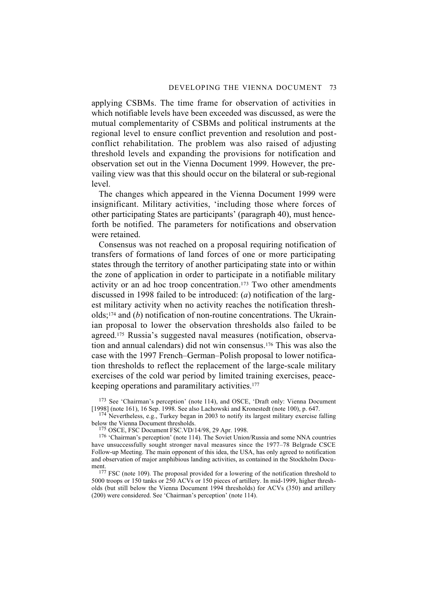applying CSBMs. The time frame for observation of activities in which notifiable levels have been exceeded was discussed, as were the mutual complementarity of CSBMs and political instruments at the regional level to ensure conflict prevention and resolution and postconflict rehabilitation. The problem was also raised of adjusting threshold levels and expanding the provisions for notification and observation set out in the Vienna Document 1999. However, the prevailing view was that this should occur on the bilateral or sub-regional level.

The changes which appeared in the Vienna Document 1999 were insignificant. Military activities, 'including those where forces of other participating States are participants' (paragraph 40), must henceforth be notified. The parameters for notifications and observation were retained.

Consensus was not reached on a proposal requiring notification of transfers of formations of land forces of one or more participating states through the territory of another participating state into or within the zone of application in order to participate in a notifiable military activity or an ad hoc troop concentration.173 Two other amendments discussed in 1998 failed to be introduced: (*a*) notification of the largest military activity when no activity reaches the notification thresholds;174 and (*b*) notification of non-routine concentrations. The Ukrainian proposal to lower the observation thresholds also failed to be agreed.175 Russia's suggested naval measures (notification, observation and annual calendars) did not win consensus.176 This was also the case with the 1997 French–German–Polish proposal to lower notification thresholds to reflect the replacement of the large-scale military exercises of the cold war period by limited training exercises, peacekeeping operations and paramilitary activities.177

173 See 'Chairman's perception' (note 114), and OSCE, 'Draft only: Vienna Document [1998] (note 161), 16 Sep. 1998. See also Lachowski and Kronestedt (note 100), p. 647.

<sup>174</sup> Nevertheless, e.g., Turkey began in 2003 to notify its largest military exercise falling below the Vienna Document thresholds.

175 OSCE, FSC Document FSC.VD/14/98, 29 Apr. 1998.

<sup>176</sup> 'Chairman's perception' (note 114). The Soviet Union/Russia and some NNA countries have unsuccessfully sought stronger naval measures since the 1977–78 Belgrade CSCE Follow-up Meeting. The main opponent of this idea, the USA, has only agreed to notification and observation of major amphibious landing activities, as contained in the Stockholm Document.

<sup>177</sup> FSC (note 109). The proposal provided for a lowering of the notification threshold to 5000 troops or 150 tanks or 250 ACVs or 150 pieces of artillery. In mid-1999, higher thresholds (but still below the Vienna Document 1994 thresholds) for ACVs (350) and artillery (200) were considered. See 'Chairman's perception' (note 114).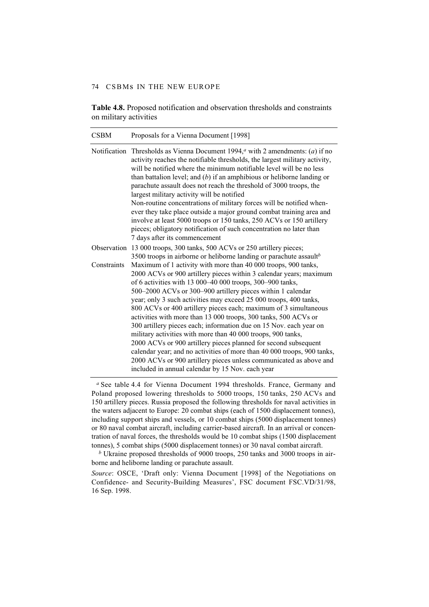**Table 4.8.** Proposed notification and observation thresholds and constraints on military activities

| <b>CSBM</b> | Proposals for a Vienna Document [1998]                                                                                                                                                                                                                                                                                                                                                                                                                                                                                                                                                                                                                                                                                                                                                                                                                                                     |
|-------------|--------------------------------------------------------------------------------------------------------------------------------------------------------------------------------------------------------------------------------------------------------------------------------------------------------------------------------------------------------------------------------------------------------------------------------------------------------------------------------------------------------------------------------------------------------------------------------------------------------------------------------------------------------------------------------------------------------------------------------------------------------------------------------------------------------------------------------------------------------------------------------------------|
|             | Notification Thresholds as Vienna Document 1994, $a$ with 2 amendments: (a) if no<br>activity reaches the notifiable thresholds, the largest military activity,<br>will be notified where the minimum notifiable level will be no less<br>than battalion level; and $(b)$ if an amphibious or heliborne landing or<br>parachute assault does not reach the threshold of 3000 troops, the<br>largest military activity will be notified<br>Non-routine concentrations of military forces will be notified when-<br>ever they take place outside a major ground combat training area and<br>involve at least 5000 troops or 150 tanks, 250 ACVs or 150 artillery<br>pieces; obligatory notification of such concentration no later than<br>7 days after its commencement                                                                                                                     |
|             | Observation 13 000 troops, 300 tanks, 500 ACVs or 250 artillery pieces;<br>3500 troops in airborne or heliborne landing or parachute assault <sup>b</sup>                                                                                                                                                                                                                                                                                                                                                                                                                                                                                                                                                                                                                                                                                                                                  |
| Constraints | Maximum of 1 activity with more than 40 000 troops, 900 tanks,<br>2000 ACVs or 900 artillery pieces within 3 calendar years; maximum<br>of 6 activities with 13 000-40 000 troops, 300-900 tanks,<br>500-2000 ACVs or 300-900 artillery pieces within 1 calendar<br>year; only 3 such activities may exceed 25 000 troops, 400 tanks,<br>800 ACVs or 400 artillery pieces each; maximum of 3 simultaneous<br>activities with more than 13 000 troops, 300 tanks, 500 ACVs or<br>300 artillery pieces each; information due on 15 Nov. each year on<br>military activities with more than 40 000 troops, 900 tanks,<br>2000 ACVs or 900 artillery pieces planned for second subsequent<br>calendar year; and no activities of more than 40 000 troops, 900 tanks,<br>2000 ACVs or 900 artillery pieces unless communicated as above and<br>included in annual calendar by 15 Nov. each year |

<sup>a</sup> See table 4.4 for Vienna Document 1994 thresholds. France, Germany and Poland proposed lowering thresholds to 5000 troops, 150 tanks, 250 ACVs and 150 artillery pieces. Russia proposed the following thresholds for naval activities in the waters adjacent to Europe: 20 combat ships (each of 1500 displacement tonnes), including support ships and vessels, or 10 combat ships (5000 displacement tonnes) or 80 naval combat aircraft, including carrier-based aircraft. In an arrival or concentration of naval forces, the thresholds would be 10 combat ships (1500 displacement tonnes), 5 combat ships (5000 displacement tonnes) or 30 naval combat aircraft.

*b* Ukraine proposed thresholds of 9000 troops, 250 tanks and 3000 troops in airborne and heliborne landing or parachute assault.

*Source*: OSCE, 'Draft only: Vienna Document [1998] of the Negotiations on Confidence- and Security-Building Measures', FSC document FSC.VD/31/98, 16 Sep. 1998.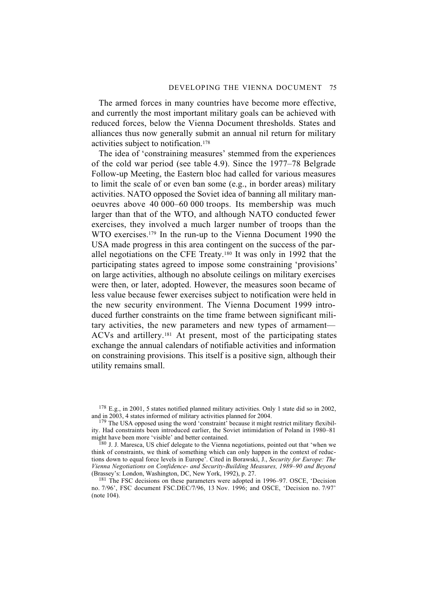The armed forces in many countries have become more effective, and currently the most important military goals can be achieved with reduced forces, below the Vienna Document thresholds. States and alliances thus now generally submit an annual nil return for military activities subject to notification.178

The idea of 'constraining measures' stemmed from the experiences of the cold war period (see table 4.9). Since the 1977–78 Belgrade Follow-up Meeting, the Eastern bloc had called for various measures to limit the scale of or even ban some (e.g., in border areas) military activities. NATO opposed the Soviet idea of banning all military manoeuvres above 40 000–60 000 troops. Its membership was much larger than that of the WTO, and although NATO conducted fewer exercises, they involved a much larger number of troops than the WTO exercises.179 In the run-up to the Vienna Document 1990 the USA made progress in this area contingent on the success of the parallel negotiations on the CFE Treaty.180 It was only in 1992 that the participating states agreed to impose some constraining 'provisions' on large activities, although no absolute ceilings on military exercises were then, or later, adopted. However, the measures soon became of less value because fewer exercises subject to notification were held in the new security environment. The Vienna Document 1999 introduced further constraints on the time frame between significant military activities, the new parameters and new types of armament— ACVs and artillery.181 At present, most of the participating states exchange the annual calendars of notifiable activities and information on constraining provisions. This itself is a positive sign, although their utility remains small.

 $178$  E.g., in 2001, 5 states notified planned military activities. Only 1 state did so in 2002, and in 2003, 4 states informed of military activities planned for 2004.

 $179$  The USA opposed using the word 'constraint' because it might restrict military flexibility. Had constraints been introduced earlier, the Soviet intimidation of Poland in 1980–81 might have been more 'visible' and better contained.

<sup>180</sup> J. J. Maresca, US chief delegate to the Vienna negotiations, pointed out that 'when we think of constraints, we think of something which can only happen in the context of reductions down to equal force levels in Europe'. Cited in Borawski, J., *Security for Europe: The Vienna Negotiations on Confidence- and Security-Building Measures, 1989–90 and Beyond* (Brassey's: London, Washington, DC, New York, 1992), p. 27.

<sup>181</sup> The FSC decisions on these parameters were adopted in 1996–97. OSCE, 'Decision no. 7/96', FSC document FSC.DEC/7/96, 13 Nov. 1996; and OSCE, 'Decision no. 7/97' (note 104).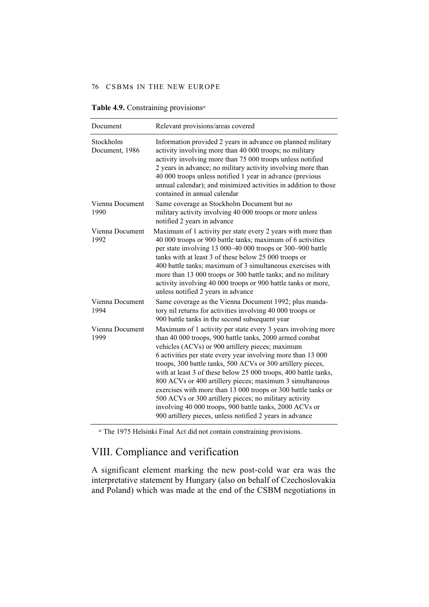#### 76 CSBMs IN THE NEW EUROPE

| Document                    | Relevant provisions/areas covered                                                                                                                                                                                                                                                                                                                                                                                                                                                                                                                                                                                                                                                           |
|-----------------------------|---------------------------------------------------------------------------------------------------------------------------------------------------------------------------------------------------------------------------------------------------------------------------------------------------------------------------------------------------------------------------------------------------------------------------------------------------------------------------------------------------------------------------------------------------------------------------------------------------------------------------------------------------------------------------------------------|
| Stockholm<br>Document, 1986 | Information provided 2 years in advance on planned military<br>activity involving more than 40 000 troops; no military<br>activity involving more than 75 000 troops unless notified<br>2 years in advance; no military activity involving more than<br>40 000 troops unless notified 1 year in advance (previous<br>annual calendar); and minimized activities in addition to those<br>contained in annual calendar                                                                                                                                                                                                                                                                        |
| Vienna Document<br>1990     | Same coverage as Stockholm Document but no<br>military activity involving 40 000 troops or more unless<br>notified 2 years in advance                                                                                                                                                                                                                                                                                                                                                                                                                                                                                                                                                       |
| Vienna Document<br>1992     | Maximum of 1 activity per state every 2 years with more than<br>40 000 troops or 900 battle tanks; maximum of 6 activities<br>per state involving 13 000-40 000 troops or 300-900 battle<br>tanks with at least 3 of these below 25 000 troops or<br>400 battle tanks; maximum of 3 simultaneous exercises with<br>more than 13 000 troops or 300 battle tanks; and no military<br>activity involving 40 000 troops or 900 battle tanks or more,<br>unless notified 2 years in advance                                                                                                                                                                                                      |
| Vienna Document<br>1994     | Same coverage as the Vienna Document 1992; plus manda-<br>tory nil returns for activities involving 40 000 troops or<br>900 battle tanks in the second subsequent year                                                                                                                                                                                                                                                                                                                                                                                                                                                                                                                      |
| Vienna Document<br>1999     | Maximum of 1 activity per state every 3 years involving more<br>than 40 000 troops, 900 battle tanks, 2000 armed combat<br>vehicles (ACVs) or 900 artillery pieces; maximum<br>6 activities per state every year involving more than 13 000<br>troops, 300 battle tanks, 500 ACVs or 300 artillery pieces,<br>with at least 3 of these below 25 000 troops, 400 battle tanks,<br>800 ACVs or 400 artillery pieces; maximum 3 simultaneous<br>exercises with more than 13 000 troops or 300 battle tanks or<br>500 ACVs or 300 artillery pieces; no military activity<br>involving 40 000 troops, 900 battle tanks, 2000 ACVs or<br>900 artillery pieces, unless notified 2 years in advance |

#### **Table 4.9.** Constraining provisions*<sup>a</sup>*

*<sup>a</sup>* The 1975 Helsinki Final Act did not contain constraining provisions.

# VIII. Compliance and verification

A significant element marking the new post-cold war era was the interpretative statement by Hungary (also on behalf of Czechoslovakia and Poland) which was made at the end of the CSBM negotiations in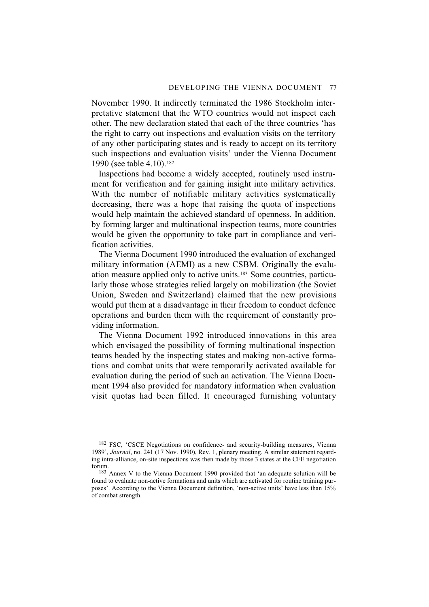November 1990. It indirectly terminated the 1986 Stockholm interpretative statement that the WTO countries would not inspect each other. The new declaration stated that each of the three countries 'has the right to carry out inspections and evaluation visits on the territory of any other participating states and is ready to accept on its territory such inspections and evaluation visits' under the Vienna Document 1990 (see table 4.10).182

Inspections had become a widely accepted, routinely used instrument for verification and for gaining insight into military activities. With the number of notifiable military activities systematically decreasing, there was a hope that raising the quota of inspections would help maintain the achieved standard of openness. In addition, by forming larger and multinational inspection teams, more countries would be given the opportunity to take part in compliance and verification activities.

The Vienna Document 1990 introduced the evaluation of exchanged military information (AEMI) as a new CSBM. Originally the evaluation measure applied only to active units.183 Some countries, particularly those whose strategies relied largely on mobilization (the Soviet Union, Sweden and Switzerland) claimed that the new provisions would put them at a disadvantage in their freedom to conduct defence operations and burden them with the requirement of constantly providing information.

The Vienna Document 1992 introduced innovations in this area which envisaged the possibility of forming multinational inspection teams headed by the inspecting states and making non-active formations and combat units that were temporarily activated available for evaluation during the period of such an activation. The Vienna Document 1994 also provided for mandatory information when evaluation visit quotas had been filled. It encouraged furnishing voluntary

<sup>182</sup> FSC, 'CSCE Negotiations on confidence- and security-building measures, Vienna 1989', *Journal*, no. 241 (17 Nov. 1990), Rev. 1, plenary meeting. A similar statement regarding intra-alliance, on-site inspections was then made by those 3 states at the CFE negotiation forum.

<sup>183</sup> Annex V to the Vienna Document 1990 provided that 'an adequate solution will be found to evaluate non-active formations and units which are activated for routine training purposes'. According to the Vienna Document definition, 'non-active units' have less than 15% of combat strength.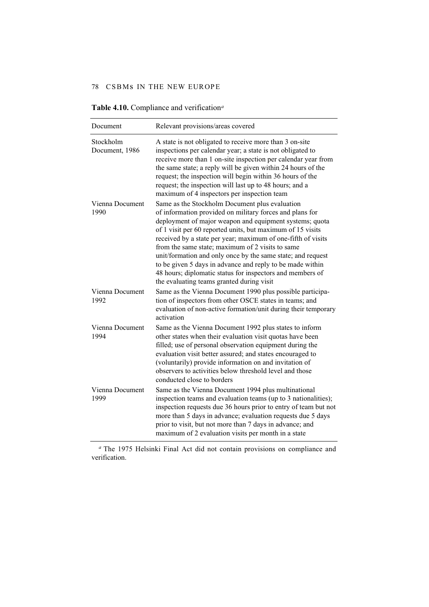| Document                    | Relevant provisions/areas covered                                                                                                                                                                                                                                                                                                                                                                                                                                                                                                                                                             |
|-----------------------------|-----------------------------------------------------------------------------------------------------------------------------------------------------------------------------------------------------------------------------------------------------------------------------------------------------------------------------------------------------------------------------------------------------------------------------------------------------------------------------------------------------------------------------------------------------------------------------------------------|
| Stockholm<br>Document, 1986 | A state is not obligated to receive more than 3 on-site<br>inspections per calendar year; a state is not obligated to<br>receive more than 1 on-site inspection per calendar year from<br>the same state; a reply will be given within 24 hours of the<br>request; the inspection will begin within 36 hours of the<br>request; the inspection will last up to 48 hours; and a<br>maximum of 4 inspectors per inspection team                                                                                                                                                                 |
| Vienna Document<br>1990     | Same as the Stockholm Document plus evaluation<br>of information provided on military forces and plans for<br>deployment of major weapon and equipment systems; quota<br>of 1 visit per 60 reported units, but maximum of 15 visits<br>received by a state per year; maximum of one-fifth of visits<br>from the same state; maximum of 2 visits to same<br>unit/formation and only once by the same state; and request<br>to be given 5 days in advance and reply to be made within<br>48 hours; diplomatic status for inspectors and members of<br>the evaluating teams granted during visit |
| Vienna Document<br>1992     | Same as the Vienna Document 1990 plus possible participa-<br>tion of inspectors from other OSCE states in teams; and<br>evaluation of non-active formation/unit during their temporary<br>activation                                                                                                                                                                                                                                                                                                                                                                                          |
| Vienna Document<br>1994     | Same as the Vienna Document 1992 plus states to inform<br>other states when their evaluation visit quotas have been<br>filled; use of personal observation equipment during the<br>evaluation visit better assured; and states encouraged to<br>(voluntarily) provide information on and invitation of<br>observers to activities below threshold level and those<br>conducted close to borders                                                                                                                                                                                               |
| Vienna Document<br>1999     | Same as the Vienna Document 1994 plus multinational<br>inspection teams and evaluation teams (up to 3 nationalities);<br>inspection requests due 36 hours prior to entry of team but not<br>more than 5 days in advance; evaluation requests due 5 days<br>prior to visit, but not more than 7 days in advance; and<br>maximum of 2 evaluation visits per month in a state                                                                                                                                                                                                                    |

#### **Table 4.10.** Compliance and verification*<sup>a</sup>*

*<sup>a</sup>* The 1975 Helsinki Final Act did not contain provisions on compliance and verification.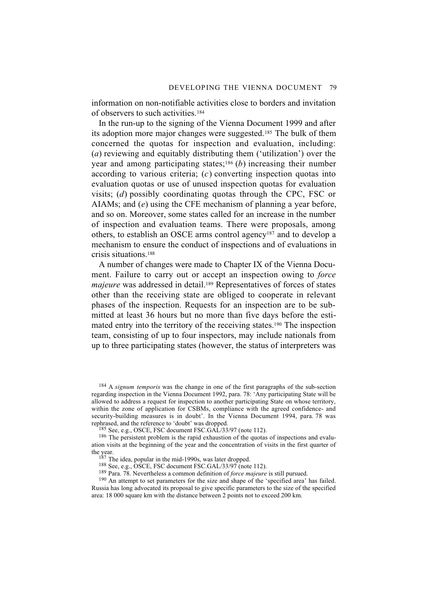information on non-notifiable activities close to borders and invitation of observers to such activities.184

In the run-up to the signing of the Vienna Document 1999 and after its adoption more major changes were suggested.185 The bulk of them concerned the quotas for inspection and evaluation, including: (*a*) reviewing and equitably distributing them ('utilization') over the year and among participating states;186 (*b*) increasing their number according to various criteria; (*c*) converting inspection quotas into evaluation quotas or use of unused inspection quotas for evaluation visits; (*d*) possibly coordinating quotas through the CPC, FSC or AIAMs; and (*e*) using the CFE mechanism of planning a year before, and so on. Moreover, some states called for an increase in the number of inspection and evaluation teams. There were proposals, among others, to establish an OSCE arms control agency187 and to develop a mechanism to ensure the conduct of inspections and of evaluations in crisis situations.188

A number of changes were made to Chapter IX of the Vienna Document. Failure to carry out or accept an inspection owing to *force majeure* was addressed in detail.<sup>189</sup> Representatives of forces of states other than the receiving state are obliged to cooperate in relevant phases of the inspection. Requests for an inspection are to be submitted at least 36 hours but no more than five days before the estimated entry into the territory of the receiving states.190 The inspection team, consisting of up to four inspectors, may include nationals from up to three participating states (however, the status of interpreters was

184 A *signum temporis* was the change in one of the first paragraphs of the sub-section regarding inspection in the Vienna Document 1992, para. 78: 'Any participating State will be allowed to address a request for inspection to another participating State on whose territory, within the zone of application for CSBMs, compliance with the agreed confidence- and security-building measures is in doubt'. In the Vienna Document 1994, para. 78 was rephrased, and the reference to 'doubt' was dropped.

 $185$  See, e.g., OSCE, FSC document FSC.GAL/33/97 (note 112).

<sup>186</sup> The persistent problem is the rapid exhaustion of the quotas of inspections and evaluation visits at the beginning of the year and the concentration of visits in the first quarter of the year.

<sup>187</sup> The idea, popular in the mid-1990s, was later dropped.

 $188$  See, e.g., OSCE, FSC document FSC.GAL/33/97 (note 112).

189 Para. 78. Nevertheless a common definition of *force majeure* is still pursued.

<sup>190</sup> An attempt to set parameters for the size and shape of the 'specified area' has failed. Russia has long advocated its proposal to give specific parameters to the size of the specified area: 18 000 square km with the distance between 2 points not to exceed 200 km.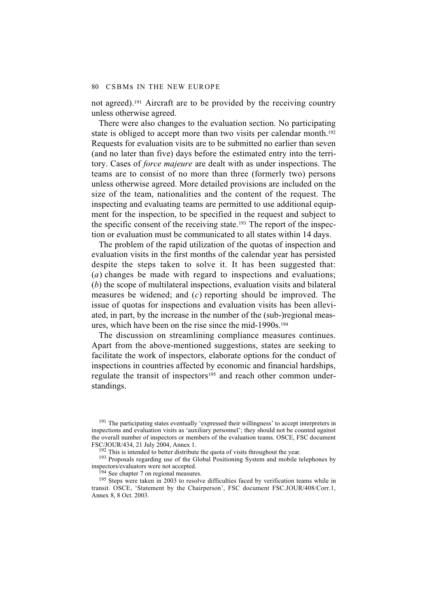not agreed).191 Aircraft are to be provided by the receiving country unless otherwise agreed.

There were also changes to the evaluation section. No participating state is obliged to accept more than two visits per calendar month.<sup>192</sup> Requests for evaluation visits are to be submitted no earlier than seven (and no later than five) days before the estimated entry into the territory. Cases of *force majeure* are dealt with as under inspections. The teams are to consist of no more than three (formerly two) persons unless otherwise agreed. More detailed provisions are included on the size of the team, nationalities and the content of the request. The inspecting and evaluating teams are permitted to use additional equipment for the inspection, to be specified in the request and subject to the specific consent of the receiving state.193 The report of the inspection or evaluation must be communicated to all states within 14 days.

The problem of the rapid utilization of the quotas of inspection and evaluation visits in the first months of the calendar year has persisted despite the steps taken to solve it. It has been suggested that: (*a*) changes be made with regard to inspections and evaluations; (*b*) the scope of multilateral inspections, evaluation visits and bilateral measures be widened; and (*c*) reporting should be improved. The issue of quotas for inspections and evaluation visits has been alleviated, in part, by the increase in the number of the (sub-)regional measures, which have been on the rise since the mid-1990s.194

The discussion on streamlining compliance measures continues. Apart from the above-mentioned suggestions, states are seeking to facilitate the work of inspectors, elaborate options for the conduct of inspections in countries affected by economic and financial hardships, regulate the transit of inspectors<sup>195</sup> and reach other common understandings.

<sup>191</sup> The participating states eventually 'expressed their willingness' to accept interpreters in inspections and evaluation visits as 'auxiliary personnel'; they should not be counted against the overall number of inspectors or members of the evaluation teams. OSCE, FSC document FSC/JOUR/434, 21 July 2004, Annex 1.

 $192$  This is intended to better distribute the quota of visits throughout the year.

<sup>193</sup> Proposals regarding use of the Global Positioning System and mobile telephones by inspectors/evaluators were not accepted.

<sup>194</sup> See chapter 7 on regional measures.

<sup>195</sup> Steps were taken in 2003 to resolve difficulties faced by verification teams while in transit. OSCE, 'Statement by the Chairperson', FSC document FSC.JOUR/408/Corr.1, Annex 8, 8 Oct. 2003.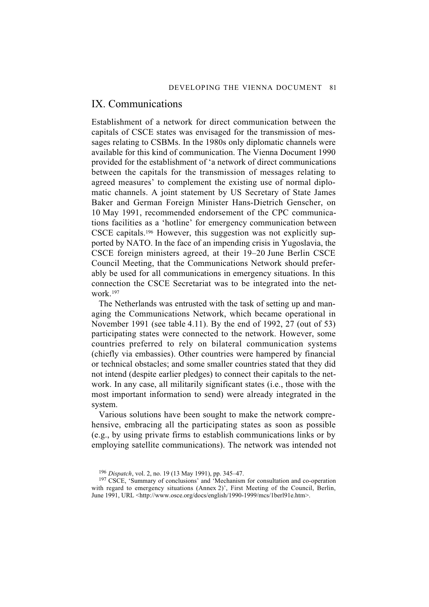# IX. Communications

Establishment of a network for direct communication between the capitals of CSCE states was envisaged for the transmission of messages relating to CSBMs. In the 1980s only diplomatic channels were available for this kind of communication. The Vienna Document 1990 provided for the establishment of 'a network of direct communications between the capitals for the transmission of messages relating to agreed measures' to complement the existing use of normal diplomatic channels. A joint statement by US Secretary of State James Baker and German Foreign Minister Hans-Dietrich Genscher, on 10 May 1991, recommended endorsement of the CPC communications facilities as a 'hotline' for emergency communication between CSCE capitals.196 However, this suggestion was not explicitly supported by NATO. In the face of an impending crisis in Yugoslavia, the CSCE foreign ministers agreed, at their 19–20 June Berlin CSCE Council Meeting, that the Communications Network should preferably be used for all communications in emergency situations. In this connection the CSCE Secretariat was to be integrated into the network.197

The Netherlands was entrusted with the task of setting up and managing the Communications Network, which became operational in November 1991 (see table 4.11). By the end of 1992, 27 (out of 53) participating states were connected to the network. However, some countries preferred to rely on bilateral communication systems (chiefly via embassies). Other countries were hampered by financial or technical obstacles; and some smaller countries stated that they did not intend (despite earlier pledges) to connect their capitals to the network. In any case, all militarily significant states (i.e., those with the most important information to send) were already integrated in the system.

Various solutions have been sought to make the network comprehensive, embracing all the participating states as soon as possible (e.g., by using private firms to establish communications links or by employing satellite communications). The network was intended not

<sup>196</sup> *Dispatch*, vol. 2, no. 19 (13 May 1991), pp. 345–47.

<sup>&</sup>lt;sup>197</sup> CSCE, 'Summary of conclusions' and 'Mechanism for consultation and co-operation with regard to emergency situations (Annex 2)', First Meeting of the Council, Berlin, June 1991, URL <http://www.osce.org/docs/english/1990-1999/mcs/1berl91e.htm>.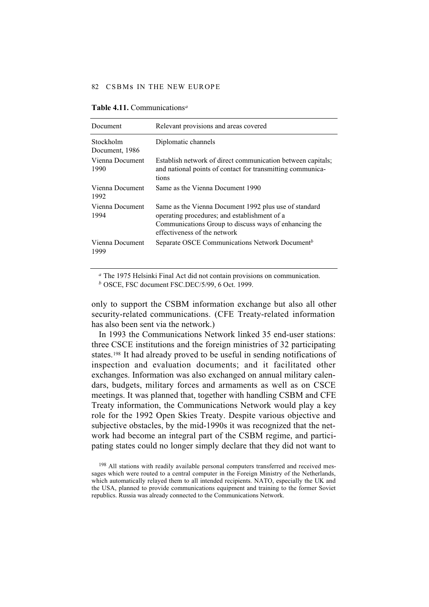| Document                    | Relevant provisions and areas covered                                                                                                                                                          |
|-----------------------------|------------------------------------------------------------------------------------------------------------------------------------------------------------------------------------------------|
| Stockholm<br>Document, 1986 | Diplomatic channels                                                                                                                                                                            |
| Vienna Document<br>1990     | Establish network of direct communication between capitals;<br>and national points of contact for transmitting communica-<br>tions                                                             |
| Vienna Document<br>1992     | Same as the Vienna Document 1990                                                                                                                                                               |
| Vienna Document<br>1994     | Same as the Vienna Document 1992 plus use of standard<br>operating procedures; and establishment of a<br>Communications Group to discuss ways of enhancing the<br>effectiveness of the network |
| Vienna Document<br>1999     | Separate OSCE Communications Network Document <sup>b</sup>                                                                                                                                     |

#### **Table 4.11.** Communications*<sup>a</sup>*

*<sup>a</sup>* The 1975 Helsinki Final Act did not contain provisions on communication.

*<sup>b</sup>* OSCE, FSC document FSC.DEC/5/99, 6 Oct. 1999.

only to support the CSBM information exchange but also all other security-related communications. (CFE Treaty-related information has also been sent via the network.)

In 1993 the Communications Network linked 35 end-user stations: three CSCE institutions and the foreign ministries of 32 participating states.198 It had already proved to be useful in sending notifications of inspection and evaluation documents; and it facilitated other exchanges. Information was also exchanged on annual military calendars, budgets, military forces and armaments as well as on CSCE meetings. It was planned that, together with handling CSBM and CFE Treaty information, the Communications Network would play a key role for the 1992 Open Skies Treaty. Despite various objective and subjective obstacles, by the mid-1990s it was recognized that the network had become an integral part of the CSBM regime, and participating states could no longer simply declare that they did not want to

<sup>&</sup>lt;sup>198</sup> All stations with readily available personal computers transferred and received messages which were routed to a central computer in the Foreign Ministry of the Netherlands, which automatically relayed them to all intended recipients. NATO, especially the UK and the USA, planned to provide communications equipment and training to the former Soviet republics. Russia was already connected to the Communications Network.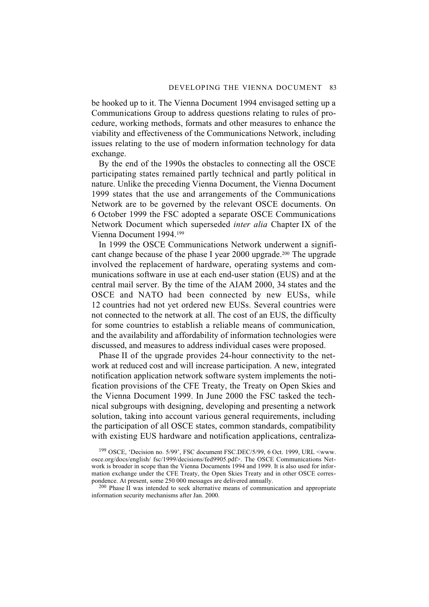be hooked up to it. The Vienna Document 1994 envisaged setting up a Communications Group to address questions relating to rules of procedure, working methods, formats and other measures to enhance the viability and effectiveness of the Communications Network, including issues relating to the use of modern information technology for data exchange.

By the end of the 1990s the obstacles to connecting all the OSCE participating states remained partly technical and partly political in nature. Unlike the preceding Vienna Document, the Vienna Document 1999 states that the use and arrangements of the Communications Network are to be governed by the relevant OSCE documents. On 6 October 1999 the FSC adopted a separate OSCE Communications Network Document which superseded *inter alia* Chapter IX of the Vienna Document 1994.199

In 1999 the OSCE Communications Network underwent a significant change because of the phase I year 2000 upgrade.<sup>200</sup> The upgrade involved the replacement of hardware, operating systems and communications software in use at each end-user station (EUS) and at the central mail server. By the time of the AIAM 2000, 34 states and the OSCE and NATO had been connected by new EUSs, while 12 countries had not yet ordered new EUSs. Several countries were not connected to the network at all. The cost of an EUS, the difficulty for some countries to establish a reliable means of communication, and the availability and affordability of information technologies were discussed, and measures to address individual cases were proposed.

Phase II of the upgrade provides 24-hour connectivity to the network at reduced cost and will increase participation. A new, integrated notification application network software system implements the notification provisions of the CFE Treaty, the Treaty on Open Skies and the Vienna Document 1999. In June 2000 the FSC tasked the technical subgroups with designing, developing and presenting a network solution, taking into account various general requirements, including the participation of all OSCE states, common standards, compatibility with existing EUS hardware and notification applications, centraliza-

199 OSCE, 'Decision no. 5/99', FSC document FSC.DEC/5/99, 6 Oct. 1999, URL <www. osce.org/docs/english/ fsc/1999/decisions/fed9905.pdf>. The OSCE Communications Network is broader in scope than the Vienna Documents 1994 and 1999. It is also used for information exchange under the CFE Treaty, the Open Skies Treaty and in other OSCE correspondence. At present, some 250 000 messages are delivered annually.

<sup>200</sup> Phase II was intended to seek alternative means of communication and appropriate information security mechanisms after Jan. 2000.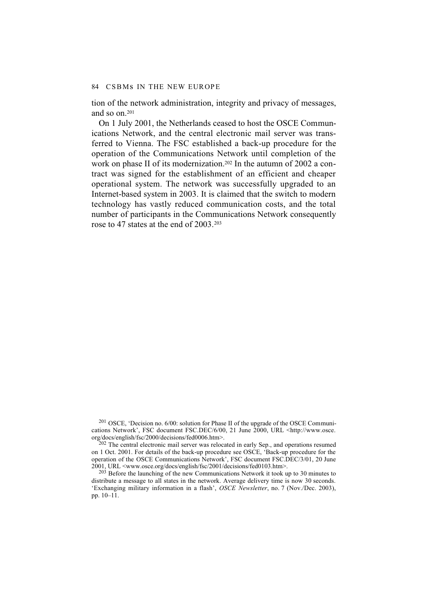tion of the network administration, integrity and privacy of messages, and so on.201

On 1 July 2001, the Netherlands ceased to host the OSCE Communications Network, and the central electronic mail server was transferred to Vienna. The FSC established a back-up procedure for the operation of the Communications Network until completion of the work on phase II of its modernization.<sup>202</sup> In the autumn of 2002 a contract was signed for the establishment of an efficient and cheaper operational system. The network was successfully upgraded to an Internet-based system in 2003. It is claimed that the switch to modern technology has vastly reduced communication costs, and the total number of participants in the Communications Network consequently rose to 47 states at the end of 2003.203

201 OSCE, 'Decision no. 6/00: solution for Phase II of the upgrade of the OSCE Communications Network', FSC document FSC.DEC/6/00, 21 June 2000, URL <http://www.osce. org/docs/english/fsc/2000/decisions/fed0006.htm>.

 $202$  The central electronic mail server was relocated in early Sep., and operations resumed on 1 Oct. 2001. For details of the back-up procedure see OSCE, 'Back-up procedure for the operation of the OSCE Communications Network', FSC document FSC.DEC/3/01, 20 June 2001, URL <www.osce.org/docs/english/fsc/2001/decisions/fed0103.htm>.

 $^{203}$  Before the launching of the new Communications Network it took up to 30 minutes to distribute a message to all states in the network. Average delivery time is now 30 seconds. 'Exchanging military information in a flash', *OSCE Newsletter*, no. 7 (Nov./Dec. 2003), pp. 10–11.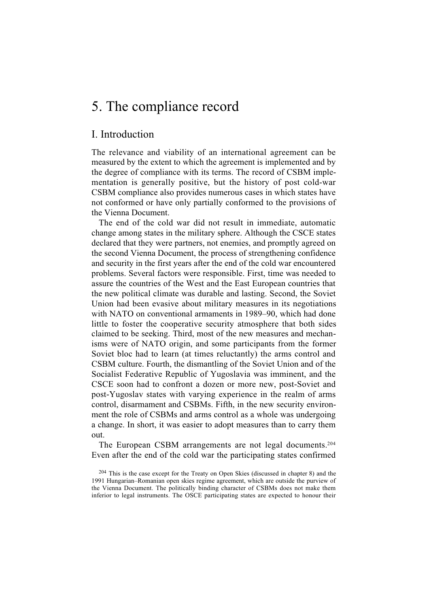# 5. The compliance record

# I. Introduction

The relevance and viability of an international agreement can be measured by the extent to which the agreement is implemented and by the degree of compliance with its terms. The record of CSBM implementation is generally positive, but the history of post cold-war CSBM compliance also provides numerous cases in which states have not conformed or have only partially conformed to the provisions of the Vienna Document.

The end of the cold war did not result in immediate, automatic change among states in the military sphere. Although the CSCE states declared that they were partners, not enemies, and promptly agreed on the second Vienna Document, the process of strengthening confidence and security in the first years after the end of the cold war encountered problems. Several factors were responsible. First, time was needed to assure the countries of the West and the East European countries that the new political climate was durable and lasting. Second, the Soviet Union had been evasive about military measures in its negotiations with NATO on conventional armaments in 1989–90, which had done little to foster the cooperative security atmosphere that both sides claimed to be seeking. Third, most of the new measures and mechanisms were of NATO origin, and some participants from the former Soviet bloc had to learn (at times reluctantly) the arms control and CSBM culture. Fourth, the dismantling of the Soviet Union and of the Socialist Federative Republic of Yugoslavia was imminent, and the CSCE soon had to confront a dozen or more new, post-Soviet and post-Yugoslav states with varying experience in the realm of arms control, disarmament and CSBMs. Fifth, in the new security environment the role of CSBMs and arms control as a whole was undergoing a change. In short, it was easier to adopt measures than to carry them out.

The European CSBM arrangements are not legal documents.204 Even after the end of the cold war the participating states confirmed

<sup>204</sup> This is the case except for the Treaty on Open Skies (discussed in chapter 8) and the 1991 Hungarian–Romanian open skies regime agreement, which are outside the purview of the Vienna Document. The politically binding character of CSBMs does not make them inferior to legal instruments. The OSCE participating states are expected to honour their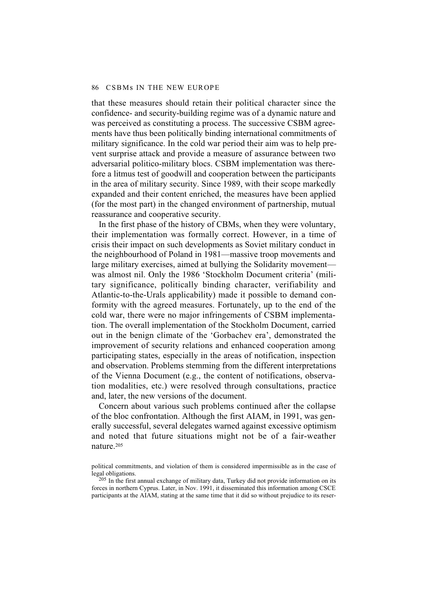that these measures should retain their political character since the confidence- and security-building regime was of a dynamic nature and was perceived as constituting a process. The successive CSBM agreements have thus been politically binding international commitments of military significance. In the cold war period their aim was to help prevent surprise attack and provide a measure of assurance between two adversarial politico-military blocs. CSBM implementation was therefore a litmus test of goodwill and cooperation between the participants in the area of military security. Since 1989, with their scope markedly expanded and their content enriched, the measures have been applied (for the most part) in the changed environment of partnership, mutual reassurance and cooperative security.

In the first phase of the history of CBMs, when they were voluntary, their implementation was formally correct. However, in a time of crisis their impact on such developments as Soviet military conduct in the neighbourhood of Poland in 1981—massive troop movements and large military exercises, aimed at bullying the Solidarity movement was almost nil. Only the 1986 'Stockholm Document criteria' (military significance, politically binding character, verifiability and Atlantic-to-the-Urals applicability) made it possible to demand conformity with the agreed measures. Fortunately, up to the end of the cold war, there were no major infringements of CSBM implementation. The overall implementation of the Stockholm Document, carried out in the benign climate of the 'Gorbachev era', demonstrated the improvement of security relations and enhanced cooperation among participating states, especially in the areas of notification, inspection and observation. Problems stemming from the different interpretations of the Vienna Document (e.g., the content of notifications, observation modalities, etc.) were resolved through consultations, practice and, later, the new versions of the document.

Concern about various such problems continued after the collapse of the bloc confrontation. Although the first AIAM, in 1991, was generally successful, several delegates warned against excessive optimism and noted that future situations might not be of a fair-weather nature.205

political commitments, and violation of them is considered impermissible as in the case of legal obligations.

 $^{205}$  In the first annual exchange of military data, Turkey did not provide information on its forces in northern Cyprus. Later, in Nov. 1991, it disseminated this information among CSCE participants at the AIAM, stating at the same time that it did so without prejudice to its reser-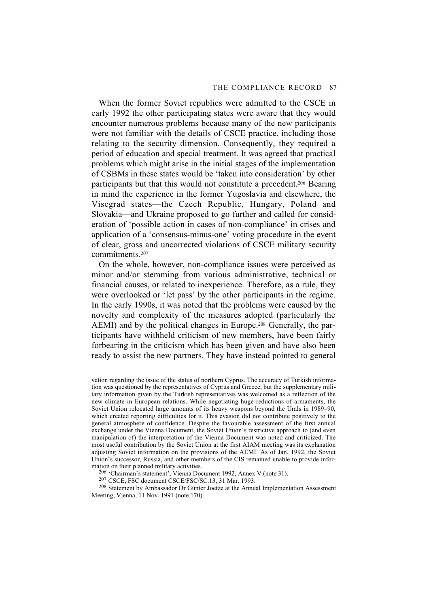When the former Soviet republics were admitted to the CSCE in early 1992 the other participating states were aware that they would encounter numerous problems because many of the new participants were not familiar with the details of CSCE practice, including those relating to the security dimension. Consequently, they required a period of education and special treatment. It was agreed that practical problems which might arise in the initial stages of the implementation of CSBMs in these states would be 'taken into consideration' by other participants but that this would not constitute a precedent.206 Bearing in mind the experience in the former Yugoslavia and elsewhere, the Visegrad states—the Czech Republic, Hungary, Poland and Slovakia—and Ukraine proposed to go further and called for consideration of 'possible action in cases of non-compliance' in crises and application of a 'consensus-minus-one' voting procedure in the event of clear, gross and uncorrected violations of CSCE military security commitments.207

On the whole, however, non-compliance issues were perceived as minor and/or stemming from various administrative, technical or financial causes, or related to inexperience. Therefore, as a rule, they were overlooked or 'let pass' by the other participants in the regime. In the early 1990s, it was noted that the problems were caused by the novelty and complexity of the measures adopted (particularly the AEMI) and by the political changes in Europe.<sup>208</sup> Generally, the participants have withheld criticism of new members, have been fairly forbearing in the criticism which has been given and have also been ready to assist the new partners. They have instead pointed to general

vation regarding the issue of the status of northern Cyprus. The accuracy of Turkish information was questioned by the representatives of Cyprus and Greece, but the supplementary military information given by the Turkish representatives was welcomed as a reflection of the new climate in European relations. While negotiating huge reductions of armaments, the Soviet Union relocated large amounts of its heavy weapons beyond the Urals in 1989–90, which created reporting difficulties for it. This evasion did not contribute positively to the general atmosphere of confidence. Despite the favourable assessment of the first annual exchange under the Vienna Document, the Soviet Union's restrictive approach to (and even manipulation of) the interpretation of the Vienna Document was noted and criticized. The most useful contribution by the Soviet Union at the first AIAM meeting was its explanation adjusting Soviet information on the provisions of the AEMI. As of Jan. 1992, the Soviet Union's successor, Russia, and other members of the CIS remained unable to provide information on their planned military activities.

206 'Chairman's statement', Vienna Document 1992, Annex V (note 31).

207 CSCE, FSC document CSCE/FSC/SC.13, 31 Mar. 1993.

208 Statement by Ambassador Dr Günter Joetze at the Annual Implementation Assessment Meeting, Vienna, 11 Nov. 1991 (note 170).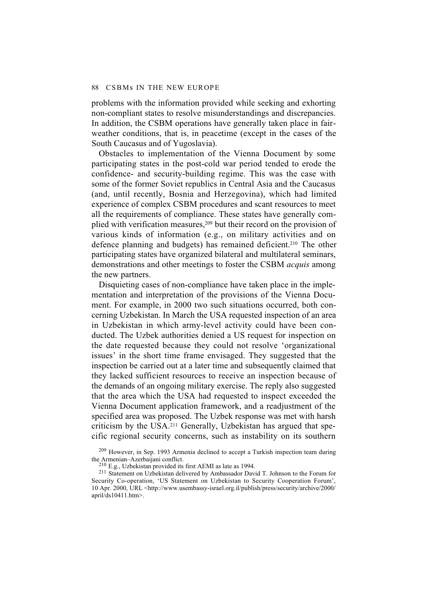problems with the information provided while seeking and exhorting non-compliant states to resolve misunderstandings and discrepancies. In addition, the CSBM operations have generally taken place in fairweather conditions, that is, in peacetime (except in the cases of the South Caucasus and of Yugoslavia).

Obstacles to implementation of the Vienna Document by some participating states in the post-cold war period tended to erode the confidence- and security-building regime. This was the case with some of the former Soviet republics in Central Asia and the Caucasus (and, until recently, Bosnia and Herzegovina), which had limited experience of complex CSBM procedures and scant resources to meet all the requirements of compliance. These states have generally complied with verification measures,<sup>209</sup> but their record on the provision of various kinds of information (e.g., on military activities and on defence planning and budgets) has remained deficient.210 The other participating states have organized bilateral and multilateral seminars, demonstrations and other meetings to foster the CSBM *acquis* among the new partners.

Disquieting cases of non-compliance have taken place in the implementation and interpretation of the provisions of the Vienna Document. For example, in 2000 two such situations occurred, both concerning Uzbekistan. In March the USA requested inspection of an area in Uzbekistan in which army-level activity could have been conducted. The Uzbek authorities denied a US request for inspection on the date requested because they could not resolve 'organizational issues' in the short time frame envisaged. They suggested that the inspection be carried out at a later time and subsequently claimed that they lacked sufficient resources to receive an inspection because of the demands of an ongoing military exercise. The reply also suggested that the area which the USA had requested to inspect exceeded the Vienna Document application framework, and a readjustment of the specified area was proposed. The Uzbek response was met with harsh criticism by the USA.211 Generally, Uzbekistan has argued that specific regional security concerns, such as instability on its southern

<sup>209</sup> However, in Sep. 1993 Armenia declined to accept a Turkish inspection team during the Armenian–Azerbaijani conflict.

<sup>210</sup> E.g., Uzbekistan provided its first AEMI as late as 1994.

<sup>211</sup> Statement on Uzbekistan delivered by Ambassador David T. Johnson to the Forum for Security Co-operation, 'US Statement on Uzbekistan to Security Cooperation Forum', 10 Apr. 2000, URL <http://www.usembassy-israel.org.il/publish/press/security/archive/2000/ april/ds10411.htm>.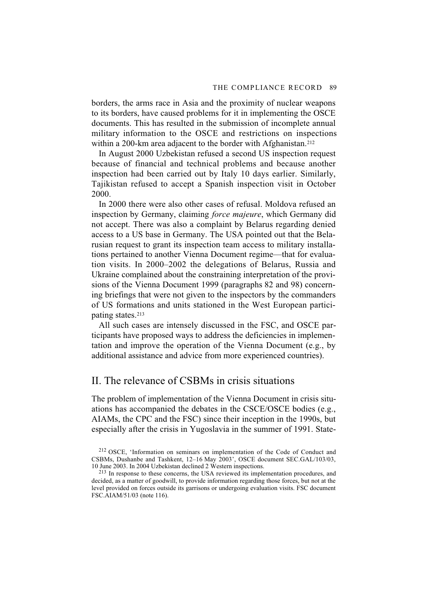borders, the arms race in Asia and the proximity of nuclear weapons to its borders, have caused problems for it in implementing the OSCE documents. This has resulted in the submission of incomplete annual military information to the OSCE and restrictions on inspections within a 200-km area adjacent to the border with Afghanistan.<sup>212</sup>

In August 2000 Uzbekistan refused a second US inspection request because of financial and technical problems and because another inspection had been carried out by Italy 10 days earlier. Similarly, Tajikistan refused to accept a Spanish inspection visit in October 2000.

In 2000 there were also other cases of refusal. Moldova refused an inspection by Germany, claiming *force majeure*, which Germany did not accept. There was also a complaint by Belarus regarding denied access to a US base in Germany. The USA pointed out that the Belarusian request to grant its inspection team access to military installations pertained to another Vienna Document regime—that for evaluation visits. In 2000–2002 the delegations of Belarus, Russia and Ukraine complained about the constraining interpretation of the provisions of the Vienna Document 1999 (paragraphs 82 and 98) concerning briefings that were not given to the inspectors by the commanders of US formations and units stationed in the West European participating states.213

All such cases are intensely discussed in the FSC, and OSCE participants have proposed ways to address the deficiencies in implementation and improve the operation of the Vienna Document (e.g., by additional assistance and advice from more experienced countries).

# II. The relevance of CSBMs in crisis situations

The problem of implementation of the Vienna Document in crisis situations has accompanied the debates in the CSCE/OSCE bodies (e.g., AIAMs, the CPC and the FSC) since their inception in the 1990s, but especially after the crisis in Yugoslavia in the summer of 1991. State-

<sup>212</sup> OSCE, 'Information on seminars on implementation of the Code of Conduct and CSBMs, Dushanbe and Tashkent, 12–16 May 2003', OSCE document SEC.GAL/103/03, 10 June 2003. In 2004 Uzbekistan declined 2 Western inspections.

<sup>213</sup> In response to these concerns, the USA reviewed its implementation procedures, and decided, as a matter of goodwill, to provide information regarding those forces, but not at the level provided on forces outside its garrisons or undergoing evaluation visits. FSC document FSC.AIAM/51/03 (note 116).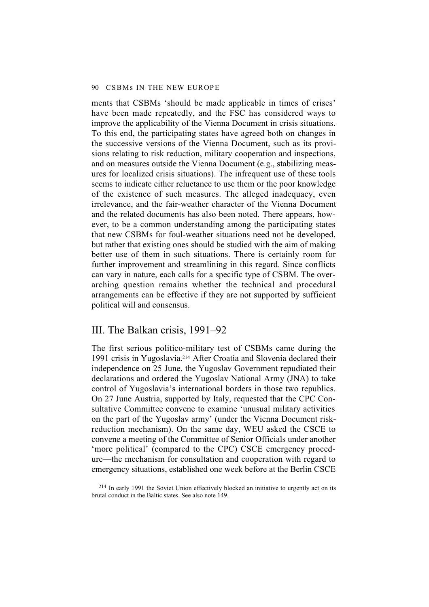ments that CSBMs 'should be made applicable in times of crises' have been made repeatedly, and the FSC has considered ways to improve the applicability of the Vienna Document in crisis situations. To this end, the participating states have agreed both on changes in the successive versions of the Vienna Document, such as its provisions relating to risk reduction, military cooperation and inspections, and on measures outside the Vienna Document (e.g., stabilizing measures for localized crisis situations). The infrequent use of these tools seems to indicate either reluctance to use them or the poor knowledge of the existence of such measures. The alleged inadequacy, even irrelevance, and the fair-weather character of the Vienna Document and the related documents has also been noted. There appears, however, to be a common understanding among the participating states that new CSBMs for foul-weather situations need not be developed, but rather that existing ones should be studied with the aim of making better use of them in such situations. There is certainly room for further improvement and streamlining in this regard. Since conflicts can vary in nature, each calls for a specific type of CSBM. The overarching question remains whether the technical and procedural arrangements can be effective if they are not supported by sufficient political will and consensus.

### III. The Balkan crisis, 1991–92

The first serious politico-military test of CSBMs came during the 1991 crisis in Yugoslavia.214 After Croatia and Slovenia declared their independence on 25 June, the Yugoslav Government repudiated their declarations and ordered the Yugoslav National Army (JNA) to take control of Yugoslavia's international borders in those two republics. On 27 June Austria, supported by Italy, requested that the CPC Consultative Committee convene to examine 'unusual military activities on the part of the Yugoslav army' (under the Vienna Document riskreduction mechanism). On the same day, WEU asked the CSCE to convene a meeting of the Committee of Senior Officials under another 'more political' (compared to the CPC) CSCE emergency procedure—the mechanism for consultation and cooperation with regard to emergency situations, established one week before at the Berlin CSCE

<sup>214</sup> In early 1991 the Soviet Union effectively blocked an initiative to urgently act on its brutal conduct in the Baltic states. See also note 149.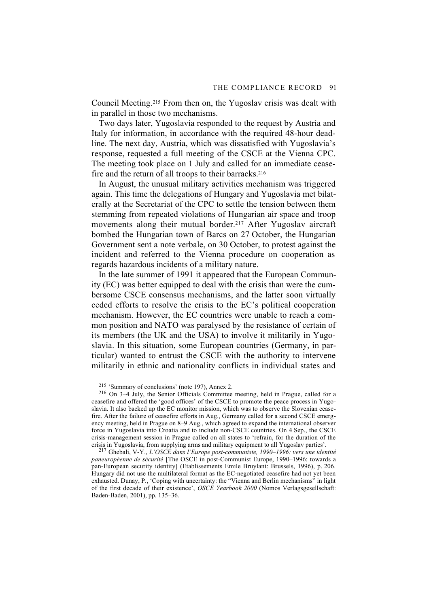Council Meeting.215 From then on, the Yugoslav crisis was dealt with in parallel in those two mechanisms.

Two days later, Yugoslavia responded to the request by Austria and Italy for information, in accordance with the required 48-hour deadline. The next day, Austria, which was dissatisfied with Yugoslavia's response, requested a full meeting of the CSCE at the Vienna CPC. The meeting took place on 1 July and called for an immediate ceasefire and the return of all troops to their barracks.<sup>216</sup>

In August, the unusual military activities mechanism was triggered again. This time the delegations of Hungary and Yugoslavia met bilaterally at the Secretariat of the CPC to settle the tension between them stemming from repeated violations of Hungarian air space and troop movements along their mutual border.217 After Yugoslav aircraft bombed the Hungarian town of Barcs on 27 October, the Hungarian Government sent a note verbale, on 30 October, to protest against the incident and referred to the Vienna procedure on cooperation as regards hazardous incidents of a military nature.

In the late summer of 1991 it appeared that the European Community (EC) was better equipped to deal with the crisis than were the cumbersome CSCE consensus mechanisms, and the latter soon virtually ceded efforts to resolve the crisis to the EC's political cooperation mechanism. However, the EC countries were unable to reach a common position and NATO was paralysed by the resistance of certain of its members (the UK and the USA) to involve it militarily in Yugoslavia. In this situation, some European countries (Germany, in particular) wanted to entrust the CSCE with the authority to intervene militarily in ethnic and nationality conflicts in individual states and

215 'Summary of conclusions' (note 197), Annex 2.

216 On 3–4 July, the Senior Officials Committee meeting, held in Prague, called for a ceasefire and offered the 'good offices' of the CSCE to promote the peace process in Yugoslavia. It also backed up the EC monitor mission, which was to observe the Slovenian ceasefire. After the failure of ceasefire efforts in Aug., Germany called for a second CSCE emergency meeting, held in Prague on 8–9 Aug., which agreed to expand the international observer force in Yugoslavia into Croatia and to include non-CSCE countries. On 4 Sep., the CSCE crisis-management session in Prague called on all states to 'refrain, for the duration of the crisis in Yugoslavia, from supplying arms and military equipment to all Yugoslav parties'.

217 Ghebali, V-Y., *L'OSCE dans l'Europe post-communiste, 1990–1996: vers une identité paneuropéenne de sécurité* [The OSCE in post-Communist Europe, 1990–1996: towards a pan-European security identity] (Etablissements Emile Bruylant: Brussels, 1996), p. 206. Hungary did not use the multilateral format as the EC-negotiated ceasefire had not yet been exhausted. Dunay, P., 'Coping with uncertainty: the "Vienna and Berlin mechanisms" in light of the first decade of their existence', *OSCE Yearbook 2000* (Nomos Verlagsgesellschaft: Baden-Baden, 2001), pp. 135–36.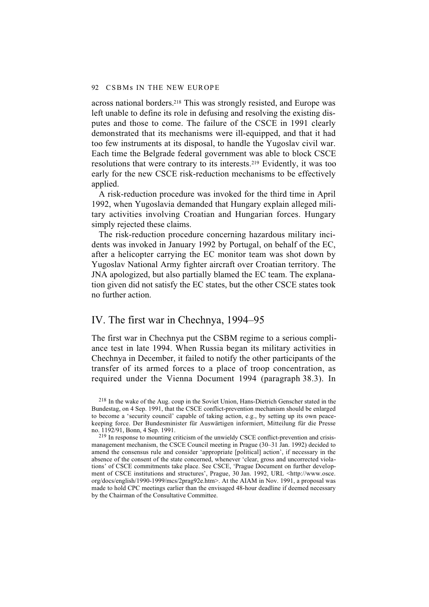across national borders.218 This was strongly resisted, and Europe was left unable to define its role in defusing and resolving the existing disputes and those to come. The failure of the CSCE in 1991 clearly demonstrated that its mechanisms were ill-equipped, and that it had too few instruments at its disposal, to handle the Yugoslav civil war. Each time the Belgrade federal government was able to block CSCE resolutions that were contrary to its interests.219 Evidently, it was too early for the new CSCE risk-reduction mechanisms to be effectively applied.

A risk-reduction procedure was invoked for the third time in April 1992, when Yugoslavia demanded that Hungary explain alleged military activities involving Croatian and Hungarian forces. Hungary simply rejected these claims.

The risk-reduction procedure concerning hazardous military incidents was invoked in January 1992 by Portugal, on behalf of the EC, after a helicopter carrying the EC monitor team was shot down by Yugoslav National Army fighter aircraft over Croatian territory. The JNA apologized, but also partially blamed the EC team. The explanation given did not satisfy the EC states, but the other CSCE states took no further action.

### IV. The first war in Chechnya, 1994–95

The first war in Chechnya put the CSBM regime to a serious compliance test in late 1994. When Russia began its military activities in Chechnya in December, it failed to notify the other participants of the transfer of its armed forces to a place of troop concentration, as required under the Vienna Document 1994 (paragraph 38.3). In

<sup>218</sup> In the wake of the Aug. coup in the Soviet Union, Hans-Dietrich Genscher stated in the Bundestag, on 4 Sep. 1991, that the CSCE conflict-prevention mechanism should be enlarged to become a 'security council' capable of taking action, e.g., by setting up its own peacekeeping force. Der Bundesminister für Auswärtigen informiert, Mitteilung für die Presse no. 1192/91, Bonn, 4 Sep. 1991.

<sup>219</sup> In response to mounting criticism of the unwieldy CSCE conflict-prevention and crisismanagement mechanism, the CSCE Council meeting in Prague (30–31 Jan. 1992) decided to amend the consensus rule and consider 'appropriate [political] action', if necessary in the absence of the consent of the state concerned, whenever 'clear, gross and uncorrected violations' of CSCE commitments take place. See CSCE, 'Prague Document on further development of CSCE institutions and structures', Prague, 30 Jan. 1992, URL <http://www.osce. org/docs/english/1990-1999/mcs/2prag92e.htm>. At the AIAM in Nov. 1991, a proposal was made to hold CPC meetings earlier than the envisaged 48-hour deadline if deemed necessary by the Chairman of the Consultative Committee.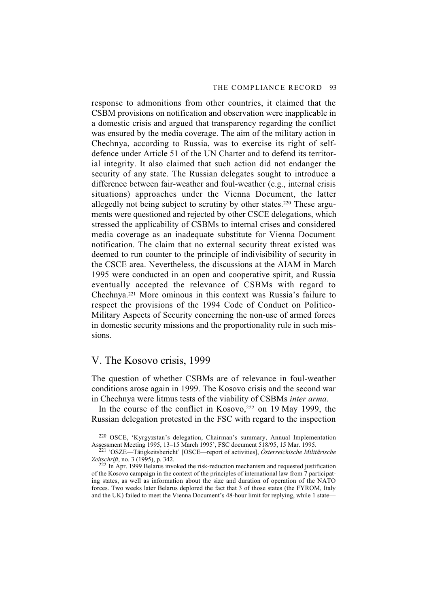response to admonitions from other countries, it claimed that the CSBM provisions on notification and observation were inapplicable in a domestic crisis and argued that transparency regarding the conflict was ensured by the media coverage. The aim of the military action in Chechnya, according to Russia, was to exercise its right of selfdefence under Article 51 of the UN Charter and to defend its territorial integrity. It also claimed that such action did not endanger the security of any state. The Russian delegates sought to introduce a difference between fair-weather and foul-weather (e.g., internal crisis situations) approaches under the Vienna Document, the latter allegedly not being subject to scrutiny by other states.220 These arguments were questioned and rejected by other CSCE delegations, which stressed the applicability of CSBMs to internal crises and considered media coverage as an inadequate substitute for Vienna Document notification. The claim that no external security threat existed was deemed to run counter to the principle of indivisibility of security in the CSCE area. Nevertheless, the discussions at the AIAM in March 1995 were conducted in an open and cooperative spirit, and Russia eventually accepted the relevance of CSBMs with regard to Chechnya.221 More ominous in this context was Russia's failure to respect the provisions of the 1994 Code of Conduct on Politico-Military Aspects of Security concerning the non-use of armed forces in domestic security missions and the proportionality rule in such missions.

### V. The Kosovo crisis, 1999

The question of whether CSBMs are of relevance in foul-weather conditions arose again in 1999. The Kosovo crisis and the second war in Chechnya were litmus tests of the viability of CSBMs *inter arma*.

In the course of the conflict in Kosovo,<sup>222</sup> on 19 May 1999, the Russian delegation protested in the FSC with regard to the inspection

<sup>220</sup> OSCE, 'Kyrgyzstan's delegation, Chairman's summary, Annual Implementation Assessment Meeting 1995, 13–15 March 1995', FSC document 518/95, 15 Mar. 1995.

<sup>221 &#</sup>x27;OSZE—Tätigkeitsbericht' [OSCE—report of activities], *Österreichische Militärische Zeitschrift*, no. 3 (1995), p. 342.

 $222$  In Apr. 1999 Belarus invoked the risk-reduction mechanism and requested justification of the Kosovo campaign in the context of the principles of international law from 7 participating states, as well as information about the size and duration of operation of the NATO forces. Two weeks later Belarus deplored the fact that 3 of those states (the FYROM, Italy and the UK) failed to meet the Vienna Document's 48-hour limit for replying, while 1 state—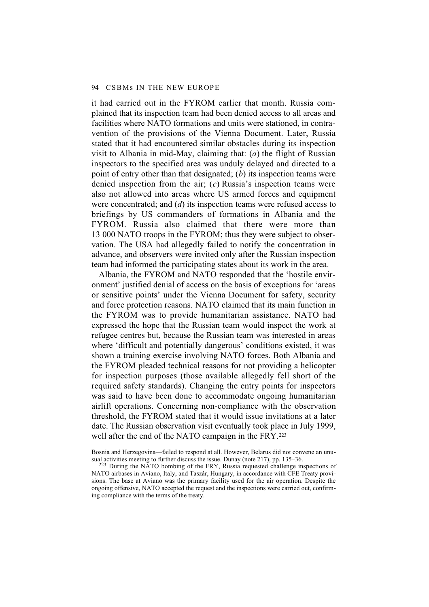it had carried out in the FYROM earlier that month. Russia complained that its inspection team had been denied access to all areas and facilities where NATO formations and units were stationed, in contravention of the provisions of the Vienna Document. Later, Russia stated that it had encountered similar obstacles during its inspection visit to Albania in mid-May, claiming that: (*a*) the flight of Russian inspectors to the specified area was unduly delayed and directed to a point of entry other than that designated; (*b*) its inspection teams were denied inspection from the air; (*c*) Russia's inspection teams were also not allowed into areas where US armed forces and equipment were concentrated; and (*d*) its inspection teams were refused access to briefings by US commanders of formations in Albania and the FYROM. Russia also claimed that there were more than 13 000 NATO troops in the FYROM; thus they were subject to observation. The USA had allegedly failed to notify the concentration in advance, and observers were invited only after the Russian inspection team had informed the participating states about its work in the area.

Albania, the FYROM and NATO responded that the 'hostile environment' justified denial of access on the basis of exceptions for 'areas or sensitive points' under the Vienna Document for safety, security and force protection reasons. NATO claimed that its main function in the FYROM was to provide humanitarian assistance. NATO had expressed the hope that the Russian team would inspect the work at refugee centres but, because the Russian team was interested in areas where 'difficult and potentially dangerous' conditions existed, it was shown a training exercise involving NATO forces. Both Albania and the FYROM pleaded technical reasons for not providing a helicopter for inspection purposes (those available allegedly fell short of the required safety standards). Changing the entry points for inspectors was said to have been done to accommodate ongoing humanitarian airlift operations. Concerning non-compliance with the observation threshold, the FYROM stated that it would issue invitations at a later date. The Russian observation visit eventually took place in July 1999, well after the end of the NATO campaign in the FRY.<sup>223</sup>

Bosnia and Herzegovina—failed to respond at all. However, Belarus did not convene an unusual activities meeting to further discuss the issue. Dunay (note 217), pp. 135–36.

 $223$  During the NATO bombing of the FRY, Russia requested challenge inspections of NATO airbases in Aviano, Italy, and Taszár, Hungary, in accordance with CFE Treaty provisions. The base at Aviano was the primary facility used for the air operation. Despite the ongoing offensive, NATO accepted the request and the inspections were carried out, confirming compliance with the terms of the treaty.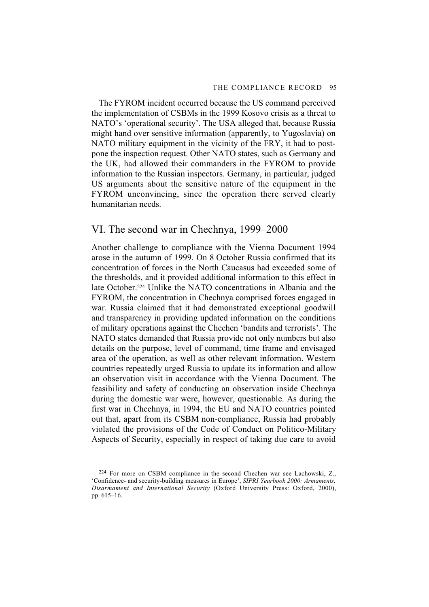The FYROM incident occurred because the US command perceived the implementation of CSBMs in the 1999 Kosovo crisis as a threat to NATO's 'operational security'. The USA alleged that, because Russia might hand over sensitive information (apparently, to Yugoslavia) on NATO military equipment in the vicinity of the FRY, it had to postpone the inspection request. Other NATO states, such as Germany and the UK, had allowed their commanders in the FYROM to provide information to the Russian inspectors. Germany, in particular, judged US arguments about the sensitive nature of the equipment in the FYROM unconvincing, since the operation there served clearly humanitarian needs.

## VI. The second war in Chechnya, 1999–2000

Another challenge to compliance with the Vienna Document 1994 arose in the autumn of 1999. On 8 October Russia confirmed that its concentration of forces in the North Caucasus had exceeded some of the thresholds, and it provided additional information to this effect in late October.224 Unlike the NATO concentrations in Albania and the FYROM, the concentration in Chechnya comprised forces engaged in war. Russia claimed that it had demonstrated exceptional goodwill and transparency in providing updated information on the conditions of military operations against the Chechen 'bandits and terrorists'. The NATO states demanded that Russia provide not only numbers but also details on the purpose, level of command, time frame and envisaged area of the operation, as well as other relevant information. Western countries repeatedly urged Russia to update its information and allow an observation visit in accordance with the Vienna Document. The feasibility and safety of conducting an observation inside Chechnya during the domestic war were, however, questionable. As during the first war in Chechnya, in 1994, the EU and NATO countries pointed out that, apart from its CSBM non-compliance, Russia had probably violated the provisions of the Code of Conduct on Politico-Military Aspects of Security, especially in respect of taking due care to avoid

<sup>224</sup> For more on CSBM compliance in the second Chechen war see Lachowski, Z., 'Confidence- and security-building measures in Europe', *SIPRI Yearbook 2000: Armaments, Disarmament and International Security* (Oxford University Press: Oxford, 2000), pp. 615–16.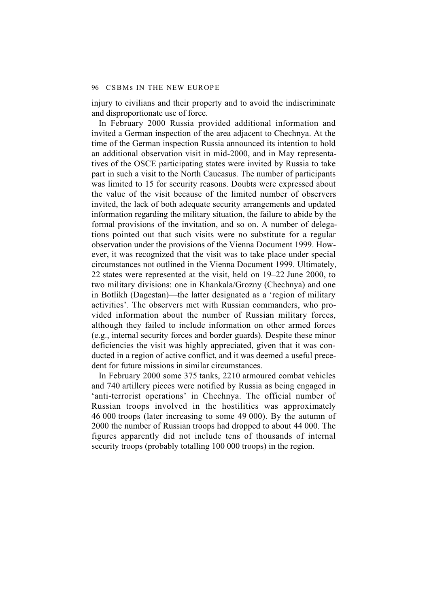injury to civilians and their property and to avoid the indiscriminate and disproportionate use of force.

In February 2000 Russia provided additional information and invited a German inspection of the area adjacent to Chechnya. At the time of the German inspection Russia announced its intention to hold an additional observation visit in mid-2000, and in May representatives of the OSCE participating states were invited by Russia to take part in such a visit to the North Caucasus. The number of participants was limited to 15 for security reasons. Doubts were expressed about the value of the visit because of the limited number of observers invited, the lack of both adequate security arrangements and updated information regarding the military situation, the failure to abide by the formal provisions of the invitation, and so on. A number of delegations pointed out that such visits were no substitute for a regular observation under the provisions of the Vienna Document 1999. However, it was recognized that the visit was to take place under special circumstances not outlined in the Vienna Document 1999. Ultimately, 22 states were represented at the visit, held on 19–22 June 2000, to two military divisions: one in Khankala/Grozny (Chechnya) and one in Botlikh (Dagestan)—the latter designated as a 'region of military activities'. The observers met with Russian commanders, who provided information about the number of Russian military forces, although they failed to include information on other armed forces (e.g., internal security forces and border guards). Despite these minor deficiencies the visit was highly appreciated, given that it was conducted in a region of active conflict, and it was deemed a useful precedent for future missions in similar circumstances.

In February 2000 some 375 tanks, 2210 armoured combat vehicles and 740 artillery pieces were notified by Russia as being engaged in 'anti-terrorist operations' in Chechnya. The official number of Russian troops involved in the hostilities was approximately 46 000 troops (later increasing to some 49 000). By the autumn of 2000 the number of Russian troops had dropped to about 44 000. The figures apparently did not include tens of thousands of internal security troops (probably totalling 100 000 troops) in the region.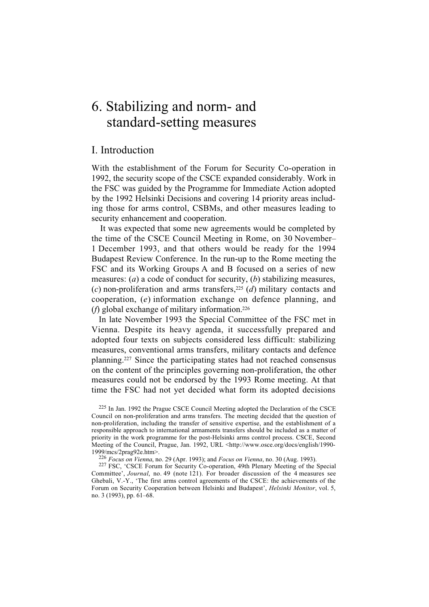## 6. Stabilizing and norm- and standard-setting measures

## I. Introduction

With the establishment of the Forum for Security Co-operation in 1992, the security scope of the CSCE expanded considerably. Work in the FSC was guided by the Programme for Immediate Action adopted by the 1992 Helsinki Decisions and covering 14 priority areas including those for arms control, CSBMs, and other measures leading to security enhancement and cooperation.

It was expected that some new agreements would be completed by the time of the CSCE Council Meeting in Rome, on 30 November– 1 December 1993, and that others would be ready for the 1994 Budapest Review Conference. In the run-up to the Rome meeting the FSC and its Working Groups A and B focused on a series of new measures: (*a*) a code of conduct for security, (*b*) stabilizing measures, (*c*) non-proliferation and arms transfers,225 (*d*) military contacts and cooperation, (*e*) information exchange on defence planning, and (*f*) global exchange of military information.226

In late November 1993 the Special Committee of the FSC met in Vienna. Despite its heavy agenda, it successfully prepared and adopted four texts on subjects considered less difficult: stabilizing measures, conventional arms transfers, military contacts and defence planning.227 Since the participating states had not reached consensus on the content of the principles governing non-proliferation, the other measures could not be endorsed by the 1993 Rome meeting. At that time the FSC had not yet decided what form its adopted decisions

225 In Jan. 1992 the Prague CSCE Council Meeting adopted the Declaration of the CSCE Council on non-proliferation and arms transfers. The meeting decided that the question of non-proliferation, including the transfer of sensitive expertise, and the establishment of a responsible approach to international armaments transfers should be included as a matter of priority in the work programme for the post-Helsinki arms control process. CSCE, Second Meeting of the Council, Prague, Jan. 1992, URL <http://www.osce.org/docs/english/1990- 1999/mcs/2prag92e.htm>.

<sup>226</sup> *Focus on Vienna*, no. 29 (Apr. 1993); and *Focus on Vienna*, no. 30 (Aug. 1993).

227 FSC, 'CSCE Forum for Security Co-operation, 49th Plenary Meeting of the Special Committee', *Journal*, no. 49 (note 121). For broader discussion of the 4 measures see Ghebali, V.-Y., 'The first arms control agreements of the CSCE: the achievements of the Forum on Security Cooperation between Helsinki and Budapest', *Helsinki Monitor*, vol. 5, no. 3 (1993), pp. 61–68.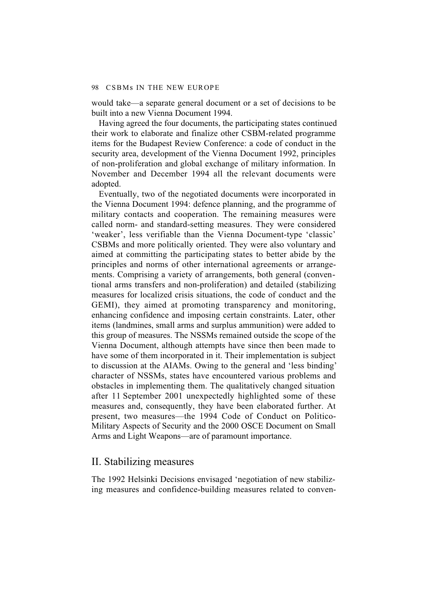would take—a separate general document or a set of decisions to be built into a new Vienna Document 1994.

Having agreed the four documents, the participating states continued their work to elaborate and finalize other CSBM-related programme items for the Budapest Review Conference: a code of conduct in the security area, development of the Vienna Document 1992, principles of non-proliferation and global exchange of military information. In November and December 1994 all the relevant documents were adopted.

Eventually, two of the negotiated documents were incorporated in the Vienna Document 1994: defence planning, and the programme of military contacts and cooperation. The remaining measures were called norm- and standard-setting measures. They were considered 'weaker', less verifiable than the Vienna Document-type 'classic' CSBMs and more politically oriented. They were also voluntary and aimed at committing the participating states to better abide by the principles and norms of other international agreements or arrangements. Comprising a variety of arrangements, both general (conventional arms transfers and non-proliferation) and detailed (stabilizing measures for localized crisis situations, the code of conduct and the GEMI), they aimed at promoting transparency and monitoring, enhancing confidence and imposing certain constraints. Later, other items (landmines, small arms and surplus ammunition) were added to this group of measures. The NSSMs remained outside the scope of the Vienna Document, although attempts have since then been made to have some of them incorporated in it. Their implementation is subject to discussion at the AIAMs. Owing to the general and 'less binding' character of NSSMs, states have encountered various problems and obstacles in implementing them. The qualitatively changed situation after 11 September 2001 unexpectedly highlighted some of these measures and, consequently, they have been elaborated further. At present, two measures—the 1994 Code of Conduct on Politico-Military Aspects of Security and the 2000 OSCE Document on Small Arms and Light Weapons—are of paramount importance.

## II. Stabilizing measures

The 1992 Helsinki Decisions envisaged 'negotiation of new stabilizing measures and confidence-building measures related to conven-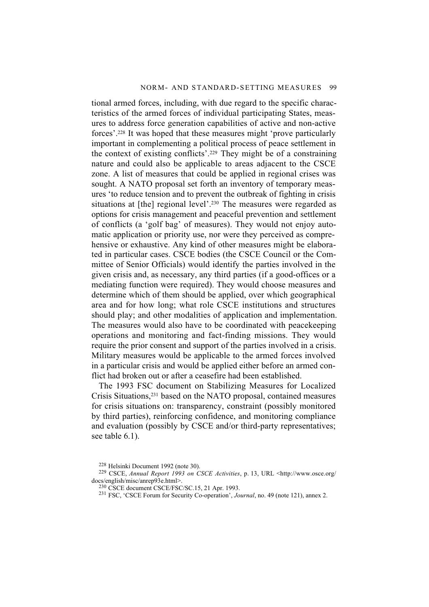tional armed forces, including, with due regard to the specific characteristics of the armed forces of individual participating States, measures to address force generation capabilities of active and non-active forces'.228 It was hoped that these measures might 'prove particularly important in complementing a political process of peace settlement in the context of existing conflicts'.229 They might be of a constraining nature and could also be applicable to areas adjacent to the CSCE zone. A list of measures that could be applied in regional crises was sought. A NATO proposal set forth an inventory of temporary measures 'to reduce tension and to prevent the outbreak of fighting in crisis situations at [the] regional level'.<sup>230</sup> The measures were regarded as options for crisis management and peaceful prevention and settlement of conflicts (a 'golf bag' of measures). They would not enjoy automatic application or priority use, nor were they perceived as comprehensive or exhaustive. Any kind of other measures might be elaborated in particular cases. CSCE bodies (the CSCE Council or the Committee of Senior Officials) would identify the parties involved in the given crisis and, as necessary, any third parties (if a good-offices or a mediating function were required). They would choose measures and determine which of them should be applied, over which geographical area and for how long; what role CSCE institutions and structures should play; and other modalities of application and implementation. The measures would also have to be coordinated with peacekeeping operations and monitoring and fact-finding missions. They would require the prior consent and support of the parties involved in a crisis. Military measures would be applicable to the armed forces involved in a particular crisis and would be applied either before an armed conflict had broken out or after a ceasefire had been established.

The 1993 FSC document on Stabilizing Measures for Localized Crisis Situations,231 based on the NATO proposal, contained measures for crisis situations on: transparency, constraint (possibly monitored by third parties), reinforcing confidence, and monitoring compliance and evaluation (possibly by CSCE and/or third-party representatives; see table 6.1).

<sup>228</sup> Helsinki Document 1992 (note 30).

<sup>229</sup> CSCE, *Annual Report 1993 on CSCE Activities*, p. 13, URL <http://www.osce.org/ docs/english/misc/anrep93e.html>.

<sup>230</sup> CSCE document CSCE/FSC/SC.15, 21 Apr. 1993.

<sup>231</sup> FSC, 'CSCE Forum for Security Co-operation', *Journal*, no. 49 (note 121), annex 2.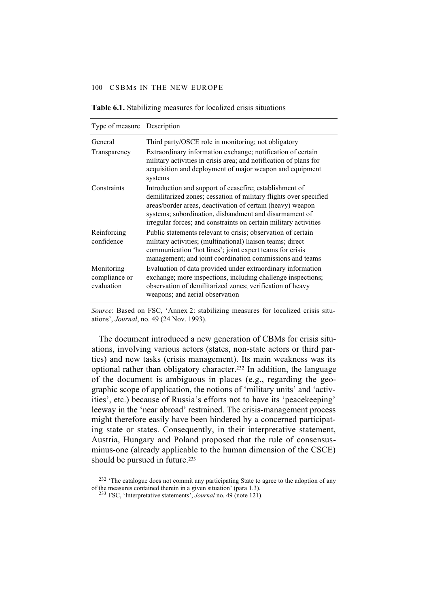| Type of measure Description               |                                                                                                                                                                                                                                                                                                                          |
|-------------------------------------------|--------------------------------------------------------------------------------------------------------------------------------------------------------------------------------------------------------------------------------------------------------------------------------------------------------------------------|
| General                                   | Third party/OSCE role in monitoring; not obligatory                                                                                                                                                                                                                                                                      |
| Transparency                              | Extraordinary information exchange; notification of certain<br>military activities in crisis area; and notification of plans for<br>acquisition and deployment of major weapon and equipment<br>systems                                                                                                                  |
| Constraints                               | Introduction and support of ceasefire; establishment of<br>demilitarized zones; cessation of military flights over specified<br>areas/border areas, deactivation of certain (heavy) weapon<br>systems; subordination, disbandment and disarmament of<br>irregular forces; and constraints on certain military activities |
| Reinforcing<br>confidence                 | Public statements relevant to crisis; observation of certain<br>military activities; (multinational) liaison teams; direct<br>communication 'hot lines'; joint expert teams for crisis<br>management; and joint coordination commissions and teams                                                                       |
| Monitoring<br>compliance or<br>evaluation | Evaluation of data provided under extraordinary information<br>exchange; more inspections, including challenge inspections;<br>observation of demilitarized zones; verification of heavy<br>weapons; and aerial observation                                                                                              |

**Table 6.1.** Stabilizing measures for localized crisis situations

*Source*: Based on FSC, 'Annex 2: stabilizing measures for localized crisis situations', *Journal*, no. 49 (24 Nov. 1993).

The document introduced a new generation of CBMs for crisis situations, involving various actors (states, non-state actors or third parties) and new tasks (crisis management). Its main weakness was its optional rather than obligatory character.232 In addition, the language of the document is ambiguous in places (e.g., regarding the geographic scope of application, the notions of 'military units' and 'activities', etc.) because of Russia's efforts not to have its 'peacekeeping' leeway in the 'near abroad' restrained. The crisis-management process might therefore easily have been hindered by a concerned participating state or states. Consequently, in their interpretative statement, Austria, Hungary and Poland proposed that the rule of consensusminus-one (already applicable to the human dimension of the CSCE) should be pursued in future.<sup>233</sup>

<sup>&</sup>lt;sup>232</sup> 'The catalogue does not commit any participating State to agree to the adoption of any of the measures contained therein in a given situation' (para 1.3).

<sup>233</sup> FSC, 'Interpretative statements', *Journal* no. 49 (note 121).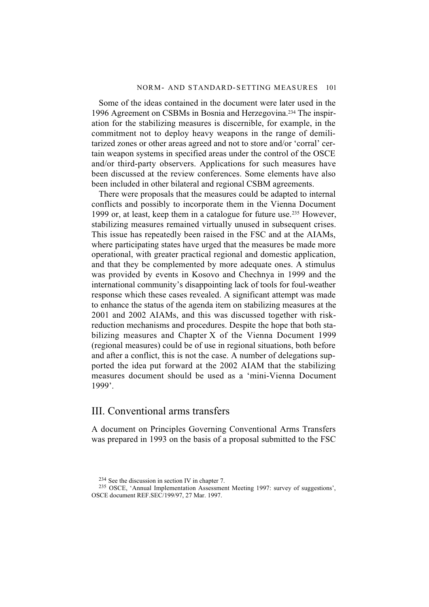Some of the ideas contained in the document were later used in the 1996 Agreement on CSBMs in Bosnia and Herzegovina.234 The inspiration for the stabilizing measures is discernible, for example, in the commitment not to deploy heavy weapons in the range of demilitarized zones or other areas agreed and not to store and/or 'corral' certain weapon systems in specified areas under the control of the OSCE and/or third-party observers. Applications for such measures have been discussed at the review conferences. Some elements have also been included in other bilateral and regional CSBM agreements.

There were proposals that the measures could be adapted to internal conflicts and possibly to incorporate them in the Vienna Document 1999 or, at least, keep them in a catalogue for future use.235 However, stabilizing measures remained virtually unused in subsequent crises. This issue has repeatedly been raised in the FSC and at the AIAMs, where participating states have urged that the measures be made more operational, with greater practical regional and domestic application, and that they be complemented by more adequate ones. A stimulus was provided by events in Kosovo and Chechnya in 1999 and the international community's disappointing lack of tools for foul-weather response which these cases revealed. A significant attempt was made to enhance the status of the agenda item on stabilizing measures at the 2001 and 2002 AIAMs, and this was discussed together with riskreduction mechanisms and procedures. Despite the hope that both stabilizing measures and Chapter X of the Vienna Document 1999 (regional measures) could be of use in regional situations, both before and after a conflict, this is not the case. A number of delegations supported the idea put forward at the 2002 AIAM that the stabilizing measures document should be used as a 'mini-Vienna Document 1999'.

#### III. Conventional arms transfers

A document on Principles Governing Conventional Arms Transfers was prepared in 1993 on the basis of a proposal submitted to the FSC

<sup>234</sup> See the discussion in section IV in chapter 7.

<sup>235</sup> OSCE, 'Annual Implementation Assessment Meeting 1997: survey of suggestions', OSCE document REF.SEC/199/97, 27 Mar. 1997.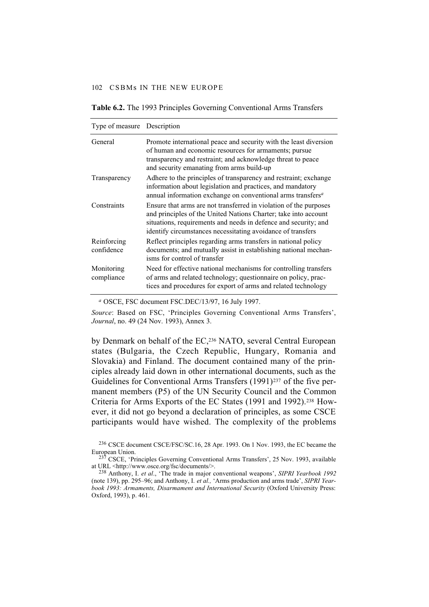| Type of measure Description |                                                                                                                                                                                                                                                                        |
|-----------------------------|------------------------------------------------------------------------------------------------------------------------------------------------------------------------------------------------------------------------------------------------------------------------|
| General                     | Promote international peace and security with the least diversion<br>of human and economic resources for armaments; pursue<br>transparency and restraint; and acknowledge threat to peace<br>and security emanating from arms build-up                                 |
| Transparency                | Adhere to the principles of transparency and restraint; exchange<br>information about legislation and practices, and mandatory<br>annual information exchange on conventional arms transfers <sup>a</sup>                                                              |
| Constraints                 | Ensure that arms are not transferred in violation of the purposes<br>and principles of the United Nations Charter; take into account<br>situations, requirements and needs in defence and security; and<br>identify circumstances necessitating avoidance of transfers |
| Reinforcing<br>confidence   | Reflect principles regarding arms transfers in national policy<br>documents; and mutually assist in establishing national mechan-<br>isms for control of transfer                                                                                                      |
| Monitoring<br>compliance    | Need for effective national mechanisms for controlling transfers<br>of arms and related technology; questionnaire on policy, prac-<br>tices and procedures for export of arms and related technology                                                                   |

**Table 6.2.** The 1993 Principles Governing Conventional Arms Transfers

*<sup>a</sup>* OSCE, FSC document FSC.DEC/13/97, 16 July 1997.

*Source*: Based on FSC, 'Principles Governing Conventional Arms Transfers', *Journal*, no. 49 (24 Nov. 1993), Annex 3.

by Denmark on behalf of the EC,<sup>236</sup> NATO, several Central European states (Bulgaria, the Czech Republic, Hungary, Romania and Slovakia) and Finland. The document contained many of the principles already laid down in other international documents, such as the Guidelines for Conventional Arms Transfers (1991)<sup>237</sup> of the five permanent members (P5) of the UN Security Council and the Common Criteria for Arms Exports of the EC States (1991 and 1992).238 However, it did not go beyond a declaration of principles, as some CSCE participants would have wished. The complexity of the problems

<sup>236</sup> CSCE document CSCE/FSC/SC.16, 28 Apr. 1993. On 1 Nov. 1993, the EC became the European Union.

<sup>237</sup> CSCE, 'Principles Governing Conventional Arms Transfers', 25 Nov. 1993, available at URL <http://www.osce.org/fsc/documents/>.

<sup>238</sup> Anthony, I. *et al*., 'The trade in major conventional weapons', *SIPRI Yearbook 1992* (note 139), pp. 295–96; and Anthony, I. *et al.,* 'Arms production and arms trade', *SIPRI Yearbook 1993: Armaments, Disarmament and International Security* (Oxford University Press: Oxford, 1993), p. 461.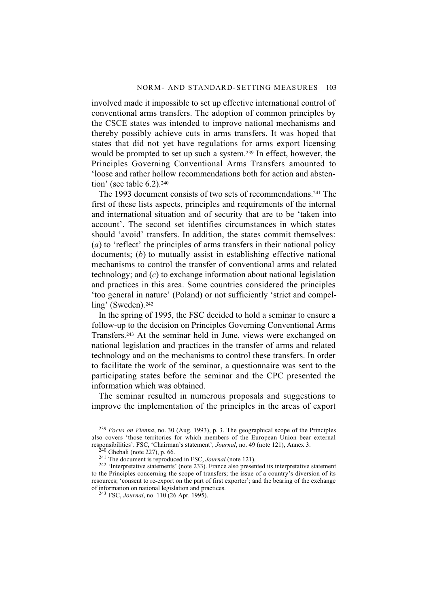involved made it impossible to set up effective international control of conventional arms transfers. The adoption of common principles by the CSCE states was intended to improve national mechanisms and thereby possibly achieve cuts in arms transfers. It was hoped that states that did not yet have regulations for arms export licensing would be prompted to set up such a system.239 In effect, however, the Principles Governing Conventional Arms Transfers amounted to 'loose and rather hollow recommendations both for action and abstention' (see table  $6.2$ ).<sup>240</sup>

The 1993 document consists of two sets of recommendations.241 The first of these lists aspects, principles and requirements of the internal and international situation and of security that are to be 'taken into account'. The second set identifies circumstances in which states should 'avoid' transfers. In addition, the states commit themselves: (*a*) to 'reflect' the principles of arms transfers in their national policy documents; (*b*) to mutually assist in establishing effective national mechanisms to control the transfer of conventional arms and related technology; and (*c*) to exchange information about national legislation and practices in this area. Some countries considered the principles 'too general in nature' (Poland) or not sufficiently 'strict and compelling' (Sweden).<sup>242</sup>

In the spring of 1995, the FSC decided to hold a seminar to ensure a follow-up to the decision on Principles Governing Conventional Arms Transfers.243 At the seminar held in June, views were exchanged on national legislation and practices in the transfer of arms and related technology and on the mechanisms to control these transfers. In order to facilitate the work of the seminar, a questionnaire was sent to the participating states before the seminar and the CPC presented the information which was obtained.

The seminar resulted in numerous proposals and suggestions to improve the implementation of the principles in the areas of export

243 FSC, *Journal*, no. 110 (26 Apr. 1995).

<sup>239</sup> *Focus on Vienna*, no. 30 (Aug. 1993), p. 3. The geographical scope of the Principles also covers 'those territories for which members of the European Union bear external responsibilities'. FSC, 'Chairman's statement', *Journal*, no. 49 (note 121), Annex 3.

 $240$  Ghebali (note 227), p. 66.

<sup>241</sup> The document is reproduced in FSC, *Journal* (note 121).

<sup>&</sup>lt;sup>242</sup> 'Interpretative statements' (note 233). France also presented its interpretative statement to the Principles concerning the scope of transfers; the issue of a country's diversion of its resources; 'consent to re-export on the part of first exporter'; and the bearing of the exchange of information on national legislation and practices.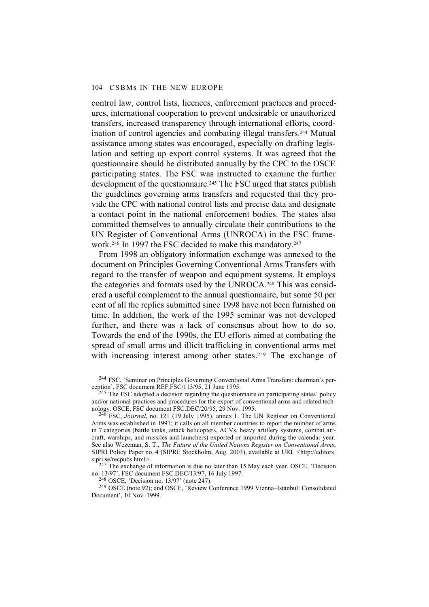control law, control lists, licences, enforcement practices and procedures, international cooperation to prevent undesirable or unauthorized transfers, increased transparency through international efforts, coordination of control agencies and combating illegal transfers.244 Mutual assistance among states was encouraged, especially on drafting legislation and setting up export control systems. It was agreed that the questionnaire should be distributed annually by the CPC to the OSCE participating states. The FSC was instructed to examine the further development of the questionnaire.245 The FSC urged that states publish the guidelines governing arms transfers and requested that they provide the CPC with national control lists and precise data and designate a contact point in the national enforcement bodies. The states also committed themselves to annually circulate their contributions to the UN Register of Conventional Arms (UNROCA) in the FSC framework.<sup>246</sup> In 1997 the FSC decided to make this mandatory.<sup>247</sup>

From 1998 an obligatory information exchange was annexed to the document on Principles Governing Conventional Arms Transfers with regard to the transfer of weapon and equipment systems. It employs the categories and formats used by the UNROCA.248 This was considered a useful complement to the annual questionnaire, but some 50 per cent of all the replies submitted since 1998 have not been furnished on time. In addition, the work of the 1995 seminar was not developed further, and there was a lack of consensus about how to do so. Towards the end of the 1990s, the EU efforts aimed at combating the spread of small arms and illicit trafficking in conventional arms met with increasing interest among other states.<sup>249</sup> The exchange of

<sup>245</sup> The FSC adopted a decision regarding the questionnaire on participating states' policy and/or national practices and procedures for the export of conventional arms and related technology. OSCE, FSC document FSC.DEC/20/95, 29 Nov. 1995.

246 FSC, *Journal*, no. 121 (19 July 1995), annex 1. The UN Register on Conventional Arms was established in 1991; it calls on all member countries to report the number of arms in 7 categories (battle tanks, attack helicopters, ACVs, heavy artillery systems, combat aircraft, warships, and missiles and launchers) exported or imported during the calendar year. See also Wezeman, S. T., *The Future of the United Nations Register on Conventional Arms*, SIPRI Policy Paper no. 4 (SIPRI: Stockholm, Aug. 2003), available at URL <http://editors. sipri.se/recpubs.html>.

 $247$  The exchange of information is due no later than 15 May each year. OSCE, 'Decision no. 13/97', FSC document FSC.DEC/13/97, 16 July 1997.

248 OSCE, 'Decision no. 13/97' (note 247).

249 OSCE (note 92); and OSCE, 'Review Conference 1999 Vienna–Istanbul: Consolidated Document', 10 Nov. 1999.

<sup>244</sup> FSC, 'Seminar on Principles Governing Conventional Arms Transfers: chairman's perception', FSC document REF.FSC/113/95, 21 June 1995.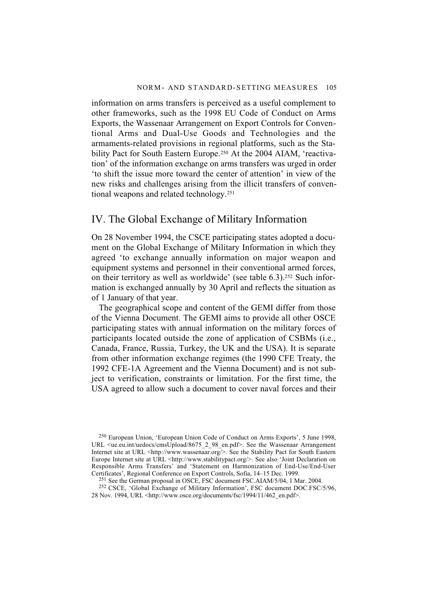information on arms transfers is perceived as a useful complement to other frameworks, such as the 1998 EU Code of Conduct on Arms Exports, the Wassenaar Arrangement on Export Controls for Conventional Arms and Dual-Use Goods and Technologies and the armaments-related provisions in regional platforms, such as the Stability Pact for South Eastern Europe.<sup>250</sup> At the 2004 AIAM, 'reactivation' of the information exchange on arms transfers was urged in order 'to shift the issue more toward the center of attention' in view of the new risks and challenges arising from the illicit transfers of conventional weapons and related technology.251

## IV. The Global Exchange of Military Information

On 28 November 1994, the CSCE participating states adopted a document on the Global Exchange of Military Information in which they agreed 'to exchange annually information on major weapon and equipment systems and personnel in their conventional armed forces, on their territory as well as worldwide' (see table 6.3).252 Such information is exchanged annually by 30 April and reflects the situation as of 1 January of that year.

The geographical scope and content of the GEMI differ from those of the Vienna Document. The GEMI aims to provide all other OSCE participating states with annual information on the military forces of participants located outside the zone of application of CSBMs (i.e., Canada, France, Russia, Turkey, the UK and the USA). It is separate from other information exchange regimes (the 1990 CFE Treaty, the 1992 CFE-1A Agreement and the Vienna Document) and is not subject to verification, constraints or limitation. For the first time, the USA agreed to allow such a document to cover naval forces and their

250 European Union, 'European Union Code of Conduct on Arms Exports', 5 June 1998, URL <ue.eu.int/uedocs/cmsUpload/8675\_2\_98\_en.pdf>. See the Wassenaar Arrangement Internet site at URL <http://www.wassenaar.org/>. See the Stability Pact for South Eastern Europe Internet site at URL <http://www.stabilitypact.org/>. See also 'Joint Declaration on Responsible Arms Transfers' and 'Statement on Harmonization of End-Use/End-User Certificates', Regional Conference on Export Controls, Sofia, 14–15 Dec. 1999.

<sup>251</sup> See the German proposal in OSCE, FSC document FSC.AIAM/5/04, 1 Mar. 2004.

252 CSCE, 'Global Exchange of Military Information', FSC document DOC.FSC/5/96, 28 Nov. 1994, URL <http://www.osce.org/documents/fsc/1994/11/462\_en.pdf>.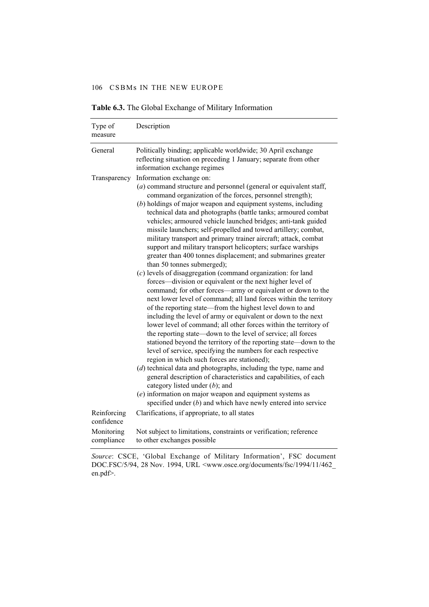| Type of<br>measure        | Description                                                                                                                                                                                                                                                                                                                                                                                                                                                                                                                                                                                                                                                                                                                                                                                                                                                                                                                                                                                                                                                                                                                                                                                                                                                                                                                                                                                                                                                                                                                                                                                                                                                                                                |
|---------------------------|------------------------------------------------------------------------------------------------------------------------------------------------------------------------------------------------------------------------------------------------------------------------------------------------------------------------------------------------------------------------------------------------------------------------------------------------------------------------------------------------------------------------------------------------------------------------------------------------------------------------------------------------------------------------------------------------------------------------------------------------------------------------------------------------------------------------------------------------------------------------------------------------------------------------------------------------------------------------------------------------------------------------------------------------------------------------------------------------------------------------------------------------------------------------------------------------------------------------------------------------------------------------------------------------------------------------------------------------------------------------------------------------------------------------------------------------------------------------------------------------------------------------------------------------------------------------------------------------------------------------------------------------------------------------------------------------------------|
| General                   | Politically binding; applicable worldwide; 30 April exchange<br>reflecting situation on preceding 1 January; separate from other<br>information exchange regimes                                                                                                                                                                                                                                                                                                                                                                                                                                                                                                                                                                                                                                                                                                                                                                                                                                                                                                                                                                                                                                                                                                                                                                                                                                                                                                                                                                                                                                                                                                                                           |
| Transparency              | Information exchange on:<br>(a) command structure and personnel (general or equivalent staff,<br>command organization of the forces, personnel strength);<br>$(b)$ holdings of major weapon and equipment systems, including<br>technical data and photographs (battle tanks; armoured combat<br>vehicles; armoured vehicle launched bridges; anti-tank guided<br>missile launchers; self-propelled and towed artillery; combat,<br>military transport and primary trainer aircraft; attack, combat<br>support and military transport helicopters; surface warships<br>greater than 400 tonnes displacement; and submarines greater<br>than 50 tonnes submerged);<br>$(c)$ levels of disaggregation (command organization: for land<br>forces—division or equivalent or the next higher level of<br>command; for other forces-army or equivalent or down to the<br>next lower level of command; all land forces within the territory<br>of the reporting state-from the highest level down to and<br>including the level of army or equivalent or down to the next<br>lower level of command; all other forces within the territory of<br>the reporting state—down to the level of service; all forces<br>stationed beyond the territory of the reporting state-down to the<br>level of service, specifying the numbers for each respective<br>region in which such forces are stationed);<br>$(d)$ technical data and photographs, including the type, name and<br>general description of characteristics and capabilities, of each<br>category listed under $(b)$ ; and<br>$(e)$ information on major weapon and equipment systems as<br>specified under $(b)$ and which have newly entered into service |
| Reinforcing<br>confidence | Clarifications, if appropriate, to all states                                                                                                                                                                                                                                                                                                                                                                                                                                                                                                                                                                                                                                                                                                                                                                                                                                                                                                                                                                                                                                                                                                                                                                                                                                                                                                                                                                                                                                                                                                                                                                                                                                                              |
| Monitoring<br>compliance  | Not subject to limitations, constraints or verification; reference<br>to other exchanges possible                                                                                                                                                                                                                                                                                                                                                                                                                                                                                                                                                                                                                                                                                                                                                                                                                                                                                                                                                                                                                                                                                                                                                                                                                                                                                                                                                                                                                                                                                                                                                                                                          |

**Table 6.3.** The Global Exchange of Military Information

*Source*: CSCE, 'Global Exchange of Military Information', FSC document DOC.FSC/5/94, 28 Nov. 1994, URL <www.osce.org/documents/fsc/1994/11/462\_ en.pdf>.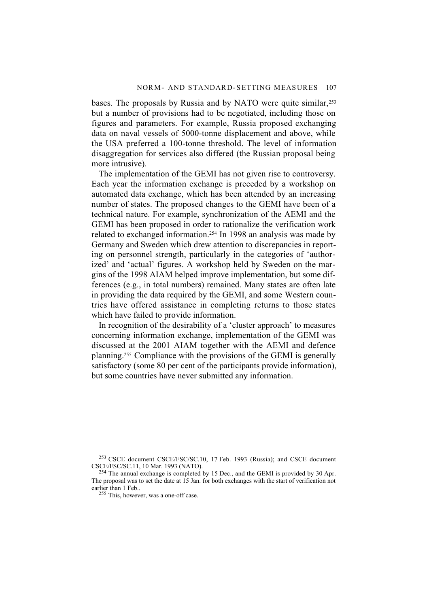bases. The proposals by Russia and by NATO were quite similar,<sup>253</sup> but a number of provisions had to be negotiated, including those on figures and parameters. For example, Russia proposed exchanging data on naval vessels of 5000-tonne displacement and above, while the USA preferred a 100-tonne threshold. The level of information disaggregation for services also differed (the Russian proposal being more intrusive).

The implementation of the GEMI has not given rise to controversy. Each year the information exchange is preceded by a workshop on automated data exchange, which has been attended by an increasing number of states. The proposed changes to the GEMI have been of a technical nature. For example, synchronization of the AEMI and the GEMI has been proposed in order to rationalize the verification work related to exchanged information.254 In 1998 an analysis was made by Germany and Sweden which drew attention to discrepancies in reporting on personnel strength, particularly in the categories of 'authorized' and 'actual' figures. A workshop held by Sweden on the margins of the 1998 AIAM helped improve implementation, but some differences (e.g., in total numbers) remained. Many states are often late in providing the data required by the GEMI, and some Western countries have offered assistance in completing returns to those states which have failed to provide information.

In recognition of the desirability of a 'cluster approach' to measures concerning information exchange, implementation of the GEMI was discussed at the 2001 AIAM together with the AEMI and defence planning.255 Compliance with the provisions of the GEMI is generally satisfactory (some 80 per cent of the participants provide information), but some countries have never submitted any information.

<sup>&</sup>lt;sup>253</sup> CSCE document CSCE/FSC/SC.10, 17 Feb. 1993 (Russia); and CSCE document CSCE/FSC/SC.11, 10 Mar. 1993 (NATO).

<sup>&</sup>lt;sup>254</sup> The annual exchange is completed by 15 Dec., and the GEMI is provided by 30 Apr. The proposal was to set the date at 15 Jan. for both exchanges with the start of verification not earlier than 1 Feb..

<sup>255</sup> This, however, was a one-off case.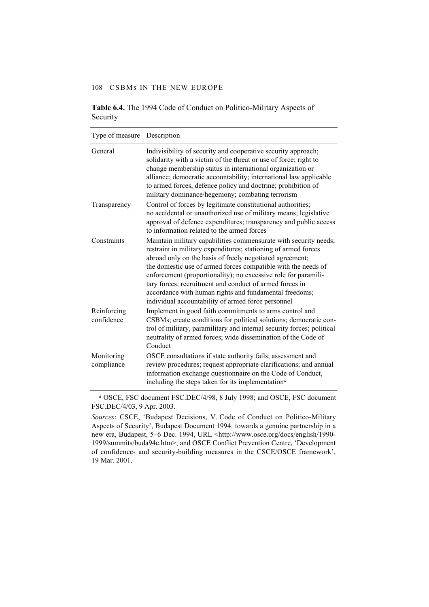|          | <b>Table 6.4.</b> The 1994 Code of Conduct on Politico-Military Aspects of |  |
|----------|----------------------------------------------------------------------------|--|
| Security |                                                                            |  |

| Type of measure           | Description                                                                                                                                                                                                                                                                                                                                                                                                                                                                                                  |
|---------------------------|--------------------------------------------------------------------------------------------------------------------------------------------------------------------------------------------------------------------------------------------------------------------------------------------------------------------------------------------------------------------------------------------------------------------------------------------------------------------------------------------------------------|
| General                   | Indivisibility of security and cooperative security approach;<br>solidarity with a victim of the threat or use of force; right to<br>change membership status in international organization or<br>alliance; democratic accountability; international law applicable<br>to armed forces, defence policy and doctrine; prohibition of<br>military dominance/hegemony; combating terrorism                                                                                                                      |
| Transparency              | Control of forces by legitimate constitutional authorities;<br>no accidental or unauthorized use of military means; legislative<br>approval of defence expenditures; transparency and public access<br>to information related to the armed forces                                                                                                                                                                                                                                                            |
| Constraints               | Maintain military capabilities commensurate with security needs;<br>restraint in military expenditures; stationing of armed forces<br>abroad only on the basis of freely negotiated agreement;<br>the domestic use of armed forces compatible with the needs of<br>enforcement (proportionality); no excessive role for paramili-<br>tary forces; recruitment and conduct of armed forces in<br>accordance with human rights and fundamental freedoms;<br>individual accountability of armed force personnel |
| Reinforcing<br>confidence | Implement in good faith commitments to arms control and<br>CSBMs; create conditions for political solutions; democratic con-<br>trol of military, paramilitary and internal security forces; political<br>neutrality of armed forces; wide dissemination of the Code of<br>Conduct                                                                                                                                                                                                                           |
| Monitoring<br>compliance  | OSCE consultations if state authority fails; assessment and<br>review procedures; request appropriate clarifications; and annual<br>information exchange questionnaire on the Code of Conduct,<br>including the steps taken for its implementation <sup><math>a</math></sup>                                                                                                                                                                                                                                 |

*<sup>a</sup>* OSCE, FSC document FSC.DEC/4/98, 8 July 1998; and OSCE, FSC document FSC.DEC/4/03, 9 Apr. 2003.

*Sources*: CSCE, 'Budapest Decisions, V. Code of Conduct on Politico-Military Aspects of Security', Budapest Document 1994: towards a genuine partnership in a new era, Budapest, 5–6 Dec. 1994, URL <http://www.osce.org/docs/english/1990- 1999/summits/buda94e.htm>; and OSCE Conflict Prevention Centre, 'Development of confidence- and security-building measures in the CSCE/OSCE framework', 19 Mar. 2001.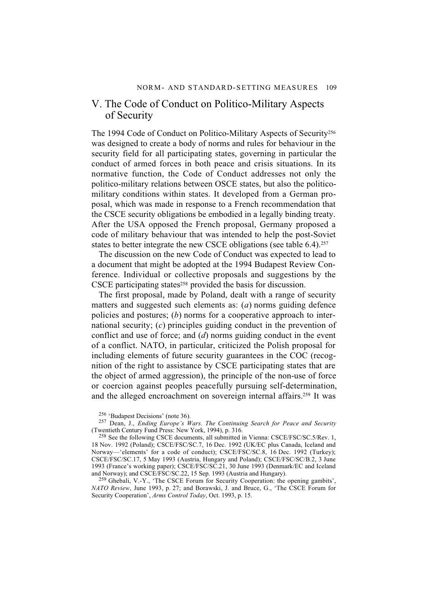## V. The Code of Conduct on Politico-Military Aspects of Security

The 1994 Code of Conduct on Politico-Military Aspects of Security<sup>256</sup> was designed to create a body of norms and rules for behaviour in the security field for all participating states, governing in particular the conduct of armed forces in both peace and crisis situations. In its normative function, the Code of Conduct addresses not only the politico-military relations between OSCE states, but also the politicomilitary conditions within states. It developed from a German proposal, which was made in response to a French recommendation that the CSCE security obligations be embodied in a legally binding treaty. After the USA opposed the French proposal, Germany proposed a code of military behaviour that was intended to help the post-Soviet states to better integrate the new CSCE obligations (see table 6.4).<sup>257</sup>

The discussion on the new Code of Conduct was expected to lead to a document that might be adopted at the 1994 Budapest Review Conference. Individual or collective proposals and suggestions by the CSCE participating states<sup>258</sup> provided the basis for discussion.

The first proposal, made by Poland, dealt with a range of security matters and suggested such elements as: (*a*) norms guiding defence policies and postures; (*b*) norms for a cooperative approach to international security; (*c*) principles guiding conduct in the prevention of conflict and use of force; and (*d*) norms guiding conduct in the event of a conflict. NATO, in particular, criticized the Polish proposal for including elements of future security guarantees in the COC (recognition of the right to assistance by CSCE participating states that are the object of armed aggression), the principle of the non-use of force or coercion against peoples peacefully pursuing self-determination, and the alleged encroachment on sovereign internal affairs.259 It was

256 'Budapest Decisions' (note 36).

258 See the following CSCE documents, all submitted in Vienna: CSCE/FSC/SC.5/Rev. 1, 18 Nov. 1992 (Poland); CSCE/FSC/SC.7, 16 Dec. 1992 (UK/EC plus Canada, Iceland and Norway—'elements' for a code of conduct); CSCE/FSC/SC.8, 16 Dec. 1992 (Turkey); CSCE/FSC/SC.17, 5 May 1993 (Austria, Hungary and Poland); CSCE/FSC/SC/B.2, 3 June 1993 (France's working paper); CSCE/FSC/SC.21, 30 June 1993 (Denmark/EC and Iceland and Norway); and CSCE/FSC/SC.22, 15 Sep. 1993 (Austria and Hungary).

259 Ghebali, V.-Y., 'The CSCE Forum for Security Cooperation: the opening gambits', *NATO Review*, June 1993, p. 27; and Borawski, J. and Bruce, G., 'The CSCE Forum for Security Cooperation', *Arms Control Today*, Oct. 1993, p. 15.

<sup>257</sup> Dean, J., *Ending Europe's Wars. The Continuing Search for Peace and Security* (Twentieth Century Fund Press: New York, 1994), p. 316.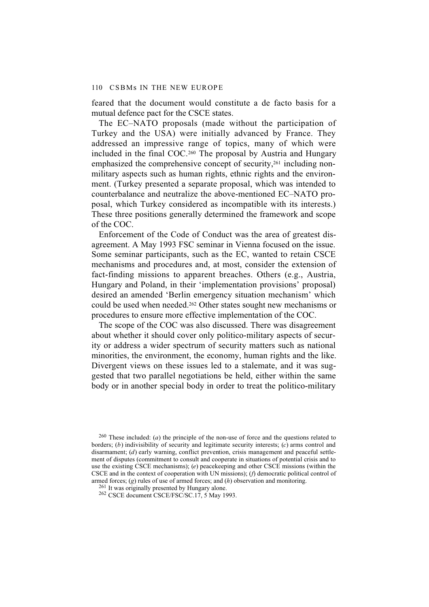feared that the document would constitute a de facto basis for a mutual defence pact for the CSCE states.

The EC–NATO proposals (made without the participation of Turkey and the USA) were initially advanced by France. They addressed an impressive range of topics, many of which were included in the final COC.260 The proposal by Austria and Hungary emphasized the comprehensive concept of security,<sup>261</sup> including nonmilitary aspects such as human rights, ethnic rights and the environment. (Turkey presented a separate proposal, which was intended to counterbalance and neutralize the above-mentioned EC–NATO proposal, which Turkey considered as incompatible with its interests.) These three positions generally determined the framework and scope of the COC.

Enforcement of the Code of Conduct was the area of greatest disagreement. A May 1993 FSC seminar in Vienna focused on the issue. Some seminar participants, such as the EC, wanted to retain CSCE mechanisms and procedures and, at most, consider the extension of fact-finding missions to apparent breaches. Others (e.g., Austria, Hungary and Poland, in their 'implementation provisions' proposal) desired an amended 'Berlin emergency situation mechanism' which could be used when needed.<sup>262</sup> Other states sought new mechanisms or procedures to ensure more effective implementation of the COC.

The scope of the COC was also discussed. There was disagreement about whether it should cover only politico-military aspects of security or address a wider spectrum of security matters such as national minorities, the environment, the economy, human rights and the like. Divergent views on these issues led to a stalemate, and it was suggested that two parallel negotiations be held, either within the same body or in another special body in order to treat the politico-military

260 These included: (*a*) the principle of the non-use of force and the questions related to borders; (*b*) indivisibility of security and legitimate security interests; (*c*) arms control and disarmament; (*d*) early warning, conflict prevention, crisis management and peaceful settlement of disputes (commitment to consult and cooperate in situations of potential crisis and to use the existing CSCE mechanisms); (*e*) peacekeeping and other CSCE missions (within the CSCE and in the context of cooperation with UN missions); (*f*) democratic political control of armed forces; (*g*) rules of use of armed forces; and (*h*) observation and monitoring.

<sup>261</sup> It was originally presented by Hungary alone.

262 CSCE document CSCE/FSC/SC.17, 5 May 1993.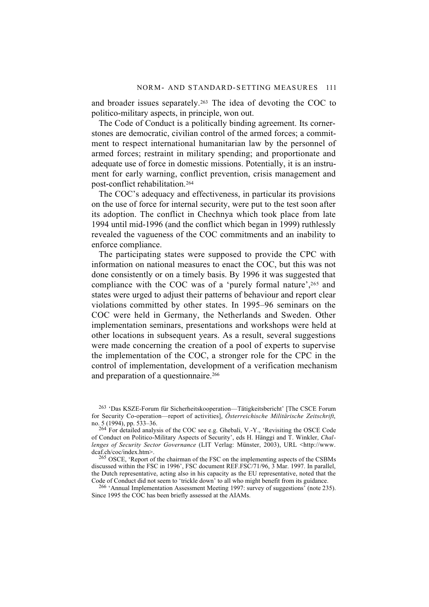and broader issues separately.263 The idea of devoting the COC to politico-military aspects, in principle, won out.

The Code of Conduct is a politically binding agreement. Its cornerstones are democratic, civilian control of the armed forces; a commitment to respect international humanitarian law by the personnel of armed forces; restraint in military spending; and proportionate and adequate use of force in domestic missions. Potentially, it is an instrument for early warning, conflict prevention, crisis management and post-conflict rehabilitation.264

The COC's adequacy and effectiveness, in particular its provisions on the use of force for internal security, were put to the test soon after its adoption. The conflict in Chechnya which took place from late 1994 until mid-1996 (and the conflict which began in 1999) ruthlessly revealed the vagueness of the COC commitments and an inability to enforce compliance.

The participating states were supposed to provide the CPC with information on national measures to enact the COC, but this was not done consistently or on a timely basis. By 1996 it was suggested that compliance with the COC was of a 'purely formal nature',265 and states were urged to adjust their patterns of behaviour and report clear violations committed by other states. In 1995–96 seminars on the COC were held in Germany, the Netherlands and Sweden. Other implementation seminars, presentations and workshops were held at other locations in subsequent years. As a result, several suggestions were made concerning the creation of a pool of experts to supervise the implementation of the COC, a stronger role for the CPC in the control of implementation, development of a verification mechanism and preparation of a questionnaire.<sup>266</sup>

263 'Das KSZE-Forum für Sicherheitskooperation—Tätigkeitsbericht' [The CSCE Forum for Security Co-operation—report of activities], *Österreichische Militärische Zeitschrift*, no. 5 (1994), pp. 533–36.

<sup>264</sup> For detailed analysis of the COC see e.g. Ghebali, V.-Y., 'Revisiting the OSCE Code of Conduct on Politico-Military Aspects of Security', eds H. Hänggi and T. Winkler, *Challenges of Security Sector Governance* (LIT Verlag: Münster, 2003), URL <http://www. dcaf.ch/coc/index.htm>.

265 OSCE, 'Report of the chairman of the FSC on the implementing aspects of the CSBMs discussed within the FSC in 1996', FSC document REF.FSC/71/96, 3 Mar. 1997. In parallel, the Dutch representative, acting also in his capacity as the EU representative, noted that the Code of Conduct did not seem to 'trickle down' to all who might benefit from its guidance.

266 'Annual Implementation Assessment Meeting 1997: survey of suggestions' (note 235). Since 1995 the COC has been briefly assessed at the AIAMs.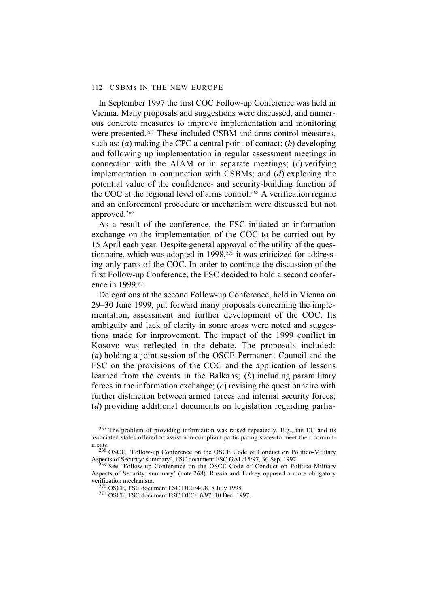In September 1997 the first COC Follow-up Conference was held in Vienna. Many proposals and suggestions were discussed, and numerous concrete measures to improve implementation and monitoring were presented.<sup>267</sup> These included CSBM and arms control measures, such as: (*a*) making the CPC a central point of contact; (*b*) developing and following up implementation in regular assessment meetings in connection with the AIAM or in separate meetings; (*c*) verifying implementation in conjunction with CSBMs; and (*d*) exploring the potential value of the confidence- and security-building function of the COC at the regional level of arms control.268 A verification regime and an enforcement procedure or mechanism were discussed but not approved.269

As a result of the conference, the FSC initiated an information exchange on the implementation of the COC to be carried out by 15 April each year. Despite general approval of the utility of the questionnaire, which was adopted in 1998,270 it was criticized for addressing only parts of the COC. In order to continue the discussion of the first Follow-up Conference, the FSC decided to hold a second conference in 1999.271

Delegations at the second Follow-up Conference, held in Vienna on 29–30 June 1999, put forward many proposals concerning the implementation, assessment and further development of the COC. Its ambiguity and lack of clarity in some areas were noted and suggestions made for improvement. The impact of the 1999 conflict in Kosovo was reflected in the debate. The proposals included: (*a*) holding a joint session of the OSCE Permanent Council and the FSC on the provisions of the COC and the application of lessons learned from the events in the Balkans; (*b*) including paramilitary forces in the information exchange; (*c*) revising the questionnaire with further distinction between armed forces and internal security forces; (*d*) providing additional documents on legislation regarding parlia-

<sup>267</sup> The problem of providing information was raised repeatedly. E.g., the EU and its associated states offered to assist non-compliant participating states to meet their commitments.

<sup>268</sup> OSCE, 'Follow-up Conference on the OSCE Code of Conduct on Politico-Military Aspects of Security: summary', FSC document FSC.GAL/15/97, 30 Sep. 1997.

<sup>269</sup> See 'Follow-up Conference on the OSCE Code of Conduct on Politico-Military Aspects of Security: summary' (note 268). Russia and Turkey opposed a more obligatory verification mechanism.

<sup>270</sup> OSCE, FSC document FSC.DEC/4/98, 8 July 1998.

<sup>271</sup> OSCE, FSC document FSC.DEC/16/97, 10 Dec. 1997.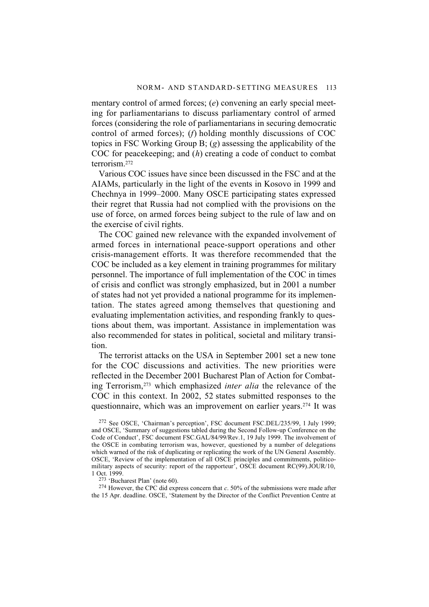mentary control of armed forces; (*e*) convening an early special meeting for parliamentarians to discuss parliamentary control of armed forces (considering the role of parliamentarians in securing democratic control of armed forces); (*f*) holding monthly discussions of COC topics in FSC Working Group B; (*g*) assessing the applicability of the COC for peacekeeping; and (*h*) creating a code of conduct to combat terrorism.272

Various COC issues have since been discussed in the FSC and at the AIAMs, particularly in the light of the events in Kosovo in 1999 and Chechnya in 1999–2000. Many OSCE participating states expressed their regret that Russia had not complied with the provisions on the use of force, on armed forces being subject to the rule of law and on the exercise of civil rights.

The COC gained new relevance with the expanded involvement of armed forces in international peace-support operations and other crisis-management efforts. It was therefore recommended that the COC be included as a key element in training programmes for military personnel. The importance of full implementation of the COC in times of crisis and conflict was strongly emphasized, but in 2001 a number of states had not yet provided a national programme for its implementation. The states agreed among themselves that questioning and evaluating implementation activities, and responding frankly to questions about them, was important. Assistance in implementation was also recommended for states in political, societal and military transition.

The terrorist attacks on the USA in September 2001 set a new tone for the COC discussions and activities. The new priorities were reflected in the December 2001 Bucharest Plan of Action for Combating Terrorism,273 which emphasized *inter alia* the relevance of the COC in this context. In 2002, 52 states submitted responses to the questionnaire, which was an improvement on earlier years.274 It was

273 'Bucharest Plan' (note 60).

274 However, the CPC did express concern that *c*. 50% of the submissions were made after the 15 Apr. deadline. OSCE, 'Statement by the Director of the Conflict Prevention Centre at

<sup>272</sup> See OSCE, 'Chairman's perception', FSC document FSC.DEL/235/99, 1 July 1999; and OSCE, 'Summary of suggestions tabled during the Second Follow-up Conference on the Code of Conduct', FSC document FSC.GAL/84/99/Rev.1, 19 July 1999. The involvement of the OSCE in combating terrorism was, however, questioned by a number of delegations which warned of the risk of duplicating or replicating the work of the UN General Assembly. OSCE, 'Review of the implementation of all OSCE principles and commitments, politicomilitary aspects of security: report of the rapporteur<sup>3</sup>, OSCE document RC(99).JOUR/10, 1 Oct. 1999.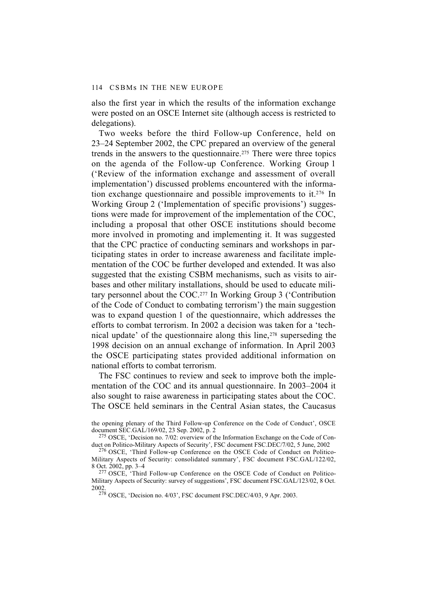also the first year in which the results of the information exchange were posted on an OSCE Internet site (although access is restricted to delegations).

Two weeks before the third Follow-up Conference, held on 23–24 September 2002, the CPC prepared an overview of the general trends in the answers to the questionnaire.275 There were three topics on the agenda of the Follow-up Conference. Working Group 1 ('Review of the information exchange and assessment of overall implementation') discussed problems encountered with the information exchange questionnaire and possible improvements to it.276 In Working Group 2 ('Implementation of specific provisions') suggestions were made for improvement of the implementation of the COC, including a proposal that other OSCE institutions should become more involved in promoting and implementing it. It was suggested that the CPC practice of conducting seminars and workshops in participating states in order to increase awareness and facilitate implementation of the COC be further developed and extended. It was also suggested that the existing CSBM mechanisms, such as visits to airbases and other military installations, should be used to educate military personnel about the COC.277 In Working Group 3 ('Contribution of the Code of Conduct to combating terrorism') the main suggestion was to expand question 1 of the questionnaire, which addresses the efforts to combat terrorism. In 2002 a decision was taken for a 'technical update' of the questionnaire along this line,<sup>278</sup> superseding the 1998 decision on an annual exchange of information. In April 2003 the OSCE participating states provided additional information on national efforts to combat terrorism.

The FSC continues to review and seek to improve both the implementation of the COC and its annual questionnaire. In 2003–2004 it also sought to raise awareness in participating states about the COC. The OSCE held seminars in the Central Asian states, the Caucasus

the opening plenary of the Third Follow-up Conference on the Code of Conduct', OSCE document SEC.GAL/169/02, 23 Sep. 2002, p. 2

<sup>275</sup> OSCE, 'Decision no. 7/02: overview of the Information Exchange on the Code of Conduct on Politico-Military Aspects of Security', FSC document FSC.DEC/7/02, 5 June, 2002

<sup>276</sup> OSCE, 'Third Follow-up Conference on the OSCE Code of Conduct on Politico-Military Aspects of Security: consolidated summary', FSC document FSC.GAL/122/02, 8 Oct. 2002, pp. 3–4

<sup>&</sup>lt;sup>277</sup> OSCE, 'Third Follow-up Conference on the OSCE Code of Conduct on Politico-Military Aspects of Security: survey of suggestions', FSC document FSC.GAL/123/02, 8 Oct. 2002.

<sup>278</sup> OSCE, 'Decision no. 4/03', FSC document FSC.DEC/4/03, 9 Apr. 2003.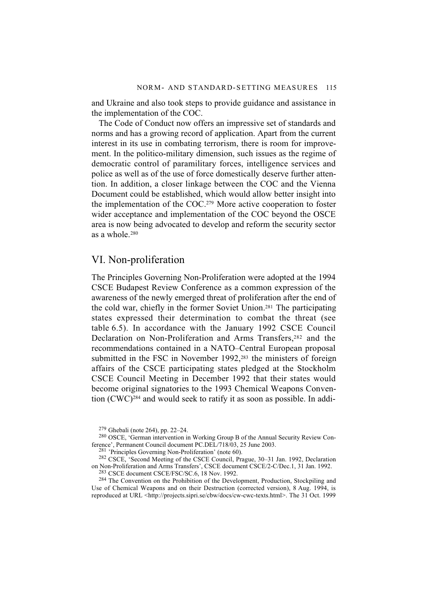and Ukraine and also took steps to provide guidance and assistance in the implementation of the COC.

The Code of Conduct now offers an impressive set of standards and norms and has a growing record of application. Apart from the current interest in its use in combating terrorism, there is room for improvement. In the politico-military dimension, such issues as the regime of democratic control of paramilitary forces, intelligence services and police as well as of the use of force domestically deserve further attention. In addition, a closer linkage between the COC and the Vienna Document could be established, which would allow better insight into the implementation of the COC.279 More active cooperation to foster wider acceptance and implementation of the COC beyond the OSCE area is now being advocated to develop and reform the security sector as a whole.280

### VI. Non-proliferation

The Principles Governing Non-Proliferation were adopted at the 1994 CSCE Budapest Review Conference as a common expression of the awareness of the newly emerged threat of proliferation after the end of the cold war, chiefly in the former Soviet Union.281 The participating states expressed their determination to combat the threat (see table 6.5). In accordance with the January 1992 CSCE Council Declaration on Non-Proliferation and Arms Transfers,<sup>282</sup> and the recommendations contained in a NATO–Central European proposal submitted in the FSC in November 1992,<sup>283</sup> the ministers of foreign affairs of the CSCE participating states pledged at the Stockholm CSCE Council Meeting in December 1992 that their states would become original signatories to the 1993 Chemical Weapons Convention (CWC)284 and would seek to ratify it as soon as possible. In addi-

283 CSCE document CSCE/FSC/SC.6, 18 Nov. 1992.

<sup>284</sup> The Convention on the Prohibition of the Development, Production, Stockpiling and Use of Chemical Weapons and on their Destruction (corrected version), 8 Aug. 1994, is reproduced at URL <http://projects.sipri.se/cbw/docs/cw-cwc-texts.html>. The 31 Oct. 1999

<sup>279</sup> Ghebali (note 264), pp. 22–24.

<sup>280</sup> OSCE, 'German intervention in Working Group B of the Annual Security Review Conference', Permanent Council document PC.DEL/718/03, 25 June 2003.

<sup>&</sup>lt;sup>281</sup> 'Principles Governing Non-Proliferation' (note 60).

<sup>282</sup> CSCE, 'Second Meeting of the CSCE Council, Prague, 30–31 Jan. 1992, Declaration on Non-Proliferation and Arms Transfers', CSCE document CSCE/2-C/Dec.1, 31 Jan. 1992.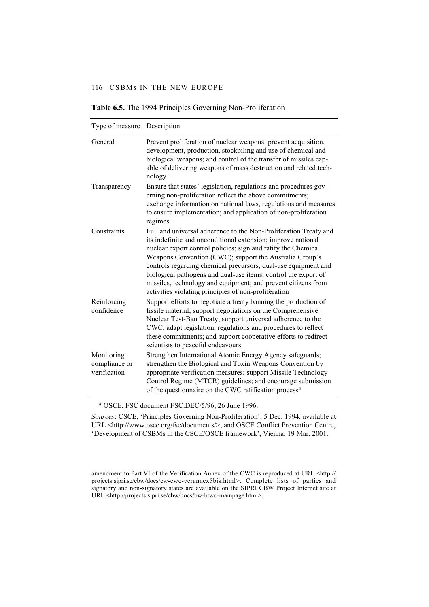| Type of measure                             | Description                                                                                                                                                                                                                                                                                                                                                                                                                                                                                                               |
|---------------------------------------------|---------------------------------------------------------------------------------------------------------------------------------------------------------------------------------------------------------------------------------------------------------------------------------------------------------------------------------------------------------------------------------------------------------------------------------------------------------------------------------------------------------------------------|
| General                                     | Prevent proliferation of nuclear weapons; prevent acquisition,<br>development, production, stockpiling and use of chemical and<br>biological weapons; and control of the transfer of missiles cap-<br>able of delivering weapons of mass destruction and related tech-<br>nology                                                                                                                                                                                                                                          |
| Transparency                                | Ensure that states' legislation, regulations and procedures gov-<br>erning non-proliferation reflect the above commitments;<br>exchange information on national laws, regulations and measures<br>to ensure implementation; and application of non-proliferation<br>regimes                                                                                                                                                                                                                                               |
| Constraints                                 | Full and universal adherence to the Non-Proliferation Treaty and<br>its indefinite and unconditional extension; improve national<br>nuclear export control policies; sign and ratify the Chemical<br>Weapons Convention (CWC); support the Australia Group's<br>controls regarding chemical precursors, dual-use equipment and<br>biological pathogens and dual-use items; control the export of<br>missiles, technology and equipment; and prevent citizens from<br>activities violating principles of non-proliferation |
| Reinforcing<br>confidence                   | Support efforts to negotiate a treaty banning the production of<br>fissile material; support negotiations on the Comprehensive<br>Nuclear Test-Ban Treaty; support universal adherence to the<br>CWC; adapt legislation, regulations and procedures to reflect<br>these commitments; and support cooperative efforts to redirect<br>scientists to peaceful endeavours                                                                                                                                                     |
| Monitoring<br>compliance or<br>verification | Strengthen International Atomic Energy Agency safeguards;<br>strengthen the Biological and Toxin Weapons Convention by<br>appropriate verification measures; support Missile Technology<br>Control Regime (MTCR) guidelines; and encourage submission<br>of the questionnaire on the CWC ratification process <sup>a</sup>                                                                                                                                                                                                |

**Table 6.5.** The 1994 Principles Governing Non-Proliferation

*<sup>a</sup>* OSCE, FSC document FSC.DEC/5/96, 26 June 1996.

*Sources*: CSCE, 'Principles Governing Non-Proliferation', 5 Dec. 1994, available at URL <http://www.osce.org/fsc/documents/>; and OSCE Conflict Prevention Centre, 'Development of CSBMs in the CSCE/OSCE framework', Vienna, 19 Mar. 2001.

amendment to Part VI of the Verification Annex of the CWC is reproduced at URL <http:// projects.sipri.se/cbw/docs/cw-cwc-verannex5bis.html>. Complete lists of parties and signatory and non-signatory states are available on the SIPRI CBW Project Internet site at URL <http://projects.sipri.se/cbw/docs/bw-btwc-mainpage.html>.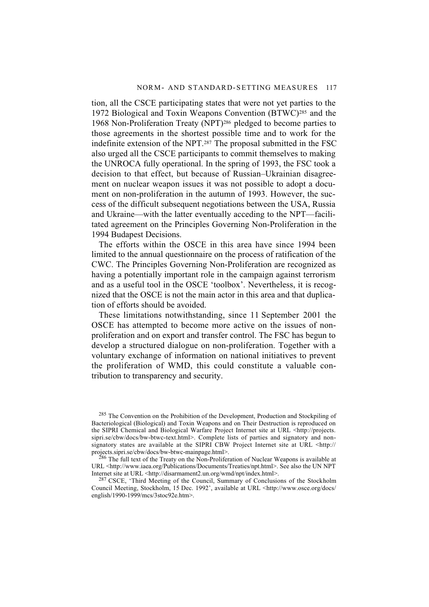tion, all the CSCE participating states that were not yet parties to the 1972 Biological and Toxin Weapons Convention (BTWC)285 and the 1968 Non-Proliferation Treaty (NPT)286 pledged to become parties to those agreements in the shortest possible time and to work for the indefinite extension of the NPT.287 The proposal submitted in the FSC also urged all the CSCE participants to commit themselves to making the UNROCA fully operational. In the spring of 1993, the FSC took a decision to that effect, but because of Russian–Ukrainian disagreement on nuclear weapon issues it was not possible to adopt a document on non-proliferation in the autumn of 1993. However, the success of the difficult subsequent negotiations between the USA, Russia and Ukraine—with the latter eventually acceding to the NPT—facilitated agreement on the Principles Governing Non-Proliferation in the 1994 Budapest Decisions.

The efforts within the OSCE in this area have since 1994 been limited to the annual questionnaire on the process of ratification of the CWC. The Principles Governing Non-Proliferation are recognized as having a potentially important role in the campaign against terrorism and as a useful tool in the OSCE 'toolbox'. Nevertheless, it is recognized that the OSCE is not the main actor in this area and that duplication of efforts should be avoided.

These limitations notwithstanding, since 11 September 2001 the OSCE has attempted to become more active on the issues of nonproliferation and on export and transfer control. The FSC has begun to develop a structured dialogue on non-proliferation. Together with a voluntary exchange of information on national initiatives to prevent the proliferation of WMD, this could constitute a valuable contribution to transparency and security.

<sup>285</sup> The Convention on the Prohibition of the Development, Production and Stockpiling of Bacteriological (Biological) and Toxin Weapons and on Their Destruction is reproduced on the SIPRI Chemical and Biological Warfare Project Internet site at URL <http://projects. sipri.se/cbw/docs/bw-btwc-text.html>. Complete lists of parties and signatory and nonsignatory states are available at the SIPRI CBW Project Internet site at URL <http:// projects.sipri.se/cbw/docs/bw-btwc-mainpage.html>.

 $^{286}$  The full text of the Treaty on the Non-Proliferation of Nuclear Weapons is available at URL <http://www.iaea.org/Publications/Documents/Treaties/npt.html>. See also the UN NPT Internet site at URL <http://disarmament2.un.org/wmd/npt/index.html>.

<sup>287</sup> CSCE, 'Third Meeting of the Council, Summary of Conclusions of the Stockholm Council Meeting, Stockholm, 15 Dec. 1992', available at URL <http://www.osce.org/docs/ english/1990-1999/mcs/3stoc92e.htm>.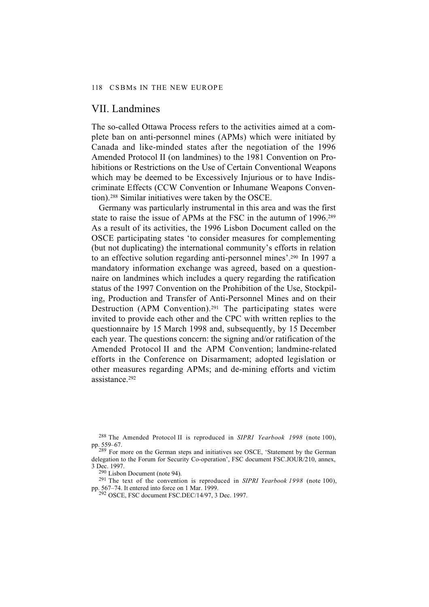#### VII. Landmines

The so-called Ottawa Process refers to the activities aimed at a complete ban on anti-personnel mines (APMs) which were initiated by Canada and like-minded states after the negotiation of the 1996 Amended Protocol II (on landmines) to the 1981 Convention on Prohibitions or Restrictions on the Use of Certain Conventional Weapons which may be deemed to be Excessively Injurious or to have Indiscriminate Effects (CCW Convention or Inhumane Weapons Convention).288 Similar initiatives were taken by the OSCE.

Germany was particularly instrumental in this area and was the first state to raise the issue of APMs at the FSC in the autumn of 1996.289 As a result of its activities, the 1996 Lisbon Document called on the OSCE participating states 'to consider measures for complementing (but not duplicating) the international community's efforts in relation to an effective solution regarding anti-personnel mines'.290 In 1997 a mandatory information exchange was agreed, based on a questionnaire on landmines which includes a query regarding the ratification status of the 1997 Convention on the Prohibition of the Use, Stockpiling, Production and Transfer of Anti-Personnel Mines and on their Destruction (APM Convention).<sup>291</sup> The participating states were invited to provide each other and the CPC with written replies to the questionnaire by 15 March 1998 and, subsequently, by 15 December each year. The questions concern: the signing and/or ratification of the Amended Protocol II and the APM Convention; landmine-related efforts in the Conference on Disarmament; adopted legislation or other measures regarding APMs; and de-mining efforts and victim assistance.292

290 Lisbon Document (note 94).

291 The text of the convention is reproduced in *SIPRI Yearbook 1998* (note 100), pp. 567–74. It entered into force on 1 Mar. 1999.

292 OSCE, FSC document FSC.DEC/14/97, 3 Dec. 1997.

<sup>288</sup> The Amended Protocol II is reproduced in *SIPRI Yearbook 1998* (note 100), pp. 559–67.

<sup>289</sup> For more on the German steps and initiatives see OSCE, 'Statement by the German delegation to the Forum for Security Co-operation', FSC document FSC.JOUR/210, annex, 3 Dec. 1997.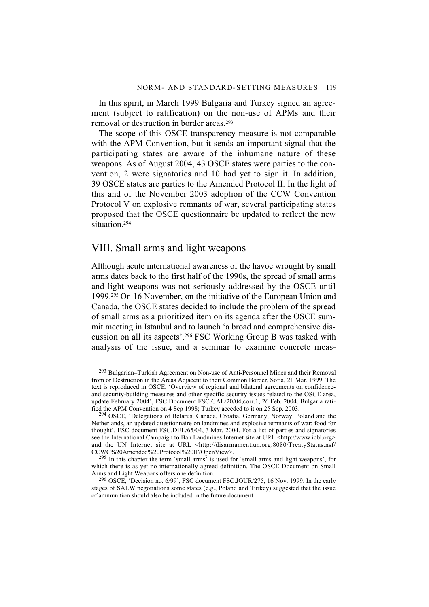In this spirit, in March 1999 Bulgaria and Turkey signed an agreement (subject to ratification) on the non-use of APMs and their removal or destruction in border areas.<sup>293</sup>

The scope of this OSCE transparency measure is not comparable with the APM Convention, but it sends an important signal that the participating states are aware of the inhumane nature of these weapons. As of August 2004, 43 OSCE states were parties to the convention, 2 were signatories and 10 had yet to sign it. In addition, 39 OSCE states are parties to the Amended Protocol II. In the light of this and of the November 2003 adoption of the CCW Convention Protocol V on explosive remnants of war, several participating states proposed that the OSCE questionnaire be updated to reflect the new situation.294

#### VIII. Small arms and light weapons

Although acute international awareness of the havoc wrought by small arms dates back to the first half of the 1990s, the spread of small arms and light weapons was not seriously addressed by the OSCE until 1999.295 On 16 November, on the initiative of the European Union and Canada, the OSCE states decided to include the problem of the spread of small arms as a prioritized item on its agenda after the OSCE summit meeting in Istanbul and to launch 'a broad and comprehensive discussion on all its aspects'.296 FSC Working Group B was tasked with analysis of the issue, and a seminar to examine concrete meas-

<sup>293</sup> Bulgarian–Turkish Agreement on Non-use of Anti-Personnel Mines and their Removal from or Destruction in the Areas Adjacent to their Common Border, Sofia, 21 Mar. 1999. The text is reproduced in OSCE, 'Overview of regional and bilateral agreements on confidenceand security-building measures and other specific security issues related to the OSCE area, update February 2004', FSC Document FSC.GAL/20/04,corr.1, 26 Feb. 2004. Bulgaria ratified the APM Convention on 4 Sep 1998; Turkey acceded to it on 25 Sep. 2003.

<sup>294</sup> OSCE, 'Delegations of Belarus, Canada, Croatia, Germany, Norway, Poland and the Netherlands, an updated questionnaire on landmines and explosive remnants of war: food for thought', FSC document FSC.DEL/65/04, 3 Mar. 2004. For a list of parties and signatories see the International Campaign to Ban Landmines Internet site at URL <http://www.icbl.org> and the UN Internet site at URL <http://disarmament.un.org:8080/TreatyStatus.nsf/ CCWC%20Amended%20Protocol%20II?OpenView>.

 $295$  In this chapter the term 'small arms' is used for 'small arms and light weapons', for which there is as yet no internationally agreed definition. The OSCE Document on Small Arms and Light Weapons offers one definition.

<sup>296</sup> OSCE, 'Decision no. 6/99', FSC document FSC.JOUR/275, 16 Nov. 1999. In the early stages of SALW negotiations some states (e.g., Poland and Turkey) suggested that the issue of ammunition should also be included in the future document.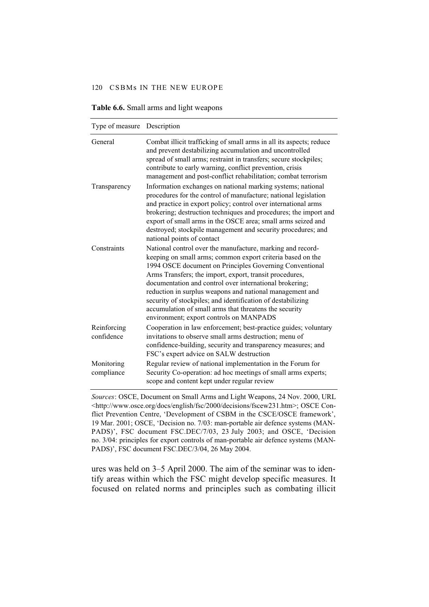| Type of measure Description |                                                                                                                                                                                                                                                                                                                                                                                                                                                                                                                                           |
|-----------------------------|-------------------------------------------------------------------------------------------------------------------------------------------------------------------------------------------------------------------------------------------------------------------------------------------------------------------------------------------------------------------------------------------------------------------------------------------------------------------------------------------------------------------------------------------|
| General                     | Combat illicit trafficking of small arms in all its aspects; reduce<br>and prevent destabilizing accumulation and uncontrolled<br>spread of small arms; restraint in transfers; secure stockpiles;<br>contribute to early warning, conflict prevention, crisis<br>management and post-conflict rehabilitation; combat terrorism                                                                                                                                                                                                           |
| Transparency                | Information exchanges on national marking systems; national<br>procedures for the control of manufacture; national legislation<br>and practice in export policy; control over international arms<br>brokering; destruction techniques and procedures; the import and<br>export of small arms in the OSCE area; small arms seized and<br>destroyed; stockpile management and security procedures; and<br>national points of contact                                                                                                        |
| Constraints                 | National control over the manufacture, marking and record-<br>keeping on small arms; common export criteria based on the<br>1994 OSCE document on Principles Governing Conventional<br>Arms Transfers; the import, export, transit procedures,<br>documentation and control over international brokering;<br>reduction in surplus weapons and national management and<br>security of stockpiles; and identification of destabilizing<br>accumulation of small arms that threatens the security<br>environment; export controls on MANPADS |
| Reinforcing<br>confidence   | Cooperation in law enforcement; best-practice guides; voluntary<br>invitations to observe small arms destruction; menu of<br>confidence-building, security and transparency measures; and<br>FSC's expert advice on SALW destruction                                                                                                                                                                                                                                                                                                      |
| Monitoring<br>compliance    | Regular review of national implementation in the Forum for<br>Security Co-operation: ad hoc meetings of small arms experts;<br>scope and content kept under regular review                                                                                                                                                                                                                                                                                                                                                                |

|  | Table 6.6. Small arms and light weapons |
|--|-----------------------------------------|
|--|-----------------------------------------|

*Sources*: OSCE, Document on Small Arms and Light Weapons, 24 Nov. 2000, URL <http://www.osce.org/docs/english/fsc/2000/decisions/fscew231.htm>; OSCE Conflict Prevention Centre, 'Development of CSBM in the CSCE/OSCE framework', 19 Mar. 2001; OSCE, 'Decision no. 7/03: man-portable air defence systems (MAN-PADS)', FSC document FSC.DEC/7/03, 23 July 2003; and OSCE, 'Decision no. 3/04: principles for export controls of man-portable air defence systems (MAN-PADS)', FSC document FSC.DEC/3/04, 26 May 2004.

ures was held on 3–5 April 2000. The aim of the seminar was to identify areas within which the FSC might develop specific measures. It focused on related norms and principles such as combating illicit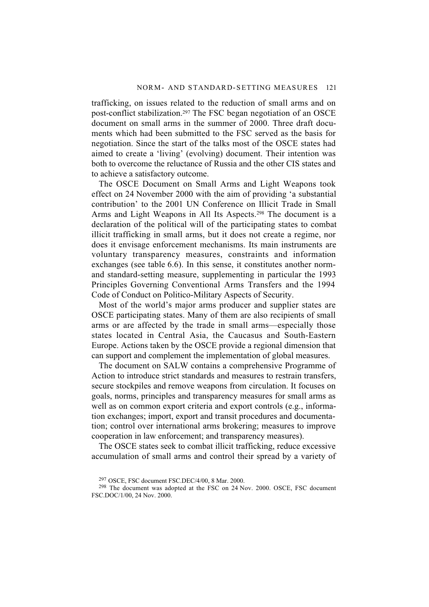trafficking, on issues related to the reduction of small arms and on post-conflict stabilization.297 The FSC began negotiation of an OSCE document on small arms in the summer of 2000. Three draft documents which had been submitted to the FSC served as the basis for negotiation. Since the start of the talks most of the OSCE states had aimed to create a 'living' (evolving) document. Their intention was both to overcome the reluctance of Russia and the other CIS states and to achieve a satisfactory outcome.

The OSCE Document on Small Arms and Light Weapons took effect on 24 November 2000 with the aim of providing 'a substantial contribution' to the 2001 UN Conference on Illicit Trade in Small Arms and Light Weapons in All Its Aspects.298 The document is a declaration of the political will of the participating states to combat illicit trafficking in small arms, but it does not create a regime, nor does it envisage enforcement mechanisms. Its main instruments are voluntary transparency measures, constraints and information exchanges (see table 6.6). In this sense, it constitutes another normand standard-setting measure, supplementing in particular the 1993 Principles Governing Conventional Arms Transfers and the 1994 Code of Conduct on Politico-Military Aspects of Security.

Most of the world's major arms producer and supplier states are OSCE participating states. Many of them are also recipients of small arms or are affected by the trade in small arms—especially those states located in Central Asia, the Caucasus and South-Eastern Europe. Actions taken by the OSCE provide a regional dimension that can support and complement the implementation of global measures.

The document on SALW contains a comprehensive Programme of Action to introduce strict standards and measures to restrain transfers, secure stockpiles and remove weapons from circulation. It focuses on goals, norms, principles and transparency measures for small arms as well as on common export criteria and export controls (e.g., information exchanges; import, export and transit procedures and documentation; control over international arms brokering; measures to improve cooperation in law enforcement; and transparency measures).

The OSCE states seek to combat illicit trafficking, reduce excessive accumulation of small arms and control their spread by a variety of

<sup>297</sup> OSCE, FSC document FSC.DEC/4/00, 8 Mar. 2000.

<sup>&</sup>lt;sup>298</sup> The document was adopted at the FSC on 24 Nov. 2000. OSCE, FSC document FSC.DOC/1/00, 24 Nov. 2000.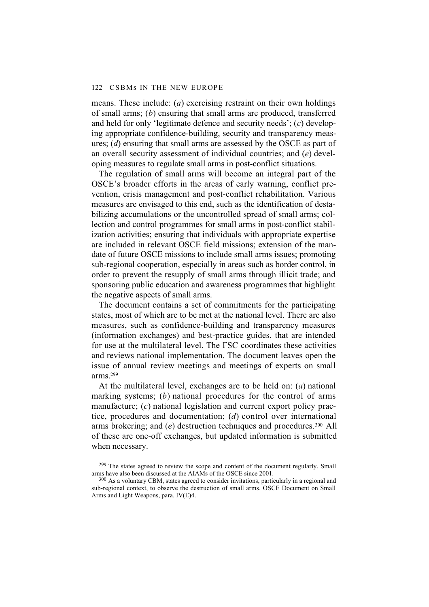means. These include: (*a*) exercising restraint on their own holdings of small arms; (*b*) ensuring that small arms are produced, transferred and held for only 'legitimate defence and security needs'; (*c*) developing appropriate confidence-building, security and transparency measures; (*d*) ensuring that small arms are assessed by the OSCE as part of an overall security assessment of individual countries; and (*e*) developing measures to regulate small arms in post-conflict situations.

The regulation of small arms will become an integral part of the OSCE's broader efforts in the areas of early warning, conflict prevention, crisis management and post-conflict rehabilitation. Various measures are envisaged to this end, such as the identification of destabilizing accumulations or the uncontrolled spread of small arms; collection and control programmes for small arms in post-conflict stabilization activities; ensuring that individuals with appropriate expertise are included in relevant OSCE field missions; extension of the mandate of future OSCE missions to include small arms issues; promoting sub-regional cooperation, especially in areas such as border control, in order to prevent the resupply of small arms through illicit trade; and sponsoring public education and awareness programmes that highlight the negative aspects of small arms.

The document contains a set of commitments for the participating states, most of which are to be met at the national level. There are also measures, such as confidence-building and transparency measures (information exchanges) and best-practice guides, that are intended for use at the multilateral level. The FSC coordinates these activities and reviews national implementation. The document leaves open the issue of annual review meetings and meetings of experts on small arms.299

At the multilateral level, exchanges are to be held on: (*a*) national marking systems; (*b*) national procedures for the control of arms manufacture; (*c*) national legislation and current export policy practice, procedures and documentation; (*d*) control over international arms brokering; and (*e*) destruction techniques and procedures.<sup>300</sup> All of these are one-off exchanges, but updated information is submitted when necessary.

 $299$  The states agreed to review the scope and content of the document regularly. Small arms have also been discussed at the AIAMs of the OSCE since 2001.

<sup>&</sup>lt;sup>300</sup> As a voluntary CBM, states agreed to consider invitations, particularly in a regional and sub-regional context, to observe the destruction of small arms. OSCE Document on Small Arms and Light Weapons, para. IV(E)4.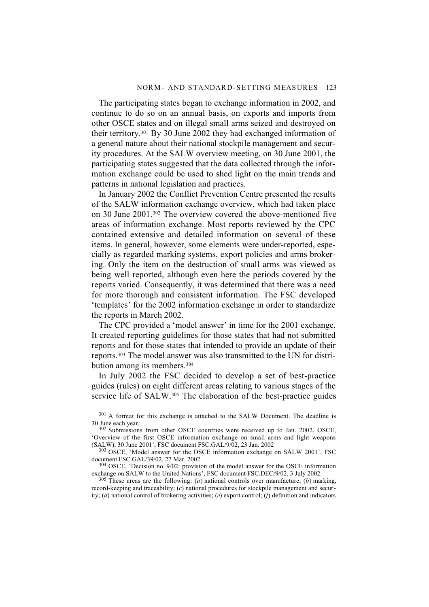The participating states began to exchange information in 2002, and continue to do so on an annual basis, on exports and imports from other OSCE states and on illegal small arms seized and destroyed on their territory.301 By 30 June 2002 they had exchanged information of a general nature about their national stockpile management and security procedures. At the SALW overview meeting, on 30 June 2001, the participating states suggested that the data collected through the information exchange could be used to shed light on the main trends and patterns in national legislation and practices.

In January 2002 the Conflict Prevention Centre presented the results of the SALW information exchange overview, which had taken place on 30 June 2001.302 The overview covered the above-mentioned five areas of information exchange. Most reports reviewed by the CPC contained extensive and detailed information on several of these items. In general, however, some elements were under-reported, especially as regarded marking systems, export policies and arms brokering. Only the item on the destruction of small arms was viewed as being well reported, although even here the periods covered by the reports varied. Consequently, it was determined that there was a need for more thorough and consistent information. The FSC developed 'templates' for the 2002 information exchange in order to standardize the reports in March 2002.

The CPC provided a 'model answer' in time for the 2001 exchange. It created reporting guidelines for those states that had not submitted reports and for those states that intended to provide an update of their reports.303 The model answer was also transmitted to the UN for distribution among its members.304

In July 2002 the FSC decided to develop a set of best-practice guides (rules) on eight different areas relating to various stages of the service life of SALW.<sup>305</sup> The elaboration of the best-practice guides

<sup>301</sup> A format for this exchange is attached to the SALW Document. The deadline is 30 June each year.

302 Submissions from other OSCE countries were received up to Jan. 2002. OSCE, 'Overview of the first OSCE information exchange on small arms and light weapons (SALW), 30 June 2001', FSC document FSC.GAL/9/02, 23 Jan. 2002

303 OSCE, 'Model answer for the OSCE information exchange on SALW 2001', FSC document FSC.GAL/39/02, 27 Mar. 2002.

304 OSCE, 'Decision no. 9/02: provision of the model answer for the OSCE information exchange on SALW to the United Nations', FSC document FSC.DEC/9/02, 3 July 2002.

 $305$  These areas are the following: (*a*) national controls over manufacture; (*b*) marking, record-keeping and traceability; (*c*) national procedures for stockpile management and security; (*d*) national control of brokering activities; (*e*) export control; (*f*) definition and indicators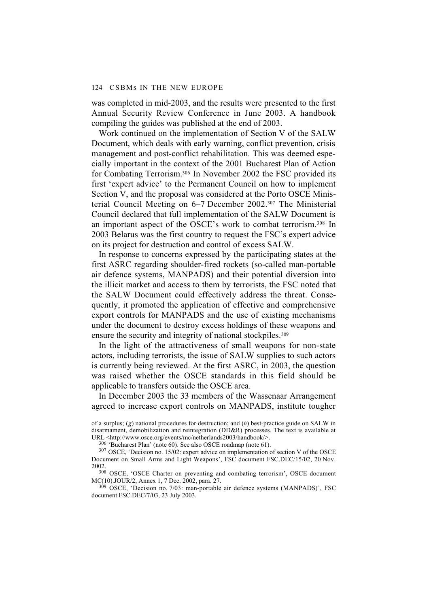was completed in mid-2003, and the results were presented to the first Annual Security Review Conference in June 2003. A handbook compiling the guides was published at the end of 2003.

Work continued on the implementation of Section V of the SALW Document, which deals with early warning, conflict prevention, crisis management and post-conflict rehabilitation. This was deemed especially important in the context of the 2001 Bucharest Plan of Action for Combating Terrorism.306 In November 2002 the FSC provided its first 'expert advice' to the Permanent Council on how to implement Section V, and the proposal was considered at the Porto OSCE Ministerial Council Meeting on 6–7 December 2002.307 The Ministerial Council declared that full implementation of the SALW Document is an important aspect of the OSCE's work to combat terrorism.308 In 2003 Belarus was the first country to request the FSC's expert advice on its project for destruction and control of excess SALW.

In response to concerns expressed by the participating states at the first ASRC regarding shoulder-fired rockets (so-called man-portable air defence systems, MANPADS) and their potential diversion into the illicit market and access to them by terrorists, the FSC noted that the SALW Document could effectively address the threat. Consequently, it promoted the application of effective and comprehensive export controls for MANPADS and the use of existing mechanisms under the document to destroy excess holdings of these weapons and ensure the security and integrity of national stockpiles.<sup>309</sup>

In the light of the attractiveness of small weapons for non-state actors, including terrorists, the issue of SALW supplies to such actors is currently being reviewed. At the first ASRC, in 2003, the question was raised whether the OSCE standards in this field should be applicable to transfers outside the OSCE area.

In December 2003 the 33 members of the Wassenaar Arrangement agreed to increase export controls on MANPADS, institute tougher

306 'Bucharest Plan' (note 60). See also OSCE roadmap (note 61).

308 OSCE, 'OSCE Charter on preventing and combating terrorism', OSCE document MC(10).JOUR/2, Annex 1, 7 Dec. 2002, para. 27.

 $309$  OSCE, 'Decision no. 7/03: man-portable air defence systems (MANPADS)', FSC document FSC.DEC/7/03, 23 July 2003.

of a surplus; (*g*) national procedures for destruction; and (*h*) best-practice guide on SALW in disarmament, demobilization and reintegration (DD&R) processes. The text is available at URL <http://www.osce.org/events/mc/netherlands2003/handbook/>.

<sup>307</sup> OSCE, 'Decision no. 15/02: expert advice on implementation of section V of the OSCE Document on Small Arms and Light Weapons', FSC document FSC.DEC/15/02, 20 Nov. 2002.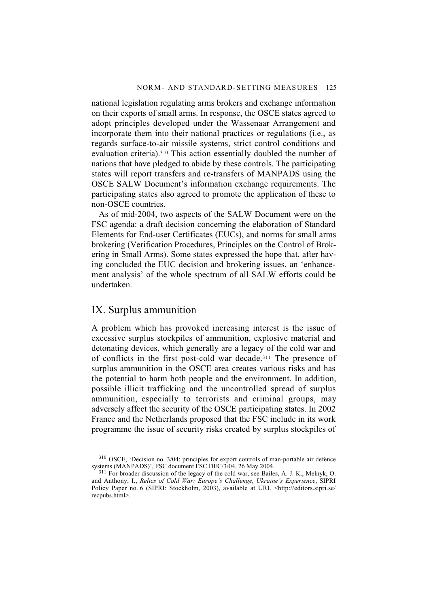national legislation regulating arms brokers and exchange information on their exports of small arms. In response, the OSCE states agreed to adopt principles developed under the Wassenaar Arrangement and incorporate them into their national practices or regulations (i.e., as regards surface-to-air missile systems, strict control conditions and evaluation criteria).310 This action essentially doubled the number of nations that have pledged to abide by these controls. The participating states will report transfers and re-transfers of MANPADS using the OSCE SALW Document's information exchange requirements. The participating states also agreed to promote the application of these to non-OSCE countries.

As of mid-2004, two aspects of the SALW Document were on the FSC agenda: a draft decision concerning the elaboration of Standard Elements for End-user Certificates (EUCs), and norms for small arms brokering (Verification Procedures, Principles on the Control of Brokering in Small Arms). Some states expressed the hope that, after having concluded the EUC decision and brokering issues, an 'enhancement analysis' of the whole spectrum of all SALW efforts could be undertaken.

#### IX. Surplus ammunition

A problem which has provoked increasing interest is the issue of excessive surplus stockpiles of ammunition, explosive material and detonating devices, which generally are a legacy of the cold war and of conflicts in the first post-cold war decade.311 The presence of surplus ammunition in the OSCE area creates various risks and has the potential to harm both people and the environment. In addition, possible illicit trafficking and the uncontrolled spread of surplus ammunition, especially to terrorists and criminal groups, may adversely affect the security of the OSCE participating states. In 2002 France and the Netherlands proposed that the FSC include in its work programme the issue of security risks created by surplus stockpiles of

<sup>310</sup> OSCE, 'Decision no. 3/04: principles for export controls of man-portable air defence systems (MANPADS)', FSC document FSC.DEC/3/04, 26 May 2004.

<sup>311</sup> For broader discussion of the legacy of the cold war, see Bailes, A. J. K., Melnyk, O. and Anthony, I., *Relics of Cold War: Europe's Challenge, Ukraine's Experience*, SIPRI Policy Paper no. 6 (SIPRI: Stockholm, 2003), available at URL <http://editors.sipri.se/ recpubs.html>.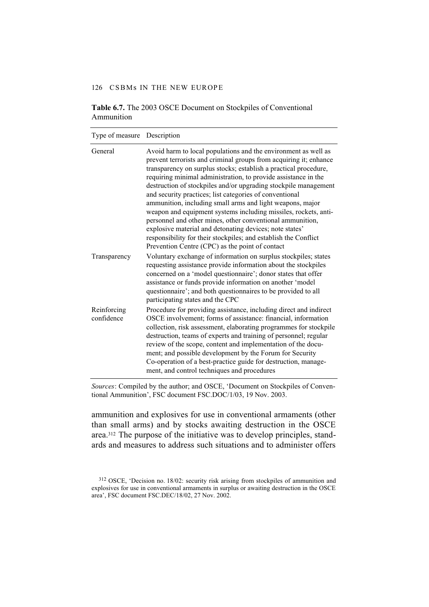#### 126 CSBMs IN THE NEW EUROPE

| Type of measure           | Description                                                                                                                                                                                                                                                                                                                                                                                                                                                                                                                                                                                                                                                                                                                                                                           |
|---------------------------|---------------------------------------------------------------------------------------------------------------------------------------------------------------------------------------------------------------------------------------------------------------------------------------------------------------------------------------------------------------------------------------------------------------------------------------------------------------------------------------------------------------------------------------------------------------------------------------------------------------------------------------------------------------------------------------------------------------------------------------------------------------------------------------|
| General                   | Avoid harm to local populations and the environment as well as<br>prevent terrorists and criminal groups from acquiring it; enhance<br>transparency on surplus stocks; establish a practical procedure,<br>requiring minimal administration, to provide assistance in the<br>destruction of stockpiles and/or upgrading stockpile management<br>and security practices; list categories of conventional<br>ammunition, including small arms and light weapons, major<br>weapon and equipment systems including missiles, rockets, anti-<br>personnel and other mines, other conventional ammunition,<br>explosive material and detonating devices; note states'<br>responsibility for their stockpiles; and establish the Conflict<br>Prevention Centre (CPC) as the point of contact |
| Transparency              | Voluntary exchange of information on surplus stockpiles; states<br>requesting assistance provide information about the stockpiles<br>concerned on a 'model questionnaire'; donor states that offer<br>assistance or funds provide information on another 'model<br>questionnaire'; and both questionnaires to be provided to all<br>participating states and the CPC                                                                                                                                                                                                                                                                                                                                                                                                                  |
| Reinforcing<br>confidence | Procedure for providing assistance, including direct and indirect<br>OSCE involvement; forms of assistance: financial, information<br>collection, risk assessment, elaborating programmes for stockpile<br>destruction, teams of experts and training of personnel; regular<br>review of the scope, content and implementation of the docu-<br>ment; and possible development by the Forum for Security<br>Co-operation of a best-practice guide for destruction, manage-<br>ment, and control techniques and procedures                                                                                                                                                                                                                                                              |

#### **Table 6.7.** The 2003 OSCE Document on Stockpiles of Conventional Ammunition

*Sources*: Compiled by the author; and OSCE, 'Document on Stockpiles of Conventional Ammunition', FSC document FSC.DOC/1/03, 19 Nov. 2003.

ammunition and explosives for use in conventional armaments (other than small arms) and by stocks awaiting destruction in the OSCE area.312 The purpose of the initiative was to develop principles, standards and measures to address such situations and to administer offers

<sup>312</sup> OSCE, 'Decision no. 18/02: security risk arising from stockpiles of ammunition and explosives for use in conventional armaments in surplus or awaiting destruction in the OSCE area', FSC document FSC.DEC/18/02, 27 Nov. 2002.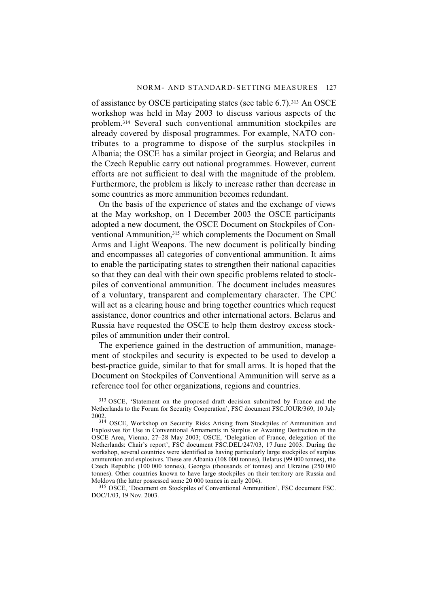of assistance by OSCE participating states (see table 6.7).313 An OSCE workshop was held in May 2003 to discuss various aspects of the problem.314 Several such conventional ammunition stockpiles are already covered by disposal programmes. For example, NATO contributes to a programme to dispose of the surplus stockpiles in Albania; the OSCE has a similar project in Georgia; and Belarus and the Czech Republic carry out national programmes. However, current efforts are not sufficient to deal with the magnitude of the problem. Furthermore, the problem is likely to increase rather than decrease in some countries as more ammunition becomes redundant.

On the basis of the experience of states and the exchange of views at the May workshop, on 1 December 2003 the OSCE participants adopted a new document, the OSCE Document on Stockpiles of Conventional Ammunition,315 which complements the Document on Small Arms and Light Weapons. The new document is politically binding and encompasses all categories of conventional ammunition. It aims to enable the participating states to strengthen their national capacities so that they can deal with their own specific problems related to stockpiles of conventional ammunition. The document includes measures of a voluntary, transparent and complementary character. The CPC will act as a clearing house and bring together countries which request assistance, donor countries and other international actors. Belarus and Russia have requested the OSCE to help them destroy excess stockpiles of ammunition under their control.

The experience gained in the destruction of ammunition, management of stockpiles and security is expected to be used to develop a best-practice guide, similar to that for small arms. It is hoped that the Document on Stockpiles of Conventional Ammunition will serve as a reference tool for other organizations, regions and countries.

315 OSCE, 'Document on Stockpiles of Conventional Ammunition', FSC document FSC. DOC/1/03, 19 Nov. 2003.

<sup>313</sup> OSCE, 'Statement on the proposed draft decision submitted by France and the Netherlands to the Forum for Security Cooperation', FSC document FSC.JOUR/369, 10 July 2002.

<sup>&</sup>lt;sup>314</sup> OSCE, Workshop on Security Risks Arising from Stockpiles of Ammunition and Explosives for Use in Conventional Armaments in Surplus or Awaiting Destruction in the OSCE Area, Vienna, 27–28 May 2003; OSCE, 'Delegation of France, delegation of the Netherlands: Chair's report', FSC document FSC.DEL/247/03, 17 June 2003. During the workshop, several countries were identified as having particularly large stockpiles of surplus ammunition and explosives. These are Albania (108 000 tonnes), Belarus (99 000 tonnes), the Czech Republic (100 000 tonnes), Georgia (thousands of tonnes) and Ukraine (250 000 tonnes). Other countries known to have large stockpiles on their territory are Russia and Moldova (the latter possessed some 20 000 tonnes in early 2004).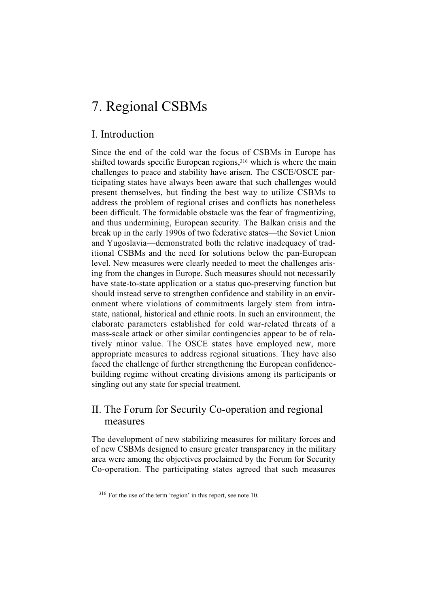# 7. Regional CSBMs

## I. Introduction

Since the end of the cold war the focus of CSBMs in Europe has shifted towards specific European regions,<sup>316</sup> which is where the main challenges to peace and stability have arisen. The CSCE/OSCE participating states have always been aware that such challenges would present themselves, but finding the best way to utilize CSBMs to address the problem of regional crises and conflicts has nonetheless been difficult. The formidable obstacle was the fear of fragmentizing, and thus undermining, European security. The Balkan crisis and the break up in the early 1990s of two federative states—the Soviet Union and Yugoslavia—demonstrated both the relative inadequacy of traditional CSBMs and the need for solutions below the pan-European level. New measures were clearly needed to meet the challenges arising from the changes in Europe. Such measures should not necessarily have state-to-state application or a status quo-preserving function but should instead serve to strengthen confidence and stability in an environment where violations of commitments largely stem from intrastate, national, historical and ethnic roots. In such an environment, the elaborate parameters established for cold war-related threats of a mass-scale attack or other similar contingencies appear to be of relatively minor value. The OSCE states have employed new, more appropriate measures to address regional situations. They have also faced the challenge of further strengthening the European confidencebuilding regime without creating divisions among its participants or singling out any state for special treatment.

## II. The Forum for Security Co-operation and regional measures

The development of new stabilizing measures for military forces and of new CSBMs designed to ensure greater transparency in the military area were among the objectives proclaimed by the Forum for Security Co-operation. The participating states agreed that such measures

<sup>316</sup> For the use of the term 'region' in this report, see note 10.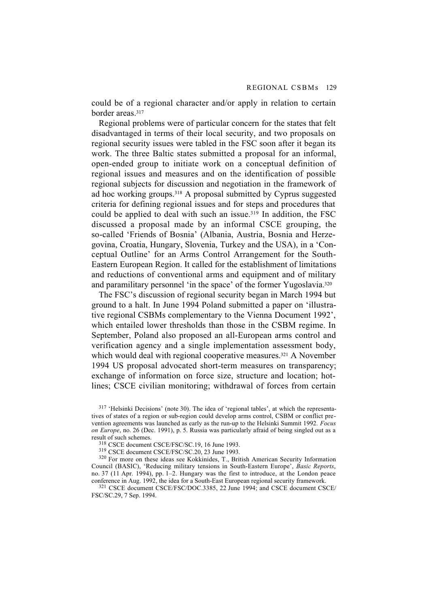could be of a regional character and/or apply in relation to certain border areas.317

Regional problems were of particular concern for the states that felt disadvantaged in terms of their local security, and two proposals on regional security issues were tabled in the FSC soon after it began its work. The three Baltic states submitted a proposal for an informal, open-ended group to initiate work on a conceptual definition of regional issues and measures and on the identification of possible regional subjects for discussion and negotiation in the framework of ad hoc working groups.<sup>318</sup> A proposal submitted by Cyprus suggested criteria for defining regional issues and for steps and procedures that could be applied to deal with such an issue.319 In addition, the FSC discussed a proposal made by an informal CSCE grouping, the so-called 'Friends of Bosnia' (Albania, Austria, Bosnia and Herzegovina, Croatia, Hungary, Slovenia, Turkey and the USA), in a 'Conceptual Outline' for an Arms Control Arrangement for the South-Eastern European Region. It called for the establishment of limitations and reductions of conventional arms and equipment and of military and paramilitary personnel 'in the space' of the former Yugoslavia.320

The FSC's discussion of regional security began in March 1994 but ground to a halt. In June 1994 Poland submitted a paper on 'illustrative regional CSBMs complementary to the Vienna Document 1992', which entailed lower thresholds than those in the CSBM regime. In September, Poland also proposed an all-European arms control and verification agency and a single implementation assessment body, which would deal with regional cooperative measures.<sup>321</sup> A November 1994 US proposal advocated short-term measures on transparency; exchange of information on force size, structure and location; hotlines; CSCE civilian monitoring; withdrawal of forces from certain

 $317$  'Helsinki Decisions' (note 30). The idea of 'regional tables', at which the representatives of states of a region or sub-region could develop arms control, CSBM or conflict prevention agreements was launched as early as the run-up to the Helsinki Summit 1992. *Focus on Europe*, no. 26 (Dec. 1991), p. 5. Russia was particularly afraid of being singled out as a result of such schemes.

318 CSCE document CSCE/FSC/SC.19, 16 June 1993.

319 CSCE document CSCE/FSC/SC.20, 23 June 1993.

320 For more on these ideas see Kokkinides, T., British American Security Information Council (BASIC), 'Reducing military tensions in South-Eastern Europe', *Basic Reports*, no. 37 (11 Apr. 1994), pp. 1–2. Hungary was the first to introduce, at the London peace conference in Aug. 1992, the idea for a South-East European regional security framework.

321 CSCE document CSCE/FSC/DOC.3385, 22 June 1994; and CSCE document CSCE/ FSC/SC.29, 7 Sep. 1994.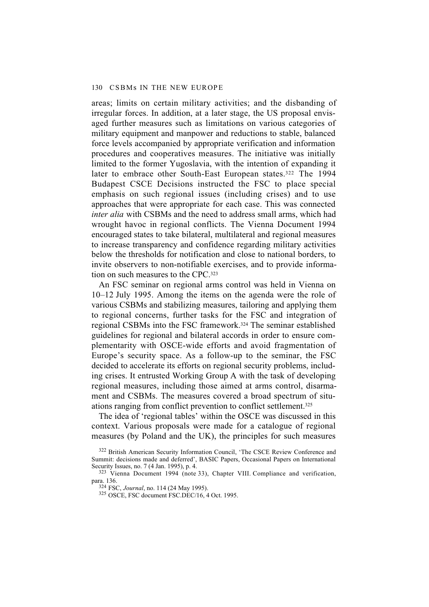areas; limits on certain military activities; and the disbanding of irregular forces. In addition, at a later stage, the US proposal envisaged further measures such as limitations on various categories of military equipment and manpower and reductions to stable, balanced force levels accompanied by appropriate verification and information procedures and cooperatives measures. The initiative was initially limited to the former Yugoslavia, with the intention of expanding it later to embrace other South-East European states.<sup>322</sup> The 1994 Budapest CSCE Decisions instructed the FSC to place special emphasis on such regional issues (including crises) and to use approaches that were appropriate for each case. This was connected *inter alia* with CSBMs and the need to address small arms, which had wrought havoc in regional conflicts. The Vienna Document 1994 encouraged states to take bilateral, multilateral and regional measures to increase transparency and confidence regarding military activities below the thresholds for notification and close to national borders, to invite observers to non-notifiable exercises, and to provide information on such measures to the CPC.323

An FSC seminar on regional arms control was held in Vienna on 10–12 July 1995. Among the items on the agenda were the role of various CSBMs and stabilizing measures, tailoring and applying them to regional concerns, further tasks for the FSC and integration of regional CSBMs into the FSC framework.324 The seminar established guidelines for regional and bilateral accords in order to ensure complementarity with OSCE-wide efforts and avoid fragmentation of Europe's security space. As a follow-up to the seminar, the FSC decided to accelerate its efforts on regional security problems, including crises. It entrusted Working Group A with the task of developing regional measures, including those aimed at arms control, disarmament and CSBMs. The measures covered a broad spectrum of situations ranging from conflict prevention to conflict settlement.325

The idea of 'regional tables' within the OSCE was discussed in this context. Various proposals were made for a catalogue of regional measures (by Poland and the UK), the principles for such measures

<sup>322</sup> British American Security Information Council, 'The CSCE Review Conference and Summit: decisions made and deferred', BASIC Papers, Occasional Papers on International Security Issues, no. 7 (4 Jan. 1995), p. 4.

 $323$  Vienna Document 1994 (note 33), Chapter VIII. Compliance and verification, para. 136.

<sup>324</sup> FSC, *Journal*, no. 114 (24 May 1995).

<sup>325</sup> OSCE, FSC document FSC.DEC/16, 4 Oct. 1995.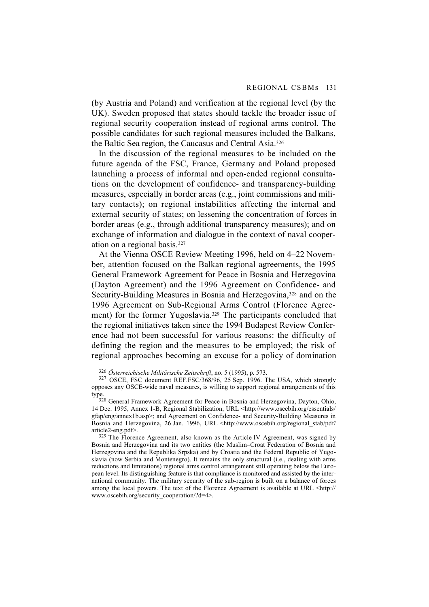(by Austria and Poland) and verification at the regional level (by the UK). Sweden proposed that states should tackle the broader issue of regional security cooperation instead of regional arms control. The possible candidates for such regional measures included the Balkans, the Baltic Sea region, the Caucasus and Central Asia.326

In the discussion of the regional measures to be included on the future agenda of the FSC, France, Germany and Poland proposed launching a process of informal and open-ended regional consultations on the development of confidence- and transparency-building measures, especially in border areas (e.g., joint commissions and military contacts); on regional instabilities affecting the internal and external security of states; on lessening the concentration of forces in border areas (e.g., through additional transparency measures); and on exchange of information and dialogue in the context of naval cooperation on a regional basis.327

At the Vienna OSCE Review Meeting 1996, held on 4–22 November, attention focused on the Balkan regional agreements, the 1995 General Framework Agreement for Peace in Bosnia and Herzegovina (Dayton Agreement) and the 1996 Agreement on Confidence- and Security-Building Measures in Bosnia and Herzegovina,<sup>328</sup> and on the 1996 Agreement on Sub-Regional Arms Control (Florence Agreement) for the former Yugoslavia.<sup>329</sup> The participants concluded that the regional initiatives taken since the 1994 Budapest Review Conference had not been successful for various reasons: the difficulty of defining the region and the measures to be employed; the risk of regional approaches becoming an excuse for a policy of domination

<sup>326</sup> *Österreichische Militärische Zeitschrift*, no. 5 (1995), p. 573.

327 OSCE, FSC document REF.FSC/368/96, 25 Sep. 1996. The USA, which strongly opposes any OSCE-wide naval measures, is willing to support regional arrangements of this type.

<sup>328</sup> General Framework Agreement for Peace in Bosnia and Herzegovina, Dayton, Ohio, 14 Dec. 1995, Annex 1-B, Regional Stabilization, URL <http://www.oscebih.org/essentials/ gfap/eng/annex1b.asp>; and Agreement on Confidence- and Security-Building Measures in Bosnia and Herzegovina, 26 Jan. 1996, URL <http://www.oscebih.org/regional\_stab/pdf/ article2-eng.pdf>.

 $329$  The Florence Agreement, also known as the Article IV Agreement, was signed by Bosnia and Herzegovina and its two entities (the Muslim–Croat Federation of Bosnia and Herzegovina and the Republika Srpska) and by Croatia and the Federal Republic of Yugoslavia (now Serbia and Montenegro). It remains the only structural (i.e., dealing with arms reductions and limitations) regional arms control arrangement still operating below the European level. Its distinguishing feature is that compliance is monitored and assisted by the international community. The military security of the sub-region is built on a balance of forces among the local powers. The text of the Florence Agreement is available at URL <http:// www.oscebih.org/security\_cooperation/?d=4>.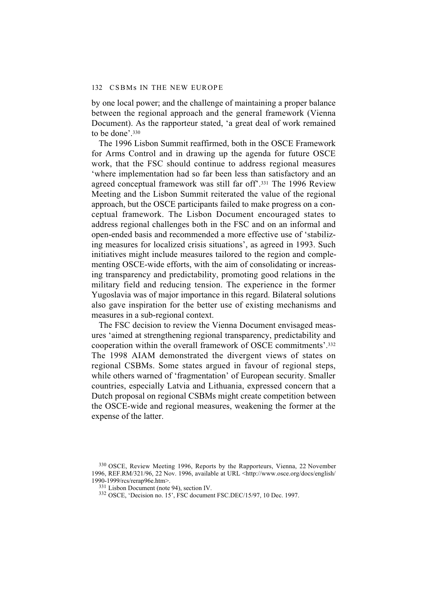by one local power; and the challenge of maintaining a proper balance between the regional approach and the general framework (Vienna Document). As the rapporteur stated, 'a great deal of work remained to be done'.330

The 1996 Lisbon Summit reaffirmed, both in the OSCE Framework for Arms Control and in drawing up the agenda for future OSCE work, that the FSC should continue to address regional measures 'where implementation had so far been less than satisfactory and an agreed conceptual framework was still far off'.331 The 1996 Review Meeting and the Lisbon Summit reiterated the value of the regional approach, but the OSCE participants failed to make progress on a conceptual framework. The Lisbon Document encouraged states to address regional challenges both in the FSC and on an informal and open-ended basis and recommended a more effective use of 'stabilizing measures for localized crisis situations', as agreed in 1993. Such initiatives might include measures tailored to the region and complementing OSCE-wide efforts, with the aim of consolidating or increasing transparency and predictability, promoting good relations in the military field and reducing tension. The experience in the former Yugoslavia was of major importance in this regard. Bilateral solutions also gave inspiration for the better use of existing mechanisms and measures in a sub-regional context.

The FSC decision to review the Vienna Document envisaged measures 'aimed at strengthening regional transparency, predictability and cooperation within the overall framework of OSCE commitments'.332 The 1998 AIAM demonstrated the divergent views of states on regional CSBMs. Some states argued in favour of regional steps, while others warned of 'fragmentation' of European security. Smaller countries, especially Latvia and Lithuania, expressed concern that a Dutch proposal on regional CSBMs might create competition between the OSCE-wide and regional measures, weakening the former at the expense of the latter.

<sup>330</sup> OSCE, Review Meeting 1996, Reports by the Rapporteurs, Vienna, 22 November 1996, REF.RM/321/96, 22 Nov. 1996, available at URL <http://www.osce.org/docs/english/ 1990-1999/rcs/rerap96e.htm>.

<sup>331</sup> Lisbon Document (note 94), section IV.

<sup>332</sup> OSCE, 'Decision no. 15', FSC document FSC.DEC/15/97, 10 Dec. 1997.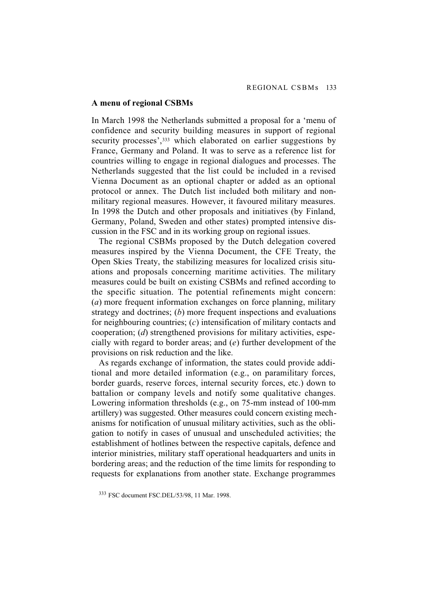#### **A menu of regional CSBMs**

In March 1998 the Netherlands submitted a proposal for a 'menu of confidence and security building measures in support of regional security processes',<sup>333</sup> which elaborated on earlier suggestions by France, Germany and Poland. It was to serve as a reference list for countries willing to engage in regional dialogues and processes. The Netherlands suggested that the list could be included in a revised Vienna Document as an optional chapter or added as an optional protocol or annex. The Dutch list included both military and nonmilitary regional measures. However, it favoured military measures. In 1998 the Dutch and other proposals and initiatives (by Finland, Germany, Poland, Sweden and other states) prompted intensive discussion in the FSC and in its working group on regional issues.

The regional CSBMs proposed by the Dutch delegation covered measures inspired by the Vienna Document, the CFE Treaty, the Open Skies Treaty, the stabilizing measures for localized crisis situations and proposals concerning maritime activities. The military measures could be built on existing CSBMs and refined according to the specific situation. The potential refinements might concern: (*a*) more frequent information exchanges on force planning, military strategy and doctrines; (*b*) more frequent inspections and evaluations for neighbouring countries; (*c*) intensification of military contacts and cooperation; (*d*) strengthened provisions for military activities, especially with regard to border areas; and (*e*) further development of the provisions on risk reduction and the like.

As regards exchange of information, the states could provide additional and more detailed information (e.g., on paramilitary forces, border guards, reserve forces, internal security forces, etc.) down to battalion or company levels and notify some qualitative changes. Lowering information thresholds (e.g., on 75-mm instead of 100-mm artillery) was suggested. Other measures could concern existing mechanisms for notification of unusual military activities, such as the obligation to notify in cases of unusual and unscheduled activities; the establishment of hotlines between the respective capitals, defence and interior ministries, military staff operational headquarters and units in bordering areas; and the reduction of the time limits for responding to requests for explanations from another state. Exchange programmes

<sup>333</sup> FSC document FSC.DEL/53/98, 11 Mar. 1998.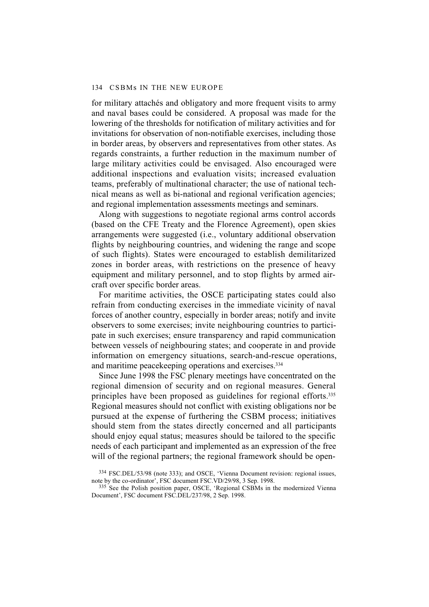for military attachés and obligatory and more frequent visits to army and naval bases could be considered. A proposal was made for the lowering of the thresholds for notification of military activities and for invitations for observation of non-notifiable exercises, including those in border areas, by observers and representatives from other states. As regards constraints, a further reduction in the maximum number of large military activities could be envisaged. Also encouraged were additional inspections and evaluation visits; increased evaluation teams, preferably of multinational character; the use of national technical means as well as bi-national and regional verification agencies; and regional implementation assessments meetings and seminars.

Along with suggestions to negotiate regional arms control accords (based on the CFE Treaty and the Florence Agreement), open skies arrangements were suggested (i.e., voluntary additional observation flights by neighbouring countries, and widening the range and scope of such flights). States were encouraged to establish demilitarized zones in border areas, with restrictions on the presence of heavy equipment and military personnel, and to stop flights by armed aircraft over specific border areas.

For maritime activities, the OSCE participating states could also refrain from conducting exercises in the immediate vicinity of naval forces of another country, especially in border areas; notify and invite observers to some exercises; invite neighbouring countries to participate in such exercises; ensure transparency and rapid communication between vessels of neighbouring states; and cooperate in and provide information on emergency situations, search-and-rescue operations, and maritime peacekeeping operations and exercises.334

Since June 1998 the FSC plenary meetings have concentrated on the regional dimension of security and on regional measures. General principles have been proposed as guidelines for regional efforts.335 Regional measures should not conflict with existing obligations nor be pursued at the expense of furthering the CSBM process; initiatives should stem from the states directly concerned and all participants should enjoy equal status; measures should be tailored to the specific needs of each participant and implemented as an expression of the free will of the regional partners; the regional framework should be open-

<sup>334</sup> FSC.DEL/53/98 (note 333); and OSCE, 'Vienna Document revision: regional issues, note by the co-ordinator', FSC document FSC.VD/29/98, 3 Sep. 1998.

<sup>&</sup>lt;sup>335</sup> See the Polish position paper, OSCE, 'Regional CSBMs in the modernized Vienna Document', FSC document FSC.DEL/237/98, 2 Sep. 1998.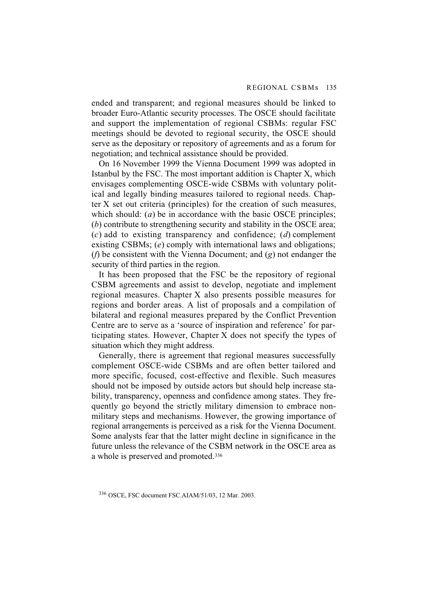ended and transparent; and regional measures should be linked to broader Euro-Atlantic security processes. The OSCE should facilitate and support the implementation of regional CSBMs: regular FSC meetings should be devoted to regional security, the OSCE should serve as the depositary or repository of agreements and as a forum for negotiation; and technical assistance should be provided.

On 16 November 1999 the Vienna Document 1999 was adopted in Istanbul by the FSC. The most important addition is Chapter X, which envisages complementing OSCE-wide CSBMs with voluntary political and legally binding measures tailored to regional needs. Chapter X set out criteria (principles) for the creation of such measures, which should: (*a*) be in accordance with the basic OSCE principles; (*b*) contribute to strengthening security and stability in the OSCE area; (*c*) add to existing transparency and confidence; (*d*) complement existing CSBMs; *(e)* comply with international laws and obligations; (*f*) be consistent with the Vienna Document; and (*g*) not endanger the security of third parties in the region.

It has been proposed that the FSC be the repository of regional CSBM agreements and assist to develop, negotiate and implement regional measures. Chapter X also presents possible measures for regions and border areas. A list of proposals and a compilation of bilateral and regional measures prepared by the Conflict Prevention Centre are to serve as a 'source of inspiration and reference' for participating states. However, Chapter X does not specify the types of situation which they might address.

Generally, there is agreement that regional measures successfully complement OSCE-wide CSBMs and are often better tailored and more specific, focused, cost-effective and flexible. Such measures should not be imposed by outside actors but should help increase stability, transparency, openness and confidence among states. They frequently go beyond the strictly military dimension to embrace nonmilitary steps and mechanisms. However, the growing importance of regional arrangements is perceived as a risk for the Vienna Document. Some analysts fear that the latter might decline in significance in the future unless the relevance of the CSBM network in the OSCE area as a whole is preserved and promoted.336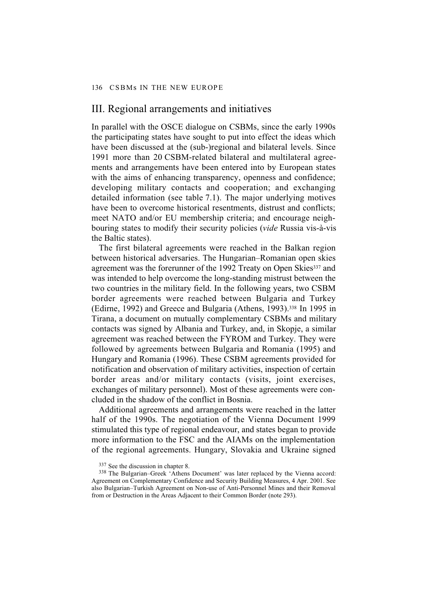# III. Regional arrangements and initiatives

In parallel with the OSCE dialogue on CSBMs, since the early 1990s the participating states have sought to put into effect the ideas which have been discussed at the (sub-)regional and bilateral levels. Since 1991 more than 20 CSBM-related bilateral and multilateral agreements and arrangements have been entered into by European states with the aims of enhancing transparency, openness and confidence; developing military contacts and cooperation; and exchanging detailed information (see table 7.1). The major underlying motives have been to overcome historical resentments, distrust and conflicts; meet NATO and/or EU membership criteria; and encourage neighbouring states to modify their security policies (*vide* Russia vis-à-vis the Baltic states).

The first bilateral agreements were reached in the Balkan region between historical adversaries. The Hungarian–Romanian open skies agreement was the forerunner of the 1992 Treaty on Open Skies<sup>337</sup> and was intended to help overcome the long-standing mistrust between the two countries in the military field. In the following years, two CSBM border agreements were reached between Bulgaria and Turkey (Edirne, 1992) and Greece and Bulgaria (Athens, 1993).338 In 1995 in Tirana, a document on mutually complementary CSBMs and military contacts was signed by Albania and Turkey, and, in Skopje, a similar agreement was reached between the FYROM and Turkey. They were followed by agreements between Bulgaria and Romania (1995) and Hungary and Romania (1996). These CSBM agreements provided for notification and observation of military activities, inspection of certain border areas and/or military contacts (visits, joint exercises, exchanges of military personnel). Most of these agreements were concluded in the shadow of the conflict in Bosnia.

Additional agreements and arrangements were reached in the latter half of the 1990s. The negotiation of the Vienna Document 1999 stimulated this type of regional endeavour, and states began to provide more information to the FSC and the AIAMs on the implementation of the regional agreements. Hungary, Slovakia and Ukraine signed

<sup>337</sup> See the discussion in chapter 8.

<sup>338</sup> The Bulgarian–Greek 'Athens Document' was later replaced by the Vienna accord: Agreement on Complementary Confidence and Security Building Measures, 4 Apr. 2001. See also Bulgarian–Turkish Agreement on Non-use of Anti-Personnel Mines and their Removal from or Destruction in the Areas Adjacent to their Common Border (note 293).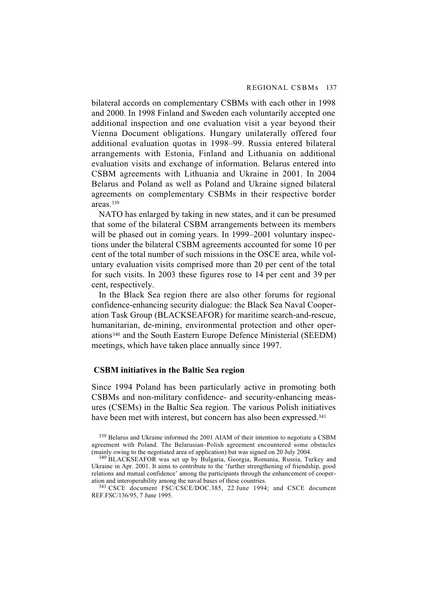bilateral accords on complementary CSBMs with each other in 1998 and 2000. In 1998 Finland and Sweden each voluntarily accepted one additional inspection and one evaluation visit a year beyond their Vienna Document obligations. Hungary unilaterally offered four additional evaluation quotas in 1998–99. Russia entered bilateral arrangements with Estonia, Finland and Lithuania on additional evaluation visits and exchange of information. Belarus entered into CSBM agreements with Lithuania and Ukraine in 2001. In 2004 Belarus and Poland as well as Poland and Ukraine signed bilateral agreements on complementary CSBMs in their respective border areas.339

NATO has enlarged by taking in new states, and it can be presumed that some of the bilateral CSBM arrangements between its members will be phased out in coming years. In 1999–2001 voluntary inspections under the bilateral CSBM agreements accounted for some 10 per cent of the total number of such missions in the OSCE area, while voluntary evaluation visits comprised more than 20 per cent of the total for such visits. In 2003 these figures rose to 14 per cent and 39 per cent, respectively.

In the Black Sea region there are also other forums for regional confidence-enhancing security dialogue: the Black Sea Naval Cooperation Task Group (BLACKSEAFOR) for maritime search-and-rescue, humanitarian, de-mining, environmental protection and other operations340 and the South Eastern Europe Defence Ministerial (SEEDM) meetings, which have taken place annually since 1997.

### **CSBM initiatives in the Baltic Sea region**

Since 1994 Poland has been particularly active in promoting both CSBMs and non-military confidence- and security-enhancing measures (CSEMs) in the Baltic Sea region. The various Polish initiatives have been met with interest, but concern has also been expressed.<sup>341</sup>

339 Belarus and Ukraine informed the 2001 AIAM of their intention to negotiate a CSBM agreement with Poland. The Belarusian–Polish agreement encountered some obstacles (mainly owing to the negotiated area of application) but was signed on 20 July 2004.

340 BLACKSEAFOR was set up by Bulgaria, Georgia, Romania, Russia, Turkey and Ukraine in Apr. 2001. It aims to contribute to the 'further strengthening of friendship, good relations and mutual confidence' among the participants through the enhancement of cooperation and interoperability among the naval bases of these countries.

341 CSCE document FSC/CSCE/DOC.385, 22 June 1994; and CSCE document REF.FSC/136/95, 7 June 1995.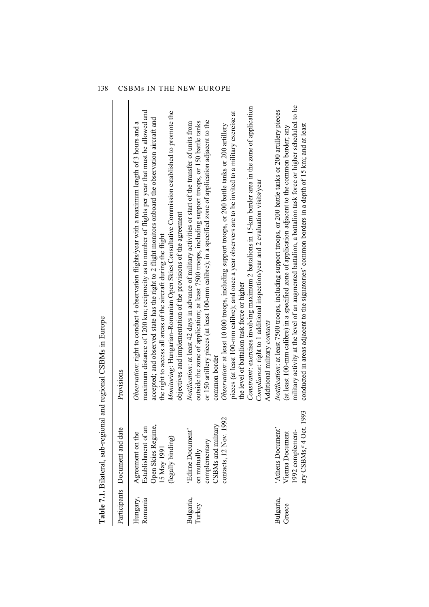|                     |                                                                                                     | <b>Table 7.1.</b> Bilateral, sub-regional and regional CSBMs in Europe                                                                                                                                                                                                                                                                                                                                                                                                                                                                                                                                                                                                                                                                                                                                                                       |
|---------------------|-----------------------------------------------------------------------------------------------------|----------------------------------------------------------------------------------------------------------------------------------------------------------------------------------------------------------------------------------------------------------------------------------------------------------------------------------------------------------------------------------------------------------------------------------------------------------------------------------------------------------------------------------------------------------------------------------------------------------------------------------------------------------------------------------------------------------------------------------------------------------------------------------------------------------------------------------------------|
|                     | Participants Document and date                                                                      | Provisions                                                                                                                                                                                                                                                                                                                                                                                                                                                                                                                                                                                                                                                                                                                                                                                                                                   |
| Hungary,<br>Romania | Open Skies Regime,<br>Establishment of an<br>Agreement on the<br>(legally binding)<br>15 May 1991   | maximum distance of 1200 km; reciprocity as to number of flights per year that must be allowed and<br>Monitoring: Hungarian-Romanian Open Skies Consultative Commission established to promote the<br>accepted; and observed state has the right to 2 flight monitors onboard the observation aircraft and<br>Observation: right to conduct 4 observation flights/year with a maximum length of 3 hours and a<br>objectives and implementation of the provisions of the agreement<br>the right to access all areas of the aircraft during the flight                                                                                                                                                                                                                                                                                         |
| Bulgaria,<br>Turkey | contacts, 12 Nov. 1992<br>CSBMs and military<br>'Edirne Document'<br>complementary<br>on mutually   | Constraint: exercises involving maximum 2 battalions in 15-km border area in the zone of application<br>pieces (at least 100-nm calibre); and once a year observers are to be invited to a military exercise at<br>or 150 artillery pieces (at least 100-mm calibre); in a specified zone of application adjacent to the<br>outside the zone of application; at least 7500 troops, including support troops, or 150 battle tanks<br><i>Notification</i> : at least 42 days in advance of military activities or start of the transfer of units from<br>Observation: at least 10 000 troops, including support troops, or 200 battle tanks or 200 artillery<br>Compliance: right to 1 additional inspection/year and 2 evaluation visits/year<br>the level of battalion task force or higher<br>Additional military contacts<br>common border |
| Bulgaria,<br>Greece | 993<br>ary CSBMs, <sup>a</sup> 4 Oct. 1<br>'Athens Document'<br>1992 complement-<br>Vienna Document | military activity at the level of an augmented battalion, a battalion task force or higher scheduled to be<br>Notification: at least 7500 troops, including support troops, or 200 battle tanks or 200 artillery pieces<br>conducted in areas adjacent to the signatories' common borders in a depth of 15 km; and at least<br>(at least 100-mm calibre) in a specified zone of application adjacent to the common border; any                                                                                                                                                                                                                                                                                                                                                                                                               |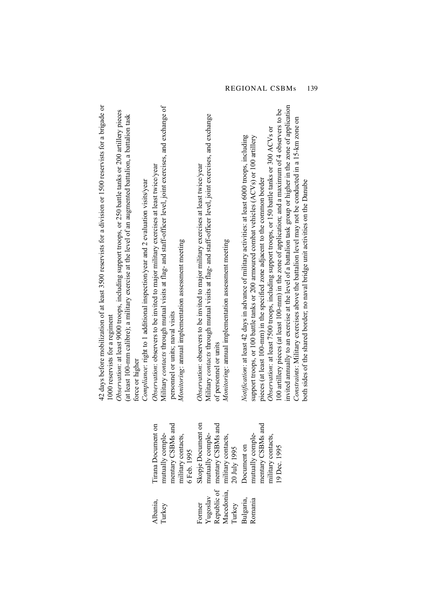| $42$ days before mobilization of at least 3500 reservists for a division or 1500 reservists for a brigade or<br>Observation: at least 9000 troops, including support troops, or 250 battle tanks or 200 artillery pieces<br>(at least 100-mm calibre); a military exercise at the level of an augmented battalion, a battalion task<br>Compliance: right to 1 additional inspection/year and 2 evaluation visits/year<br>1000 reservists for a regiment<br>force or higher | Military contacts through mutual visits at flag- and staff-officer level, joint exercises, and exchange of<br><i>Observation</i> : observers to be invited to major military exercises at least twice/year<br>Monitoring: annual implementation assessment meeting<br>personnel or units; naval visits | Military contacts through mutual visits at flag- and staff-officer level, joint exercises, and exchange<br><i>Observation</i> : observers to be invited to major military exercises at least twice/year<br>Monitoring: annual implementation assessment meeting<br>of personnel or units | invited annually to an exercise at the level of a battalion task group or higher in the zone of application<br>100 artillery pieces (at least 100-mm) in the zone of application; and a maximum of 4 observers to be<br>Constraints: Military exercises above the battalion level may not be conducted in a 15-km zone on<br>Observation: at least 7500 troops, including support troops, or 150 battle tanks or 300 ACVs or<br>Notification: at least 42 days in advance of military activities: at least 6000 troops, including<br>support troops, or 100 battle tanks or 200 armoured combat vehicles $(ACVs)$ or 100 artillery<br>pieces (at least 100-mm) in the specified zone adjacent to the common border<br>both sides of the shared border; no naval bridge unit activities on the Danube |
|----------------------------------------------------------------------------------------------------------------------------------------------------------------------------------------------------------------------------------------------------------------------------------------------------------------------------------------------------------------------------------------------------------------------------------------------------------------------------|--------------------------------------------------------------------------------------------------------------------------------------------------------------------------------------------------------------------------------------------------------------------------------------------------------|------------------------------------------------------------------------------------------------------------------------------------------------------------------------------------------------------------------------------------------------------------------------------------------|------------------------------------------------------------------------------------------------------------------------------------------------------------------------------------------------------------------------------------------------------------------------------------------------------------------------------------------------------------------------------------------------------------------------------------------------------------------------------------------------------------------------------------------------------------------------------------------------------------------------------------------------------------------------------------------------------------------------------------------------------------------------------------------------------|
|                                                                                                                                                                                                                                                                                                                                                                                                                                                                            | Trana Document on<br>mentary CSBMs and<br>military contacts,<br>6 Feb. 1995<br>mutually comple-                                                                                                                                                                                                        | Skopje Document on<br>mentary CSBMs and<br>mutually comple-<br>military contacts,<br>20 July 1995                                                                                                                                                                                        | mutually comple-<br>mentary CSBMs and<br>military contacts,<br>Document on<br>19 Dec. 1995                                                                                                                                                                                                                                                                                                                                                                                                                                                                                                                                                                                                                                                                                                           |
|                                                                                                                                                                                                                                                                                                                                                                                                                                                                            | Albania,<br>Turkey                                                                                                                                                                                                                                                                                     | Republic of<br>Macedonia,<br>Yugoslav<br>Former<br>Turkey                                                                                                                                                                                                                                | Bulgaria,<br>Romania                                                                                                                                                                                                                                                                                                                                                                                                                                                                                                                                                                                                                                                                                                                                                                                 |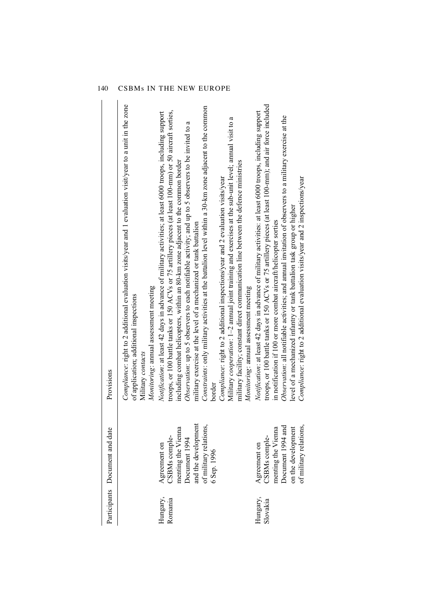|                      | Participants Document and date                                                                                                       | Provisions                                                                                                                                                                                                                                                                                                                                                                                                                                                                                                                                                                                                                                                                                                                                                                                                              |
|----------------------|--------------------------------------------------------------------------------------------------------------------------------------|-------------------------------------------------------------------------------------------------------------------------------------------------------------------------------------------------------------------------------------------------------------------------------------------------------------------------------------------------------------------------------------------------------------------------------------------------------------------------------------------------------------------------------------------------------------------------------------------------------------------------------------------------------------------------------------------------------------------------------------------------------------------------------------------------------------------------|
|                      |                                                                                                                                      | Compliance: right to 2 additional evaluation visits/year and 1 evaluation visit/year to a unit in the zone<br>Monitoring: annual assessment meeting<br>of application; additional inspections<br>Military contacts                                                                                                                                                                                                                                                                                                                                                                                                                                                                                                                                                                                                      |
| Hungary,<br>Romania  | and the development<br>of military relations,<br>menting the Vienna<br>CSBMs comple-<br>Document 1994<br>Agreement on<br>6 Sep. 1996 | Constraints: only military activities at the battalion level within a 30-km zone adjacent to the common<br>troops, or 100 battle tanks or 150 ACVs or 75 artillery pieces (at least 100-mm) or 50 aircraft sorties,<br>Notification: at least 42 days in advance of military activities; at least 6000 troops, including support<br>Observation: up to 5 observers to each notifiable activity; and up to 5 observers to be invited to a<br>including combat helicopters, within an 80-km zone adjacent to the common border<br>Compliance: right to 2 additional inspections/year and 2 evaluation visits/year<br>military exercise at the level of a mechanized or tank battalion<br>border                                                                                                                           |
| Hungary,<br>Slovakia | of military relations,<br>Document 1994 and<br>on the development<br>menting the Vienna<br>CSBMs comple-<br>Agreement on             | troops, or 100 battle tanks or 150 ACVs or 75 artillery pieces (at least 100-mm); and air force included<br><i>Notification</i> : at least 42 days in advance of military activities: at least 6000 troops, including support<br>Observation: all notifiable activities; and annual invitation of observers to a military exercise at the<br>Military cooperation: $1-2$ annual joint training and exercises at the sub-unit level; annual visit to a<br>military facility; constant direct communication line between the defence ministries<br>Compliance: right to 2 additional evaluation visits/year and 2 inspections/year<br>level of a mechanized infantry or tank battalion task group or higher<br>in notification if 100 or more combat aircraft/helicopter sorties<br>Monitoring: annual assessment meeting |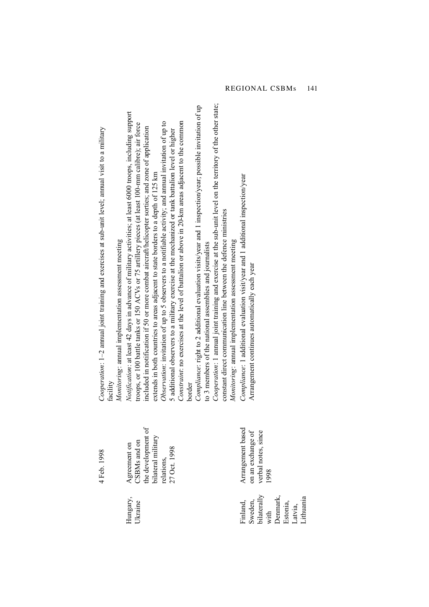|                                                                               | 4 Feb. 1998                                                                                            | Cooperation: $1-2$ annual joint training and exercises at sub-unit level; annual visit to a military<br>Monitoring: annual implementation assessment meeting<br>facility                                                                                                                                                                                                                                                                                                                                                                                                                                                                                                                                                                 |
|-------------------------------------------------------------------------------|--------------------------------------------------------------------------------------------------------|------------------------------------------------------------------------------------------------------------------------------------------------------------------------------------------------------------------------------------------------------------------------------------------------------------------------------------------------------------------------------------------------------------------------------------------------------------------------------------------------------------------------------------------------------------------------------------------------------------------------------------------------------------------------------------------------------------------------------------------|
| Hungary,<br>Ukraine                                                           | the development of<br>bilateral military<br>Agreement on<br>CSBMs and on<br>27 Oct. 1998<br>relations, | Notification: at least 42 days in advance of military activities; at least 6000 troops, including support<br>Observation: invitation of up to 5 observers to a notifiable activity; and annual invitation of up to<br>Constraint: no exercises at the level of battalion or above in 20-km areas adjacent to the common<br>troops, or 100 battle tanks or 150 ACVs or 75 artillery pieces (at least 100-nm calibre); air force<br>included in notification if 50 or more combat aircraft/helicopter sorties; and zone of application<br>5 additional observers to a military exercise at the mechanized or tank battalion level or higher<br>extends in both countries to areas adjacent to state borders to a depth of 125 km<br>border |
|                                                                               |                                                                                                        | Cooperation: 1 annual joint training and exercise at the sub-unit level on the territory of the other state;<br>Compliance: right to 2 additional evaluation visits/year and 1 inspection/year; possible invitation of up<br>constant direct communication line between the defence ministries<br>Monitoring: annual implementation assessment meeting<br>to 3 members of the national assemblies and journalists                                                                                                                                                                                                                                                                                                                        |
| bilaterally<br>Denmark,<br>Sweden,<br>Finland,<br>Estonia,<br>Latvia,<br>with | Arrangement based<br>verbal notes, since<br>on an exchange of<br>1998                                  | Compliance: 1 additional evaluation visit/year and 1 additional inspection/year<br>Arrangement continues automatically each year                                                                                                                                                                                                                                                                                                                                                                                                                                                                                                                                                                                                         |

Lithuania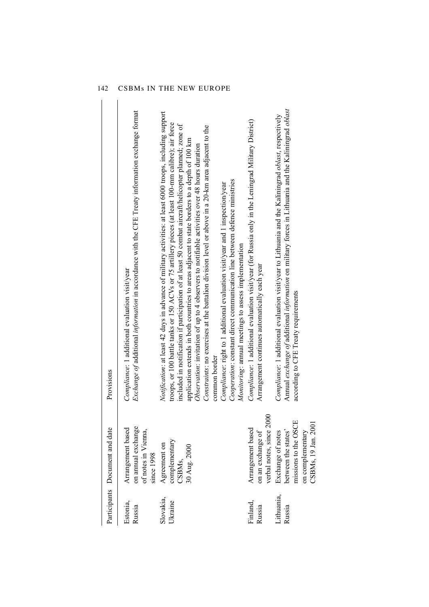|                             | Participants Document and date                                                                              | Provisions                                                                                                                                                                                                                                                                                                                                                                                                                                                                                                                                                                                                                                                                                                                                                                                                                                                              |
|-----------------------------|-------------------------------------------------------------------------------------------------------------|-------------------------------------------------------------------------------------------------------------------------------------------------------------------------------------------------------------------------------------------------------------------------------------------------------------------------------------------------------------------------------------------------------------------------------------------------------------------------------------------------------------------------------------------------------------------------------------------------------------------------------------------------------------------------------------------------------------------------------------------------------------------------------------------------------------------------------------------------------------------------|
| Estonia,<br>Russia          | on annual exchange<br>Arrangement based<br>of notes in Vienna,<br>since 1998                                | <i>Exchange of additional information</i> in accordance with the CFE Treaty information exchange format<br>Compliance: 1 additional evaluation visit/year                                                                                                                                                                                                                                                                                                                                                                                                                                                                                                                                                                                                                                                                                                               |
| Slovakia,<br><b>Jkraine</b> | complementary<br>Agreement on<br>30 Aug. 2000<br>CSBMs,                                                     | Notification: at least 42 days in advance of military activities: at least 6000 troops, including support<br>troops, or 100 battle tanks or 150 ACVs or 75 artillery pieces (at least 100-mm calibre); air force<br>included in notification if participation of at least 50 combat aircraft/helicopter planned; zone of<br>Constraints: no exercises at the battalion division level or above in a 20-km area adjacent to the<br>application extends in both countries to areas adjacent to state borders to a depth of 100 km<br>Observation: invitation of up to 4 observers to notifiable activities over 48 hours duration<br>Cooperation: constant direct communication line between defence ministries<br>Compliance: right to 1 additional evaluation visit/year and 1 inspection/year<br>Monitoring: annual meetings to assess implementation<br>common border |
| Finland,<br>Russia          | verbal notes, since 2000<br>Arrangement based<br>on an exchange of                                          | Compliance: 1 additional evaluation visit/year (for Russia only in the Leningrad Military District)<br>Arrangement continues automatically each year                                                                                                                                                                                                                                                                                                                                                                                                                                                                                                                                                                                                                                                                                                                    |
| Lithuania,<br>Russia        | missions to the OSCE<br>CSBMs, 19 Jan. 2001<br>between the states'<br>Exchange of notes<br>on complementary | Annual exchange of additional information on military forces in Lithuania and the Kaliningrad oblast<br>Compliance: 1 additional evaluation visit/year to Lithuania and the Kaliningrad oblast, respectively<br>according to CFE Treaty requirements                                                                                                                                                                                                                                                                                                                                                                                                                                                                                                                                                                                                                    |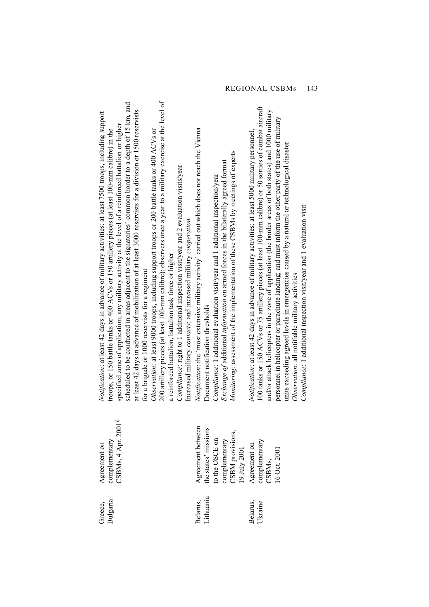| Δ<br>Agreement between<br>CSBMs, 4 Apr. 200<br>the states' missions<br>CSBM provisions,<br>19 July 2001<br>to the OSCE on<br>complementary<br>Agreement on<br>complementary<br>CSBMs,<br>complementary<br>Agreement on<br>16 Oct. 2001 | 200 artillery pieces (at least 100-mm calibre); observers once a year to a military exercise at the level of<br>scheduled to be conducted in areas adjacent to the signatories' common border to a depth of 15 km, and<br>100 tanks or 150 ACVs or 75 artillery pieces (at least 100-mm calibre) or 50 sorties of combat aircraft<br>and/or attack helicopters in the zone of application (the border areas of both states) and 1000 military<br>at least $42$ days in advance of mobilization of at least 3000 reservists for a division or 1500 reservists<br>Notification: at least 42 days in advance of military activities: at least 7500 troops, including support<br>personnel in helicopter or parachute landing; and must inform the other party of the use of military<br>specified zone of application; any military activity at the level of a reinforced battalion or higher<br>Notification: the 'most extensive military activity' carried out which does not reach the Vienna<br>troops, or 150 battle tanks or 400 ACVs or 150 artillery pieces (at least 100-nm calibre) in the<br>Observation: at least 9000 troops, including support troops or 200 battle tanks or 400 ACVs or<br><i>Notification</i> : at least 42 days in advance of military activities: at least 5000 military personnel,<br>units exceeding agreed levels in emergencies caused by a natural or technological disaster<br>Monitoring: assessment of the implementation of these CSBMs by meetings of experts<br><i>Exchange of additional information</i> on armed forces in the bilaterally agreed format<br>Compliance: right to 1 additional inspection visit/year and 2 evaluation visits/year<br>Compliance: 1 additional evaluation visit/year and 1 additional inspection/year<br>Compliance: 1 additional inspection visit/year and 1 evaluation visit<br>Increased military contacts; and increased military cooperation<br>a reinforced battalion, battalion task force or higher<br>for a brigade or 1000 reservists for a regiment<br>Observation: all notifiable military activities<br>Document notification thresholds |
|----------------------------------------------------------------------------------------------------------------------------------------------------------------------------------------------------------------------------------------|----------------------------------------------------------------------------------------------------------------------------------------------------------------------------------------------------------------------------------------------------------------------------------------------------------------------------------------------------------------------------------------------------------------------------------------------------------------------------------------------------------------------------------------------------------------------------------------------------------------------------------------------------------------------------------------------------------------------------------------------------------------------------------------------------------------------------------------------------------------------------------------------------------------------------------------------------------------------------------------------------------------------------------------------------------------------------------------------------------------------------------------------------------------------------------------------------------------------------------------------------------------------------------------------------------------------------------------------------------------------------------------------------------------------------------------------------------------------------------------------------------------------------------------------------------------------------------------------------------------------------------------------------------------------------------------------------------------------------------------------------------------------------------------------------------------------------------------------------------------------------------------------------------------------------------------------------------------------------------------------------------------------------------------------------------------------------------------------------------------------------------|
|                                                                                                                                                                                                                                        |                                                                                                                                                                                                                                                                                                                                                                                                                                                                                                                                                                                                                                                                                                                                                                                                                                                                                                                                                                                                                                                                                                                                                                                                                                                                                                                                                                                                                                                                                                                                                                                                                                                                                                                                                                                                                                                                                                                                                                                                                                                                                                                                  |

 $\circ$ f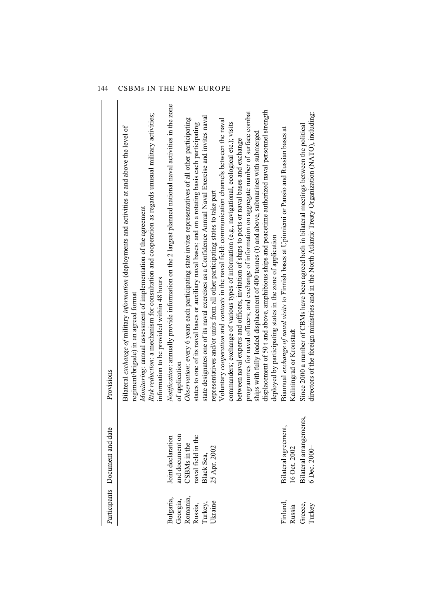|                                   | Participants Document and date                                             | Provisions                                                                                                                                                                                                                                                                                                                                                                                                                                                                                                                                                                                                                                                                                                                                                                                                                                                                                                                                                                                   |
|-----------------------------------|----------------------------------------------------------------------------|----------------------------------------------------------------------------------------------------------------------------------------------------------------------------------------------------------------------------------------------------------------------------------------------------------------------------------------------------------------------------------------------------------------------------------------------------------------------------------------------------------------------------------------------------------------------------------------------------------------------------------------------------------------------------------------------------------------------------------------------------------------------------------------------------------------------------------------------------------------------------------------------------------------------------------------------------------------------------------------------|
|                                   |                                                                            | Risk reduction: a mechanism for consultation and cooperation as regards unusual military activities;<br>Bilateral <i>exchange of</i> military <i>information</i> (deployments and activities at and above the level of<br>Monitoring: annual assessment of implementation of the agreement<br>information to be provided within 48 hours<br>regiment/brigade) in an agreed format                                                                                                                                                                                                                                                                                                                                                                                                                                                                                                                                                                                                            |
| Romania,<br>Bulgaria,<br>Georgia, | and document on<br>CSBMs in the<br>naval field in the<br>Joint declaration | <i>Notification</i> : annually provide information on the 2 largest planned national naval activities in the zone<br>Observation: every 6 years each participating state invites representatives of all other participating<br>of application                                                                                                                                                                                                                                                                                                                                                                                                                                                                                                                                                                                                                                                                                                                                                |
| Ukraine<br>Russia,<br>Turkey,     | 25 Apr. 2002<br>Black Sea,                                                 | displacement of 50 t and above, amphibious ships and peacetime authorized naval personnel strength<br>programmes for naval officers; and exchange of information on aggregate number of surface combat<br>state designates one of its naval exercises as a Confidence Annual Naval Exercise and invites naval<br>Voluntary <i>cooperation</i> and <i>contacts</i> in the naval field: communication channels between the naval<br>commanders; exchange of various types of information (e.g., navigational, ecological etc.); visits<br>states to one of its naval bases or auxiliary naval bases; and on a rotating basis each participating<br>ships with fully loaded displacement of 400 tonnes (t) and above, submarines with submerged<br>between naval experts and officers, invitation of ships to ports or naval bases and exchange<br>representatives and/or units from all other participating states to take part<br>deployed by participating states in the zone of application |
| Finland,<br>Russia                | Bilateral agreement,<br>16 Oct. 2002                                       | Biannual exchange of naval visits to Finnish bases at Upinniemi or Pansio and Russian bases at<br>Kaliningrad or Kronstadt                                                                                                                                                                                                                                                                                                                                                                                                                                                                                                                                                                                                                                                                                                                                                                                                                                                                   |
| Greece,<br>Turkey                 | Bilateral arrangements,<br>6 Dec. 2000-                                    | directors of the foreign ministries and in the North Atlantic Treaty Organization (NATO), including:<br>Since 2000 a number of CBMs have been agreed both in bilateral meetings between the political                                                                                                                                                                                                                                                                                                                                                                                                                                                                                                                                                                                                                                                                                                                                                                                        |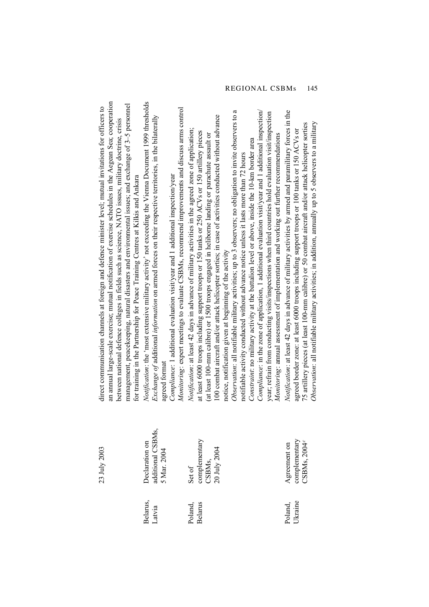| an amual large-scale exercise; mutual notification of exercise schedules in the Aegean Sea; cooperation<br>management, peacekeeping, natural disasters and environmental issues; and exchange of 3-5 personnel<br>direct communication channels at foreign and defence minister level; mutual invitations for officers to<br>between national defence colleges in fields such as science, NATO issues, military doctrine, crisis<br>for training in the Partnership for Peace Training Centres at Kilkis and Ankara | Notification: the 'most extensive military activity' not exceeding the Vienna Document 1999 thresholds<br>Monitoring: expert meetings to evaluate CSBMs, recommend improvements and discuss arms control<br><i>Exchange of</i> additional <i>information</i> on armed forces on their respective territories, in the bilaterally<br>Compliance: 1 additional evaluation visit/year and 1 additional inspection/year<br>agreed format | Compliance: in the zone of application, 1 additional evaluation visity ear and 1 additional inspection/<br>Observation: all notifiable military activities; up to 3 observers; no obligation to invite observers to a<br>year; refrain from conducting visits/inspections when third countries hold evaluation visit/inspection<br>100 combat aircraft and/or attack helicopter sorties; in case of activities conducted without advance<br><i>Notification</i> : at least 42 days in advance of military activities in the agreed zone of application;<br>at least 6000 troops including support troops or 150 tanks or 250 ACVs or 150 artillery pieces<br>(at least 100-mm calibre) or 1500 troops engaged in heliborne landing or parachute assault or<br>Monitoring: annual assessment of implementation and working out further recommendations<br>Constraint: no military activity at the battalion level or above, inside the 10-km border area<br>notifiable activity conducted without advance notice unless it lasts more than 72 hours<br>notice, notification given at beginning of the activity | Notification: at least 42 days in advance of military activities by armed and paramilitary forces in the<br>Observation: all notifiable military activities; in addition, annually up to 5 observers to a military<br>75 artillery pieces (at least 100-mm calibre) or 50 combat aircraft and/or attack helicopter sorties<br>agreed border zone: at least 6000 troops including support troops or 100 tanks or 150 ACVs or |
|---------------------------------------------------------------------------------------------------------------------------------------------------------------------------------------------------------------------------------------------------------------------------------------------------------------------------------------------------------------------------------------------------------------------------------------------------------------------------------------------------------------------|--------------------------------------------------------------------------------------------------------------------------------------------------------------------------------------------------------------------------------------------------------------------------------------------------------------------------------------------------------------------------------------------------------------------------------------|---------------------------------------------------------------------------------------------------------------------------------------------------------------------------------------------------------------------------------------------------------------------------------------------------------------------------------------------------------------------------------------------------------------------------------------------------------------------------------------------------------------------------------------------------------------------------------------------------------------------------------------------------------------------------------------------------------------------------------------------------------------------------------------------------------------------------------------------------------------------------------------------------------------------------------------------------------------------------------------------------------------------------------------------------------------------------------------------------------------|-----------------------------------------------------------------------------------------------------------------------------------------------------------------------------------------------------------------------------------------------------------------------------------------------------------------------------------------------------------------------------------------------------------------------------|
| 23 July 2003                                                                                                                                                                                                                                                                                                                                                                                                                                                                                                        | additional CSBMs,                                                                                                                                                                                                                                                                                                                                                                                                                    | complementary                                                                                                                                                                                                                                                                                                                                                                                                                                                                                                                                                                                                                                                                                                                                                                                                                                                                                                                                                                                                                                                                                                 | complementary                                                                                                                                                                                                                                                                                                                                                                                                               |
|                                                                                                                                                                                                                                                                                                                                                                                                                                                                                                                     | <b>Declaration</b> on                                                                                                                                                                                                                                                                                                                                                                                                                | CSBMs,<br>20 July 2004                                                                                                                                                                                                                                                                                                                                                                                                                                                                                                                                                                                                                                                                                                                                                                                                                                                                                                                                                                                                                                                                                        | CSBMs, 2004 <sup>c</sup>                                                                                                                                                                                                                                                                                                                                                                                                    |
|                                                                                                                                                                                                                                                                                                                                                                                                                                                                                                                     | 5 Mar. 2004                                                                                                                                                                                                                                                                                                                                                                                                                          | Set of                                                                                                                                                                                                                                                                                                                                                                                                                                                                                                                                                                                                                                                                                                                                                                                                                                                                                                                                                                                                                                                                                                        | Agreement on                                                                                                                                                                                                                                                                                                                                                                                                                |
|                                                                                                                                                                                                                                                                                                                                                                                                                                                                                                                     | Belarus,                                                                                                                                                                                                                                                                                                                                                                                                                             | <b>Belarus</b>                                                                                                                                                                                                                                                                                                                                                                                                                                                                                                                                                                                                                                                                                                                                                                                                                                                                                                                                                                                                                                                                                                | Ukraine                                                                                                                                                                                                                                                                                                                                                                                                                     |
|                                                                                                                                                                                                                                                                                                                                                                                                                                                                                                                     | Latvia                                                                                                                                                                                                                                                                                                                                                                                                                               | Poland,                                                                                                                                                                                                                                                                                                                                                                                                                                                                                                                                                                                                                                                                                                                                                                                                                                                                                                                                                                                                                                                                                                       | Poland,                                                                                                                                                                                                                                                                                                                                                                                                                     |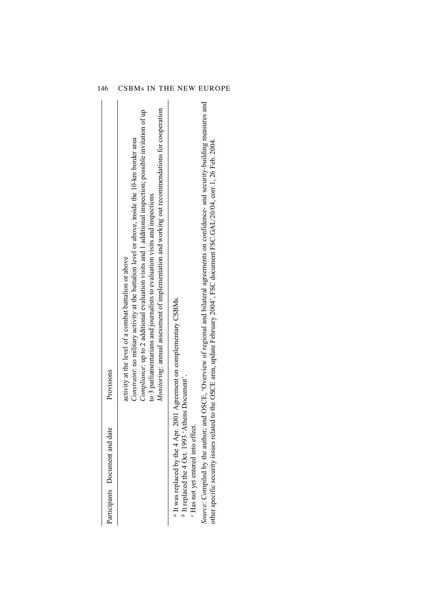| Participants Document and date                                                                      | Provisions                                                                                                                                                                                                                                                                                                                                                                                                                                                |
|-----------------------------------------------------------------------------------------------------|-----------------------------------------------------------------------------------------------------------------------------------------------------------------------------------------------------------------------------------------------------------------------------------------------------------------------------------------------------------------------------------------------------------------------------------------------------------|
|                                                                                                     | <i>Monitoring</i> : amual assessment of implementation and working out recommendations for cooperation<br>Compliance: up to 2 additional evaluation visits and 1 additional inspection; possible invitation of up<br>Constraint: no military activity at the battalion level or above, inside the 10-km border area<br>to 3 parliamentarians and journalists to evaluation visits and inspections<br>activity at the level of a combat battalion or above |
| $b$ It replaced the 4 Oct. 1993 'Athens Document'.<br><sup>c</sup> Has not yet entered into effect. | $\alpha$ It was replaced by the 4 Apr. 2001 Agreement on complementary CSBMs.                                                                                                                                                                                                                                                                                                                                                                             |
|                                                                                                     | Source: Compiled by the author; and OSCE, 'Overview of regional and bilateral agreements on confidence- and security-building measures and<br>other specific security issues related to the OSCE area, update February 2004; FSC document FSC GAL/20/04, corr.1, 26 Feb. 2004.                                                                                                                                                                            |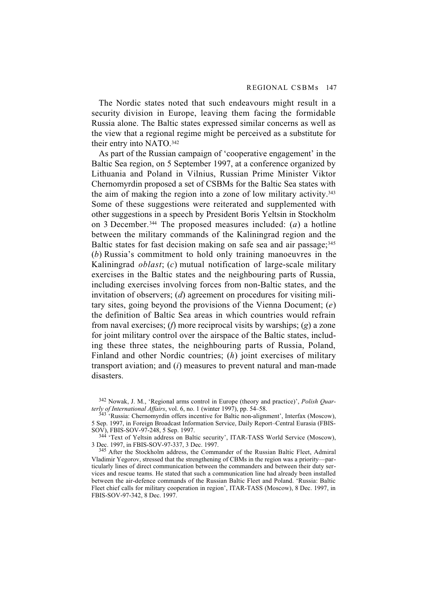The Nordic states noted that such endeavours might result in a security division in Europe, leaving them facing the formidable Russia alone. The Baltic states expressed similar concerns as well as the view that a regional regime might be perceived as a substitute for their entry into NATO.342

As part of the Russian campaign of 'cooperative engagement' in the Baltic Sea region, on 5 September 1997, at a conference organized by Lithuania and Poland in Vilnius, Russian Prime Minister Viktor Chernomyrdin proposed a set of CSBMs for the Baltic Sea states with the aim of making the region into a zone of low military activity.343 Some of these suggestions were reiterated and supplemented with other suggestions in a speech by President Boris Yeltsin in Stockholm on 3 December.344 The proposed measures included: (*a*) a hotline between the military commands of the Kaliningrad region and the Baltic states for fast decision making on safe sea and air passage; 345 (*b*) Russia's commitment to hold only training manoeuvres in the Kaliningrad *oblast*; (*c*) mutual notification of large-scale military exercises in the Baltic states and the neighbouring parts of Russia, including exercises involving forces from non-Baltic states, and the invitation of observers; (*d*) agreement on procedures for visiting military sites, going beyond the provisions of the Vienna Document; (*e*) the definition of Baltic Sea areas in which countries would refrain from naval exercises; (*f*) more reciprocal visits by warships; (*g*) a zone for joint military control over the airspace of the Baltic states, including these three states, the neighbouring parts of Russia, Poland, Finland and other Nordic countries; (*h*) joint exercises of military transport aviation; and (*i*) measures to prevent natural and man-made disasters.

342 Nowak, J. M., 'Regional arms control in Europe (theory and practice)', *Polish Quarterly of International Affairs*, vol. 6, no. 1 (winter 1997), pp. 54–58.

 $343$ <sup>343</sup> Russia: Chernomyrdin offers incentive for Baltic non-alignment', Interfax (Moscow), 5 Sep. 1997, in Foreign Broadcast Information Service, Daily Report–Central Eurasia (FBIS-SOV), FBIS-SOV-97-248, 5 Sep. 1997.

344 'Text of Yeltsin address on Baltic security', ITAR-TASS World Service (Moscow), 3 Dec. 1997, in FBIS-SOV-97-337, 3 Dec. 1997.

345 After the Stockholm address, the Commander of the Russian Baltic Fleet, Admiral Vladimir Yegorov, stressed that the strengthening of CBMs in the region was a priority—particularly lines of direct communication between the commanders and between their duty services and rescue teams. He stated that such a communication line had already been installed between the air-defence commands of the Russian Baltic Fleet and Poland. 'Russia: Baltic Fleet chief calls for military cooperation in region', ITAR-TASS (Moscow), 8 Dec. 1997, in FBIS-SOV-97-342, 8 Dec. 1997.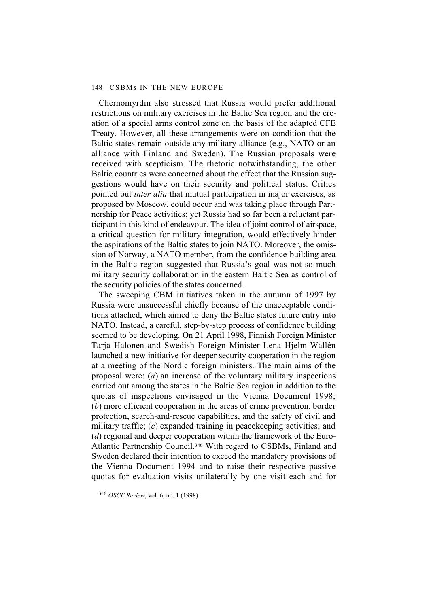Chernomyrdin also stressed that Russia would prefer additional restrictions on military exercises in the Baltic Sea region and the creation of a special arms control zone on the basis of the adapted CFE Treaty. However, all these arrangements were on condition that the Baltic states remain outside any military alliance (e.g., NATO or an alliance with Finland and Sweden). The Russian proposals were received with scepticism. The rhetoric notwithstanding, the other Baltic countries were concerned about the effect that the Russian suggestions would have on their security and political status. Critics pointed out *inter alia* that mutual participation in major exercises, as proposed by Moscow, could occur and was taking place through Partnership for Peace activities; yet Russia had so far been a reluctant participant in this kind of endeavour. The idea of joint control of airspace, a critical question for military integration, would effectively hinder the aspirations of the Baltic states to join NATO. Moreover, the omission of Norway, a NATO member, from the confidence-building area in the Baltic region suggested that Russia's goal was not so much military security collaboration in the eastern Baltic Sea as control of the security policies of the states concerned.

The sweeping CBM initiatives taken in the autumn of 1997 by Russia were unsuccessful chiefly because of the unacceptable conditions attached, which aimed to deny the Baltic states future entry into NATO. Instead, a careful, step-by-step process of confidence building seemed to be developing. On 21 April 1998, Finnish Foreign Minister Tarja Halonen and Swedish Foreign Minister Lena Hjelm-Wallén launched a new initiative for deeper security cooperation in the region at a meeting of the Nordic foreign ministers. The main aims of the proposal were: (*a*) an increase of the voluntary military inspections carried out among the states in the Baltic Sea region in addition to the quotas of inspections envisaged in the Vienna Document 1998; (*b*) more efficient cooperation in the areas of crime prevention, border protection, search-and-rescue capabilities, and the safety of civil and military traffic; (*c*) expanded training in peacekeeping activities; and (*d*) regional and deeper cooperation within the framework of the Euro-Atlantic Partnership Council.346 With regard to CSBMs, Finland and Sweden declared their intention to exceed the mandatory provisions of the Vienna Document 1994 and to raise their respective passive quotas for evaluation visits unilaterally by one visit each and for

<sup>346</sup> *OSCE Review*, vol. 6, no. 1 (1998).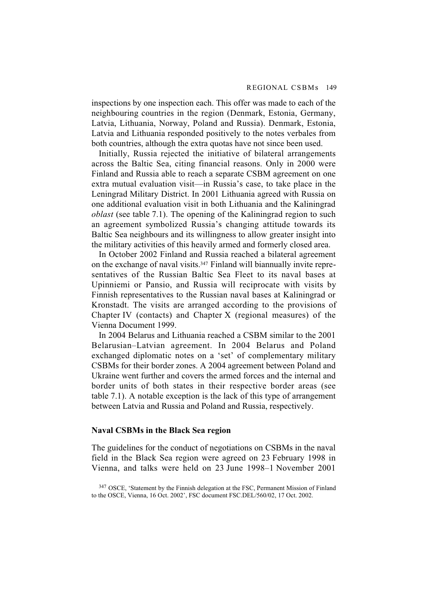inspections by one inspection each. This offer was made to each of the neighbouring countries in the region (Denmark, Estonia, Germany, Latvia, Lithuania, Norway, Poland and Russia). Denmark, Estonia, Latvia and Lithuania responded positively to the notes verbales from both countries, although the extra quotas have not since been used.

Initially, Russia rejected the initiative of bilateral arrangements across the Baltic Sea, citing financial reasons. Only in 2000 were Finland and Russia able to reach a separate CSBM agreement on one extra mutual evaluation visit—in Russia's case, to take place in the Leningrad Military District. In 2001 Lithuania agreed with Russia on one additional evaluation visit in both Lithuania and the Kaliningrad *oblast* (see table 7.1). The opening of the Kaliningrad region to such an agreement symbolized Russia's changing attitude towards its Baltic Sea neighbours and its willingness to allow greater insight into the military activities of this heavily armed and formerly closed area.

In October 2002 Finland and Russia reached a bilateral agreement on the exchange of naval visits.347 Finland will biannually invite representatives of the Russian Baltic Sea Fleet to its naval bases at Upinniemi or Pansio, and Russia will reciprocate with visits by Finnish representatives to the Russian naval bases at Kaliningrad or Kronstadt. The visits are arranged according to the provisions of Chapter IV (contacts) and Chapter X (regional measures) of the Vienna Document 1999.

In 2004 Belarus and Lithuania reached a CSBM similar to the 2001 Belarusian–Latvian agreement. In 2004 Belarus and Poland exchanged diplomatic notes on a 'set' of complementary military CSBMs for their border zones. A 2004 agreement between Poland and Ukraine went further and covers the armed forces and the internal and border units of both states in their respective border areas (see table 7.1). A notable exception is the lack of this type of arrangement between Latvia and Russia and Poland and Russia, respectively.

### **Naval CSBMs in the Black Sea region**

The guidelines for the conduct of negotiations on CSBMs in the naval field in the Black Sea region were agreed on 23 February 1998 in Vienna, and talks were held on 23 June 1998–1 November 2001

<sup>&</sup>lt;sup>347</sup> OSCE, 'Statement by the Finnish delegation at the FSC, Permanent Mission of Finland to the OSCE, Vienna, 16 Oct. 2002', FSC document FSC.DEL/560/02, 17 Oct. 2002.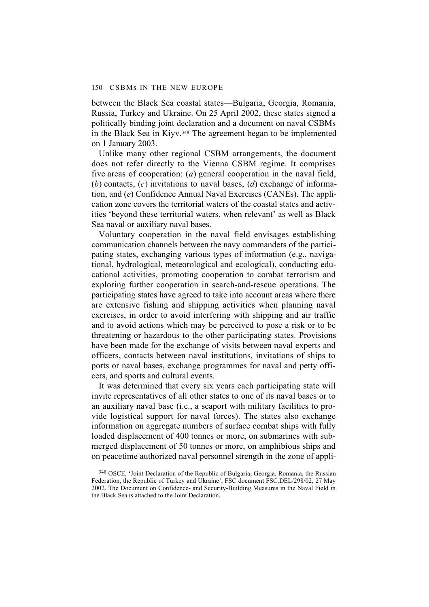between the Black Sea coastal states—Bulgaria, Georgia, Romania, Russia, Turkey and Ukraine. On 25 April 2002, these states signed a politically binding joint declaration and a document on naval CSBMs in the Black Sea in Kiyv.<sup>348</sup> The agreement began to be implemented on 1 January 2003.

Unlike many other regional CSBM arrangements, the document does not refer directly to the Vienna CSBM regime. It comprises five areas of cooperation: (*a*) general cooperation in the naval field, (*b*) contacts, (*c*) invitations to naval bases, (*d*) exchange of information, and (*e*) Confidence Annual Naval Exercises (CANEs). The application zone covers the territorial waters of the coastal states and activities 'beyond these territorial waters, when relevant' as well as Black Sea naval or auxiliary naval bases.

Voluntary cooperation in the naval field envisages establishing communication channels between the navy commanders of the participating states, exchanging various types of information (e.g., navigational, hydrological, meteorological and ecological), conducting educational activities, promoting cooperation to combat terrorism and exploring further cooperation in search-and-rescue operations. The participating states have agreed to take into account areas where there are extensive fishing and shipping activities when planning naval exercises, in order to avoid interfering with shipping and air traffic and to avoid actions which may be perceived to pose a risk or to be threatening or hazardous to the other participating states. Provisions have been made for the exchange of visits between naval experts and officers, contacts between naval institutions, invitations of ships to ports or naval bases, exchange programmes for naval and petty officers, and sports and cultural events.

It was determined that every six years each participating state will invite representatives of all other states to one of its naval bases or to an auxiliary naval base (i.e., a seaport with military facilities to provide logistical support for naval forces). The states also exchange information on aggregate numbers of surface combat ships with fully loaded displacement of 400 tonnes or more, on submarines with submerged displacement of 50 tonnes or more, on amphibious ships and on peacetime authorized naval personnel strength in the zone of appli-

<sup>348</sup> OSCE, 'Joint Declaration of the Republic of Bulgaria, Georgia, Romania, the Russian Federation, the Republic of Turkey and Ukraine', FSC document FSC.DEL/298/02, 27 May 2002. The Document on Confidence- and Security-Building Measures in the Naval Field in the Black Sea is attached to the Joint Declaration.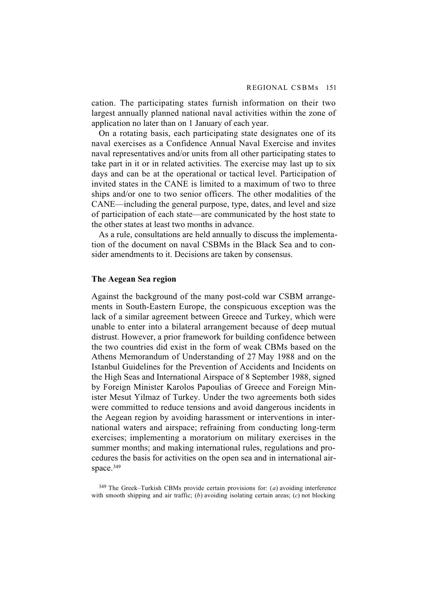cation. The participating states furnish information on their two largest annually planned national naval activities within the zone of application no later than on 1 January of each year.

On a rotating basis, each participating state designates one of its naval exercises as a Confidence Annual Naval Exercise and invites naval representatives and/or units from all other participating states to take part in it or in related activities. The exercise may last up to six days and can be at the operational or tactical level. Participation of invited states in the CANE is limited to a maximum of two to three ships and/or one to two senior officers. The other modalities of the CANE—including the general purpose, type, dates, and level and size of participation of each state—are communicated by the host state to the other states at least two months in advance.

As a rule, consultations are held annually to discuss the implementation of the document on naval CSBMs in the Black Sea and to consider amendments to it. Decisions are taken by consensus.

# **The Aegean Sea region**

Against the background of the many post-cold war CSBM arrangements in South-Eastern Europe, the conspicuous exception was the lack of a similar agreement between Greece and Turkey, which were unable to enter into a bilateral arrangement because of deep mutual distrust. However, a prior framework for building confidence between the two countries did exist in the form of weak CBMs based on the Athens Memorandum of Understanding of 27 May 1988 and on the Istanbul Guidelines for the Prevention of Accidents and Incidents on the High Seas and International Airspace of 8 September 1988, signed by Foreign Minister Karolos Papoulias of Greece and Foreign Minister Mesut Yilmaz of Turkey. Under the two agreements both sides were committed to reduce tensions and avoid dangerous incidents in the Aegean region by avoiding harassment or interventions in international waters and airspace; refraining from conducting long-term exercises; implementing a moratorium on military exercises in the summer months; and making international rules, regulations and procedures the basis for activities on the open sea and in international airspace.<sup>349</sup>

349 The Greek–Turkish CBMs provide certain provisions for: (*a*) avoiding interference with smooth shipping and air traffic; (*b*) avoiding isolating certain areas; (*c*) not blocking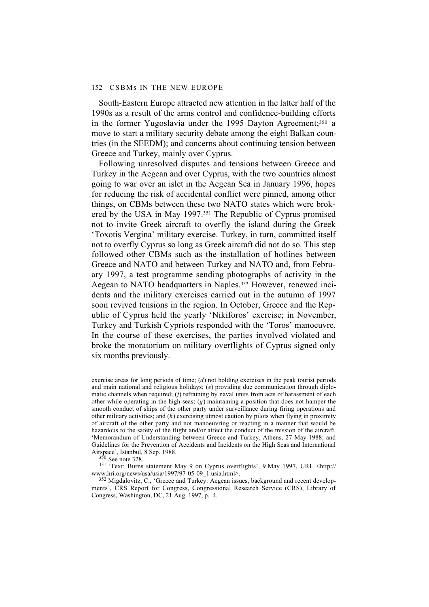South-Eastern Europe attracted new attention in the latter half of the 1990s as a result of the arms control and confidence-building efforts in the former Yugoslavia under the 1995 Dayton Agreement;<sup>350</sup> a move to start a military security debate among the eight Balkan countries (in the SEEDM); and concerns about continuing tension between Greece and Turkey, mainly over Cyprus.

Following unresolved disputes and tensions between Greece and Turkey in the Aegean and over Cyprus, with the two countries almost going to war over an islet in the Aegean Sea in January 1996, hopes for reducing the risk of accidental conflict were pinned, among other things, on CBMs between these two NATO states which were brokered by the USA in May 1997.351 The Republic of Cyprus promised not to invite Greek aircraft to overfly the island during the Greek 'Toxotis Vergina' military exercise. Turkey, in turn, committed itself not to overfly Cyprus so long as Greek aircraft did not do so. This step followed other CBMs such as the installation of hotlines between Greece and NATO and between Turkey and NATO and, from February 1997, a test programme sending photographs of activity in the Aegean to NATO headquarters in Naples.352 However, renewed incidents and the military exercises carried out in the autumn of 1997 soon revived tensions in the region. In October, Greece and the Republic of Cyprus held the yearly 'Nikiforos' exercise; in November, Turkey and Turkish Cypriots responded with the 'Toros' manoeuvre. In the course of these exercises, the parties involved violated and broke the moratorium on military overflights of Cyprus signed only six months previously.

exercise areas for long periods of time; (*d*) not holding exercises in the peak tourist periods and main national and religious holidays; (*e*) providing due communication through diplomatic channels when required; (*f*) refraining by naval units from acts of harassment of each other while operating in the high seas; (*g*) maintaining a position that does not hamper the smooth conduct of ships of the other party under surveillance during firing operations and other military activities; and (*h*) exercising utmost caution by pilots when flying in proximity of aircraft of the other party and not manoeuvring or reacting in a manner that would be hazardous to the safety of the flight and/or affect the conduct of the mission of the aircraft. 'Memorandum of Understanding between Greece and Turkey, Athens, 27 May 1988; and Guidelines for the Prevention of Accidents and Incidents on the High Seas and International Airspace', Istanbul, 8 Sep. 1988.

350 See note 328.

351 'Text: Burns statement May 9 on Cyprus overflights', 9 May 1997, URL <http:// www.hri.org/news/usa/usia/1997/97-05-09\_1.usia.html>.

352 Migdalovitz, C., 'Greece and Turkey: Aegean issues, background and recent developments', CRS Report for Congress, Congressional Research Service (CRS), Library of Congress, Washington, DC, 21 Aug. 1997, p. 4.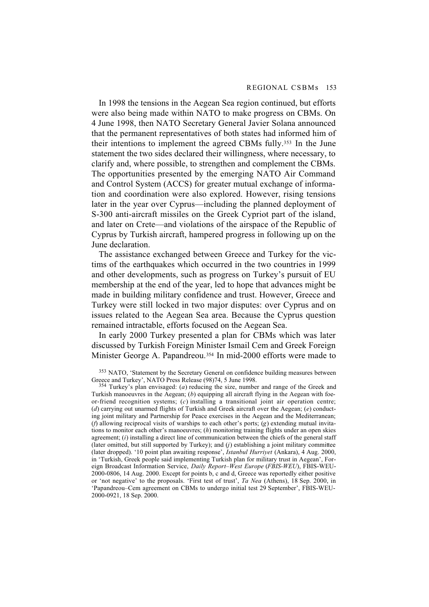In 1998 the tensions in the Aegean Sea region continued, but efforts were also being made within NATO to make progress on CBMs. On 4 June 1998, then NATO Secretary General Javier Solana announced that the permanent representatives of both states had informed him of their intentions to implement the agreed CBMs fully.353 In the June statement the two sides declared their willingness, where necessary, to clarify and, where possible, to strengthen and complement the CBMs. The opportunities presented by the emerging NATO Air Command and Control System (ACCS) for greater mutual exchange of information and coordination were also explored. However, rising tensions later in the year over Cyprus—including the planned deployment of S-300 anti-aircraft missiles on the Greek Cypriot part of the island, and later on Crete—and violations of the airspace of the Republic of Cyprus by Turkish aircraft, hampered progress in following up on the June declaration.

The assistance exchanged between Greece and Turkey for the victims of the earthquakes which occurred in the two countries in 1999 and other developments, such as progress on Turkey's pursuit of EU membership at the end of the year, led to hope that advances might be made in building military confidence and trust. However, Greece and Turkey were still locked in two major disputes: over Cyprus and on issues related to the Aegean Sea area. Because the Cyprus question remained intractable, efforts focused on the Aegean Sea.

In early 2000 Turkey presented a plan for CBMs which was later discussed by Turkish Foreign Minister Ismail Cem and Greek Foreign Minister George A. Papandreou.354 In mid-2000 efforts were made to

<sup>&</sup>lt;sup>353</sup> NATO, 'Statement by the Secretary General on confidence building measures between Greece and Turkey', NATO Press Release (98)74, 5 June 1998.

<sup>354</sup> Turkey's plan envisaged: (*a*) reducing the size, number and range of the Greek and Turkish manoeuvres in the Aegean; (*b*) equipping all aircraft flying in the Aegean with foeor-friend recognition systems; (*c*) installing a transitional joint air operation centre; (*d*) carrying out unarmed flights of Turkish and Greek aircraft over the Aegean; (*e*) conducting joint military and Partnership for Peace exercises in the Aegean and the Mediterranean; (*f*) allowing reciprocal visits of warships to each other's ports; (*g*) extending mutual invitations to monitor each other's manoeuvres; (*h*) monitoring training flights under an open skies agreement; (*i*) installing a direct line of communication between the chiefs of the general staff (later omitted, but still supported by Turkey); and (*j*) establishing a joint military committee (later dropped). '10 point plan awaiting response', *Istanbul Hurriyet* (Ankara), 4 Aug. 2000, in 'Turkish, Greek people said implementing Turkish plan for military trust in Aegean', Foreign Broadcast Information Service, *Daily Report–West Europe* (*FBIS-WEU*), FBIS-WEU-2000-0806, 14 Aug. 2000. Except for points b, c and d, Greece was reportedly either positive or 'not negative' to the proposals. 'First test of trust', *Ta Nea* (Athens), 18 Sep. 2000, in 'Papandreou–Cem agreement on CBMs to undergo initial test 29 September', FBIS-WEU-2000-0921, 18 Sep. 2000.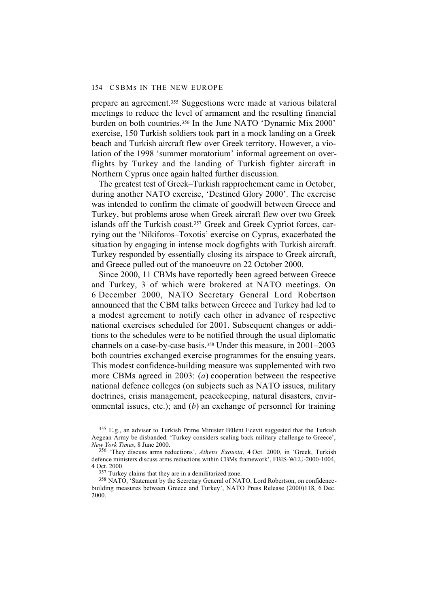prepare an agreement.355 Suggestions were made at various bilateral meetings to reduce the level of armament and the resulting financial burden on both countries.356 In the June NATO 'Dynamic Mix 2000' exercise, 150 Turkish soldiers took part in a mock landing on a Greek beach and Turkish aircraft flew over Greek territory. However, a violation of the 1998 'summer moratorium' informal agreement on overflights by Turkey and the landing of Turkish fighter aircraft in Northern Cyprus once again halted further discussion.

The greatest test of Greek–Turkish rapprochement came in October, during another NATO exercise, 'Destined Glory 2000'. The exercise was intended to confirm the climate of goodwill between Greece and Turkey, but problems arose when Greek aircraft flew over two Greek islands off the Turkish coast.<sup>357</sup> Greek and Greek Cypriot forces, carrying out the 'Nikiforos–Toxotis' exercise on Cyprus, exacerbated the situation by engaging in intense mock dogfights with Turkish aircraft. Turkey responded by essentially closing its airspace to Greek aircraft, and Greece pulled out of the manoeuvre on 22 October 2000.

Since 2000, 11 CBMs have reportedly been agreed between Greece and Turkey, 3 of which were brokered at NATO meetings. On 6 December 2000, NATO Secretary General Lord Robertson announced that the CBM talks between Greece and Turkey had led to a modest agreement to notify each other in advance of respective national exercises scheduled for 2001. Subsequent changes or additions to the schedules were to be notified through the usual diplomatic channels on a case-by-case basis.358 Under this measure, in 2001–2003 both countries exchanged exercise programmes for the ensuing years. This modest confidence-building measure was supplemented with two more CBMs agreed in 2003: (*a*) cooperation between the respective national defence colleges (on subjects such as NATO issues, military doctrines, crisis management, peacekeeping, natural disasters, environmental issues, etc.); and (*b*) an exchange of personnel for training

<sup>&</sup>lt;sup>355</sup> E.g., an adviser to Turkish Prime Minister Bülent Ecevit suggested that the Turkish Aegean Army be disbanded. 'Turkey considers scaling back military challenge to Greece', *New York Times*, 8 June 2000.

<sup>356 &#</sup>x27;They discuss arms reductions', *Athens Exousia*, 4 Oct. 2000, in 'Greek, Turkish defence ministers discuss arms reductions within CBMs framework', FBIS-WEU-2000-1004, 4 Oct. 2000.

<sup>357</sup> Turkey claims that they are in a demilitarized zone.

<sup>358</sup> NATO, 'Statement by the Secretary General of NATO, Lord Robertson, on confidencebuilding measures between Greece and Turkey', NATO Press Release (2000)118, 6 Dec. 2000.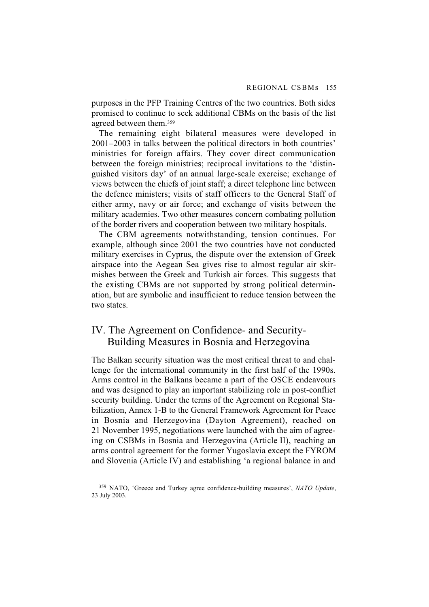purposes in the PFP Training Centres of the two countries. Both sides promised to continue to seek additional CBMs on the basis of the list agreed between them.359

The remaining eight bilateral measures were developed in 2001–2003 in talks between the political directors in both countries' ministries for foreign affairs. They cover direct communication between the foreign ministries; reciprocal invitations to the 'distinguished visitors day' of an annual large-scale exercise; exchange of views between the chiefs of joint staff; a direct telephone line between the defence ministers; visits of staff officers to the General Staff of either army, navy or air force; and exchange of visits between the military academies. Two other measures concern combating pollution of the border rivers and cooperation between two military hospitals.

The CBM agreements notwithstanding, tension continues. For example, although since 2001 the two countries have not conducted military exercises in Cyprus, the dispute over the extension of Greek airspace into the Aegean Sea gives rise to almost regular air skirmishes between the Greek and Turkish air forces. This suggests that the existing CBMs are not supported by strong political determination, but are symbolic and insufficient to reduce tension between the two states.

# IV. The Agreement on Confidence- and Security-Building Measures in Bosnia and Herzegovina

The Balkan security situation was the most critical threat to and challenge for the international community in the first half of the 1990s. Arms control in the Balkans became a part of the OSCE endeavours and was designed to play an important stabilizing role in post-conflict security building. Under the terms of the Agreement on Regional Stabilization, Annex 1-B to the General Framework Agreement for Peace in Bosnia and Herzegovina (Dayton Agreement), reached on 21 November 1995, negotiations were launched with the aim of agreeing on CSBMs in Bosnia and Herzegovina (Article II), reaching an arms control agreement for the former Yugoslavia except the FYROM and Slovenia (Article IV) and establishing 'a regional balance in and

<sup>359</sup> NATO, 'Greece and Turkey agree confidence-building measures', *NATO Update*, 23 July 2003.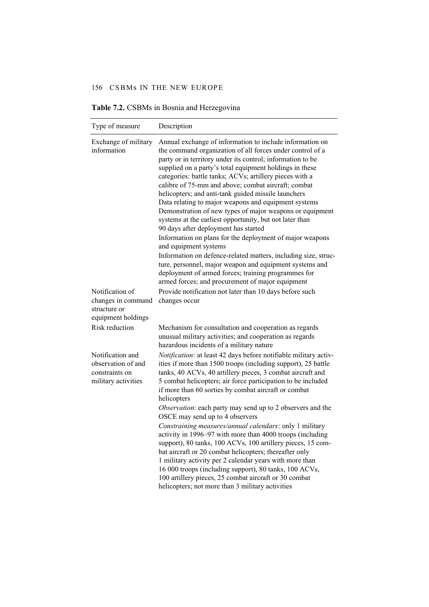| Type of measure                                                                 | Description                                                                                                                                                                                                                                                                                                                                                                                                                                                                                                                                                                                                                                                                                                                                                                                                                                                                                                             |
|---------------------------------------------------------------------------------|-------------------------------------------------------------------------------------------------------------------------------------------------------------------------------------------------------------------------------------------------------------------------------------------------------------------------------------------------------------------------------------------------------------------------------------------------------------------------------------------------------------------------------------------------------------------------------------------------------------------------------------------------------------------------------------------------------------------------------------------------------------------------------------------------------------------------------------------------------------------------------------------------------------------------|
| Exchange of military<br>information                                             | Annual exchange of information to include information on<br>the command organization of all forces under control of a<br>party or in territory under its control; information to be<br>supplied on a party's total equipment holdings in these<br>categories: battle tanks; ACVs; artillery pieces with a<br>calibre of 75-mm and above; combat aircraft; combat<br>helicopters; and anti-tank guided missile launchers<br>Data relating to major weapons and equipment systems<br>Demonstration of new types of major weapons or equipment<br>systems at the earliest opportunity, but not later than<br>90 days after deployment has started<br>Information on plans for the deployment of major weapons<br>and equipment systems<br>Information on defence-related matters, including size, struc-<br>ture, personnel, major weapon and equipment systems and<br>deployment of armed forces; training programmes for |
| Notification of<br>changes in command<br>structure or                           | armed forces; and procurement of major equipment<br>Provide notification not later than 10 days before such<br>changes occur                                                                                                                                                                                                                                                                                                                                                                                                                                                                                                                                                                                                                                                                                                                                                                                            |
| equipment holdings                                                              |                                                                                                                                                                                                                                                                                                                                                                                                                                                                                                                                                                                                                                                                                                                                                                                                                                                                                                                         |
| Risk reduction                                                                  | Mechanism for consultation and cooperation as regards<br>unusual military activities; and cooperation as regards<br>hazardous incidents of a military nature                                                                                                                                                                                                                                                                                                                                                                                                                                                                                                                                                                                                                                                                                                                                                            |
| Notification and<br>observation of and<br>constraints on<br>military activities | Notification: at least 42 days before notifiable military activ-<br>ities if more than 1500 troops (including support), 25 battle<br>tanks, 40 ACVs, 40 artillery pieces, 3 combat aircraft and<br>5 combat helicopters; air force participation to be included<br>if more than 60 sorties by combat aircraft or combat<br>helicopters                                                                                                                                                                                                                                                                                                                                                                                                                                                                                                                                                                                  |
|                                                                                 | Observation: each party may send up to 2 observers and the<br>OSCE may send up to 4 observers<br>Constraining measures/annual calendars: only 1 military<br>activity in 1996–97 with more than 4000 troops (including<br>support), 80 tanks, 100 ACVs, 100 artillery pieces, 15 com-<br>bat aircraft or 20 combat helicopters; thereafter only<br>1 military activity per 2 calendar years with more than<br>16 000 troops (including support), 80 tanks, 100 ACVs,<br>100 artillery pieces, 25 combat aircraft or 30 combat<br>helicopters; not more than 3 military activities                                                                                                                                                                                                                                                                                                                                        |

**Table 7.2.** CSBMs in Bosnia and Herzegovina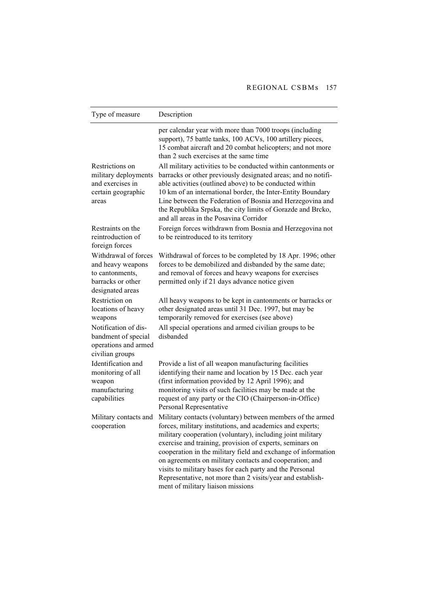| Type of measure                                                                                       | Description                                                                                                                                                                                                                                                                                                                                                                                                                                                                                                                                            |
|-------------------------------------------------------------------------------------------------------|--------------------------------------------------------------------------------------------------------------------------------------------------------------------------------------------------------------------------------------------------------------------------------------------------------------------------------------------------------------------------------------------------------------------------------------------------------------------------------------------------------------------------------------------------------|
| Restrictions on<br>military deployments<br>and exercises in<br>certain geographic<br>areas            | per calendar year with more than 7000 troops (including<br>support), 75 battle tanks, 100 ACVs, 100 artillery pieces,<br>15 combat aircraft and 20 combat helicopters; and not more<br>than 2 such exercises at the same time<br>All military activities to be conducted within cantonments or<br>barracks or other previously designated areas; and no notifi-<br>able activities (outlined above) to be conducted within<br>10 km of an international border, the Inter-Entity Boundary<br>Line between the Federation of Bosnia and Herzegovina and |
|                                                                                                       | the Republika Srpska, the city limits of Gorazde and Brcko,<br>and all areas in the Posavina Corridor                                                                                                                                                                                                                                                                                                                                                                                                                                                  |
| Restraints on the<br>reintroduction of<br>foreign forces                                              | Foreign forces withdrawn from Bosnia and Herzegovina not<br>to be reintroduced to its territory                                                                                                                                                                                                                                                                                                                                                                                                                                                        |
| Withdrawal of forces<br>and heavy weapons<br>to cantonments,<br>barracks or other<br>designated areas | Withdrawal of forces to be completed by 18 Apr. 1996; other<br>forces to be demobilized and disbanded by the same date;<br>and removal of forces and heavy weapons for exercises<br>permitted only if 21 days advance notice given                                                                                                                                                                                                                                                                                                                     |
| Restriction on<br>locations of heavy<br>weapons                                                       | All heavy weapons to be kept in cantonments or barracks or<br>other designated areas until 31 Dec. 1997, but may be<br>temporarily removed for exercises (see above)                                                                                                                                                                                                                                                                                                                                                                                   |
| Notification of dis-<br>bandment of special<br>operations and armed<br>civilian groups                | All special operations and armed civilian groups to be<br>disbanded                                                                                                                                                                                                                                                                                                                                                                                                                                                                                    |
| Identification and<br>monitoring of all<br>weapon<br>manufacturing<br>capabilities                    | Provide a list of all weapon manufacturing facilities<br>identifying their name and location by 15 Dec. each year<br>(first information provided by 12 April 1996); and<br>monitoring visits of such facilities may be made at the<br>request of any party or the CIO (Chairperson-in-Office)<br>Personal Representative                                                                                                                                                                                                                               |
| Military contacts and<br>cooperation                                                                  | Military contacts (voluntary) between members of the armed<br>forces, military institutions, and academics and experts;<br>military cooperation (voluntary), including joint military<br>exercise and training, provision of experts, seminars on<br>cooperation in the military field and exchange of information<br>on agreements on military contacts and cooperation; and<br>visits to military bases for each party and the Personal<br>Representative, not more than 2 visits/year and establish-<br>ment of military liaison missions           |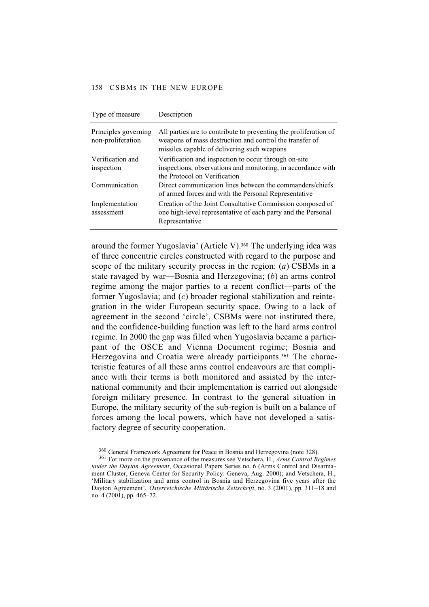| Type of measure                           | Description                                                                                                                                                                |
|-------------------------------------------|----------------------------------------------------------------------------------------------------------------------------------------------------------------------------|
| Principles governing<br>non-proliferation | All parties are to contribute to preventing the proliferation of<br>weapons of mass destruction and control the transfer of<br>missiles capable of delivering such weapons |
| Verification and<br>inspection            | Verification and inspection to occur through on-site<br>inspections, observations and monitoring, in accordance with<br>the Protocol on Verification                       |
| Communication                             | Direct communication lines between the commanders/chiefs<br>of armed forces and with the Personal Representative                                                           |
| Implementation<br>assessment              | Creation of the Joint Consultative Commission composed of<br>one high-level representative of each party and the Personal<br>Representative                                |

around the former Yugoslavia' (Article V).<sup>360</sup> The underlying idea was of three concentric circles constructed with regard to the purpose and scope of the military security process in the region: (*a*) CSBMs in a state ravaged by war—Bosnia and Herzegovina; (*b*) an arms control regime among the major parties to a recent conflict—parts of the former Yugoslavia; and (*c*) broader regional stabilization and reintegration in the wider European security space. Owing to a lack of agreement in the second 'circle', CSBMs were not instituted there, and the confidence-building function was left to the hard arms control regime. In 2000 the gap was filled when Yugoslavia became a participant of the OSCE and Vienna Document regime; Bosnia and Herzegovina and Croatia were already participants.<sup>361</sup> The characteristic features of all these arms control endeavours are that compliance with their terms is both monitored and assisted by the international community and their implementation is carried out alongside foreign military presence. In contrast to the general situation in Europe, the military security of the sub-region is built on a balance of forces among the local powers, which have not developed a satisfactory degree of security cooperation.

<sup>360</sup> General Framework Agreement for Peace in Bosnia and Herzegovina (note 328).

<sup>361</sup> For more on the provenance of the measures see Vetschera, H., *Arms Control Regimes under the Dayton Agreement*, Occasional Papers Series no. 6 (Arms Control and Disarmament Cluster, Geneva Center for Security Policy: Geneva, Aug. 2000); and Vetschera, H., 'Military stabilization and arms control in Bosnia and Herzegovina five years after the Dayton Agreement', *Österreichische Miitärische Zeitschrift*, no. 3 (2001), pp. 311–18 and no. 4 (2001), pp. 465–72.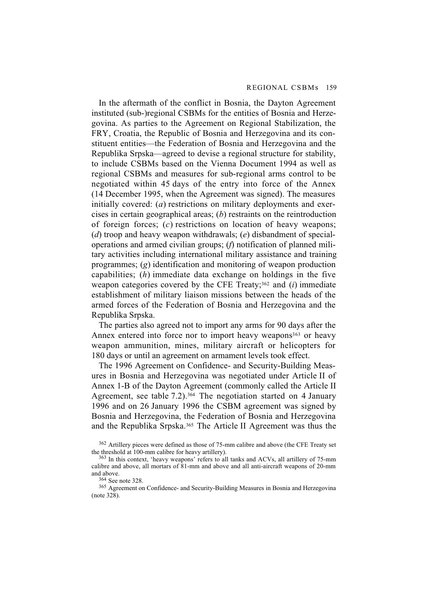In the aftermath of the conflict in Bosnia, the Dayton Agreement instituted (sub-)regional CSBMs for the entities of Bosnia and Herzegovina. As parties to the Agreement on Regional Stabilization, the FRY, Croatia, the Republic of Bosnia and Herzegovina and its constituent entities—the Federation of Bosnia and Herzegovina and the Republika Srpska—agreed to devise a regional structure for stability, to include CSBMs based on the Vienna Document 1994 as well as regional CSBMs and measures for sub-regional arms control to be negotiated within 45 days of the entry into force of the Annex (14 December 1995, when the Agreement was signed). The measures initially covered: (*a*) restrictions on military deployments and exercises in certain geographical areas; (*b*) restraints on the reintroduction of foreign forces; (*c*) restrictions on location of heavy weapons; (*d*) troop and heavy weapon withdrawals; (*e*) disbandment of specialoperations and armed civilian groups; (*f*) notification of planned military activities including international military assistance and training programmes; (*g*) identification and monitoring of weapon production capabilities; (*h*) immediate data exchange on holdings in the five weapon categories covered by the CFE Treaty;362 and (*i*) immediate establishment of military liaison missions between the heads of the armed forces of the Federation of Bosnia and Herzegovina and the Republika Srpska.

The parties also agreed not to import any arms for 90 days after the Annex entered into force nor to import heavy weapons<sup>363</sup> or heavy weapon ammunition, mines, military aircraft or helicopters for 180 days or until an agreement on armament levels took effect.

The 1996 Agreement on Confidence- and Security-Building Measures in Bosnia and Herzegovina was negotiated under Article II of Annex 1-B of the Dayton Agreement (commonly called the Article II Agreement, see table 7.2).364 The negotiation started on 4 January 1996 and on 26 January 1996 the CSBM agreement was signed by Bosnia and Herzegovina, the Federation of Bosnia and Herzegovina and the Republika Srpska.365 The Article II Agreement was thus the

365 Agreement on Confidence- and Security-Building Measures in Bosnia and Herzegovina (note 328).

<sup>362</sup> Artillery pieces were defined as those of 75-mm calibre and above (the CFE Treaty set the threshold at 100-mm calibre for heavy artillery).

<sup>363</sup> In this context, 'heavy weapons' refers to all tanks and ACVs, all artillery of 75-mm calibre and above, all mortars of 81-mm and above and all anti-aircraft weapons of 20-mm and above.

<sup>364</sup> See note 328.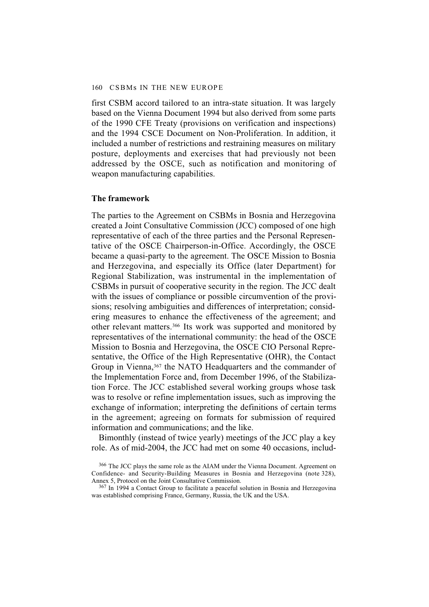first CSBM accord tailored to an intra-state situation. It was largely based on the Vienna Document 1994 but also derived from some parts of the 1990 CFE Treaty (provisions on verification and inspections) and the 1994 CSCE Document on Non-Proliferation. In addition, it included a number of restrictions and restraining measures on military posture, deployments and exercises that had previously not been addressed by the OSCE, such as notification and monitoring of weapon manufacturing capabilities.

### **The framework**

The parties to the Agreement on CSBMs in Bosnia and Herzegovina created a Joint Consultative Commission (JCC) composed of one high representative of each of the three parties and the Personal Representative of the OSCE Chairperson-in-Office. Accordingly, the OSCE became a quasi-party to the agreement. The OSCE Mission to Bosnia and Herzegovina, and especially its Office (later Department) for Regional Stabilization, was instrumental in the implementation of CSBMs in pursuit of cooperative security in the region. The JCC dealt with the issues of compliance or possible circumvention of the provisions; resolving ambiguities and differences of interpretation; considering measures to enhance the effectiveness of the agreement; and other relevant matters.366 Its work was supported and monitored by representatives of the international community: the head of the OSCE Mission to Bosnia and Herzegovina, the OSCE CIO Personal Representative, the Office of the High Representative (OHR), the Contact Group in Vienna,<sup>367</sup> the NATO Headquarters and the commander of the Implementation Force and, from December 1996, of the Stabilization Force. The JCC established several working groups whose task was to resolve or refine implementation issues, such as improving the exchange of information; interpreting the definitions of certain terms in the agreement; agreeing on formats for submission of required information and communications; and the like.

Bimonthly (instead of twice yearly) meetings of the JCC play a key role. As of mid-2004, the JCC had met on some 40 occasions, includ-

<sup>366</sup> The JCC plays the same role as the AIAM under the Vienna Document. Agreement on Confidence- and Security-Building Measures in Bosnia and Herzegovina (note 328), Annex 5, Protocol on the Joint Consultative Commission.

<sup>&</sup>lt;sup>367</sup> In 1994 a Contact Group to facilitate a peaceful solution in Bosnia and Herzegovina was established comprising France, Germany, Russia, the UK and the USA.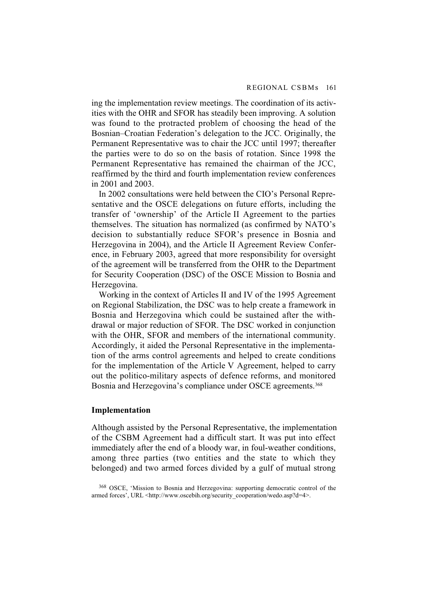ing the implementation review meetings. The coordination of its activities with the OHR and SFOR has steadily been improving. A solution was found to the protracted problem of choosing the head of the Bosnian–Croatian Federation's delegation to the JCC. Originally, the Permanent Representative was to chair the JCC until 1997; thereafter the parties were to do so on the basis of rotation. Since 1998 the Permanent Representative has remained the chairman of the JCC, reaffirmed by the third and fourth implementation review conferences in 2001 and 2003.

In 2002 consultations were held between the CIO's Personal Representative and the OSCE delegations on future efforts, including the transfer of 'ownership' of the Article II Agreement to the parties themselves. The situation has normalized (as confirmed by NATO's decision to substantially reduce SFOR's presence in Bosnia and Herzegovina in 2004), and the Article II Agreement Review Conference, in February 2003, agreed that more responsibility for oversight of the agreement will be transferred from the OHR to the Department for Security Cooperation (DSC) of the OSCE Mission to Bosnia and Herzegovina.

Working in the context of Articles II and IV of the 1995 Agreement on Regional Stabilization, the DSC was to help create a framework in Bosnia and Herzegovina which could be sustained after the withdrawal or major reduction of SFOR. The DSC worked in conjunction with the OHR, SFOR and members of the international community. Accordingly, it aided the Personal Representative in the implementation of the arms control agreements and helped to create conditions for the implementation of the Article V Agreement, helped to carry out the politico-military aspects of defence reforms, and monitored Bosnia and Herzegovina's compliance under OSCE agreements.<sup>368</sup>

### **Implementation**

Although assisted by the Personal Representative, the implementation of the CSBM Agreement had a difficult start. It was put into effect immediately after the end of a bloody war, in foul-weather conditions, among three parties (two entities and the state to which they belonged) and two armed forces divided by a gulf of mutual strong

<sup>368</sup> OSCE, 'Mission to Bosnia and Herzegovina: supporting democratic control of the armed forces', URL <http://www.oscebih.org/security\_cooperation/wedo.asp?d=4>.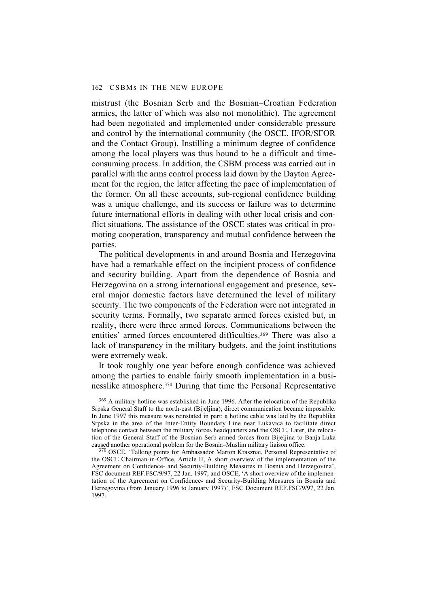mistrust (the Bosnian Serb and the Bosnian–Croatian Federation armies, the latter of which was also not monolithic). The agreement had been negotiated and implemented under considerable pressure and control by the international community (the OSCE, IFOR/SFOR and the Contact Group). Instilling a minimum degree of confidence among the local players was thus bound to be a difficult and timeconsuming process. In addition, the CSBM process was carried out in parallel with the arms control process laid down by the Dayton Agreement for the region, the latter affecting the pace of implementation of the former. On all these accounts, sub-regional confidence building was a unique challenge, and its success or failure was to determine future international efforts in dealing with other local crisis and conflict situations. The assistance of the OSCE states was critical in promoting cooperation, transparency and mutual confidence between the parties.

The political developments in and around Bosnia and Herzegovina have had a remarkable effect on the incipient process of confidence and security building. Apart from the dependence of Bosnia and Herzegovina on a strong international engagement and presence, several major domestic factors have determined the level of military security. The two components of the Federation were not integrated in security terms. Formally, two separate armed forces existed but, in reality, there were three armed forces. Communications between the entities' armed forces encountered difficulties.369 There was also a lack of transparency in the military budgets, and the joint institutions were extremely weak.

It took roughly one year before enough confidence was achieved among the parties to enable fairly smooth implementation in a businesslike atmosphere.370 During that time the Personal Representative

<sup>369</sup> A military hotline was established in June 1996. After the relocation of the Republika Srpska General Staff to the north-east (Bijeljina), direct communication became impossible. In June 1997 this measure was reinstated in part: a hotline cable was laid by the Republika Srpska in the area of the Inter-Entity Boundary Line near Lukavica to facilitate direct telephone contact between the military forces headquarters and the OSCE. Later, the relocation of the General Staff of the Bosnian Serb armed forces from Bijeljina to Banja Luka caused another operational problem for the Bosnia–Muslim military liaison office.

370 OSCE, 'Talking points for Ambassador Marton Krasznai, Personal Representative of the OSCE Chairman-in-Office, Article II, A short overview of the implementation of the Agreement on Confidence- and Security-Building Measures in Bosnia and Herzegovina', FSC document REF.FSC/9/97, 22 Jan. 1997; and OSCE, 'A short overview of the implementation of the Agreement on Confidence- and Security-Building Measures in Bosnia and Herzegovina (from January 1996 to January 1997)', FSC Document REF.FSC/9/97, 22 Jan. 1997.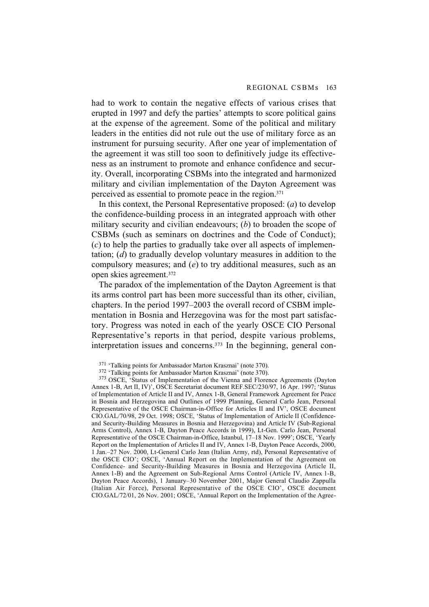had to work to contain the negative effects of various crises that erupted in 1997 and defy the parties' attempts to score political gains at the expense of the agreement. Some of the political and military leaders in the entities did not rule out the use of military force as an instrument for pursuing security. After one year of implementation of the agreement it was still too soon to definitively judge its effectiveness as an instrument to promote and enhance confidence and security. Overall, incorporating CSBMs into the integrated and harmonized military and civilian implementation of the Dayton Agreement was perceived as essential to promote peace in the region.371

In this context, the Personal Representative proposed: (*a*) to develop the confidence-building process in an integrated approach with other military security and civilian endeavours; (*b*) to broaden the scope of CSBMs (such as seminars on doctrines and the Code of Conduct); (*c*) to help the parties to gradually take over all aspects of implementation; (*d*) to gradually develop voluntary measures in addition to the compulsory measures; and (*e*) to try additional measures, such as an open skies agreement.372

The paradox of the implementation of the Dayton Agreement is that its arms control part has been more successful than its other, civilian, chapters. In the period 1997–2003 the overall record of CSBM implementation in Bosnia and Herzegovina was for the most part satisfactory. Progress was noted in each of the yearly OSCE CIO Personal Representative's reports in that period, despite various problems, interpretation issues and concerns.373 In the beginning, general con-

371 'Talking points for Ambassador Marton Krasznai' (note 370).

<sup>373</sup> OSCE, 'Status of Implementation of the Vienna and Florence Agreements (Dayton Annex 1-B, Art II, IV)', OSCE Secretariat document REF.SEC/230/97, 16 Apr. 1997; 'Status of Implementation of Article II and IV, Annex 1-B, General Framework Agreement for Peace in Bosnia and Herzegovina and Outlines of 1999 Planning, General Carlo Jean, Personal Representative of the OSCE Chairman-in-Office for Articles II and IV', OSCE document CIO.GAL/70/98, 29 Oct. 1998; OSCE, 'Status of Implementation of Article II (Confidenceand Security-Building Measures in Bosnia and Herzegovina) and Article IV (Sub-Regional Arms Control), Annex 1-B, Dayton Peace Accords in 1999), Lt-Gen. Carlo Jean, Personal Representative of the OSCE Chairman-in-Office, Istanbul, 17–18 Nov. 1999'; OSCE, 'Yearly Report on the Implementation of Articles II and IV, Annex 1-B, Dayton Peace Accords, 2000, 1 Jan.–27 Nov. 2000, Lt-General Carlo Jean (Italian Army, rtd), Personal Representative of the OSCE CIO'; OSCE, 'Annual Report on the Implementation of the Agreement on Confidence- and Security-Building Measures in Bosnia and Herzegovina (Article II, Annex 1-B) and the Agreement on Sub-Regional Arms Control (Article IV, Annex 1-B, Dayton Peace Accords), 1 January–30 November 2001, Major General Claudio Zappulla (Italian Air Force), Personal Representative of the OSCE CIO', OSCE document CIO.GAL/72/01, 26 Nov. 2001; OSCE, 'Annual Report on the Implementation of the Agree-

<sup>372 &#</sup>x27;Talking points for Ambassador Marton Krasznai' (note 370).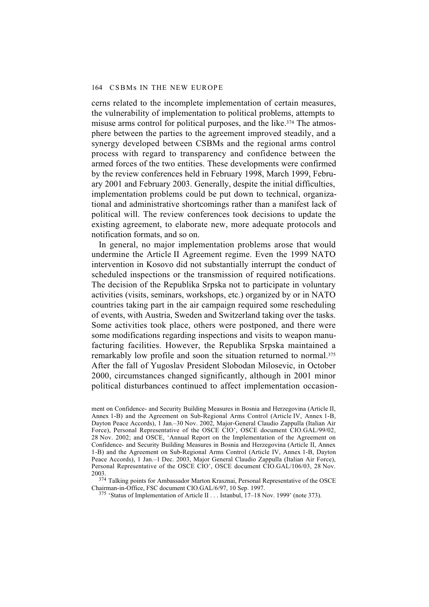cerns related to the incomplete implementation of certain measures, the vulnerability of implementation to political problems, attempts to misuse arms control for political purposes, and the like.<sup>374</sup> The atmosphere between the parties to the agreement improved steadily, and a synergy developed between CSBMs and the regional arms control process with regard to transparency and confidence between the armed forces of the two entities. These developments were confirmed by the review conferences held in February 1998, March 1999, February 2001 and February 2003. Generally, despite the initial difficulties, implementation problems could be put down to technical, organizational and administrative shortcomings rather than a manifest lack of political will. The review conferences took decisions to update the existing agreement, to elaborate new, more adequate protocols and notification formats, and so on.

In general, no major implementation problems arose that would undermine the Article II Agreement regime. Even the 1999 NATO intervention in Kosovo did not substantially interrupt the conduct of scheduled inspections or the transmission of required notifications. The decision of the Republika Srpska not to participate in voluntary activities (visits, seminars, workshops, etc.) organized by or in NATO countries taking part in the air campaign required some rescheduling of events, with Austria, Sweden and Switzerland taking over the tasks. Some activities took place, others were postponed, and there were some modifications regarding inspections and visits to weapon manufacturing facilities. However, the Republika Srpska maintained a remarkably low profile and soon the situation returned to normal.375 After the fall of Yugoslav President Slobodan Milosevic, in October 2000, circumstances changed significantly, although in 2001 minor political disturbances continued to affect implementation occasion-

ment on Confidence- and Security Building Measures in Bosnia and Herzegovina (Article II, Annex 1-B) and the Agreement on Sub-Regional Arms Control (Article IV, Annex 1-B, Dayton Peace Accords), 1 Jan.–30 Nov. 2002, Major-General Claudio Zappulla (Italian Air Force), Personal Representative of the OSCE CIO', OSCE document CIO.GAL/99/02, 28 Nov. 2002; and OSCE, 'Annual Report on the Implementation of the Agreement on Confidence- and Security Building Measures in Bosnia and Herzegovina (Article II, Annex 1-B) and the Agreement on Sub-Regional Arms Control (Article IV, Annex 1-B, Dayton Peace Accords), 1 Jan.–1 Dec. 2003, Major General Claudio Zappulla (Italian Air Force), Personal Representative of the OSCE CIO', OSCE document CIO.GAL/106/03, 28 Nov. 2003.

<sup>374</sup> Talking points for Ambassador Marton Krasznai, Personal Representative of the OSCE Chairman-in-Office, FSC document CIO.GAL/6/97, 10 Sep. 1997.

375 'Status of Implementation of Article II . . . Istanbul, 17–18 Nov. 1999' (note 373).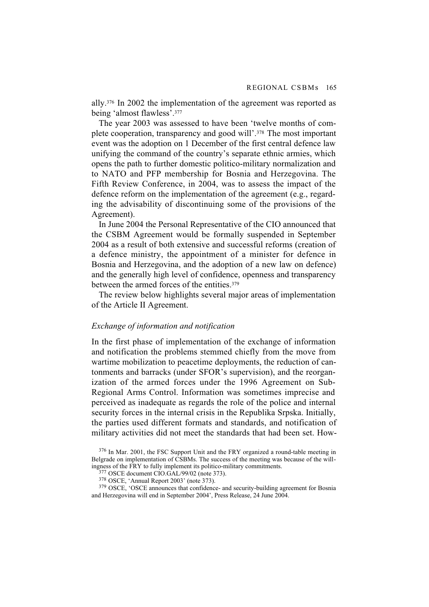ally.376 In 2002 the implementation of the agreement was reported as being 'almost flawless'.377

The year 2003 was assessed to have been 'twelve months of complete cooperation, transparency and good will'.378 The most important event was the adoption on 1 December of the first central defence law unifying the command of the country's separate ethnic armies, which opens the path to further domestic politico-military normalization and to NATO and PFP membership for Bosnia and Herzegovina. The Fifth Review Conference, in 2004, was to assess the impact of the defence reform on the implementation of the agreement (e.g., regarding the advisability of discontinuing some of the provisions of the Agreement).

In June 2004 the Personal Representative of the CIO announced that the CSBM Agreement would be formally suspended in September 2004 as a result of both extensive and successful reforms (creation of a defence ministry, the appointment of a minister for defence in Bosnia and Herzegovina, and the adoption of a new law on defence) and the generally high level of confidence, openness and transparency between the armed forces of the entities.379

The review below highlights several major areas of implementation of the Article II Agreement.

### *Exchange of information and notification*

In the first phase of implementation of the exchange of information and notification the problems stemmed chiefly from the move from wartime mobilization to peacetime deployments, the reduction of cantonments and barracks (under SFOR's supervision), and the reorganization of the armed forces under the 1996 Agreement on Sub-Regional Arms Control. Information was sometimes imprecise and perceived as inadequate as regards the role of the police and internal security forces in the internal crisis in the Republika Srpska. Initially, the parties used different formats and standards, and notification of military activities did not meet the standards that had been set. How-

379 OSCE, 'OSCE announces that confidence- and security-building agreement for Bosnia and Herzegovina will end in September 2004', Press Release, 24 June 2004.

<sup>376</sup> In Mar. 2001, the FSC Support Unit and the FRY organized a round-table meeting in Belgrade on implementation of CSBMs. The success of the meeting was because of the willingness of the FRY to fully implement its politico-military commitments.

<sup>377</sup> OSCE document CIO.GAL/99/02 (note 373).

<sup>378</sup> OSCE, 'Annual Report 2003' (note 373).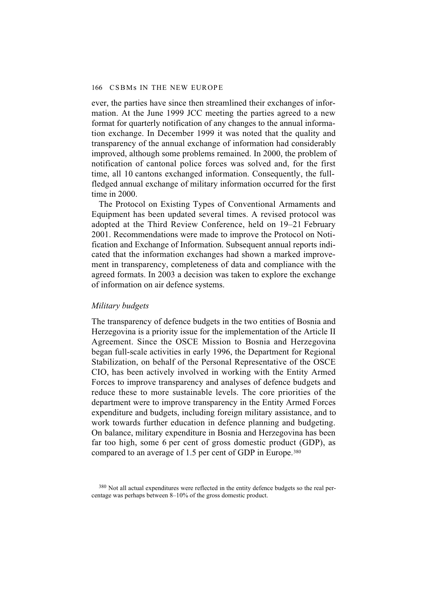ever, the parties have since then streamlined their exchanges of information. At the June 1999 JCC meeting the parties agreed to a new format for quarterly notification of any changes to the annual information exchange. In December 1999 it was noted that the quality and transparency of the annual exchange of information had considerably improved, although some problems remained. In 2000, the problem of notification of cantonal police forces was solved and, for the first time, all 10 cantons exchanged information. Consequently, the fullfledged annual exchange of military information occurred for the first time in 2000.

The Protocol on Existing Types of Conventional Armaments and Equipment has been updated several times. A revised protocol was adopted at the Third Review Conference, held on 19–21 February 2001. Recommendations were made to improve the Protocol on Notification and Exchange of Information. Subsequent annual reports indicated that the information exchanges had shown a marked improvement in transparency, completeness of data and compliance with the agreed formats. In 2003 a decision was taken to explore the exchange of information on air defence systems.

# *Military budgets*

The transparency of defence budgets in the two entities of Bosnia and Herzegovina is a priority issue for the implementation of the Article II Agreement. Since the OSCE Mission to Bosnia and Herzegovina began full-scale activities in early 1996, the Department for Regional Stabilization, on behalf of the Personal Representative of the OSCE CIO, has been actively involved in working with the Entity Armed Forces to improve transparency and analyses of defence budgets and reduce these to more sustainable levels. The core priorities of the department were to improve transparency in the Entity Armed Forces expenditure and budgets, including foreign military assistance, and to work towards further education in defence planning and budgeting. On balance, military expenditure in Bosnia and Herzegovina has been far too high, some 6 per cent of gross domestic product (GDP), as compared to an average of 1.5 per cent of GDP in Europe.380

<sup>&</sup>lt;sup>380</sup> Not all actual expenditures were reflected in the entity defence budgets so the real percentage was perhaps between 8–10% of the gross domestic product.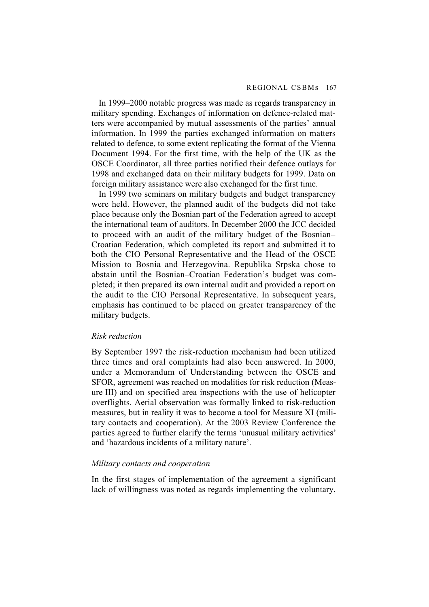In 1999–2000 notable progress was made as regards transparency in military spending. Exchanges of information on defence-related matters were accompanied by mutual assessments of the parties' annual information. In 1999 the parties exchanged information on matters related to defence, to some extent replicating the format of the Vienna Document 1994. For the first time, with the help of the UK as the OSCE Coordinator, all three parties notified their defence outlays for 1998 and exchanged data on their military budgets for 1999. Data on foreign military assistance were also exchanged for the first time.

In 1999 two seminars on military budgets and budget transparency were held. However, the planned audit of the budgets did not take place because only the Bosnian part of the Federation agreed to accept the international team of auditors. In December 2000 the JCC decided to proceed with an audit of the military budget of the Bosnian– Croatian Federation, which completed its report and submitted it to both the CIO Personal Representative and the Head of the OSCE Mission to Bosnia and Herzegovina. Republika Srpska chose to abstain until the Bosnian–Croatian Federation's budget was completed; it then prepared its own internal audit and provided a report on the audit to the CIO Personal Representative. In subsequent years, emphasis has continued to be placed on greater transparency of the military budgets.

### *Risk reduction*

By September 1997 the risk-reduction mechanism had been utilized three times and oral complaints had also been answered. In 2000, under a Memorandum of Understanding between the OSCE and SFOR, agreement was reached on modalities for risk reduction (Measure III) and on specified area inspections with the use of helicopter overflights. Aerial observation was formally linked to risk-reduction measures, but in reality it was to become a tool for Measure XI (military contacts and cooperation). At the 2003 Review Conference the parties agreed to further clarify the terms 'unusual military activities' and 'hazardous incidents of a military nature'.

### *Military contacts and cooperation*

In the first stages of implementation of the agreement a significant lack of willingness was noted as regards implementing the voluntary,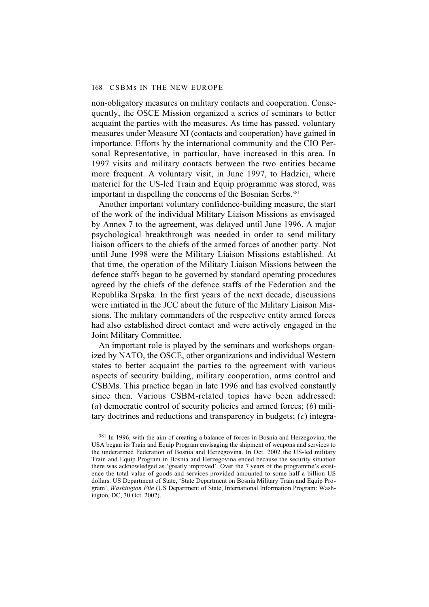non-obligatory measures on military contacts and cooperation. Consequently, the OSCE Mission organized a series of seminars to better acquaint the parties with the measures. As time has passed, voluntary measures under Measure XI (contacts and cooperation) have gained in importance. Efforts by the international community and the CIO Personal Representative, in particular, have increased in this area. In 1997 visits and military contacts between the two entities became more frequent. A voluntary visit, in June 1997, to Hadzici, where materiel for the US-led Train and Equip programme was stored, was important in dispelling the concerns of the Bosnian Serbs.<sup>381</sup>

Another important voluntary confidence-building measure, the start of the work of the individual Military Liaison Missions as envisaged by Annex 7 to the agreement, was delayed until June 1996. A major psychological breakthrough was needed in order to send military liaison officers to the chiefs of the armed forces of another party. Not until June 1998 were the Military Liaison Missions established. At that time, the operation of the Military Liaison Missions between the defence staffs began to be governed by standard operating procedures agreed by the chiefs of the defence staffs of the Federation and the Republika Srpska. In the first years of the next decade, discussions were initiated in the JCC about the future of the Military Liaison Missions. The military commanders of the respective entity armed forces had also established direct contact and were actively engaged in the Joint Military Committee.

An important role is played by the seminars and workshops organized by NATO, the OSCE, other organizations and individual Western states to better acquaint the parties to the agreement with various aspects of security building, military cooperation, arms control and CSBMs. This practice began in late 1996 and has evolved constantly since then. Various CSBM-related topics have been addressed: (*a*) democratic control of security policies and armed forces; (*b*) military doctrines and reductions and transparency in budgets; (*c*) integra-

381 In 1996, with the aim of creating a balance of forces in Bosnia and Herzegovina, the USA began its Train and Equip Program envisaging the shipment of weapons and services to the underarmed Federation of Bosnia and Herzegovina. In Oct. 2002 the US-led military Train and Equip Program in Bosnia and Herzegovina ended because the security situation there was acknowledged as 'greatly improved'. Over the 7 years of the programme's existence the total value of goods and services provided amounted to some half a billion US dollars. US Department of State, 'State Department on Bosnia Military Train and Equip Program', *Washington File* (US Department of State, International Information Program: Washington, DC, 30 Oct. 2002).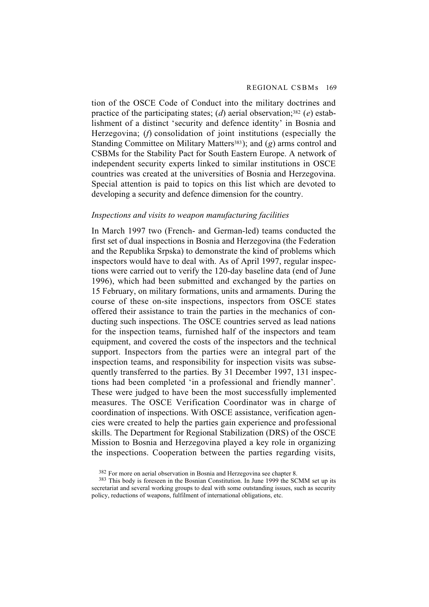tion of the OSCE Code of Conduct into the military doctrines and practice of the participating states; (*d*) aerial observation;<sup>382</sup> (*e*) establishment of a distinct 'security and defence identity' in Bosnia and Herzegovina; (*f*) consolidation of joint institutions (especially the Standing Committee on Military Matters<sup>383</sup>); and (*g*) arms control and CSBMs for the Stability Pact for South Eastern Europe. A network of independent security experts linked to similar institutions in OSCE countries was created at the universities of Bosnia and Herzegovina. Special attention is paid to topics on this list which are devoted to developing a security and defence dimension for the country.

#### *Inspections and visits to weapon manufacturing facilities*

In March 1997 two (French- and German-led) teams conducted the first set of dual inspections in Bosnia and Herzegovina (the Federation and the Republika Srpska) to demonstrate the kind of problems which inspectors would have to deal with. As of April 1997, regular inspections were carried out to verify the 120-day baseline data (end of June 1996), which had been submitted and exchanged by the parties on 15 February, on military formations, units and armaments. During the course of these on-site inspections, inspectors from OSCE states offered their assistance to train the parties in the mechanics of conducting such inspections. The OSCE countries served as lead nations for the inspection teams, furnished half of the inspectors and team equipment, and covered the costs of the inspectors and the technical support. Inspectors from the parties were an integral part of the inspection teams, and responsibility for inspection visits was subsequently transferred to the parties. By 31 December 1997, 131 inspections had been completed 'in a professional and friendly manner'. These were judged to have been the most successfully implemented measures. The OSCE Verification Coordinator was in charge of coordination of inspections. With OSCE assistance, verification agencies were created to help the parties gain experience and professional skills. The Department for Regional Stabilization (DRS) of the OSCE Mission to Bosnia and Herzegovina played a key role in organizing the inspections. Cooperation between the parties regarding visits,

<sup>382</sup> For more on aerial observation in Bosnia and Herzegovina see chapter 8.

<sup>&</sup>lt;sup>383</sup> This body is foreseen in the Bosnian Constitution. In June 1999 the SCMM set up its secretariat and several working groups to deal with some outstanding issues, such as security policy, reductions of weapons, fulfilment of international obligations, etc.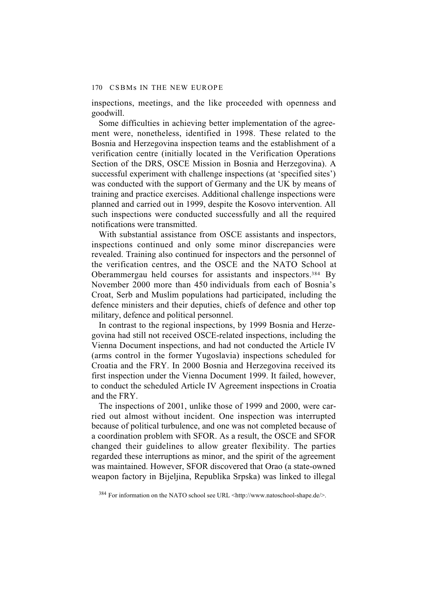inspections, meetings, and the like proceeded with openness and goodwill.

Some difficulties in achieving better implementation of the agreement were, nonetheless, identified in 1998. These related to the Bosnia and Herzegovina inspection teams and the establishment of a verification centre (initially located in the Verification Operations Section of the DRS, OSCE Mission in Bosnia and Herzegovina). A successful experiment with challenge inspections (at 'specified sites') was conducted with the support of Germany and the UK by means of training and practice exercises. Additional challenge inspections were planned and carried out in 1999, despite the Kosovo intervention. All such inspections were conducted successfully and all the required notifications were transmitted.

With substantial assistance from OSCE assistants and inspectors, inspections continued and only some minor discrepancies were revealed. Training also continued for inspectors and the personnel of the verification centres, and the OSCE and the NATO School at Oberammergau held courses for assistants and inspectors.384 By November 2000 more than 450 individuals from each of Bosnia's Croat, Serb and Muslim populations had participated, including the defence ministers and their deputies, chiefs of defence and other top military, defence and political personnel.

In contrast to the regional inspections, by 1999 Bosnia and Herzegovina had still not received OSCE-related inspections, including the Vienna Document inspections, and had not conducted the Article IV (arms control in the former Yugoslavia) inspections scheduled for Croatia and the FRY. In 2000 Bosnia and Herzegovina received its first inspection under the Vienna Document 1999. It failed, however, to conduct the scheduled Article IV Agreement inspections in Croatia and the FRY.

The inspections of 2001, unlike those of 1999 and 2000, were carried out almost without incident. One inspection was interrupted because of political turbulence, and one was not completed because of a coordination problem with SFOR. As a result, the OSCE and SFOR changed their guidelines to allow greater flexibility. The parties regarded these interruptions as minor, and the spirit of the agreement was maintained. However, SFOR discovered that Orao (a state-owned weapon factory in Bijeljina, Republika Srpska) was linked to illegal

<sup>384</sup> For information on the NATO school see URL <http://www.natoschool-shape.de/>.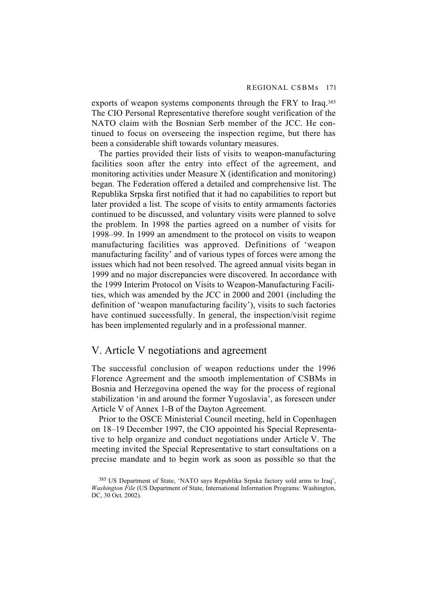exports of weapon systems components through the FRY to Iraq.385 The CIO Personal Representative therefore sought verification of the NATO claim with the Bosnian Serb member of the JCC. He continued to focus on overseeing the inspection regime, but there has been a considerable shift towards voluntary measures.

The parties provided their lists of visits to weapon-manufacturing facilities soon after the entry into effect of the agreement, and monitoring activities under Measure X (identification and monitoring) began. The Federation offered a detailed and comprehensive list. The Republika Srpska first notified that it had no capabilities to report but later provided a list. The scope of visits to entity armaments factories continued to be discussed, and voluntary visits were planned to solve the problem. In 1998 the parties agreed on a number of visits for 1998–99. In 1999 an amendment to the protocol on visits to weapon manufacturing facilities was approved. Definitions of 'weapon manufacturing facility' and of various types of forces were among the issues which had not been resolved. The agreed annual visits began in 1999 and no major discrepancies were discovered. In accordance with the 1999 Interim Protocol on Visits to Weapon-Manufacturing Facilities, which was amended by the JCC in 2000 and 2001 (including the definition of 'weapon manufacturing facility'), visits to such factories have continued successfully. In general, the inspection/visit regime has been implemented regularly and in a professional manner.

## V. Article V negotiations and agreement

The successful conclusion of weapon reductions under the 1996 Florence Agreement and the smooth implementation of CSBMs in Bosnia and Herzegovina opened the way for the process of regional stabilization 'in and around the former Yugoslavia', as foreseen under Article V of Annex 1-B of the Dayton Agreement.

Prior to the OSCE Ministerial Council meeting, held in Copenhagen on 18–19 December 1997, the CIO appointed his Special Representative to help organize and conduct negotiations under Article V. The meeting invited the Special Representative to start consultations on a precise mandate and to begin work as soon as possible so that the

<sup>385</sup> US Department of State, 'NATO says Republika Srpska factory sold arms to Iraq', *Washington File* (US Department of State, International Information Programs: Washington, DC, 30 Oct. 2002).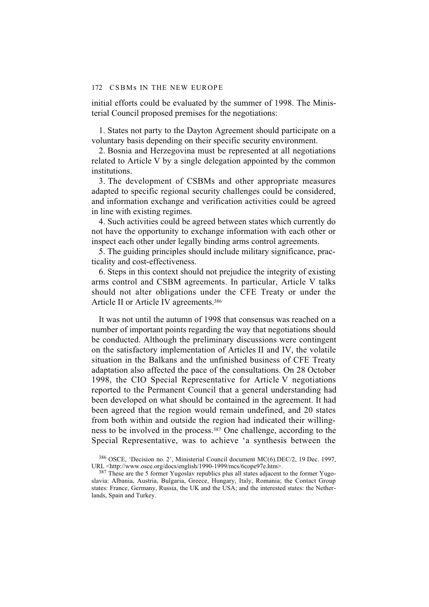initial efforts could be evaluated by the summer of 1998. The Ministerial Council proposed premises for the negotiations:

1. States not party to the Dayton Agreement should participate on a voluntary basis depending on their specific security environment.

2. Bosnia and Herzegovina must be represented at all negotiations related to Article V by a single delegation appointed by the common institutions.

3. The development of CSBMs and other appropriate measures adapted to specific regional security challenges could be considered, and information exchange and verification activities could be agreed in line with existing regimes.

4. Such activities could be agreed between states which currently do not have the opportunity to exchange information with each other or inspect each other under legally binding arms control agreements.

5. The guiding principles should include military significance, practicality and cost-effectiveness.

6. Steps in this context should not prejudice the integrity of existing arms control and CSBM agreements. In particular, Article V talks should not alter obligations under the CFE Treaty or under the Article II or Article IV agreements.386

It was not until the autumn of 1998 that consensus was reached on a number of important points regarding the way that negotiations should be conducted. Although the preliminary discussions were contingent on the satisfactory implementation of Articles II and IV, the volatile situation in the Balkans and the unfinished business of CFE Treaty adaptation also affected the pace of the consultations. On 28 October 1998, the CIO Special Representative for Article V negotiations reported to the Permanent Council that a general understanding had been developed on what should be contained in the agreement. It had been agreed that the region would remain undefined, and 20 states from both within and outside the region had indicated their willingness to be involved in the process.387 One challenge, according to the Special Representative, was to achieve 'a synthesis between the

<sup>386</sup> OSCE, 'Decision no. 2', Ministerial Council document MC(6).DEC/2, 19 Dec. 1997, URL <http://www.osce.org/docs/english/1990-1999/mcs/6cope97e.htm>.

<sup>&</sup>lt;sup>387</sup> These are the 5 former Yugoslav republics plus all states adjacent to the former Yugoslavia: Albania, Austria, Bulgaria, Greece, Hungary, Italy, Romania; the Contact Group states: France, Germany, Russia, the UK and the USA; and the interested states: the Netherlands, Spain and Turkey.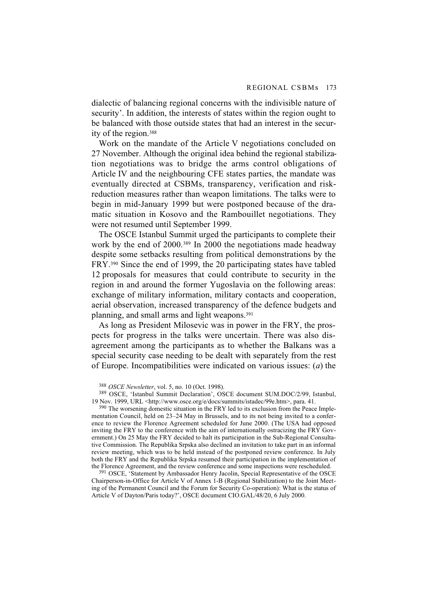dialectic of balancing regional concerns with the indivisible nature of security'. In addition, the interests of states within the region ought to be balanced with those outside states that had an interest in the security of the region.388

Work on the mandate of the Article V negotiations concluded on 27 November. Although the original idea behind the regional stabilization negotiations was to bridge the arms control obligations of Article IV and the neighbouring CFE states parties, the mandate was eventually directed at CSBMs, transparency, verification and riskreduction measures rather than weapon limitations. The talks were to begin in mid-January 1999 but were postponed because of the dramatic situation in Kosovo and the Rambouillet negotiations. They were not resumed until September 1999.

The OSCE Istanbul Summit urged the participants to complete their work by the end of 2000.389 In 2000 the negotiations made headway despite some setbacks resulting from political demonstrations by the FRY.390 Since the end of 1999, the 20 participating states have tabled 12 proposals for measures that could contribute to security in the region in and around the former Yugoslavia on the following areas: exchange of military information, military contacts and cooperation, aerial observation, increased transparency of the defence budgets and planning, and small arms and light weapons.391

As long as President Milosevic was in power in the FRY, the prospects for progress in the talks were uncertain. There was also disagreement among the participants as to whether the Balkans was a special security case needing to be dealt with separately from the rest of Europe. Incompatibilities were indicated on various issues: (*a*) the

<sup>390</sup> The worsening domestic situation in the FRY led to its exclusion from the Peace Implementation Council, held on 23–24 May in Brussels, and to its not being invited to a conference to review the Florence Agreement scheduled for June 2000. (The USA had opposed inviting the FRY to the conference with the aim of internationally ostracizing the FRY Government.) On 25 May the FRY decided to halt its participation in the Sub-Regional Consultative Commission. The Republika Srpska also declined an invitation to take part in an informal review meeting, which was to be held instead of the postponed review conference. In July both the FRY and the Republika Srpska resumed their participation in the implementation of the Florence Agreement, and the review conference and some inspections were rescheduled.

391 OSCE, 'Statement by Ambassador Henry Jacolin, Special Representative of the OSCE Chairperson-in-Office for Article V of Annex 1-B (Regional Stabilization) to the Joint Meeting of the Permanent Council and the Forum for Security Co-operation): What is the status of Article V of Dayton/Paris today?', OSCE document CIO.GAL/48/20, 6 July 2000.

<sup>388</sup> *OSCE Newsletter*, vol. 5, no. 10 (Oct. 1998).

<sup>389</sup> OSCE, 'Istanbul Summit Declaration', OSCE document SUM.DOC/2/99, Istanbul, 19 Nov. 1999, URL <http://www.osce.org/e/docs/summits/istadec/99e.htm>, para. 41.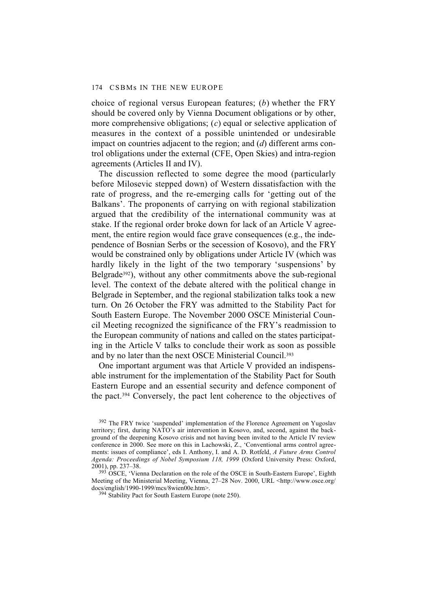choice of regional versus European features; (*b*) whether the FRY should be covered only by Vienna Document obligations or by other, more comprehensive obligations; (*c*) equal or selective application of measures in the context of a possible unintended or undesirable impact on countries adjacent to the region; and (*d*) different arms control obligations under the external (CFE, Open Skies) and intra-region agreements (Articles II and IV).

The discussion reflected to some degree the mood (particularly before Milosevic stepped down) of Western dissatisfaction with the rate of progress, and the re-emerging calls for 'getting out of the Balkans'. The proponents of carrying on with regional stabilization argued that the credibility of the international community was at stake. If the regional order broke down for lack of an Article V agreement, the entire region would face grave consequences (e.g., the independence of Bosnian Serbs or the secession of Kosovo), and the FRY would be constrained only by obligations under Article IV (which was hardly likely in the light of the two temporary 'suspensions' by Belgrade392), without any other commitments above the sub-regional level. The context of the debate altered with the political change in Belgrade in September, and the regional stabilization talks took a new turn. On 26 October the FRY was admitted to the Stability Pact for South Eastern Europe. The November 2000 OSCE Ministerial Council Meeting recognized the significance of the FRY's readmission to the European community of nations and called on the states participating in the Article V talks to conclude their work as soon as possible and by no later than the next OSCE Ministerial Council.393

One important argument was that Article V provided an indispensable instrument for the implementation of the Stability Pact for South Eastern Europe and an essential security and defence component of the pact.394 Conversely, the pact lent coherence to the objectives of

<sup>392</sup> The FRY twice 'suspended' implementation of the Florence Agreement on Yugoslav territory; first, during NATO's air intervention in Kosovo, and, second, against the background of the deepening Kosovo crisis and not having been invited to the Article IV review conference in 2000. See more on this in Lachowski, Z., 'Conventional arms control agreements: issues of compliance', eds I. Anthony, I. and A. D. Rotfeld, *A Future Arms Control Agenda: Proceedings of Nobel Symposium 118, 1999* (Oxford University Press: Oxford, 2001), pp. 237–38.

<sup>393</sup> OSCE, 'Vienna Declaration on the role of the OSCE in South-Eastern Europe', Eighth Meeting of the Ministerial Meeting, Vienna, 27–28 Nov. 2000, URL <http://www.osce.org/ docs/english/1990-1999/mcs/8wien00e.htm>.

394 Stability Pact for South Eastern Europe (note 250).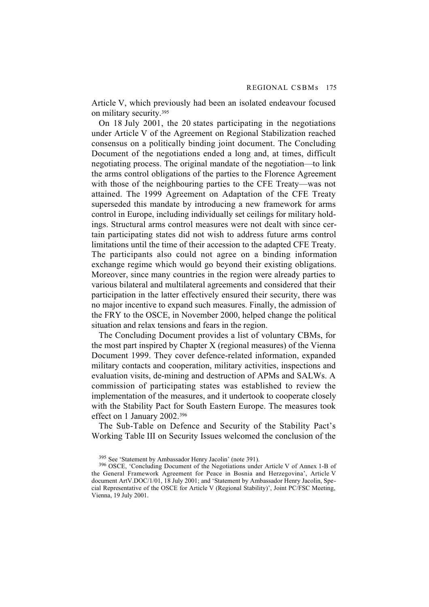Article V, which previously had been an isolated endeavour focused on military security.395

On 18 July 2001, the 20 states participating in the negotiations under Article V of the Agreement on Regional Stabilization reached consensus on a politically binding joint document. The Concluding Document of the negotiations ended a long and, at times, difficult negotiating process. The original mandate of the negotiation—to link the arms control obligations of the parties to the Florence Agreement with those of the neighbouring parties to the CFE Treaty—was not attained. The 1999 Agreement on Adaptation of the CFE Treaty superseded this mandate by introducing a new framework for arms control in Europe, including individually set ceilings for military holdings. Structural arms control measures were not dealt with since certain participating states did not wish to address future arms control limitations until the time of their accession to the adapted CFE Treaty. The participants also could not agree on a binding information exchange regime which would go beyond their existing obligations. Moreover, since many countries in the region were already parties to various bilateral and multilateral agreements and considered that their participation in the latter effectively ensured their security, there was no major incentive to expand such measures. Finally, the admission of the FRY to the OSCE, in November 2000, helped change the political situation and relax tensions and fears in the region.

The Concluding Document provides a list of voluntary CBMs, for the most part inspired by Chapter X (regional measures) of the Vienna Document 1999. They cover defence-related information, expanded military contacts and cooperation, military activities, inspections and evaluation visits, de-mining and destruction of APMs and SALWs. A commission of participating states was established to review the implementation of the measures, and it undertook to cooperate closely with the Stability Pact for South Eastern Europe. The measures took effect on 1 January 2002.396

The Sub-Table on Defence and Security of the Stability Pact's Working Table III on Security Issues welcomed the conclusion of the

<sup>395</sup> See 'Statement by Ambassador Henry Jacolin' (note 391).

<sup>396</sup> OSCE, 'Concluding Document of the Negotiations under Article V of Annex 1-B of the General Framework Agreement for Peace in Bosnia and Herzegovina', Article V document ArtV.DOC/1/01, 18 July 2001; and 'Statement by Ambassador Henry Jacolin, Special Representative of the OSCE for Article V (Regional Stability)', Joint PC/FSC Meeting, Vienna, 19 July 2001.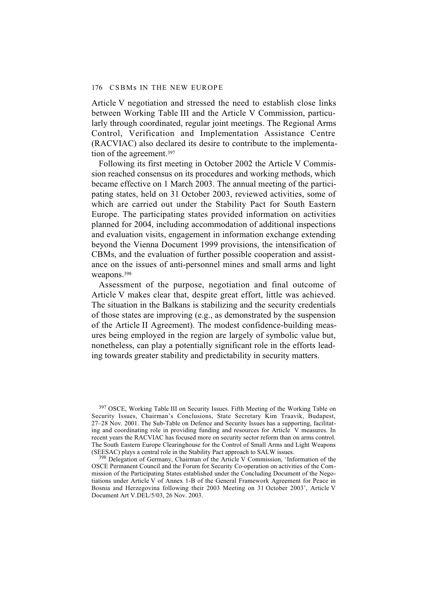Article V negotiation and stressed the need to establish close links between Working Table III and the Article V Commission, particularly through coordinated, regular joint meetings. The Regional Arms Control, Verification and Implementation Assistance Centre (RACVIAC) also declared its desire to contribute to the implementation of the agreement.<sup>397</sup>

Following its first meeting in October 2002 the Article V Commission reached consensus on its procedures and working methods, which became effective on 1 March 2003. The annual meeting of the participating states, held on 31 October 2003, reviewed activities, some of which are carried out under the Stability Pact for South Eastern Europe. The participating states provided information on activities planned for 2004, including accommodation of additional inspections and evaluation visits, engagement in information exchange extending beyond the Vienna Document 1999 provisions, the intensification of CBMs, and the evaluation of further possible cooperation and assistance on the issues of anti-personnel mines and small arms and light weapons.398

Assessment of the purpose, negotiation and final outcome of Article V makes clear that, despite great effort, little was achieved. The situation in the Balkans is stabilizing and the security credentials of those states are improving (e.g., as demonstrated by the suspension of the Article II Agreement). The modest confidence-building measures being employed in the region are largely of symbolic value but, nonetheless, can play a potentially significant role in the efforts leading towards greater stability and predictability in security matters.

<sup>397</sup> OSCE, Working Table III on Security Issues. Fifth Meeting of the Working Table on Security Issues, Chairman's Conclusions, State Secretary Kim Traavik, Budapest, 27–28 Nov. 2001. The Sub-Table on Defence and Security Issues has a supporting, facilitating and coordinating role in providing funding and resources for Article V measures. In recent years the RACVIAC has focused more on security sector reform than on arms control. The South Eastern Europe Clearinghouse for the Control of Small Arms and Light Weapons (SEESAC) plays a central role in the Stability Pact approach to SALW issues.

398 Delegation of Germany, Chairman of the Article V Commission, 'Information of the OSCE Permanent Council and the Forum for Security Co-operation on activities of the Commission of the Participating States established under the Concluding Document of the Negotiations under Article V of Annex 1-B of the General Framework Agreement for Peace in Bosnia and Herzegovina following their 2003 Meeting on 31 October 2003', Article V Document Art V.DEL/5/03, 26 Nov. 2003.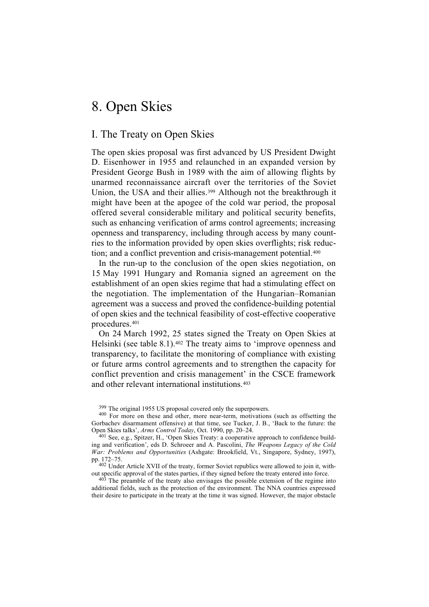# 8. Open Skies

## I. The Treaty on Open Skies

The open skies proposal was first advanced by US President Dwight D. Eisenhower in 1955 and relaunched in an expanded version by President George Bush in 1989 with the aim of allowing flights by unarmed reconnaissance aircraft over the territories of the Soviet Union, the USA and their allies.<sup>399</sup> Although not the breakthrough it might have been at the apogee of the cold war period, the proposal offered several considerable military and political security benefits, such as enhancing verification of arms control agreements; increasing openness and transparency, including through access by many countries to the information provided by open skies overflights; risk reduction; and a conflict prevention and crisis-management potential.<sup>400</sup>

In the run-up to the conclusion of the open skies negotiation, on 15 May 1991 Hungary and Romania signed an agreement on the establishment of an open skies regime that had a stimulating effect on the negotiation. The implementation of the Hungarian–Romanian agreement was a success and proved the confidence-building potential of open skies and the technical feasibility of cost-effective cooperative procedures.401

On 24 March 1992, 25 states signed the Treaty on Open Skies at Helsinki (see table 8.1).402 The treaty aims to 'improve openness and transparency, to facilitate the monitoring of compliance with existing or future arms control agreements and to strengthen the capacity for conflict prevention and crisis management' in the CSCE framework and other relevant international institutions.403

<sup>399</sup> The original 1955 US proposal covered only the superpowers.

400 For more on these and other, more near-term, motivations (such as offsetting the Gorbachev disarmament offensive) at that time, see Tucker, J. B., 'Back to the future: the Open Skies talks', *Arms Control Today*, Oct. 1990, pp. 20–24.

401 See, e.g., Spitzer, H., 'Open Skies Treaty: a cooperative approach to confidence building and verification', eds D. Schroeer and A. Pascolini, *The Weapons Legacy of the Cold War: Problems and Opportunities* (Ashgate: Brookfield, Vt., Singapore, Sydney, 1997), pp. 172–75.

<sup>402</sup> Under Article XVII of the treaty, former Soviet republics were allowed to join it, without specific approval of the states parties, if they signed before the treaty entered into force.

<sup>403</sup> The preamble of the treaty also envisages the possible extension of the regime into additional fields, such as the protection of the environment. The NNA countries expressed their desire to participate in the treaty at the time it was signed. However, the major obstacle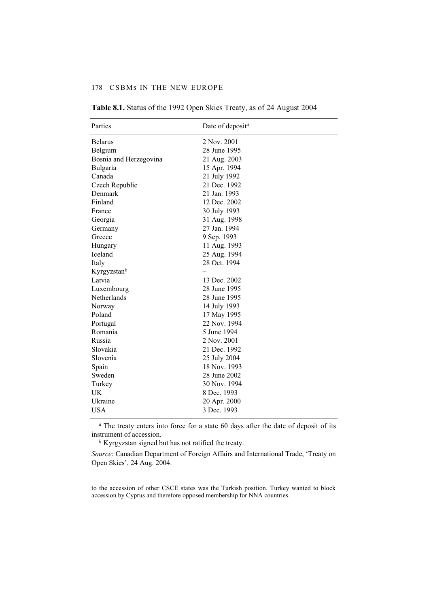#### 178 CSBMs IN THE NEW EUROPE

| Parties                 | Date of deposit <sup>a</sup> |
|-------------------------|------------------------------|
| <b>Belarus</b>          | 2 Nov. 2001                  |
| Belgium                 | 28 June 1995                 |
| Bosnia and Herzegovina  | 21 Aug. 2003                 |
| Bulgaria                | 15 Apr. 1994                 |
| Canada                  | 21 July 1992                 |
| Czech Republic          | 21 Dec. 1992                 |
| Denmark                 | 21 Jan. 1993                 |
| Finland                 | 12 Dec. 2002                 |
| France                  | 30 July 1993                 |
| Georgia                 | 31 Aug. 1998                 |
| Germany                 | 27 Jan. 1994                 |
| Greece                  | 9 Sep. 1993                  |
| Hungary                 | 11 Aug. 1993                 |
| <b>Iceland</b>          | 25 Aug. 1994                 |
| Italy                   | 28 Oct. 1994                 |
| Kyrgyzstan <sup>b</sup> |                              |
| Latvia                  | 13 Dec. 2002                 |
| Luxembourg              | 28 June 1995                 |
| Netherlands             | 28 June 1995                 |
| Norway                  | 14 July 1993                 |
| Poland                  | 17 May 1995                  |
| Portugal                | 22 Nov. 1994                 |
| Romania                 | 5 June 1994                  |
| Russia                  | 2 Nov. 2001                  |
| Slovakia                | 21 Dec. 1992                 |
| Slovenia                | 25 July 2004                 |
| Spain                   | 18 Nov. 1993                 |
| Sweden                  | 28 June 2002                 |
| Turkey                  | 30 Nov. 1994                 |
| <b>UK</b>               | 8 Dec. 1993                  |
| Ukraine                 | 20 Apr. 2000                 |
| <b>USA</b>              | 3 Dec. 1993                  |

**Table 8.1.** Status of the 1992 Open Skies Treaty, as of 24 August 2004

*<sup>a</sup>* The treaty enters into force for a state 60 days after the date of deposit of its instrument of accession.

*<sup>b</sup>* Kyrgyzstan signed but has not ratified the treaty.

*Source*: Canadian Department of Foreign Affairs and International Trade, 'Treaty on Open Skies', 24 Aug. 2004.

to the accession of other CSCE states was the Turkish position. Turkey wanted to block accession by Cyprus and therefore opposed membership for NNA countries.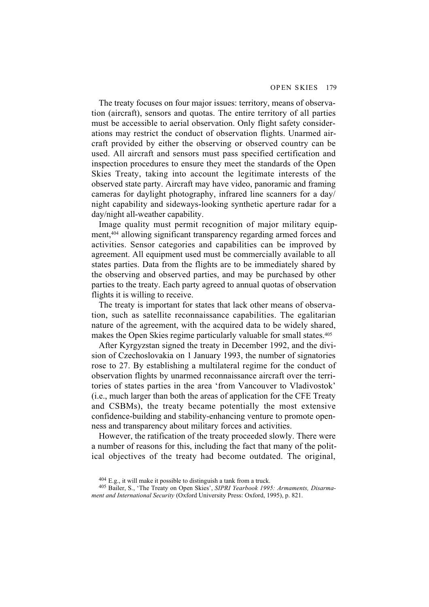The treaty focuses on four major issues: territory, means of observation (aircraft), sensors and quotas. The entire territory of all parties must be accessible to aerial observation. Only flight safety considerations may restrict the conduct of observation flights. Unarmed aircraft provided by either the observing or observed country can be used. All aircraft and sensors must pass specified certification and inspection procedures to ensure they meet the standards of the Open Skies Treaty, taking into account the legitimate interests of the observed state party. Aircraft may have video, panoramic and framing cameras for daylight photography, infrared line scanners for a day/ night capability and sideways-looking synthetic aperture radar for a day/night all-weather capability.

Image quality must permit recognition of major military equipment,404 allowing significant transparency regarding armed forces and activities. Sensor categories and capabilities can be improved by agreement. All equipment used must be commercially available to all states parties. Data from the flights are to be immediately shared by the observing and observed parties, and may be purchased by other parties to the treaty. Each party agreed to annual quotas of observation flights it is willing to receive.

The treaty is important for states that lack other means of observation, such as satellite reconnaissance capabilities. The egalitarian nature of the agreement, with the acquired data to be widely shared, makes the Open Skies regime particularly valuable for small states.405

After Kyrgyzstan signed the treaty in December 1992, and the division of Czechoslovakia on 1 January 1993, the number of signatories rose to 27. By establishing a multilateral regime for the conduct of observation flights by unarmed reconnaissance aircraft over the territories of states parties in the area 'from Vancouver to Vladivostok' (i.e., much larger than both the areas of application for the CFE Treaty and CSBMs), the treaty became potentially the most extensive confidence-building and stability-enhancing venture to promote openness and transparency about military forces and activities.

However, the ratification of the treaty proceeded slowly. There were a number of reasons for this, including the fact that many of the political objectives of the treaty had become outdated. The original,

 $404$  E.g., it will make it possible to distinguish a tank from a truck.

<sup>405</sup> Bailer, S., 'The Treaty on Open Skies', *SIPRI Yearbook 1995: Armaments, Disarmament and International Security* (Oxford University Press: Oxford, 1995), p. 821.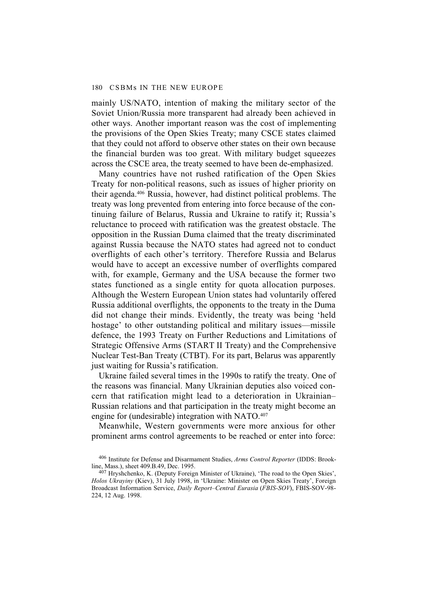mainly US/NATO, intention of making the military sector of the Soviet Union/Russia more transparent had already been achieved in other ways. Another important reason was the cost of implementing the provisions of the Open Skies Treaty; many CSCE states claimed that they could not afford to observe other states on their own because the financial burden was too great. With military budget squeezes across the CSCE area, the treaty seemed to have been de-emphasized.

Many countries have not rushed ratification of the Open Skies Treaty for non-political reasons, such as issues of higher priority on their agenda.406 Russia, however, had distinct political problems. The treaty was long prevented from entering into force because of the continuing failure of Belarus, Russia and Ukraine to ratify it; Russia's reluctance to proceed with ratification was the greatest obstacle. The opposition in the Russian Duma claimed that the treaty discriminated against Russia because the NATO states had agreed not to conduct overflights of each other's territory. Therefore Russia and Belarus would have to accept an excessive number of overflights compared with, for example, Germany and the USA because the former two states functioned as a single entity for quota allocation purposes. Although the Western European Union states had voluntarily offered Russia additional overflights, the opponents to the treaty in the Duma did not change their minds. Evidently, the treaty was being 'held hostage' to other outstanding political and military issues—missile defence, the 1993 Treaty on Further Reductions and Limitations of Strategic Offensive Arms (START II Treaty) and the Comprehensive Nuclear Test-Ban Treaty (CTBT). For its part, Belarus was apparently just waiting for Russia's ratification.

Ukraine failed several times in the 1990s to ratify the treaty. One of the reasons was financial. Many Ukrainian deputies also voiced concern that ratification might lead to a deterioration in Ukrainian– Russian relations and that participation in the treaty might become an engine for (undesirable) integration with NATO.<sup>407</sup>

Meanwhile, Western governments were more anxious for other prominent arms control agreements to be reached or enter into force:

<sup>406</sup> Institute for Defense and Disarmament Studies, *Arms Control Reporter* (IDDS: Brookline, Mass.), sheet 409.B.49, Dec. 1995.

 $407$  Hryshchenko, K. (Deputy Foreign Minister of Ukraine), 'The road to the Open Skies', *Holos Ukrayiny* (Kiev), 31 July 1998, in 'Ukraine: Minister on Open Skies Treaty', Foreign Broadcast Information Service, *Daily Report–Central Eurasia* (*FBIS-SOV*), FBIS-SOV-98- 224, 12 Aug. 1998.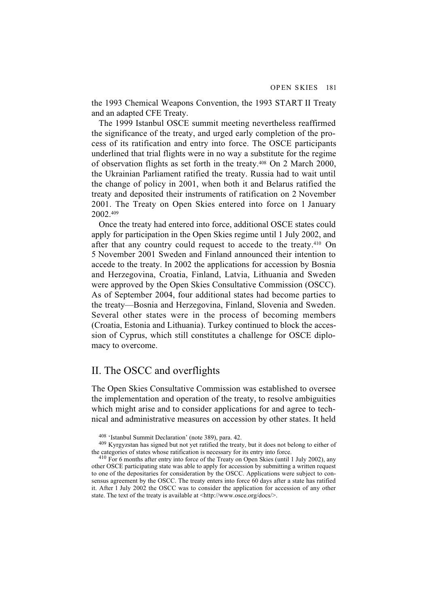the 1993 Chemical Weapons Convention, the 1993 START II Treaty and an adapted CFE Treaty.

The 1999 Istanbul OSCE summit meeting nevertheless reaffirmed the significance of the treaty, and urged early completion of the process of its ratification and entry into force. The OSCE participants underlined that trial flights were in no way a substitute for the regime of observation flights as set forth in the treaty.408 On 2 March 2000, the Ukrainian Parliament ratified the treaty. Russia had to wait until the change of policy in 2001, when both it and Belarus ratified the treaty and deposited their instruments of ratification on 2 November 2001. The Treaty on Open Skies entered into force on 1 January 2002.409

Once the treaty had entered into force, additional OSCE states could apply for participation in the Open Skies regime until 1 July 2002, and after that any country could request to accede to the treaty.<sup>410</sup> On 5 November 2001 Sweden and Finland announced their intention to accede to the treaty. In 2002 the applications for accession by Bosnia and Herzegovina, Croatia, Finland, Latvia, Lithuania and Sweden were approved by the Open Skies Consultative Commission (OSCC). As of September 2004, four additional states had become parties to the treaty—Bosnia and Herzegovina, Finland, Slovenia and Sweden. Several other states were in the process of becoming members (Croatia, Estonia and Lithuania). Turkey continued to block the accession of Cyprus, which still constitutes a challenge for OSCE diplomacy to overcome.

## II. The OSCC and overflights

The Open Skies Consultative Commission was established to oversee the implementation and operation of the treaty, to resolve ambiguities which might arise and to consider applications for and agree to technical and administrative measures on accession by other states. It held

<sup>408 &#</sup>x27;Istanbul Summit Declaration' (note 389), para. 42.

<sup>409</sup> Kyrgyzstan has signed but not yet ratified the treaty, but it does not belong to either of the categories of states whose ratification is necessary for its entry into force.

<sup>410</sup> For 6 months after entry into force of the Treaty on Open Skies (until 1 July 2002), any other OSCE participating state was able to apply for accession by submitting a written request to one of the depositaries for consideration by the OSCC. Applications were subject to consensus agreement by the OSCC. The treaty enters into force 60 days after a state has ratified it. After 1 July 2002 the OSCC was to consider the application for accession of any other state. The text of the treaty is available at  $\langle \frac{http://www.osce.org/docs/}{$ .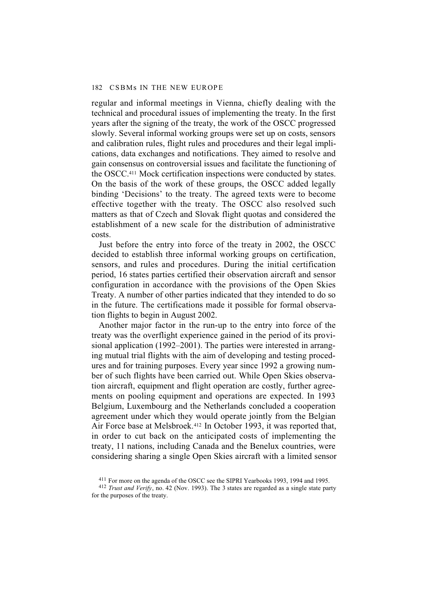regular and informal meetings in Vienna, chiefly dealing with the technical and procedural issues of implementing the treaty. In the first years after the signing of the treaty, the work of the OSCC progressed slowly. Several informal working groups were set up on costs, sensors and calibration rules, flight rules and procedures and their legal implications, data exchanges and notifications. They aimed to resolve and gain consensus on controversial issues and facilitate the functioning of the OSCC.411 Mock certification inspections were conducted by states. On the basis of the work of these groups, the OSCC added legally binding 'Decisions' to the treaty. The agreed texts were to become effective together with the treaty. The OSCC also resolved such matters as that of Czech and Slovak flight quotas and considered the establishment of a new scale for the distribution of administrative costs.

Just before the entry into force of the treaty in 2002, the OSCC decided to establish three informal working groups on certification, sensors, and rules and procedures. During the initial certification period, 16 states parties certified their observation aircraft and sensor configuration in accordance with the provisions of the Open Skies Treaty. A number of other parties indicated that they intended to do so in the future. The certifications made it possible for formal observation flights to begin in August 2002.

Another major factor in the run-up to the entry into force of the treaty was the overflight experience gained in the period of its provisional application (1992–2001). The parties were interested in arranging mutual trial flights with the aim of developing and testing procedures and for training purposes. Every year since 1992 a growing number of such flights have been carried out. While Open Skies observation aircraft, equipment and flight operation are costly, further agreements on pooling equipment and operations are expected. In 1993 Belgium, Luxembourg and the Netherlands concluded a cooperation agreement under which they would operate jointly from the Belgian Air Force base at Melsbroek.412 In October 1993, it was reported that, in order to cut back on the anticipated costs of implementing the treaty, 11 nations, including Canada and the Benelux countries, were considering sharing a single Open Skies aircraft with a limited sensor

<sup>411</sup> For more on the agenda of the OSCC see the SIPRI Yearbooks 1993, 1994 and 1995.

<sup>412</sup> *Trust and Verify*, no. 42 (Nov. 1993). The 3 states are regarded as a single state party for the purposes of the treaty.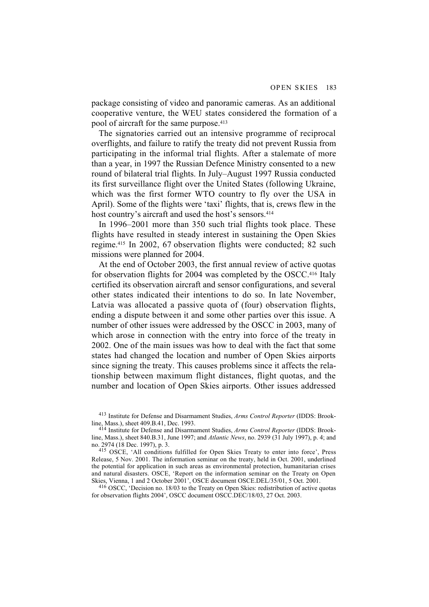package consisting of video and panoramic cameras. As an additional cooperative venture, the WEU states considered the formation of a pool of aircraft for the same purpose.413

The signatories carried out an intensive programme of reciprocal overflights, and failure to ratify the treaty did not prevent Russia from participating in the informal trial flights. After a stalemate of more than a year, in 1997 the Russian Defence Ministry consented to a new round of bilateral trial flights. In July–August 1997 Russia conducted its first surveillance flight over the United States (following Ukraine, which was the first former WTO country to fly over the USA in April). Some of the flights were 'taxi' flights, that is, crews flew in the host country's aircraft and used the host's sensors.<sup>414</sup>

In 1996–2001 more than 350 such trial flights took place. These flights have resulted in steady interest in sustaining the Open Skies regime.415 In 2002, 67 observation flights were conducted; 82 such missions were planned for 2004.

At the end of October 2003, the first annual review of active quotas for observation flights for 2004 was completed by the OSCC.416 Italy certified its observation aircraft and sensor configurations, and several other states indicated their intentions to do so. In late November, Latvia was allocated a passive quota of (four) observation flights, ending a dispute between it and some other parties over this issue. A number of other issues were addressed by the OSCC in 2003, many of which arose in connection with the entry into force of the treaty in 2002. One of the main issues was how to deal with the fact that some states had changed the location and number of Open Skies airports since signing the treaty. This causes problems since it affects the relationship between maximum flight distances, flight quotas, and the number and location of Open Skies airports. Other issues addressed

413 Institute for Defense and Disarmament Studies, *Arms Control Reporter* (IDDS: Brookline, Mass.), sheet 409.B.41, Dec. 1993.

416 OSCC, 'Decision no. 18/03 to the Treaty on Open Skies: redistribution of active quotas for observation flights 2004', OSCC document OSCC.DEC/18/03, 27 Oct. 2003.

<sup>414</sup> Institute for Defense and Disarmament Studies, *Arms Control Reporter* (IDDS: Brookline, Mass.), sheet 840.B.31, June 1997; and *Atlantic News*, no. 2939 (31 July 1997), p. 4; and no. 2974 (18 Dec. 1997), p. 3.

<sup>415</sup> OSCE, 'All conditions fulfilled for Open Skies Treaty to enter into force', Press Release, 5 Nov. 2001. The information seminar on the treaty, held in Oct. 2001, underlined the potential for application in such areas as environmental protection, humanitarian crises and natural disasters. OSCE, 'Report on the information seminar on the Treaty on Open Skies, Vienna, 1 and 2 October 2001', OSCE document OSCE.DEL/35/01, 5 Oct. 2001.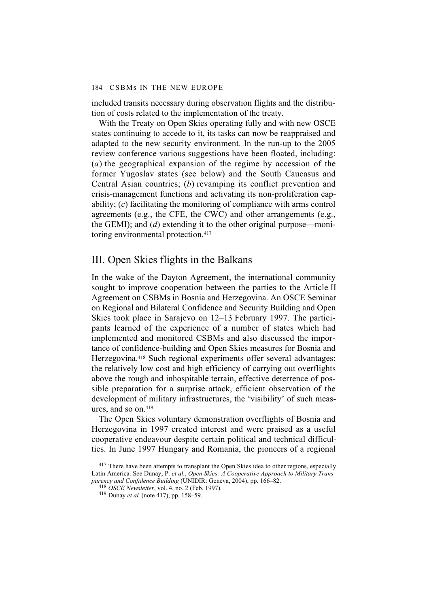included transits necessary during observation flights and the distribution of costs related to the implementation of the treaty.

With the Treaty on Open Skies operating fully and with new OSCE states continuing to accede to it, its tasks can now be reappraised and adapted to the new security environment. In the run-up to the 2005 review conference various suggestions have been floated, including: (*a*) the geographical expansion of the regime by accession of the former Yugoslav states (see below) and the South Caucasus and Central Asian countries; (*b*) revamping its conflict prevention and crisis-management functions and activating its non-proliferation capability; (*c*) facilitating the monitoring of compliance with arms control agreements (e.g., the CFE, the CWC) and other arrangements (e.g., the GEMI); and (*d*) extending it to the other original purpose—monitoring environmental protection.<sup>417</sup>

### III. Open Skies flights in the Balkans

In the wake of the Dayton Agreement, the international community sought to improve cooperation between the parties to the Article II Agreement on CSBMs in Bosnia and Herzegovina. An OSCE Seminar on Regional and Bilateral Confidence and Security Building and Open Skies took place in Sarajevo on 12–13 February 1997. The participants learned of the experience of a number of states which had implemented and monitored CSBMs and also discussed the importance of confidence-building and Open Skies measures for Bosnia and Herzegovina.418 Such regional experiments offer several advantages: the relatively low cost and high efficiency of carrying out overflights above the rough and inhospitable terrain, effective deterrence of possible preparation for a surprise attack, efficient observation of the development of military infrastructures, the 'visibility' of such measures, and so on.419

The Open Skies voluntary demonstration overflights of Bosnia and Herzegovina in 1997 created interest and were praised as a useful cooperative endeavour despite certain political and technical difficulties. In June 1997 Hungary and Romania, the pioneers of a regional

 $417$  There have been attempts to transplant the Open Skies idea to other regions, especially Latin America. See Dunay, P. *et al*., *Open Skies: A Cooperative Approach to Military Transparency and Confidence Building* (UNIDIR: Geneva, 2004), pp. 166–82.

<sup>418</sup> *OSCE Newsletter*, vol. 4, no. 2 (Feb. 1997).

<sup>419</sup> Dunay *et al.* (note 417), pp. 158–59.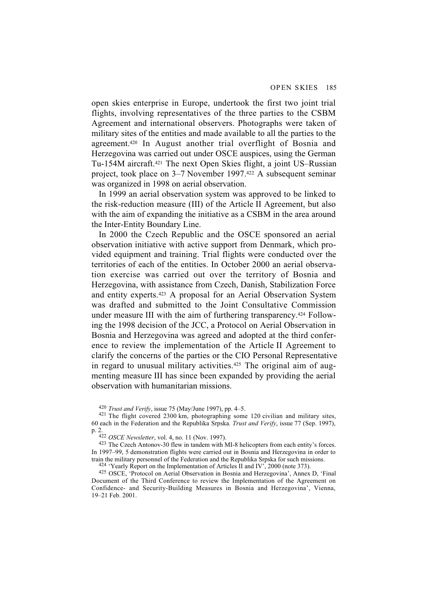open skies enterprise in Europe, undertook the first two joint trial flights, involving representatives of the three parties to the CSBM Agreement and international observers. Photographs were taken of military sites of the entities and made available to all the parties to the agreement.420 In August another trial overflight of Bosnia and Herzegovina was carried out under OSCE auspices, using the German Tu-154M aircraft.421 The next Open Skies flight, a joint US–Russian project, took place on 3–7 November 1997.422 A subsequent seminar was organized in 1998 on aerial observation.

In 1999 an aerial observation system was approved to be linked to the risk-reduction measure (III) of the Article II Agreement, but also with the aim of expanding the initiative as a CSBM in the area around the Inter-Entity Boundary Line.

In 2000 the Czech Republic and the OSCE sponsored an aerial observation initiative with active support from Denmark, which provided equipment and training. Trial flights were conducted over the territories of each of the entities. In October 2000 an aerial observation exercise was carried out over the territory of Bosnia and Herzegovina, with assistance from Czech, Danish, Stabilization Force and entity experts.423 A proposal for an Aerial Observation System was drafted and submitted to the Joint Consultative Commission under measure III with the aim of furthering transparency.424 Following the 1998 decision of the JCC, a Protocol on Aerial Observation in Bosnia and Herzegovina was agreed and adopted at the third conference to review the implementation of the Article II Agreement to clarify the concerns of the parties or the CIO Personal Representative in regard to unusual military activities.<sup>425</sup> The original aim of augmenting measure III has since been expanded by providing the aerial observation with humanitarian missions.

 $^{424}$  'Yearly Report on the Implementation of Articles II and IV<sup> $\cdot$ </sup>, 2000 (note 373).

425 OSCE, 'Protocol on Aerial Observation in Bosnia and Herzegovina', Annex D, 'Final Document of the Third Conference to review the Implementation of the Agreement on Confidence- and Security-Building Measures in Bosnia and Herzegovina', Vienna, 19–21 Feb. 2001.

<sup>420</sup> *Trust and Verify*, issue 75 (May/June 1997), pp. 4–5.

<sup>&</sup>lt;sup>421</sup> The flight covered 2300 km, photographing some 120 civilian and military sites, 60 each in the Federation and the Republika Srpska*. Trust and Verify*, issue 77 (Sep. 1997), p. 2.

<sup>422</sup> *OSCE Newsletter*, vol. 4, no. 11 (Nov. 1997).

<sup>423</sup> The Czech Antonov-30 flew in tandem with MI-8 helicopters from each entity's forces. In 1997–99, 5 demonstration flights were carried out in Bosnia and Herzegovina in order to train the military personnel of the Federation and the Republika Srpska for such missions.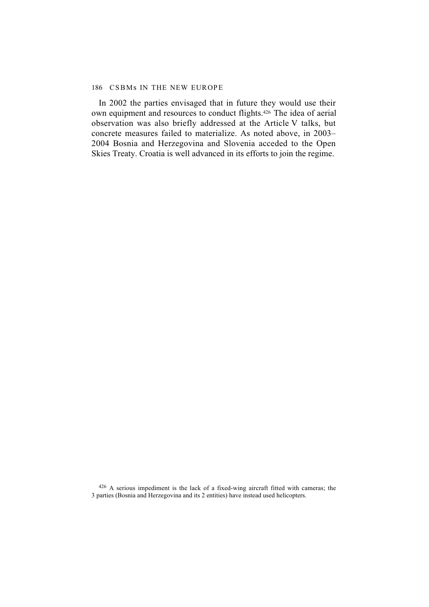#### 186 CSBMs IN THE NEW EUROPE

In 2002 the parties envisaged that in future they would use their own equipment and resources to conduct flights.426 The idea of aerial observation was also briefly addressed at the Article V talks, but concrete measures failed to materialize. As noted above, in 2003– 2004 Bosnia and Herzegovina and Slovenia acceded to the Open Skies Treaty. Croatia is well advanced in its efforts to join the regime.

426 A serious impediment is the lack of a fixed-wing aircraft fitted with cameras; the 3 parties (Bosnia and Herzegovina and its 2 entities) have instead used helicopters.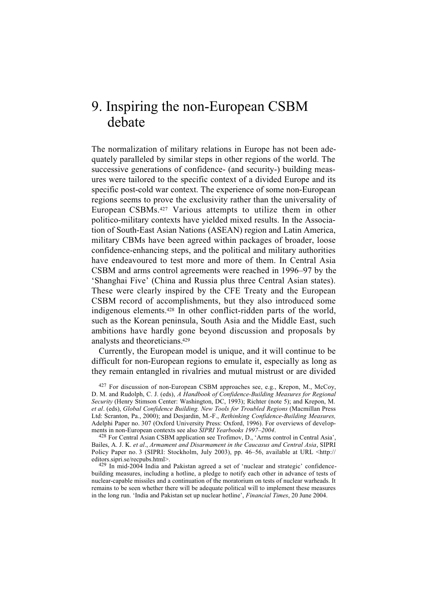# 9. Inspiring the non-European CSBM debate

The normalization of military relations in Europe has not been adequately paralleled by similar steps in other regions of the world. The successive generations of confidence- (and security-) building measures were tailored to the specific context of a divided Europe and its specific post-cold war context. The experience of some non-European regions seems to prove the exclusivity rather than the universality of European CSBMs.427 Various attempts to utilize them in other politico-military contexts have yielded mixed results. In the Association of South-East Asian Nations (ASEAN) region and Latin America, military CBMs have been agreed within packages of broader, loose confidence-enhancing steps, and the political and military authorities have endeavoured to test more and more of them. In Central Asia CSBM and arms control agreements were reached in 1996–97 by the 'Shanghai Five' (China and Russia plus three Central Asian states). These were clearly inspired by the CFE Treaty and the European CSBM record of accomplishments, but they also introduced some indigenous elements.428 In other conflict-ridden parts of the world, such as the Korean peninsula, South Asia and the Middle East, such ambitions have hardly gone beyond discussion and proposals by analysts and theoreticians.429

Currently, the European model is unique, and it will continue to be difficult for non-European regions to emulate it, especially as long as they remain entangled in rivalries and mutual mistrust or are divided

<sup>427</sup> For discussion of non-European CSBM approaches see, e.g., Krepon, M., McCoy, D. M. and Rudolph, C. J. (eds), *A Handbook of Confidence-Building Measures for Regional Security* (Henry Stimson Center: Washington, DC, 1993); Richter (note 5); and Krepon, M. *et al*. (eds), *Global Confidence Building. New Tools for Troubled Regions* (Macmillan Press Ltd: Scranton, Pa., 2000); and Desjardin, M.-F., *Rethinking Confidence-Building Measures,* Adelphi Paper no. 307 (Oxford University Press: Oxford, 1996). For overviews of developments in non-European contexts see also *SIPRI Yearbooks 1997–2004*.

<sup>428</sup> For Central Asian CSBM application see Trofimov, D., 'Arms control in Central Asia', Bailes, A. J. K. *et al*., *Armament and Disarmament in the Caucasus and Central Asia*, SIPRI Policy Paper no. 3 (SIPRI: Stockholm, July 2003), pp. 46–56, available at URL <http:// editors.sipri.se/recpubs.html>.

 $429$  In mid-2004 India and Pakistan agreed a set of 'nuclear and strategic' confidencebuilding measures, including a hotline, a pledge to notify each other in advance of tests of nuclear-capable missiles and a continuation of the moratorium on tests of nuclear warheads. It remains to be seen whether there will be adequate political will to implement these measures in the long run. 'India and Pakistan set up nuclear hotline', *Financial Times*, 20 June 2004.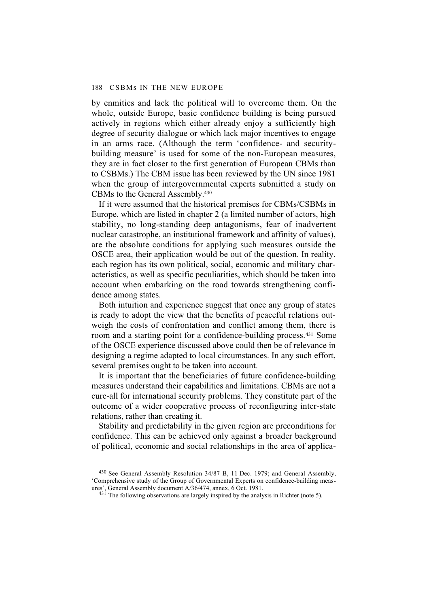by enmities and lack the political will to overcome them. On the whole, outside Europe, basic confidence building is being pursued actively in regions which either already enjoy a sufficiently high degree of security dialogue or which lack major incentives to engage in an arms race. (Although the term 'confidence- and securitybuilding measure' is used for some of the non-European measures, they are in fact closer to the first generation of European CBMs than to CSBMs.) The CBM issue has been reviewed by the UN since 1981 when the group of intergovernmental experts submitted a study on CBMs to the General Assembly.430

If it were assumed that the historical premises for CBMs/CSBMs in Europe, which are listed in chapter 2 (a limited number of actors, high stability, no long-standing deep antagonisms, fear of inadvertent nuclear catastrophe, an institutional framework and affinity of values), are the absolute conditions for applying such measures outside the OSCE area, their application would be out of the question. In reality, each region has its own political, social, economic and military characteristics, as well as specific peculiarities, which should be taken into account when embarking on the road towards strengthening confidence among states.

Both intuition and experience suggest that once any group of states is ready to adopt the view that the benefits of peaceful relations outweigh the costs of confrontation and conflict among them, there is room and a starting point for a confidence-building process.431 Some of the OSCE experience discussed above could then be of relevance in designing a regime adapted to local circumstances. In any such effort, several premises ought to be taken into account.

It is important that the beneficiaries of future confidence-building measures understand their capabilities and limitations. CBMs are not a cure-all for international security problems. They constitute part of the outcome of a wider cooperative process of reconfiguring inter-state relations, rather than creating it.

Stability and predictability in the given region are preconditions for confidence. This can be achieved only against a broader background of political, economic and social relationships in the area of applica-

<sup>430</sup> See General Assembly Resolution 34/87 B, 11 Dec. 1979; and General Assembly, 'Comprehensive study of the Group of Governmental Experts on confidence-building measures', General Assembly document A/36/474, annex, 6 Oct. 1981.

 $43\dot{1}$  The following observations are largely inspired by the analysis in Richter (note 5).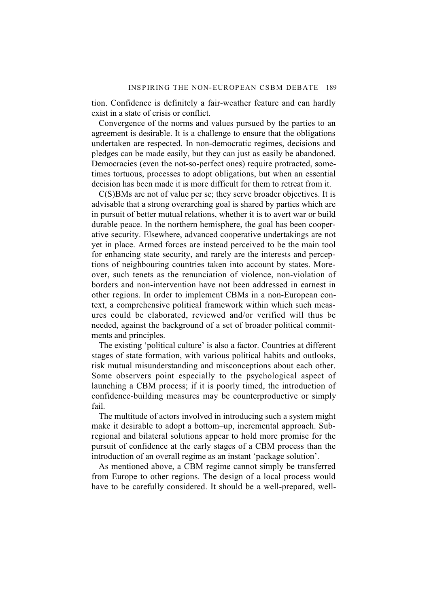tion. Confidence is definitely a fair-weather feature and can hardly exist in a state of crisis or conflict.

Convergence of the norms and values pursued by the parties to an agreement is desirable. It is a challenge to ensure that the obligations undertaken are respected. In non-democratic regimes, decisions and pledges can be made easily, but they can just as easily be abandoned. Democracies (even the not-so-perfect ones) require protracted, sometimes tortuous, processes to adopt obligations, but when an essential decision has been made it is more difficult for them to retreat from it.

C(S)BMs are not of value per se; they serve broader objectives. It is advisable that a strong overarching goal is shared by parties which are in pursuit of better mutual relations, whether it is to avert war or build durable peace. In the northern hemisphere, the goal has been cooperative security. Elsewhere, advanced cooperative undertakings are not yet in place. Armed forces are instead perceived to be the main tool for enhancing state security, and rarely are the interests and perceptions of neighbouring countries taken into account by states. Moreover, such tenets as the renunciation of violence, non-violation of borders and non-intervention have not been addressed in earnest in other regions. In order to implement CBMs in a non-European context, a comprehensive political framework within which such measures could be elaborated, reviewed and/or verified will thus be needed, against the background of a set of broader political commitments and principles.

The existing 'political culture' is also a factor. Countries at different stages of state formation, with various political habits and outlooks, risk mutual misunderstanding and misconceptions about each other. Some observers point especially to the psychological aspect of launching a CBM process; if it is poorly timed, the introduction of confidence-building measures may be counterproductive or simply fail.

The multitude of actors involved in introducing such a system might make it desirable to adopt a bottom–up, incremental approach. Subregional and bilateral solutions appear to hold more promise for the pursuit of confidence at the early stages of a CBM process than the introduction of an overall regime as an instant 'package solution'.

As mentioned above, a CBM regime cannot simply be transferred from Europe to other regions. The design of a local process would have to be carefully considered. It should be a well-prepared, well-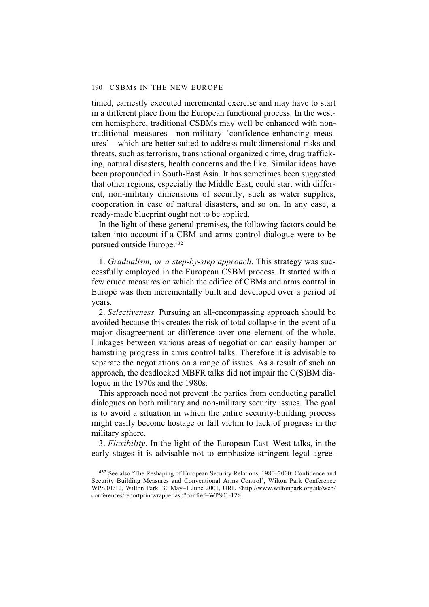timed, earnestly executed incremental exercise and may have to start in a different place from the European functional process. In the western hemisphere, traditional CSBMs may well be enhanced with nontraditional measures—non-military 'confidence-enhancing measures'—which are better suited to address multidimensional risks and threats, such as terrorism, transnational organized crime, drug trafficking, natural disasters, health concerns and the like. Similar ideas have been propounded in South-East Asia. It has sometimes been suggested that other regions, especially the Middle East, could start with different, non-military dimensions of security, such as water supplies, cooperation in case of natural disasters, and so on. In any case, a ready-made blueprint ought not to be applied.

In the light of these general premises, the following factors could be taken into account if a CBM and arms control dialogue were to be pursued outside Europe.432

1. *Gradualism, or a step-by-step approach*. This strategy was successfully employed in the European CSBM process. It started with a few crude measures on which the edifice of CBMs and arms control in Europe was then incrementally built and developed over a period of years.

2. *Selectiveness.* Pursuing an all-encompassing approach should be avoided because this creates the risk of total collapse in the event of a major disagreement or difference over one element of the whole. Linkages between various areas of negotiation can easily hamper or hamstring progress in arms control talks. Therefore it is advisable to separate the negotiations on a range of issues. As a result of such an approach, the deadlocked MBFR talks did not impair the C(S)BM dialogue in the 1970s and the 1980s.

This approach need not prevent the parties from conducting parallel dialogues on both military and non-military security issues. The goal is to avoid a situation in which the entire security-building process might easily become hostage or fall victim to lack of progress in the military sphere.

3. *Flexibility*. In the light of the European East–West talks, in the early stages it is advisable not to emphasize stringent legal agree-

<sup>432</sup> See also 'The Reshaping of European Security Relations, 1980–2000: Confidence and Security Building Measures and Conventional Arms Control', Wilton Park Conference WPS 01/12, Wilton Park, 30 May–1 June 2001, URL <http://www.wiltonpark.org.uk/web/ conferences/reportprintwrapper.asp?confref=WPS01-12>.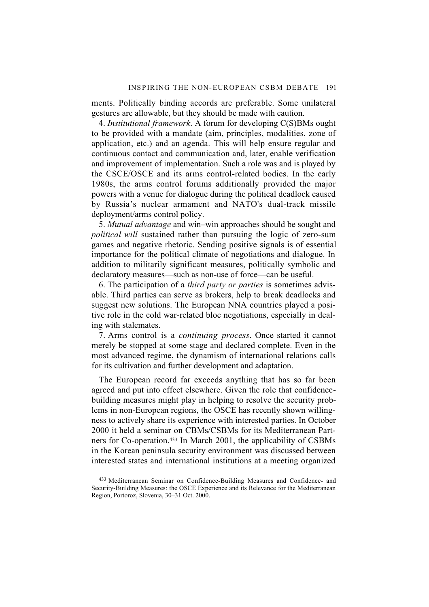ments. Politically binding accords are preferable. Some unilateral gestures are allowable, but they should be made with caution.

4. *Institutional framework*. A forum for developing C(S)BMs ought to be provided with a mandate (aim, principles, modalities, zone of application, etc.) and an agenda. This will help ensure regular and continuous contact and communication and, later, enable verification and improvement of implementation. Such a role was and is played by the CSCE/OSCE and its arms control-related bodies. In the early 1980s, the arms control forums additionally provided the major powers with a venue for dialogue during the political deadlock caused by Russia's nuclear armament and NATO's dual-track missile deployment/arms control policy.

5. *Mutual advantage* and win–win approaches should be sought and *political will* sustained rather than pursuing the logic of zero-sum games and negative rhetoric. Sending positive signals is of essential importance for the political climate of negotiations and dialogue. In addition to militarily significant measures, politically symbolic and declaratory measures—such as non-use of force—can be useful.

6. The participation of a *third party or parties* is sometimes advisable. Third parties can serve as brokers, help to break deadlocks and suggest new solutions. The European NNA countries played a positive role in the cold war-related bloc negotiations, especially in dealing with stalemates.

7. Arms control is a *continuing process*. Once started it cannot merely be stopped at some stage and declared complete. Even in the most advanced regime, the dynamism of international relations calls for its cultivation and further development and adaptation.

The European record far exceeds anything that has so far been agreed and put into effect elsewhere. Given the role that confidencebuilding measures might play in helping to resolve the security problems in non-European regions, the OSCE has recently shown willingness to actively share its experience with interested parties. In October 2000 it held a seminar on CBMs/CSBMs for its Mediterranean Partners for Co-operation.433 In March 2001, the applicability of CSBMs in the Korean peninsula security environment was discussed between interested states and international institutions at a meeting organized

<sup>433</sup> Mediterranean Seminar on Confidence-Building Measures and Confidence- and Security-Building Measures: the OSCE Experience and its Relevance for the Mediterranean Region, Portoroz, Slovenia, 30–31 Oct. 2000.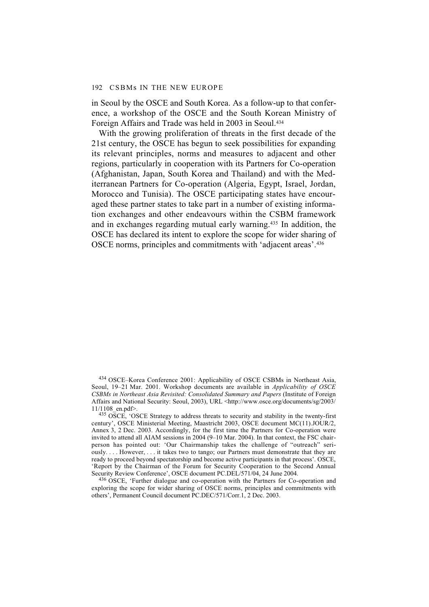in Seoul by the OSCE and South Korea. As a follow-up to that conference, a workshop of the OSCE and the South Korean Ministry of Foreign Affairs and Trade was held in 2003 in Seoul.434

With the growing proliferation of threats in the first decade of the 21st century, the OSCE has begun to seek possibilities for expanding its relevant principles, norms and measures to adjacent and other regions, particularly in cooperation with its Partners for Co-operation (Afghanistan, Japan, South Korea and Thailand) and with the Mediterranean Partners for Co-operation (Algeria, Egypt, Israel, Jordan, Morocco and Tunisia). The OSCE participating states have encouraged these partner states to take part in a number of existing information exchanges and other endeavours within the CSBM framework and in exchanges regarding mutual early warning.435 In addition, the OSCE has declared its intent to explore the scope for wider sharing of OSCE norms, principles and commitments with 'adjacent areas'.436

 $435$  OSCE, 'OSCE Strategy to address threats to security and stability in the twenty-first century', OSCE Ministerial Meeting, Maastricht 2003, OSCE document MC(11).JOUR/2, Annex 3, 2 Dec. 2003. Accordingly, for the first time the Partners for Co-operation were invited to attend all AIAM sessions in 2004 (9–10 Mar. 2004). In that context, the FSC chairperson has pointed out: 'Our Chairmanship takes the challenge of "outreach" seriously. . . . However, . . . it takes two to tango; our Partners must demonstrate that they are ready to proceed beyond spectatorship and become active participants in that process'. OSCE, 'Report by the Chairman of the Forum for Security Cooperation to the Second Annual Security Review Conference', OSCE document PC.DEL/571/04, 24 June 2004.

<sup>436</sup> OSCE, 'Further dialogue and co-operation with the Partners for Co-operation and exploring the scope for wider sharing of OSCE norms, principles and commitments with others', Permanent Council document PC.DEC/571/Corr.1, 2 Dec. 2003.

<sup>434</sup> OSCE–Korea Conference 2001: Applicability of OSCE CSBMs in Northeast Asia, Seoul, 19–21 Mar. 2001. Workshop documents are available in *Applicability of OSCE CSBMs in Northeast Asia Revisited: Consolidated Summary and Papers* (Institute of Foreign Affairs and National Security: Seoul, 2003), URL <http://www.osce.org/documents/sg/2003/ 11/1108\_en.pdf>.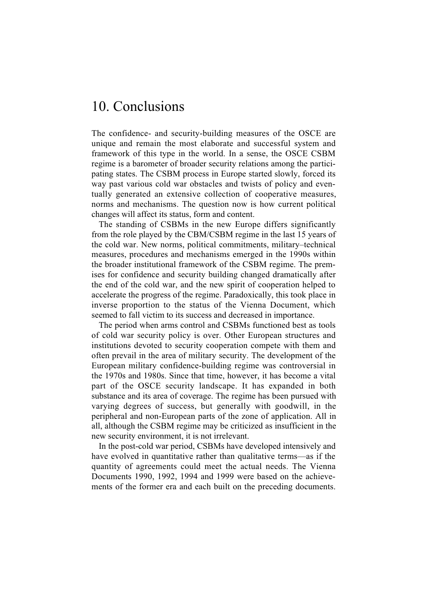# 10. Conclusions

The confidence- and security-building measures of the OSCE are unique and remain the most elaborate and successful system and framework of this type in the world. In a sense, the OSCE CSBM regime is a barometer of broader security relations among the participating states. The CSBM process in Europe started slowly, forced its way past various cold war obstacles and twists of policy and eventually generated an extensive collection of cooperative measures, norms and mechanisms. The question now is how current political changes will affect its status, form and content.

The standing of CSBMs in the new Europe differs significantly from the role played by the CBM/CSBM regime in the last 15 years of the cold war. New norms, political commitments, military–technical measures, procedures and mechanisms emerged in the 1990s within the broader institutional framework of the CSBM regime. The premises for confidence and security building changed dramatically after the end of the cold war, and the new spirit of cooperation helped to accelerate the progress of the regime. Paradoxically, this took place in inverse proportion to the status of the Vienna Document, which seemed to fall victim to its success and decreased in importance.

The period when arms control and CSBMs functioned best as tools of cold war security policy is over. Other European structures and institutions devoted to security cooperation compete with them and often prevail in the area of military security. The development of the European military confidence-building regime was controversial in the 1970s and 1980s. Since that time, however, it has become a vital part of the OSCE security landscape. It has expanded in both substance and its area of coverage. The regime has been pursued with varying degrees of success, but generally with goodwill, in the peripheral and non-European parts of the zone of application. All in all, although the CSBM regime may be criticized as insufficient in the new security environment, it is not irrelevant.

In the post-cold war period, CSBMs have developed intensively and have evolved in quantitative rather than qualitative terms—as if the quantity of agreements could meet the actual needs. The Vienna Documents 1990, 1992, 1994 and 1999 were based on the achievements of the former era and each built on the preceding documents.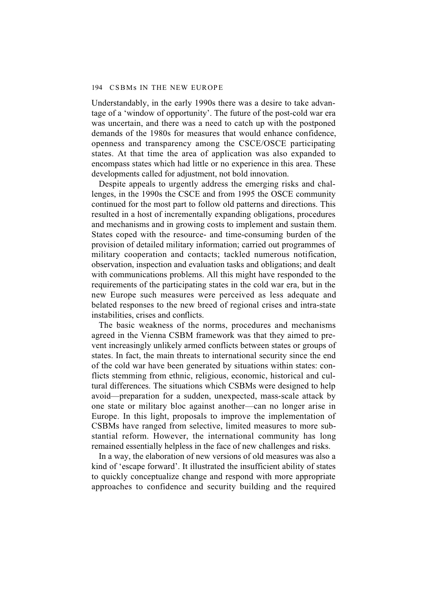Understandably, in the early 1990s there was a desire to take advantage of a 'window of opportunity'. The future of the post-cold war era was uncertain, and there was a need to catch up with the postponed demands of the 1980s for measures that would enhance confidence, openness and transparency among the CSCE/OSCE participating states. At that time the area of application was also expanded to encompass states which had little or no experience in this area. These developments called for adjustment, not bold innovation.

Despite appeals to urgently address the emerging risks and challenges, in the 1990s the CSCE and from 1995 the OSCE community continued for the most part to follow old patterns and directions. This resulted in a host of incrementally expanding obligations, procedures and mechanisms and in growing costs to implement and sustain them. States coped with the resource- and time-consuming burden of the provision of detailed military information; carried out programmes of military cooperation and contacts; tackled numerous notification, observation, inspection and evaluation tasks and obligations; and dealt with communications problems. All this might have responded to the requirements of the participating states in the cold war era, but in the new Europe such measures were perceived as less adequate and belated responses to the new breed of regional crises and intra-state instabilities, crises and conflicts.

The basic weakness of the norms, procedures and mechanisms agreed in the Vienna CSBM framework was that they aimed to prevent increasingly unlikely armed conflicts between states or groups of states. In fact, the main threats to international security since the end of the cold war have been generated by situations within states: conflicts stemming from ethnic, religious, economic, historical and cultural differences. The situations which CSBMs were designed to help avoid—preparation for a sudden, unexpected, mass-scale attack by one state or military bloc against another—can no longer arise in Europe. In this light, proposals to improve the implementation of CSBMs have ranged from selective, limited measures to more substantial reform. However, the international community has long remained essentially helpless in the face of new challenges and risks.

In a way, the elaboration of new versions of old measures was also a kind of 'escape forward'. It illustrated the insufficient ability of states to quickly conceptualize change and respond with more appropriate approaches to confidence and security building and the required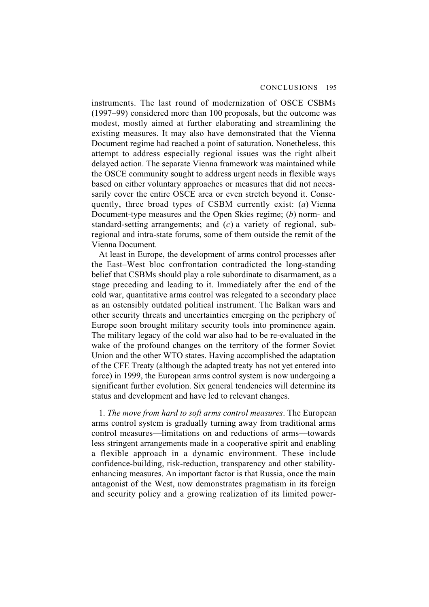instruments. The last round of modernization of OSCE CSBMs (1997–99) considered more than 100 proposals, but the outcome was modest, mostly aimed at further elaborating and streamlining the existing measures. It may also have demonstrated that the Vienna Document regime had reached a point of saturation. Nonetheless, this attempt to address especially regional issues was the right albeit delayed action. The separate Vienna framework was maintained while the OSCE community sought to address urgent needs in flexible ways based on either voluntary approaches or measures that did not necessarily cover the entire OSCE area or even stretch beyond it. Consequently, three broad types of CSBM currently exist: (*a*) Vienna Document-type measures and the Open Skies regime; (*b*) norm- and standard-setting arrangements; and (*c*) a variety of regional, subregional and intra-state forums, some of them outside the remit of the Vienna Document.

At least in Europe, the development of arms control processes after the East–West bloc confrontation contradicted the long-standing belief that CSBMs should play a role subordinate to disarmament, as a stage preceding and leading to it. Immediately after the end of the cold war, quantitative arms control was relegated to a secondary place as an ostensibly outdated political instrument. The Balkan wars and other security threats and uncertainties emerging on the periphery of Europe soon brought military security tools into prominence again. The military legacy of the cold war also had to be re-evaluated in the wake of the profound changes on the territory of the former Soviet Union and the other WTO states. Having accomplished the adaptation of the CFE Treaty (although the adapted treaty has not yet entered into force) in 1999, the European arms control system is now undergoing a significant further evolution. Six general tendencies will determine its status and development and have led to relevant changes.

1. *The move from hard to soft arms control measures*. The European arms control system is gradually turning away from traditional arms control measures—limitations on and reductions of arms—towards less stringent arrangements made in a cooperative spirit and enabling a flexible approach in a dynamic environment. These include confidence-building, risk-reduction, transparency and other stabilityenhancing measures. An important factor is that Russia, once the main antagonist of the West, now demonstrates pragmatism in its foreign and security policy and a growing realization of its limited power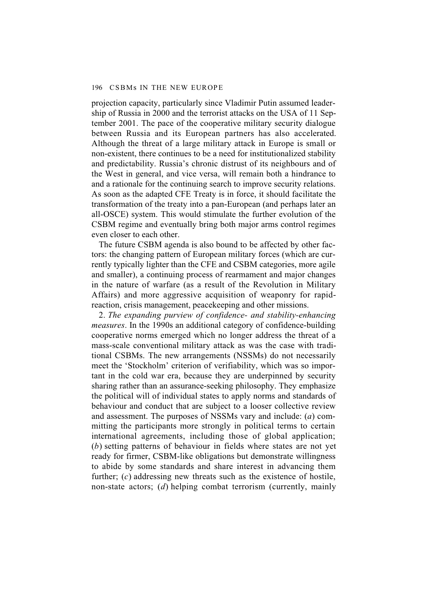projection capacity, particularly since Vladimir Putin assumed leadership of Russia in 2000 and the terrorist attacks on the USA of 11 September 2001. The pace of the cooperative military security dialogue between Russia and its European partners has also accelerated. Although the threat of a large military attack in Europe is small or non-existent, there continues to be a need for institutionalized stability and predictability. Russia's chronic distrust of its neighbours and of the West in general, and vice versa, will remain both a hindrance to and a rationale for the continuing search to improve security relations. As soon as the adapted CFE Treaty is in force, it should facilitate the transformation of the treaty into a pan-European (and perhaps later an all-OSCE) system. This would stimulate the further evolution of the CSBM regime and eventually bring both major arms control regimes even closer to each other.

The future CSBM agenda is also bound to be affected by other factors: the changing pattern of European military forces (which are currently typically lighter than the CFE and CSBM categories, more agile and smaller), a continuing process of rearmament and major changes in the nature of warfare (as a result of the Revolution in Military Affairs) and more aggressive acquisition of weaponry for rapidreaction, crisis management, peacekeeping and other missions.

2. *The expanding purview of confidence- and stability-enhancing measures*. In the 1990s an additional category of confidence-building cooperative norms emerged which no longer address the threat of a mass-scale conventional military attack as was the case with traditional CSBMs. The new arrangements (NSSMs) do not necessarily meet the 'Stockholm' criterion of verifiability, which was so important in the cold war era, because they are underpinned by security sharing rather than an assurance-seeking philosophy. They emphasize the political will of individual states to apply norms and standards of behaviour and conduct that are subject to a looser collective review and assessment. The purposes of NSSMs vary and include: (*a*) committing the participants more strongly in political terms to certain international agreements, including those of global application; (*b*) setting patterns of behaviour in fields where states are not yet ready for firmer, CSBM-like obligations but demonstrate willingness to abide by some standards and share interest in advancing them further; (*c*) addressing new threats such as the existence of hostile, non-state actors; (*d*) helping combat terrorism (currently, mainly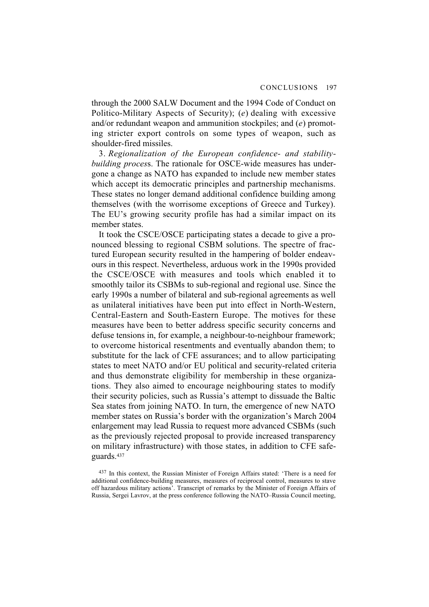through the 2000 SALW Document and the 1994 Code of Conduct on Politico-Military Aspects of Security); (*e*) dealing with excessive and/or redundant weapon and ammunition stockpiles; and (*e*) promoting stricter export controls on some types of weapon, such as shoulder-fired missiles.

3. *Regionalization of the European confidence- and stabilitybuilding proces*s. The rationale for OSCE-wide measures has undergone a change as NATO has expanded to include new member states which accept its democratic principles and partnership mechanisms. These states no longer demand additional confidence building among themselves (with the worrisome exceptions of Greece and Turkey). The EU's growing security profile has had a similar impact on its member states.

It took the CSCE/OSCE participating states a decade to give a pronounced blessing to regional CSBM solutions. The spectre of fractured European security resulted in the hampering of bolder endeavours in this respect. Nevertheless, arduous work in the 1990s provided the CSCE/OSCE with measures and tools which enabled it to smoothly tailor its CSBMs to sub-regional and regional use. Since the early 1990s a number of bilateral and sub-regional agreements as well as unilateral initiatives have been put into effect in North-Western, Central-Eastern and South-Eastern Europe. The motives for these measures have been to better address specific security concerns and defuse tensions in, for example, a neighbour-to-neighbour framework; to overcome historical resentments and eventually abandon them; to substitute for the lack of CFE assurances; and to allow participating states to meet NATO and/or EU political and security-related criteria and thus demonstrate eligibility for membership in these organizations. They also aimed to encourage neighbouring states to modify their security policies, such as Russia's attempt to dissuade the Baltic Sea states from joining NATO. In turn, the emergence of new NATO member states on Russia's border with the organization's March 2004 enlargement may lead Russia to request more advanced CSBMs (such as the previously rejected proposal to provide increased transparency on military infrastructure) with those states, in addition to CFE safeguards.437

437 In this context, the Russian Minister of Foreign Affairs stated: 'There is a need for additional confidence-building measures, measures of reciprocal control, measures to stave off hazardous military actions'. Transcript of remarks by the Minister of Foreign Affairs of Russia, Sergei Lavrov, at the press conference following the NATO–Russia Council meeting,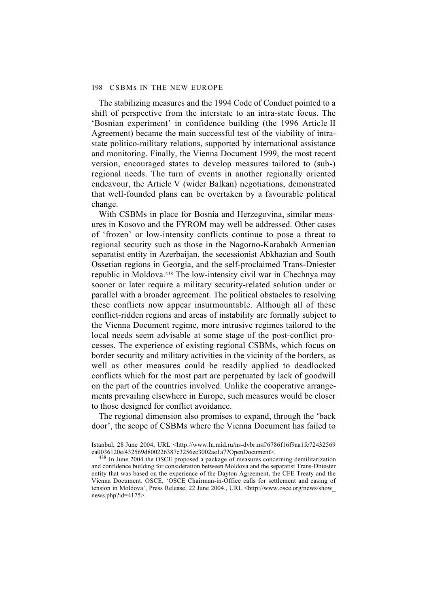The stabilizing measures and the 1994 Code of Conduct pointed to a shift of perspective from the interstate to an intra-state focus. The 'Bosnian experiment' in confidence building (the 1996 Article II Agreement) became the main successful test of the viability of intrastate politico-military relations, supported by international assistance and monitoring. Finally, the Vienna Document 1999, the most recent version, encouraged states to develop measures tailored to (sub-) regional needs. The turn of events in another regionally oriented endeavour, the Article V (wider Balkan) negotiations, demonstrated that well-founded plans can be overtaken by a favourable political change.

With CSBMs in place for Bosnia and Herzegovina, similar measures in Kosovo and the FYROM may well be addressed. Other cases of 'frozen' or low-intensity conflicts continue to pose a threat to regional security such as those in the Nagorno-Karabakh Armenian separatist entity in Azerbaijan, the secessionist Abkhazian and South Ossetian regions in Georgia, and the self-proclaimed Trans-Dniester republic in Moldova.438 The low-intensity civil war in Chechnya may sooner or later require a military security-related solution under or parallel with a broader agreement. The political obstacles to resolving these conflicts now appear insurmountable. Although all of these conflict-ridden regions and areas of instability are formally subject to the Vienna Document regime, more intrusive regimes tailored to the local needs seem advisable at some stage of the post-conflict processes. The experience of existing regional CSBMs, which focus on border security and military activities in the vicinity of the borders, as well as other measures could be readily applied to deadlocked conflicts which for the most part are perpetuated by lack of goodwill on the part of the countries involved. Unlike the cooperative arrangements prevailing elsewhere in Europe, such measures would be closer to those designed for conflict avoidance.

The regional dimension also promises to expand, through the 'back door', the scope of CSBMs where the Vienna Document has failed to

Istanbul, 28 June 2004, URL <http://www.ln.mid.ru/ns-dvbr.nsf/6786f16f9aa1fc72432569 ea0036120e/432569d800226387c3256ec3002ae1a7?OpenDocument>.

<sup>438</sup> In June 2004 the OSCE proposed a package of measures concerning demilitarization and confidence building for consideration between Moldova and the separatist Trans-Dniester entity that was based on the experience of the Dayton Agreement, the CFE Treaty and the Vienna Document. OSCE, 'OSCE Chairman-in-Office calls for settlement and easing of tension in Moldova', Press Release, 22 June 2004., URL <http://www.osce.org/news/show\_ news.php?id=4175>.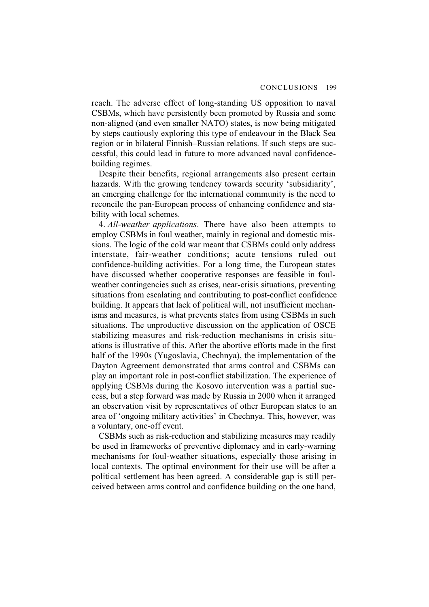reach. The adverse effect of long-standing US opposition to naval CSBMs, which have persistently been promoted by Russia and some non-aligned (and even smaller NATO) states, is now being mitigated by steps cautiously exploring this type of endeavour in the Black Sea region or in bilateral Finnish–Russian relations. If such steps are successful, this could lead in future to more advanced naval confidencebuilding regimes.

Despite their benefits, regional arrangements also present certain hazards. With the growing tendency towards security 'subsidiarity', an emerging challenge for the international community is the need to reconcile the pan-European process of enhancing confidence and stability with local schemes.

4. *All-weather applications*. There have also been attempts to employ CSBMs in foul weather, mainly in regional and domestic missions. The logic of the cold war meant that CSBMs could only address interstate, fair-weather conditions; acute tensions ruled out confidence-building activities. For a long time, the European states have discussed whether cooperative responses are feasible in foulweather contingencies such as crises, near-crisis situations, preventing situations from escalating and contributing to post-conflict confidence building. It appears that lack of political will, not insufficient mechanisms and measures, is what prevents states from using CSBMs in such situations. The unproductive discussion on the application of OSCE stabilizing measures and risk-reduction mechanisms in crisis situations is illustrative of this. After the abortive efforts made in the first half of the 1990s (Yugoslavia, Chechnya), the implementation of the Dayton Agreement demonstrated that arms control and CSBMs can play an important role in post-conflict stabilization. The experience of applying CSBMs during the Kosovo intervention was a partial success, but a step forward was made by Russia in 2000 when it arranged an observation visit by representatives of other European states to an area of 'ongoing military activities' in Chechnya. This, however, was a voluntary, one-off event.

CSBMs such as risk-reduction and stabilizing measures may readily be used in frameworks of preventive diplomacy and in early-warning mechanisms for foul-weather situations, especially those arising in local contexts. The optimal environment for their use will be after a political settlement has been agreed. A considerable gap is still perceived between arms control and confidence building on the one hand,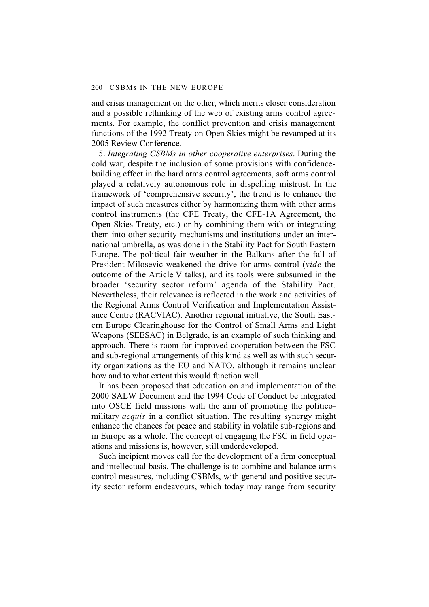and crisis management on the other, which merits closer consideration and a possible rethinking of the web of existing arms control agreements. For example, the conflict prevention and crisis management functions of the 1992 Treaty on Open Skies might be revamped at its 2005 Review Conference.

5. *Integrating CSBMs in other cooperative enterprises*. During the cold war, despite the inclusion of some provisions with confidencebuilding effect in the hard arms control agreements, soft arms control played a relatively autonomous role in dispelling mistrust. In the framework of 'comprehensive security', the trend is to enhance the impact of such measures either by harmonizing them with other arms control instruments (the CFE Treaty, the CFE-1A Agreement, the Open Skies Treaty, etc.) or by combining them with or integrating them into other security mechanisms and institutions under an international umbrella, as was done in the Stability Pact for South Eastern Europe. The political fair weather in the Balkans after the fall of President Milosevic weakened the drive for arms control (*vide* the outcome of the Article V talks), and its tools were subsumed in the broader 'security sector reform' agenda of the Stability Pact. Nevertheless, their relevance is reflected in the work and activities of the Regional Arms Control Verification and Implementation Assistance Centre (RACVIAC). Another regional initiative, the South Eastern Europe Clearinghouse for the Control of Small Arms and Light Weapons (SEESAC) in Belgrade, is an example of such thinking and approach. There is room for improved cooperation between the FSC and sub-regional arrangements of this kind as well as with such security organizations as the EU and NATO, although it remains unclear how and to what extent this would function well.

It has been proposed that education on and implementation of the 2000 SALW Document and the 1994 Code of Conduct be integrated into OSCE field missions with the aim of promoting the politicomilitary *acquis* in a conflict situation. The resulting synergy might enhance the chances for peace and stability in volatile sub-regions and in Europe as a whole. The concept of engaging the FSC in field operations and missions is, however, still underdeveloped.

Such incipient moves call for the development of a firm conceptual and intellectual basis. The challenge is to combine and balance arms control measures, including CSBMs, with general and positive security sector reform endeavours, which today may range from security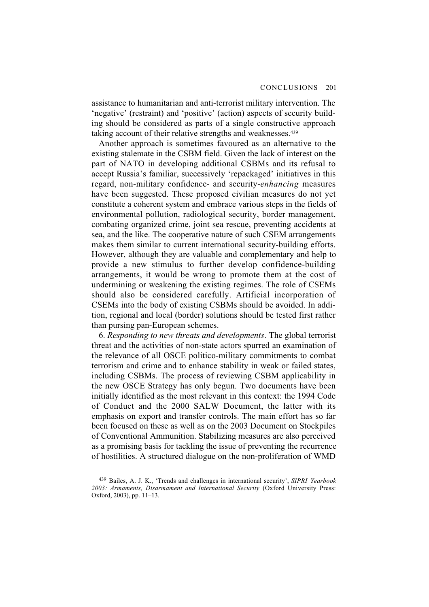assistance to humanitarian and anti-terrorist military intervention. The 'negative' (restraint) and 'positive' (action) aspects of security building should be considered as parts of a single constructive approach taking account of their relative strengths and weaknesses.<sup>439</sup>

Another approach is sometimes favoured as an alternative to the existing stalemate in the CSBM field. Given the lack of interest on the part of NATO in developing additional CSBMs and its refusal to accept Russia's familiar, successively 'repackaged' initiatives in this regard, non-military confidence- and security-*enhancing* measures have been suggested. These proposed civilian measures do not yet constitute a coherent system and embrace various steps in the fields of environmental pollution, radiological security, border management, combating organized crime, joint sea rescue, preventing accidents at sea, and the like. The cooperative nature of such CSEM arrangements makes them similar to current international security-building efforts. However, although they are valuable and complementary and help to provide a new stimulus to further develop confidence-building arrangements, it would be wrong to promote them at the cost of undermining or weakening the existing regimes. The role of CSEMs should also be considered carefully. Artificial incorporation of CSEMs into the body of existing CSBMs should be avoided. In addition, regional and local (border) solutions should be tested first rather than pursing pan-European schemes.

6. *Responding to new threats and developments*. The global terrorist threat and the activities of non-state actors spurred an examination of the relevance of all OSCE politico-military commitments to combat terrorism and crime and to enhance stability in weak or failed states, including CSBMs. The process of reviewing CSBM applicability in the new OSCE Strategy has only begun. Two documents have been initially identified as the most relevant in this context: the 1994 Code of Conduct and the 2000 SALW Document, the latter with its emphasis on export and transfer controls. The main effort has so far been focused on these as well as on the 2003 Document on Stockpiles of Conventional Ammunition. Stabilizing measures are also perceived as a promising basis for tackling the issue of preventing the recurrence of hostilities. A structured dialogue on the non-proliferation of WMD

<sup>439</sup> Bailes, A. J. K., 'Trends and challenges in international security', *SIPRI Yearbook 2003: Armaments, Disarmament and International Security* (Oxford University Press: Oxford, 2003), pp. 11–13.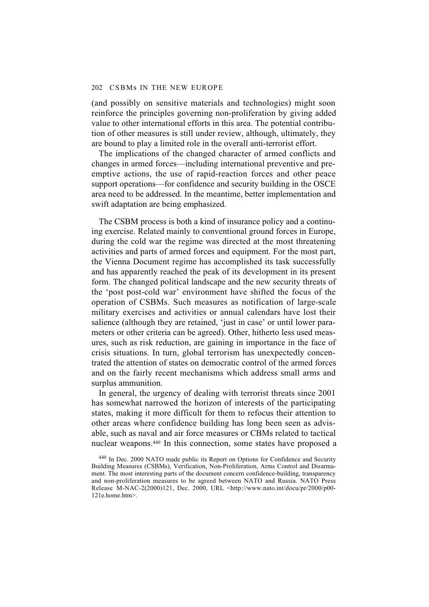(and possibly on sensitive materials and technologies) might soon reinforce the principles governing non-proliferation by giving added value to other international efforts in this area. The potential contribution of other measures is still under review, although, ultimately, they are bound to play a limited role in the overall anti-terrorist effort.

The implications of the changed character of armed conflicts and changes in armed forces—including international preventive and preemptive actions, the use of rapid-reaction forces and other peace support operations—for confidence and security building in the OSCE area need to be addressed. In the meantime, better implementation and swift adaptation are being emphasized.

The CSBM process is both a kind of insurance policy and a continuing exercise. Related mainly to conventional ground forces in Europe, during the cold war the regime was directed at the most threatening activities and parts of armed forces and equipment. For the most part, the Vienna Document regime has accomplished its task successfully and has apparently reached the peak of its development in its present form. The changed political landscape and the new security threats of the 'post post-cold war' environment have shifted the focus of the operation of CSBMs. Such measures as notification of large-scale military exercises and activities or annual calendars have lost their salience (although they are retained, 'just in case' or until lower parameters or other criteria can be agreed). Other, hitherto less used measures, such as risk reduction, are gaining in importance in the face of crisis situations. In turn, global terrorism has unexpectedly concentrated the attention of states on democratic control of the armed forces and on the fairly recent mechanisms which address small arms and surplus ammunition.

In general, the urgency of dealing with terrorist threats since 2001 has somewhat narrowed the horizon of interests of the participating states, making it more difficult for them to refocus their attention to other areas where confidence building has long been seen as advisable, such as naval and air force measures or CBMs related to tactical nuclear weapons.440 In this connection, some states have proposed a

<sup>440</sup> In Dec. 2000 NATO made public its Report on Options for Confidence and Security Building Measures (CSBMs), Verification, Non-Proliferation, Arms Control and Disarmament. The most interesting parts of the document concern confidence-building, transparency and non-proliferation measures to be agreed between NATO and Russia. NATO Press Release M-NAC-2(2000)121, Dec. 2000, URL <http://www.nato.int/docu/pr/2000/p00- 121e.home.htm>.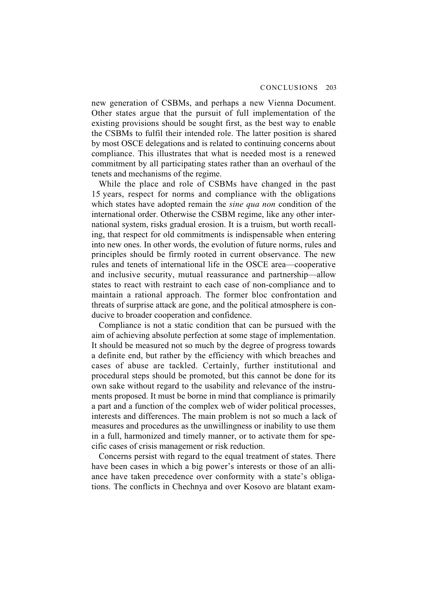new generation of CSBMs, and perhaps a new Vienna Document. Other states argue that the pursuit of full implementation of the existing provisions should be sought first, as the best way to enable the CSBMs to fulfil their intended role. The latter position is shared by most OSCE delegations and is related to continuing concerns about compliance. This illustrates that what is needed most is a renewed commitment by all participating states rather than an overhaul of the tenets and mechanisms of the regime.

While the place and role of CSBMs have changed in the past 15 years, respect for norms and compliance with the obligations which states have adopted remain the *sine qua non* condition of the international order. Otherwise the CSBM regime, like any other international system, risks gradual erosion. It is a truism, but worth recalling, that respect for old commitments is indispensable when entering into new ones. In other words, the evolution of future norms, rules and principles should be firmly rooted in current observance. The new rules and tenets of international life in the OSCE area—cooperative and inclusive security, mutual reassurance and partnership—allow states to react with restraint to each case of non-compliance and to maintain a rational approach. The former bloc confrontation and threats of surprise attack are gone, and the political atmosphere is conducive to broader cooperation and confidence.

Compliance is not a static condition that can be pursued with the aim of achieving absolute perfection at some stage of implementation. It should be measured not so much by the degree of progress towards a definite end, but rather by the efficiency with which breaches and cases of abuse are tackled. Certainly, further institutional and procedural steps should be promoted, but this cannot be done for its own sake without regard to the usability and relevance of the instruments proposed. It must be borne in mind that compliance is primarily a part and a function of the complex web of wider political processes, interests and differences. The main problem is not so much a lack of measures and procedures as the unwillingness or inability to use them in a full, harmonized and timely manner, or to activate them for specific cases of crisis management or risk reduction.

Concerns persist with regard to the equal treatment of states. There have been cases in which a big power's interests or those of an alliance have taken precedence over conformity with a state's obligations. The conflicts in Chechnya and over Kosovo are blatant exam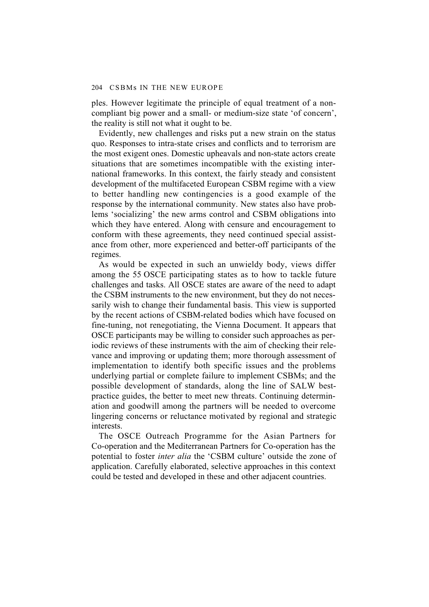ples. However legitimate the principle of equal treatment of a noncompliant big power and a small- or medium-size state 'of concern', the reality is still not what it ought to be.

Evidently, new challenges and risks put a new strain on the status quo. Responses to intra-state crises and conflicts and to terrorism are the most exigent ones. Domestic upheavals and non-state actors create situations that are sometimes incompatible with the existing international frameworks. In this context, the fairly steady and consistent development of the multifaceted European CSBM regime with a view to better handling new contingencies is a good example of the response by the international community. New states also have problems 'socializing' the new arms control and CSBM obligations into which they have entered. Along with censure and encouragement to conform with these agreements, they need continued special assistance from other, more experienced and better-off participants of the regimes.

As would be expected in such an unwieldy body, views differ among the 55 OSCE participating states as to how to tackle future challenges and tasks. All OSCE states are aware of the need to adapt the CSBM instruments to the new environment, but they do not necessarily wish to change their fundamental basis. This view is supported by the recent actions of CSBM-related bodies which have focused on fine-tuning, not renegotiating, the Vienna Document. It appears that OSCE participants may be willing to consider such approaches as periodic reviews of these instruments with the aim of checking their relevance and improving or updating them; more thorough assessment of implementation to identify both specific issues and the problems underlying partial or complete failure to implement CSBMs; and the possible development of standards, along the line of SALW bestpractice guides, the better to meet new threats. Continuing determination and goodwill among the partners will be needed to overcome lingering concerns or reluctance motivated by regional and strategic interests.

The OSCE Outreach Programme for the Asian Partners for Co-operation and the Mediterranean Partners for Co-operation has the potential to foster *inter alia* the 'CSBM culture' outside the zone of application. Carefully elaborated, selective approaches in this context could be tested and developed in these and other adjacent countries.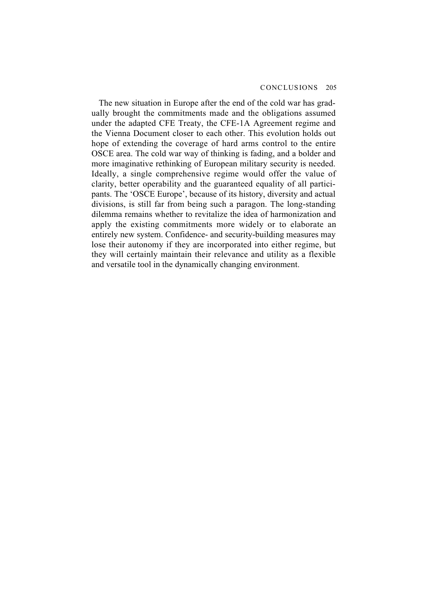The new situation in Europe after the end of the cold war has gradually brought the commitments made and the obligations assumed under the adapted CFE Treaty, the CFE-1A Agreement regime and the Vienna Document closer to each other. This evolution holds out hope of extending the coverage of hard arms control to the entire OSCE area. The cold war way of thinking is fading, and a bolder and more imaginative rethinking of European military security is needed. Ideally, a single comprehensive regime would offer the value of clarity, better operability and the guaranteed equality of all participants. The 'OSCE Europe', because of its history, diversity and actual divisions, is still far from being such a paragon. The long-standing dilemma remains whether to revitalize the idea of harmonization and apply the existing commitments more widely or to elaborate an entirely new system. Confidence- and security-building measures may lose their autonomy if they are incorporated into either regime, but they will certainly maintain their relevance and utility as a flexible and versatile tool in the dynamically changing environment.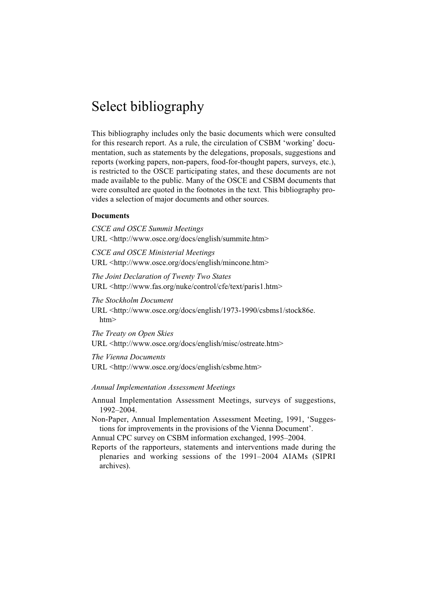# Select bibliography

This bibliography includes only the basic documents which were consulted for this research report. As a rule, the circulation of CSBM 'working' documentation, such as statements by the delegations, proposals, suggestions and reports (working papers, non-papers, food-for-thought papers, surveys, etc.), is restricted to the OSCE participating states, and these documents are not made available to the public. Many of the OSCE and CSBM documents that were consulted are quoted in the footnotes in the text. This bibliography provides a selection of major documents and other sources.

## **Documents**

*CSCE and OSCE Summit Meetings* URL <http://www.osce.org/docs/english/summite.htm>

*CSCE and OSCE Ministerial Meetings* URL <http://www.osce.org/docs/english/mincone.htm>

*The Joint Declaration of Twenty Two States* URL <http://www.fas.org/nuke/control/cfe/text/paris1.htm>

*The Stockholm Document*

URL <http://www.osce.org/docs/english/1973-1990/csbms1/stock86e. htm>

*The Treaty on Open Skies*

URL <http://www.osce.org/docs/english/misc/ostreate.htm>

*The Vienna Documents*

URL <http://www.osce.org/docs/english/csbme.htm>

*Annual Implementation Assessment Meetings*

Annual Implementation Assessment Meetings, surveys of suggestions, 1992–2004.

Non-Paper, Annual Implementation Assessment Meeting, 1991, 'Suggestions for improvements in the provisions of the Vienna Document'.

Annual CPC survey on CSBM information exchanged, 1995–2004.

Reports of the rapporteurs, statements and interventions made during the plenaries and working sessions of the 1991–2004 AIAMs (SIPRI archives).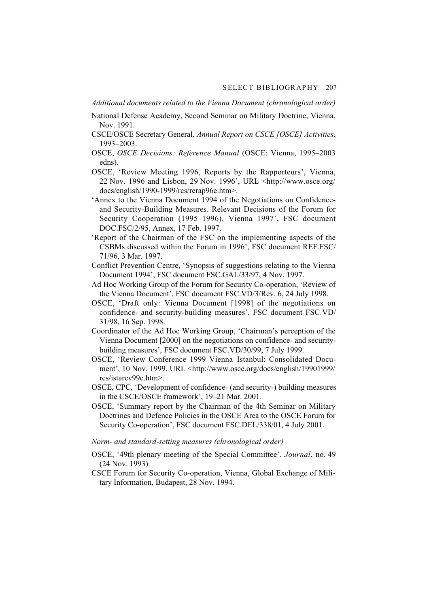*Additional documents related to the Vienna Document (chronological order)*

- National Defense Academy, Second Seminar on Military Doctrine, Vienna, Nov. 1991.
- CSCE/OSCE Secretary General, *Annual Report on CSCE [OSCE] Activities*, 1993–2003.
- OSCE, *OSCE Decisions: Reference Manual* (OSCE: Vienna, 1995–2003 edns).
- OSCE, 'Review Meeting 1996, Reports by the Rapporteurs', Vienna, 22 Nov. 1996 and Lisbon, 29 Nov. 1996', URL <http://www.osce.org/ docs/english/1990-1999/rcs/rerap96e.htm>.
- 'Annex to the Vienna Document 1994 of the Negotiations on Confidenceand Security-Building Measures. Relevant Decisions of the Forum for Security Cooperation (1995–1996), Vienna 1997', FSC document DOC.FSC/2/95, Annex, 17 Feb. 1997.
- 'Report of the Chairman of the FSC on the implementing aspects of the CSBMs discussed within the Forum in 1996', FSC document REF.FSC/ 71/96, 3 Mar. 1997.
- Conflict Prevention Centre, 'Synopsis of suggestions relating to the Vienna Document 1994', FSC document FSC.GAL/33/97, 4 Nov. 1997.
- Ad Hoc Working Group of the Forum for Security Co-operation, 'Review of the Vienna Document', FSC document FSC.VD/3/Rev. 6, 24 July 1998.
- OSCE, 'Draft only: Vienna Document [1998] of the negotiations on confidence- and security-building measures', FSC document FSC.VD/ 31/98, 16 Sep. 1998.
- Coordinator of the Ad Hoc Working Group, 'Chairman's perception of the Vienna Document [2000] on the negotiations on confidence- and securitybuilding measures', FSC document FSC.VD/30/99, 7 July 1999.
- OSCE, 'Review Conference 1999 Vienna–Istanbul: Consolidated Document', 10 Nov. 1999, URL <http://www.osce.org/docs/english/19901999/ rcs/istarev99e.htm>.
- OSCE, CPC, 'Development of confidence- (and security-) building measures in the CSCE/OSCE framework', 19–21 Mar. 2001.
- OSCE, 'Summary report by the Chairman of the 4th Seminar on Military Doctrines and Defence Policies in the OSCE Area to the OSCE Forum for Security Co-operation', FSC document FSC.DEL/338/01, 4 July 2001.
- *Norm- and standard-setting measures (chronological order)*
- OSCE, '49th plenary meeting of the Special Committee', *Journal*, no. 49 (24 Nov. 1993).
- CSCE Forum for Security Co-operation, Vienna, Global Exchange of Military Information, Budapest, 28 Nov. 1994.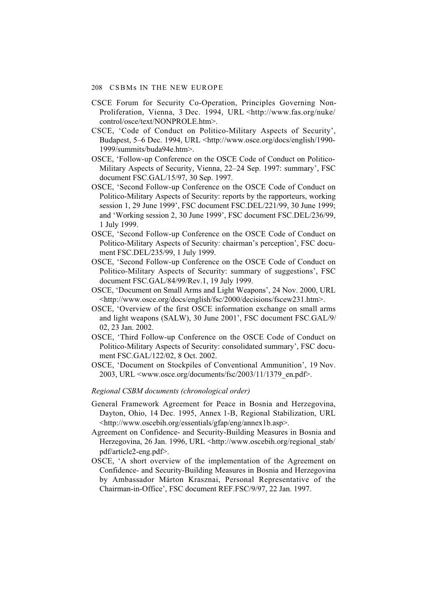#### 208 CSBMs IN THE NEW EUROPE

- CSCE Forum for Security Co-Operation, Principles Governing Non-Proliferation, Vienna, 3 Dec. 1994, URL <http://www.fas.org/nuke/ control/osce/text/NONPROLE.htm>.
- CSCE, 'Code of Conduct on Politico-Military Aspects of Security', Budapest, 5–6 Dec. 1994, URL <http://www.osce.org/docs/english/1990- 1999/summits/buda94e.htm>.
- OSCE, 'Follow-up Conference on the OSCE Code of Conduct on Politico-Military Aspects of Security, Vienna, 22–24 Sep. 1997: summary', FSC document FSC.GAL/15/97, 30 Sep. 1997.
- OSCE, 'Second Follow-up Conference on the OSCE Code of Conduct on Politico-Military Aspects of Security: reports by the rapporteurs, working session 1, 29 June 1999', FSC document FSC.DEL/221/99, 30 June 1999; and 'Working session 2, 30 June 1999', FSC document FSC.DEL/236/99, 1 July 1999.
- OSCE, 'Second Follow-up Conference on the OSCE Code of Conduct on Politico-Military Aspects of Security: chairman's perception', FSC document FSC.DEL/235/99, 1 July 1999.
- OSCE, 'Second Follow-up Conference on the OSCE Code of Conduct on Politico-Military Aspects of Security: summary of suggestions', FSC document FSC.GAL/84/99/Rev.1, 19 July 1999.
- OSCE, 'Document on Small Arms and Light Weapons', 24 Nov. 2000, URL <http://www.osce.org/docs/english/fsc/2000/decisions/fscew231.htm>.
- OSCE, 'Overview of the first OSCE information exchange on small arms and light weapons (SALW), 30 June 2001', FSC document FSC.GAL/9/ 02, 23 Jan. 2002.
- OSCE, 'Third Follow-up Conference on the OSCE Code of Conduct on Politico-Military Aspects of Security: consolidated summary', FSC document FSC.GAL/122/02, 8 Oct. 2002.
- OSCE, 'Document on Stockpiles of Conventional Ammunition', 19 Nov. 2003, URL <www.osce.org/documents/fsc/2003/11/1379\_en.pdf>.

#### *Regional CSBM documents (chronological order)*

- General Framework Agreement for Peace in Bosnia and Herzegovina, Dayton, Ohio, 14 Dec. 1995, Annex 1-B, Regional Stabilization, URL <http://www.oscebih.org/essentials/gfap/eng/annex1b.asp>.
- Agreement on Confidence- and Security-Building Measures in Bosnia and Herzegovina, 26 Jan. 1996, URL <http://www.oscebih.org/regional\_stab/ pdf/article2-eng.pdf>.
- OSCE, 'A short overview of the implementation of the Agreement on Confidence- and Security-Building Measures in Bosnia and Herzegovina by Ambassador Márton Krasznai, Personal Representative of the Chairman-in-Office', FSC document REF.FSC/9/97, 22 Jan. 1997.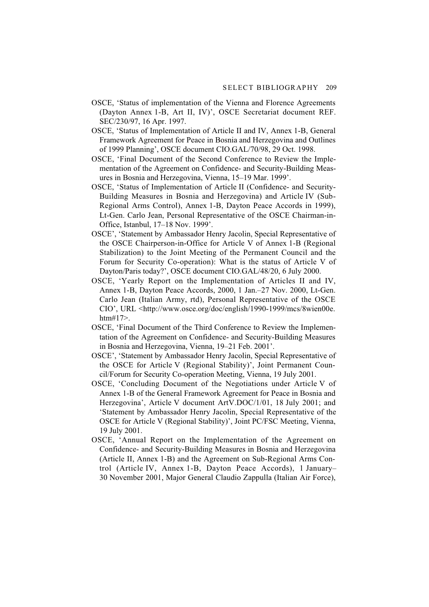- OSCE, 'Status of implementation of the Vienna and Florence Agreements (Dayton Annex 1-B, Art II, IV)', OSCE Secretariat document REF. SEC/230/97, 16 Apr. 1997.
- OSCE, 'Status of Implementation of Article II and IV, Annex 1-B, General Framework Agreement for Peace in Bosnia and Herzegovina and Outlines of 1999 Planning', OSCE document CIO.GAL/70/98, 29 Oct. 1998.
- OSCE, 'Final Document of the Second Conference to Review the Implementation of the Agreement on Confidence- and Security-Building Measures in Bosnia and Herzegovina, Vienna, 15–19 Mar. 1999'.
- OSCE, 'Status of Implementation of Article II (Confidence- and Security-Building Measures in Bosnia and Herzegovina) and Article IV (Sub-Regional Arms Control), Annex 1-B, Dayton Peace Accords in 1999), Lt-Gen. Carlo Jean, Personal Representative of the OSCE Chairman-in-Office, Istanbul, 17–18 Nov. 1999'.
- OSCE', 'Statement by Ambassador Henry Jacolin, Special Representative of the OSCE Chairperson-in-Office for Article V of Annex 1-B (Regional Stabilization) to the Joint Meeting of the Permanent Council and the Forum for Security Co-operation): What is the status of Article V of Dayton/Paris today?', OSCE document CIO.GAL/48/20, 6 July 2000.
- OSCE, 'Yearly Report on the Implementation of Articles II and IV, Annex 1-B, Dayton Peace Accords, 2000, 1 Jan.–27 Nov. 2000, Lt-Gen. Carlo Jean (Italian Army, rtd), Personal Representative of the OSCE CIO', URL <http://www.osce.org/doc/english/1990-1999/mcs/8wien00e. htm#17>.
- OSCE, 'Final Document of the Third Conference to Review the Implementation of the Agreement on Confidence- and Security-Building Measures in Bosnia and Herzegovina, Vienna, 19–21 Feb. 2001'.
- OSCE', 'Statement by Ambassador Henry Jacolin, Special Representative of the OSCE for Article V (Regional Stability)', Joint Permanent Council/Forum for Security Co-operation Meeting, Vienna, 19 July 2001.
- OSCE, 'Concluding Document of the Negotiations under Article V of Annex 1-B of the General Framework Agreement for Peace in Bosnia and Herzegovina', Article V document ArtV.DOC/1/01, 18 July 2001; and 'Statement by Ambassador Henry Jacolin, Special Representative of the OSCE for Article V (Regional Stability)', Joint PC/FSC Meeting, Vienna, 19 July 2001.
- OSCE, 'Annual Report on the Implementation of the Agreement on Confidence- and Security-Building Measures in Bosnia and Herzegovina (Article II, Annex 1-B) and the Agreement on Sub-Regional Arms Control (Article IV, Annex 1-B, Dayton Peace Accords), 1 January– 30 November 2001, Major General Claudio Zappulla (Italian Air Force),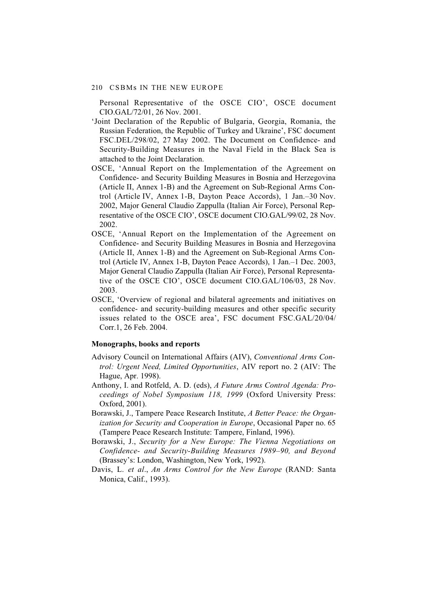Personal Representative of the OSCE CIO', OSCE document CIO.GAL/72/01, 26 Nov. 2001.

- 'Joint Declaration of the Republic of Bulgaria, Georgia, Romania, the Russian Federation, the Republic of Turkey and Ukraine', FSC document FSC.DEL/298/02, 27 May 2002. The Document on Confidence- and Security-Building Measures in the Naval Field in the Black Sea is attached to the Joint Declaration.
- OSCE, 'Annual Report on the Implementation of the Agreement on Confidence- and Security Building Measures in Bosnia and Herzegovina (Article II, Annex 1-B) and the Agreement on Sub-Regional Arms Control (Article IV, Annex 1-B, Dayton Peace Accords), 1 Jan.–30 Nov. 2002, Major General Claudio Zappulla (Italian Air Force), Personal Representative of the OSCE CIO', OSCE document CIO.GAL/99/02, 28 Nov. 2002.
- OSCE, 'Annual Report on the Implementation of the Agreement on Confidence- and Security Building Measures in Bosnia and Herzegovina (Article II, Annex 1-B) and the Agreement on Sub-Regional Arms Control (Article IV, Annex 1-B, Dayton Peace Accords), 1 Jan.–1 Dec. 2003, Major General Claudio Zappulla (Italian Air Force), Personal Representative of the OSCE CIO', OSCE document CIO.GAL/106/03, 28 Nov. 2003.
- OSCE, 'Overview of regional and bilateral agreements and initiatives on confidence- and security-building measures and other specific security issues related to the OSCE area', FSC document FSC.GAL/20/04/ Corr.1, 26 Feb. 2004.

### **Monographs, books and reports**

- Advisory Council on International Affairs (AIV), *Conventional Arms Control: Urgent Need, Limited Opportunities*, AIV report no. 2 (AIV: The Hague, Apr. 1998).
- Anthony, I. and Rotfeld, A. D. (eds), *A Future Arms Control Agenda: Proceedings of Nobel Symposium 118, 1999* (Oxford University Press: Oxford, 2001).
- Borawski, J., Tampere Peace Research Institute, *A Better Peace: the Organization for Security and Cooperation in Europe*, Occasional Paper no. 65 (Tampere Peace Research Institute: Tampere, Finland, 1996).
- Borawski, J., *Security for a New Europe: The Vienna Negotiations on Confidence- and Security-Building Measures 1989–90, and Beyond* (Brassey's: London, Washington, New York, 1992).
- Davis, L. *et al*., *An Arms Control for the New Europe* (RAND: Santa Monica, Calif., 1993).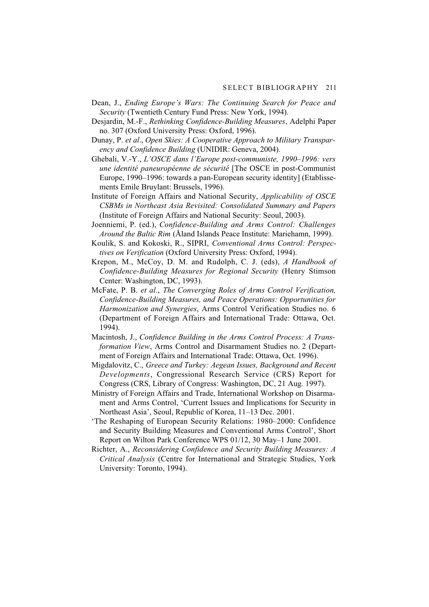- Dean, J., *Ending Europe's Wars: The Continuing Search for Peace and Security* (Twentieth Century Fund Press: New York, 1994).
- Desjardin, M.-F., *Rethinking Confidence-Building Measures*, Adelphi Paper no. 307 (Oxford University Press: Oxford, 1996).
- Dunay, P. *et al*., *Open Skies: A Cooperative Approach to Military Transparency and Confidence Building* (UNIDIR: Geneva, 2004).
- Ghebali, V.-Y., *L'OSCE dans l'Europe post-communiste, 1990–1996: vers une identité paneuropéenne de sécurité* [The OSCE in post-Communist Europe, 1990–1996: towards a pan-European security identity] (Etablissements Emile Bruylant: Brussels, 1996).
- Institute of Foreign Affairs and National Security, *Applicability of OSCE CSBMs in Northeast Asia Revisited: Consolidated Summary and Papers* (Institute of Foreign Affairs and National Security: Seoul, 2003).
- Joenniemi, P. (ed.), *Confidence-Building and Arms Control: Challenges Around the Baltic Rim* (Åland Islands Peace Institute: Mariehamn, 1999).
- Koulik, S. and Kokoski, R., SIPRI, *Conventional Arms Control: Perspectives on Verification* (Oxford University Press: Oxford, 1994).
- Krepon, M., McCoy, D. M. and Rudolph, C. J. (eds), *A Handbook of Confidence-Building Measures for Regional Security* (Henry Stimson Center: Washington, DC, 1993).
- McFate, P. B. *et al*., *The Converging Roles of Arms Control Verification, Confidence-Building Measures, and Peace Operations: Opportunities for Harmonization and Synergies*, Arms Control Verification Studies no. 6 (Department of Foreign Affairs and International Trade: Ottawa, Oct. 1994).
- Macintosh, J., *Confidence Building in the Arms Control Process: A Transformation View*, Arms Control and Disarmament Studies no. 2 (Department of Foreign Affairs and International Trade: Ottawa, Oct. 1996).
- Migdalovitz, C., *Greece and Turkey: Aegean Issues, Background and Recent Developments*, Congressional Research Service (CRS) Report for Congress (CRS, Library of Congress: Washington, DC, 21 Aug. 1997).
- Ministry of Foreign Affairs and Trade, International Workshop on Disarmament and Arms Control, 'Current Issues and Implications for Security in Northeast Asia', Seoul, Republic of Korea, 11–13 Dec. 2001.
- 'The Reshaping of European Security Relations: 1980–2000: Confidence and Security Building Measures and Conventional Arms Control', Short Report on Wilton Park Conference WPS 01/12, 30 May–1 June 2001.
- Richter, A., *Reconsidering Confidence and Security Building Measures: A Critical Analysis* (Centre for International and Strategic Studies, York University: Toronto, 1994).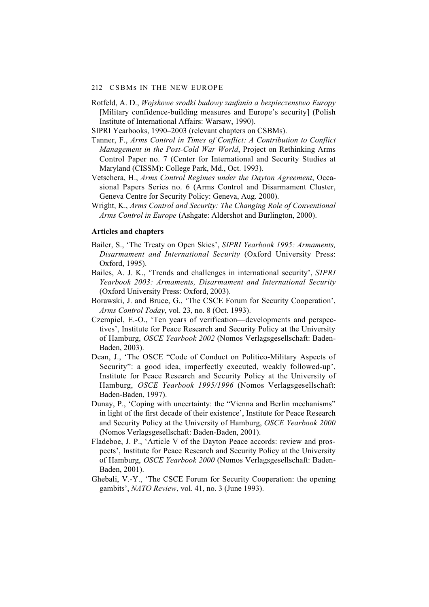#### 212 CSBMs IN THE NEW EUROPE

- Rotfeld, A. D., *Wojskowe srodki budowy zaufania a bezpieczenstwo Europy* [Military confidence-building measures and Europe's security] (Polish Institute of International Affairs: Warsaw, 1990).
- SIPRI Yearbooks, 1990–2003 (relevant chapters on CSBMs).
- Tanner, F., *Arms Control in Times of Conflict: A Contribution to Conflict Management in the Post-Cold War World*, Project on Rethinking Arms Control Paper no. 7 (Center for International and Security Studies at Maryland (CISSM): College Park, Md., Oct. 1993).
- Vetschera, H., *Arms Control Regimes under the Dayton Agreement*, Occasional Papers Series no. 6 (Arms Control and Disarmament Cluster, Geneva Centre for Security Policy: Geneva, Aug. 2000).
- Wright, K., *Arms Control and Security: The Changing Role of Conventional Arms Control in Europe* (Ashgate: Aldershot and Burlington, 2000).

#### **Articles and chapters**

- Bailer, S., 'The Treaty on Open Skies', *SIPRI Yearbook 1995: Armaments, Disarmament and International Security* (Oxford University Press: Oxford, 1995).
- Bailes, A. J. K., 'Trends and challenges in international security', *SIPRI Yearbook 2003: Armaments, Disarmament and International Security* (Oxford University Press: Oxford, 2003).
- Borawski, J. and Bruce, G., 'The CSCE Forum for Security Cooperation', *Arms Control Today*, vol. 23, no. 8 (Oct. 1993).
- Czempiel, E.-O., 'Ten years of verification—developments and perspectives', Institute for Peace Research and Security Policy at the University of Hamburg, *OSCE Yearbook 2002* (Nomos Verlagsgesellschaft: Baden-Baden, 2003).
- Dean, J., 'The OSCE "Code of Conduct on Politico-Military Aspects of Security": a good idea, imperfectly executed, weakly followed-up', Institute for Peace Research and Security Policy at the University of Hamburg, *OSCE Yearbook 1995/1996* (Nomos Verlagsgesellschaft: Baden-Baden, 1997).
- Dunay, P., 'Coping with uncertainty: the "Vienna and Berlin mechanisms" in light of the first decade of their existence', Institute for Peace Research and Security Policy at the University of Hamburg, *OSCE Yearbook 2000* (Nomos Verlagsgesellschaft: Baden-Baden, 2001).
- Fladeboe, J. P., 'Article V of the Dayton Peace accords: review and prospects', Institute for Peace Research and Security Policy at the University of Hamburg, *OSCE Yearbook 2000* (Nomos Verlagsgesellschaft: Baden-Baden, 2001).
- Ghebali, V.-Y., 'The CSCE Forum for Security Cooperation: the opening gambits', *NATO Review*, vol. 41, no. 3 (June 1993).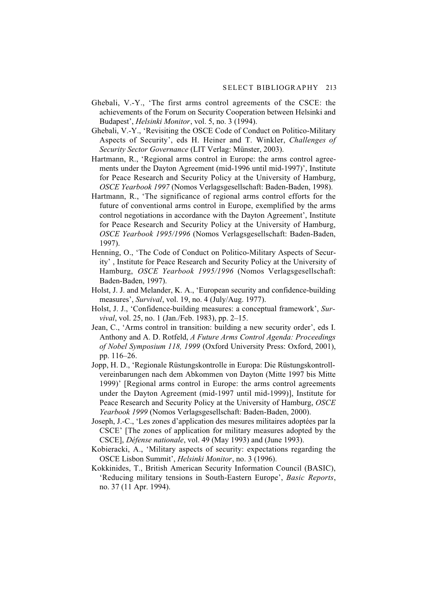- Ghebali, V.-Y., 'The first arms control agreements of the CSCE: the achievements of the Forum on Security Cooperation between Helsinki and Budapest', *Helsinki Monitor*, vol. 5, no. 3 (1994).
- Ghebali, V.-Y., 'Revisiting the OSCE Code of Conduct on Politico-Military Aspects of Security', eds H. Heiner and T. Winkler, *Challenges of Security Sector Governance* (LIT Verlag: Münster, 2003).
- Hartmann, R., 'Regional arms control in Europe: the arms control agreements under the Dayton Agreement (mid-1996 until mid-1997)', Institute for Peace Research and Security Policy at the University of Hamburg, *OSCE Yearbook 1997* (Nomos Verlagsgesellschaft: Baden-Baden, 1998).
- Hartmann, R., 'The significance of regional arms control efforts for the future of conventional arms control in Europe, exemplified by the arms control negotiations in accordance with the Dayton Agreement', Institute for Peace Research and Security Policy at the University of Hamburg, *OSCE Yearbook 1995/1996* (Nomos Verlagsgesellschaft: Baden-Baden, 1997).
- Henning, O., 'The Code of Conduct on Politico-Military Aspects of Security' , Institute for Peace Research and Security Policy at the University of Hamburg, *OSCE Yearbook 1995/1996* (Nomos Verlagsgesellschaft: Baden-Baden, 1997).
- Holst, J. J. and Melander, K. A., 'European security and confidence-building measures', *Survival*, vol. 19, no. 4 (July/Aug. 1977).
- Holst, J. J., 'Confidence-building measures: a conceptual framework', *Survival*, vol. 25, no. 1 (Jan./Feb. 1983), pp. 2–15.
- Jean, C., 'Arms control in transition: building a new security order', eds I. Anthony and A. D. Rotfeld, *A Future Arms Control Agenda: Proceedings of Nobel Symposium 118, 1999* (Oxford University Press: Oxford, 2001), pp. 116–26.
- Jopp, H. D., 'Regionale Rüstungskontrolle in Europa: Die Rüstungskontrollvereinbarungen nach dem Abkommen von Dayton (Mitte 1997 bis Mitte 1999)' [Regional arms control in Europe: the arms control agreements under the Dayton Agreement (mid-1997 until mid-1999)], Institute for Peace Research and Security Policy at the University of Hamburg, *OSCE Yearbook 1999* (Nomos Verlagsgesellschaft: Baden-Baden, 2000).
- Joseph, J.-C., 'Les zones d'application des mesures militaires adoptées par la CSCE' [The zones of application for military measures adopted by the CSCE], *Défense nationale*, vol. 49 (May 1993) and (June 1993).
- Kobieracki, A., 'Military aspects of security: expectations regarding the OSCE Lisbon Summit', *Helsinki Monitor*, no. 3 (1996).
- Kokkinides, T., British American Security Information Council (BASIC), 'Reducing military tensions in South-Eastern Europe', *Basic Reports*, no. 37 (11 Apr. 1994).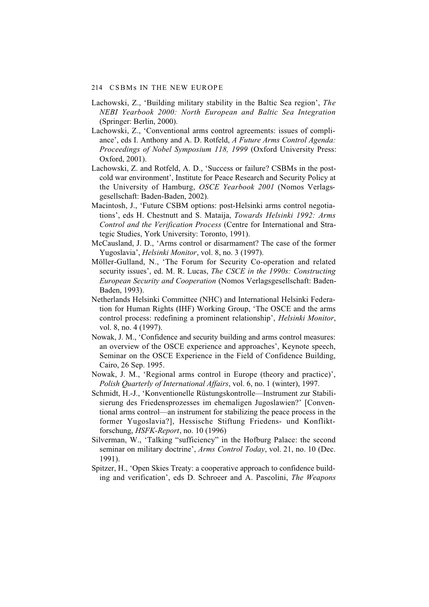#### 214 CSBMs IN THE NEW EUROPE

- Lachowski, Z., 'Building military stability in the Baltic Sea region', *The NEBI Yearbook 2000: North European and Baltic Sea Integration* (Springer: Berlin, 2000).
- Lachowski, Z., 'Conventional arms control agreements: issues of compliance', eds I. Anthony and A. D. Rotfeld, *A Future Arms Control Agenda: Proceedings of Nobel Symposium 118, 1999* (Oxford University Press: Oxford, 2001).
- Lachowski, Z. and Rotfeld, A. D., 'Success or failure? CSBMs in the postcold war environment', Institute for Peace Research and Security Policy at the University of Hamburg, *OSCE Yearbook 2001* (Nomos Verlagsgesellschaft: Baden-Baden, 2002).
- Macintosh, J., 'Future CSBM options: post-Helsinki arms control negotiations', eds H. Chestnutt and S. Mataija, *Towards Helsinki 1992: Arms Control and the Verification Process* (Centre for International and Strategic Studies, York University: Toronto, 1991).
- McCausland, J. D., 'Arms control or disarmament? The case of the former Yugoslavia', *Helsinki Monitor*, vol. 8, no. 3 (1997).
- Möller-Gulland, N., 'The Forum for Security Co-operation and related security issues', ed. M. R. Lucas, *The CSCE in the 1990s: Constructing European Security and Cooperation* (Nomos Verlagsgesellschaft: Baden-Baden, 1993).
- Netherlands Helsinki Committee (NHC) and International Helsinki Federation for Human Rights (IHF) Working Group, 'The OSCE and the arms control process: redefining a prominent relationship', *Helsinki Monitor*, vol. 8, no. 4 (1997).
- Nowak, J. M., 'Confidence and security building and arms control measures: an overview of the OSCE experience and approaches', Keynote speech, Seminar on the OSCE Experience in the Field of Confidence Building, Cairo, 26 Sep. 1995.
- Nowak, J. M., 'Regional arms control in Europe (theory and practice)', *Polish Quarterly of International Affairs*, vol. 6, no. 1 (winter), 1997.
- Schmidt, H.-J., 'Konventionelle Rüstungskontrolle—Instrument zur Stabilisierung des Friedensprozesses im ehemaligen Jugoslawien?' [Conventional arms control—an instrument for stabilizing the peace process in the former Yugoslavia?], Hessische Stiftung Friedens- und Konfliktforschung, *HSFK-Report*, no. 10 (1996)
- Silverman, W., 'Talking "sufficiency" in the Hofburg Palace: the second seminar on military doctrine', *Arms Control Today*, vol. 21, no. 10 (Dec. 1991).
- Spitzer, H., 'Open Skies Treaty: a cooperative approach to confidence building and verification', eds D. Schroeer and A. Pascolini, *The Weapons*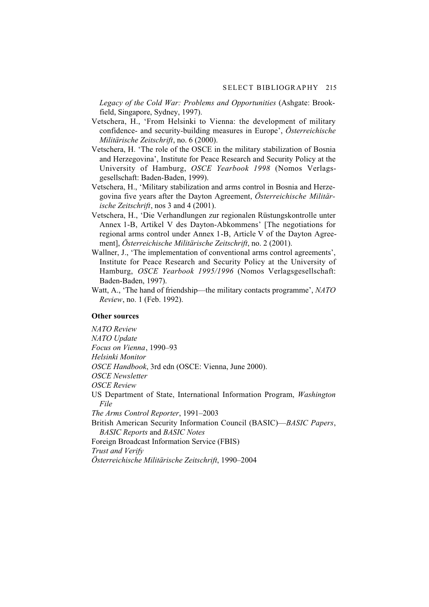*Legacy of the Cold War: Problems and Opportunities* (Ashgate: Brookfield, Singapore, Sydney, 1997).

- Vetschera, H., 'From Helsinki to Vienna: the development of military confidence- and security-building measures in Europe', *Österreichische Militärische Zeitschrift*, no. 6 (2000).
- Vetschera, H. 'The role of the OSCE in the military stabilization of Bosnia and Herzegovina', Institute for Peace Research and Security Policy at the University of Hamburg, *OSCE Yearbook 1998* (Nomos Verlagsgesellschaft: Baden-Baden, 1999).
- Vetschera, H., 'Military stabilization and arms control in Bosnia and Herzegovina five years after the Dayton Agreement, *Österreichische Militärische Zeitschrift*, nos 3 and 4 (2001).
- Vetschera, H., 'Die Verhandlungen zur regionalen Rüstungskontrolle unter Annex 1-B, Artikel V des Dayton-Abkommens' [The negotiations for regional arms control under Annex 1-B, Article V of the Dayton Agreement], *Österreichische Militärische Zeitschrift*, no. 2 (2001).
- Wallner, J., 'The implementation of conventional arms control agreements', Institute for Peace Research and Security Policy at the University of Hamburg, *OSCE Yearbook 1995/1996* (Nomos Verlagsgesellschaft: Baden-Baden, 1997).
- Watt, A., 'The hand of friendship—the military contacts programme', *NATO Review*, no. 1 (Feb. 1992).

### **Other sources**

*NATO Review NATO Update Focus on Vienna*, 1990–93 *Helsinki Monitor OSCE Handbook*, 3rd edn (OSCE: Vienna, June 2000). *OSCE Newsletter OSCE Review* US Department of State, International Information Program, *Washington File The Arms Control Reporter*, 1991–2003 British American Security Information Council (BASIC)—*BASIC Papers*, *BASIC Reports* and *BASIC Notes* Foreign Broadcast Information Service (FBIS) *Trust and Verify Österreichische Militärische Zeitschrift*, 1990–2004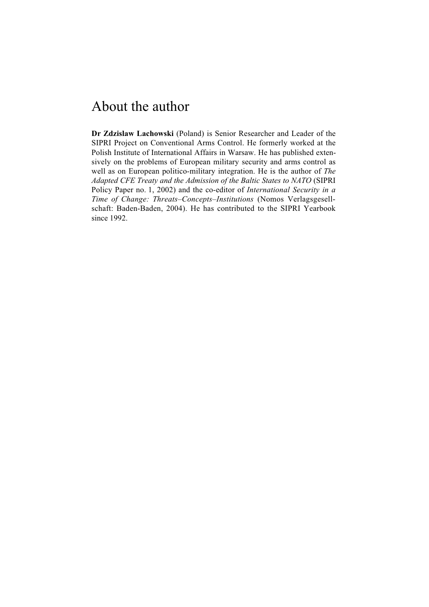# About the author

**Dr Zdzislaw Lachowski** (Poland) is Senior Researcher and Leader of the SIPRI Project on Conventional Arms Control. He formerly worked at the Polish Institute of International Affairs in Warsaw. He has published extensively on the problems of European military security and arms control as well as on European politico-military integration. He is the author of *The Adapted CFE Treaty and the Admission of the Baltic States to NATO* (SIPRI Policy Paper no. 1, 2002) and the co-editor of *International Security in a Time of Change: Threats–Concepts–Institutions* (Nomos Verlagsgesellschaft: Baden-Baden, 2004). He has contributed to the SIPRI Yearbook since 1992.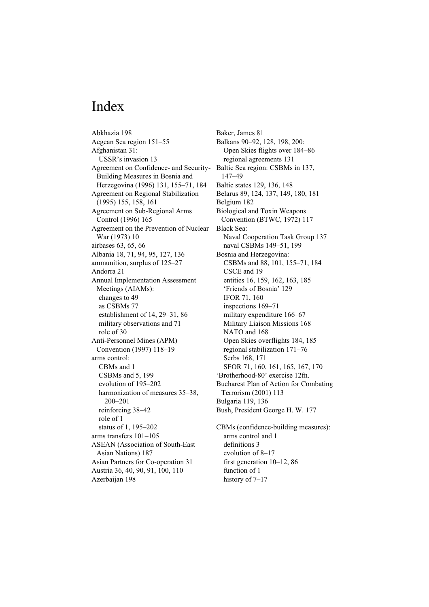# Index

Abkhazia 198 Aegean Sea region 151–55 Afghanistan 31: USSR's invasion 13 Agreement on Confidence- and Security-Building Measures in Bosnia and Herzegovina (1996) 131, 155–71, 184 Agreement on Regional Stabilization (1995) 155, 158, 161 Agreement on Sub-Regional Arms Control (1996) 165 Agreement on the Prevention of Nuclear War (1973) 10 airbases 63, 65, 66 Albania 18, 71, 94, 95, 127, 136 ammunition, surplus of 125–27 Andorra 21 Annual Implementation Assessment Meetings (AIAMs): changes to 49 as CSBMs 77 establishment of 14, 29–31, 86 military observations and 71 role of 30 Anti-Personnel Mines (APM) Convention (1997) 118–19 arms control: CBMs and 1 CSBMs and 5, 199 evolution of 195–202 harmonization of measures 35–38, 200–201 reinforcing 38–42 role of 1 status of 1, 195–202 arms transfers 101–105 ASEAN (Association of South-East Asian Nations) 187 Asian Partners for Co-operation 31 Austria 36, 40, 90, 91, 100, 110 Azerbaijan 198

Baker, James 81 Balkans 90–92, 128, 198, 200: Open Skies flights over 184–86 regional agreements 131 Baltic Sea region: CSBMs in 137, 147–49 Baltic states 129, 136, 148 Belarus 89, 124, 137, 149, 180, 181 Belgium 182 Biological and Toxin Weapons Convention (BTWC, 1972) 117 Black Sea: Naval Cooperation Task Group 137 naval CSBMs 149–51, 199 Bosnia and Herzegovina: CSBMs and 88, 101, 155–71, 184 CSCE and 19 entities 16, 159, 162, 163, 185 'Friends of Bosnia' 129 IFOR 71, 160 inspections 169–71 military expenditure 166–67 Military Liaison Missions 168 NATO and 168 Open Skies overflights 184, 185 regional stabilization 171–76 Serbs 168, 171 SFOR 71, 160, 161, 165, 167, 170 'Brotherhood-80' exercise 12fn. Bucharest Plan of Action for Combating Terrorism (2001) 113 Bulgaria 119, 136 Bush, President George H. W. 177

CBMs (confidence-building measures): arms control and 1 definitions 3 evolution of 8–17 first generation 10–12, 86 function of 1 history of 7–17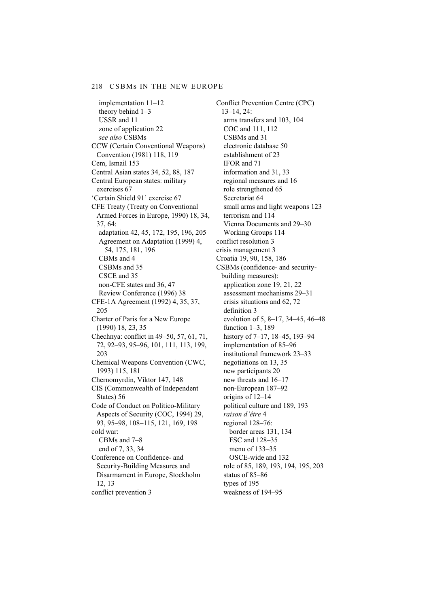implementation 11–12 theory behind 1–3 USSR and 11 zone of application 22 *see also* CSBMs CCW (Certain Conventional Weapons) Convention (1981) 118, 119 Cem, Ismail 153 Central Asian states 34, 52, 88, 187 Central European states: military exercises 67 'Certain Shield 91' exercise 67 CFE Treaty (Treaty on Conventional Armed Forces in Europe, 1990) 18, 34, 37, 64: adaptation 42, 45, 172, 195, 196, 205 Agreement on Adaptation (1999) 4, 54, 175, 181, 196 CBMs and 4 CSBMs and 35 CSCE and 35 non-CFE states and 36, 47 Review Conference (1996) 38 CFE-1A Agreement (1992) 4, 35, 37, 205 Charter of Paris for a New Europe (1990) 18, 23, 35 Chechnya: conflict in 49–50, 57, 61, 71, 72, 92–93, 95–96, 101, 111, 113, 199, 203 Chemical Weapons Convention (CWC, 1993) 115, 181 Chernomyrdin, Viktor 147, 148 CIS (Commonwealth of Independent States) 56 Code of Conduct on Politico-Military Aspects of Security (COC, 1994) 29, 93, 95–98, 108–115, 121, 169, 198 cold war: CBMs and 7–8 end of 7, 33, 34 Conference on Confidence- and Security-Building Measures and Disarmament in Europe, Stockholm 12, 13 conflict prevention 3

Conflict Prevention Centre (CPC) 13–14, 24: arms transfers and 103, 104 COC and 111, 112 CSBMs and 31 electronic database 50 establishment of 23 IFOR and 71 information and 31, 33 regional measures and 16 role strengthened 65 Secretariat 64 small arms and light weapons 123 terrorism and 114 Vienna Documents and 29–30 Working Groups 114 conflict resolution 3 crisis management 3 Croatia 19, 90, 158, 186 CSBMs (confidence- and securitybuilding measures): application zone 19, 21, 22 assessment mechanisms 29–31 crisis situations and 62, 72 definition 3 evolution of 5, 8–17, 34–45, 46–48 function 1–3, 189 history of 7–17, 18–45, 193–94 implementation of 85–96 institutional framework 23–33 negotiations on 13, 35 new participants 20 new threats and 16–17 non-European 187–92 origins of 12–14 political culture and 189, 193 *raison d'être* 4 regional 128–76: border areas 131, 134 FSC and 128–35 menu of 133–35 OSCE-wide and 132 role of 85, 189, 193, 194, 195, 203 status of 85–86 types of 195 weakness of 194–95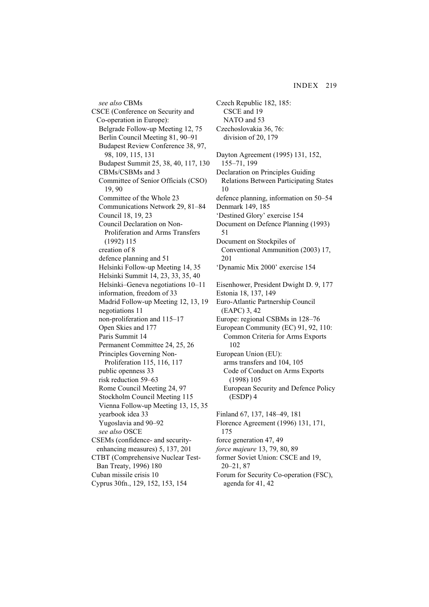*see also* CBMs CSCE (Conference on Security and Co-operation in Europe): Belgrade Follow-up Meeting 12, 75 Berlin Council Meeting 81, 90–91 Budapest Review Conference 38, 97, 98, 109, 115, 131 Budapest Summit 25, 38, 40, 117, 130 CBMs/CSBMs and 3 Committee of Senior Officials (CSO) 19, 90 Committee of the Whole 23 Communications Network 29, 81–84 Council 18, 19, 23 Council Declaration on Non-Proliferation and Arms Transfers (1992) 115 creation of 8 defence planning and 51 Helsinki Follow-up Meeting 14, 35 Helsinki Summit 14, 23, 33, 35, 40 Helsinki–Geneva negotiations 10–11 information, freedom of 33 Madrid Follow-up Meeting 12, 13, 19 negotiations 11 non-proliferation and 115–17 Open Skies and 177 Paris Summit 14 Permanent Committee 24, 25, 26 Principles Governing Non-Proliferation 115, 116, 117 public openness 33 risk reduction 59–63 Rome Council Meeting 24, 97 Stockholm Council Meeting 115 Vienna Follow-up Meeting 13, 15, 35 yearbook idea 33 Yugoslavia and 90–92 *see also* OSCE CSEMs (confidence- and securityenhancing measures) 5, 137, 201 CTBT (Comprehensive Nuclear Test-Ban Treaty, 1996) 180 Cuban missile crisis 10 Cyprus 30fn., 129, 152, 153, 154

CSCE and 19 NATO and 53 Czechoslovakia 36, 76: division of 20, 179 Dayton Agreement (1995) 131, 152, 155–71, 199 Declaration on Principles Guiding Relations Between Participating States 10 defence planning, information on 50–54 Denmark 149, 185 'Destined Glory' exercise 154 Document on Defence Planning (1993) 51 Document on Stockpiles of Conventional Ammunition (2003) 17, 201 'Dynamic Mix 2000' exercise 154 Eisenhower, President Dwight D. 9, 177 Estonia 18, 137, 149 Euro-Atlantic Partnership Council (EAPC) 3, 42 Europe: regional CSBMs in 128–76 European Community (EC) 91, 92, 110: Common Criteria for Arms Exports 102 European Union (EU): arms transfers and 104, 105 Code of Conduct on Arms Exports (1998) 105 European Security and Defence Policy (ESDP) 4 Finland 67, 137, 148–49, 181 Florence Agreement (1996) 131, 171, 175 force generation 47, 49 *force majeure* 13, 79, 80, 89 former Soviet Union: CSCE and 19, 20–21, 87 Forum for Security Co-operation (FSC),

agenda for 41, 42

Czech Republic 182, 185: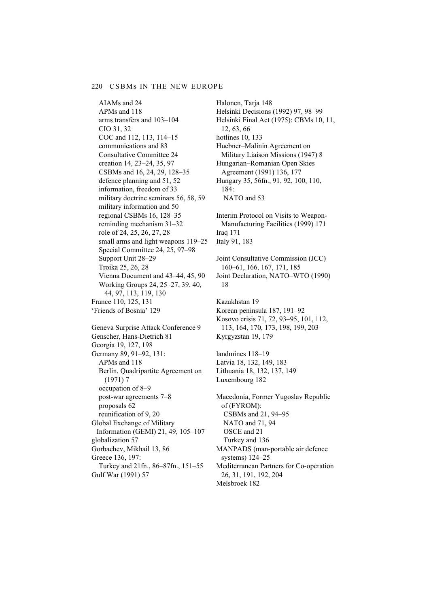AIAMs and 24 APMs and 118 arms transfers and 103–104 CIO 31, 32 COC and 112, 113, 114–15 communications and 83 Consultative Committee 24 creation 14, 23–24, 35, 97 CSBMs and 16, 24, 29, 128–35 defence planning and 51, 52 information, freedom of 33 military doctrine seminars 56, 58, 59 military information and 50 regional CSBMs 16, 128–35 reminding mechanism 31–32 role of 24, 25, 26, 27, 28 small arms and light weapons 119–25 Special Committee 24, 25, 97–98 Support Unit 28–29 Troika 25, 26, 28 Vienna Document and 43–44, 45, 90 Working Groups 24, 25–27, 39, 40, 44, 97, 113, 119, 130 France 110, 125, 131 'Friends of Bosnia' 129 Geneva Surprise Attack Conference 9 Genscher, Hans-Dietrich 81 Georgia 19, 127, 198 Germany 89, 91–92, 131: APMs and 118 Berlin, Quadripartite Agreement on (1971) 7 occupation of 8–9 post-war agreements 7–8 proposals 62 reunification of 9, 20 Global Exchange of Military Information (GEMI) 21, 49, 105–107 globalization 57 Gorbachev, Mikhail 13, 86 Greece 136, 197: Turkey and 21fn., 86–87fn., 151–55 Gulf War (1991) 57

Halonen, Tarja 148 Helsinki Decisions (1992) 97, 98–99 Helsinki Final Act (1975): CBMs 10, 11, 12, 63, 66 hotlines 10, 133 Huebner–Malinin Agreement on Military Liaison Missions (1947) 8 Hungarian–Romanian Open Skies Agreement (1991) 136, 177 Hungary 35, 56fn., 91, 92, 100, 110, 184: NATO and 53

Interim Protocol on Visits to Weapon-Manufacturing Facilities (1999) 171 Iraq 171 Italy 91, 183

Joint Consultative Commission (JCC) 160–61, 166, 167, 171, 185 Joint Declaration, NATO–WTO (1990) 18

Kazakhstan 19 Korean peninsula 187, 191–92 Kosovo crisis 71, 72, 93–95, 101, 112, 113, 164, 170, 173, 198, 199, 203 Kyrgyzstan 19, 179

landmines 118–19 Latvia 18, 132, 149, 183 Lithuania 18, 132, 137, 149 Luxembourg 182

Macedonia, Former Yugoslav Republic of (FYROM): CSBMs and 21, 94–95 NATO and 71, 94 OSCE and 21 Turkey and 136 MANPADS (man-portable air defence systems) 124–25 Mediterranean Partners for Co-operation 26, 31, 191, 192, 204 Melsbroek 182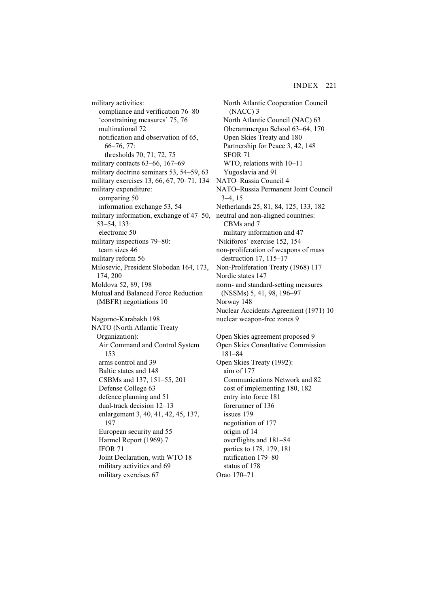military activities: compliance and verification 76–80 'constraining measures' 75, 76 multinational 72 notification and observation of 65, 66–76, 77: thresholds 70, 71, 72, 75 military contacts 63–66, 167–69 military doctrine seminars 53, 54–59, 63 military exercises 13, 66, 67, 70–71, 134 military expenditure: comparing 50 information exchange 53, 54 military information, exchange of 47–50, 53–54, 133: electronic 50 military inspections 79–80: team sizes 46 military reform 56 Milosevic, President Slobodan 164, 173, 174, 200 Moldova 52, 89, 198 Mutual and Balanced Force Reduction (MBFR) negotiations 10 Nagorno-Karabakh 198 NATO (North Atlantic Treaty Organization): Air Command and Control System 153 arms control and 39 Baltic states and 148 CSBMs and 137, 151–55, 201 Defense College 63 defence planning and 51 dual-track decision 12–13 enlargement 3, 40, 41, 42, 45, 137, 197 European security and 55 Harmel Report (1969) 7 IFOR 71 Joint Declaration, with WTO 18 military activities and 69

military exercises 67

North Atlantic Cooperation Council (NACC) 3 North Atlantic Council (NAC) 63 Oberammergau School 63–64, 170 Open Skies Treaty and 180 Partnership for Peace 3, 42, 148 SFOR 71 WTO, relations with 10–11 Yugoslavia and 91 NATO–Russia Council 4 NATO–Russia Permanent Joint Council 3–4, 15 Netherlands 25, 81, 84, 125, 133, 182 neutral and non-aligned countries: CBMs and 7 military information and 47 'Nikiforos' exercise 152, 154 non-proliferation of weapons of mass destruction 17, 115–17 Non-Proliferation Treaty (1968) 117 Nordic states 147 norm- and standard-setting measures (NSSMs) 5, 41, 98, 196–97 Norway 148 Nuclear Accidents Agreement (1971) 10 nuclear weapon-free zones 9 Open Skies agreement proposed 9 Open Skies Consultative Commission 181–84 Open Skies Treaty (1992): aim of 177 Communications Network and 82 cost of implementing 180, 182 entry into force 181 forerunner of 136 issues 179 negotiation of 177 origin of 14 overflights and 181–84 parties to 178, 179, 181 ratification 179–80 status of 178 Orao 170–71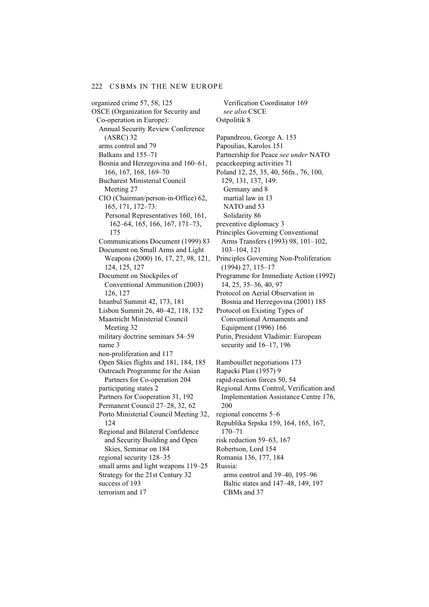organized crime 57, 58, 125 OSCE (Organization for Security and Co-operation in Europe): Annual Security Review Conference (ASRC) 32 arms control and 79 Balkans and 155–71 Bosnia and Herzegovina and 160–61, 166, 167, 168, 169–70 Bucharest Ministerial Council Meeting 27 CIO (Chairman/person-in-Office) 62, 165, 171, 172–73: Personal Representatives 160, 161, 162–64, 165, 166, 167, 171–73, 175 Communications Document (1999) 83 Document on Small Arms and Light Weapons (2000) 16, 17, 27, 98, 121, 124, 125, 127 Document on Stockpiles of Conventional Ammunition (2003) 126, 127 Istanbul Summit 42, 173, 181 Lisbon Summit 26, 40–42, 118, 132 Maastricht Ministerial Council Meeting 32 military doctrine seminars 54–59 name 3 non-proliferation and 117 Open Skies flights and 181, 184, 185 Outreach Programme for the Asian Partners for Co-operation 204 participating states 2 Partners for Cooperation 31, 192 Permanent Council 27–28, 32, 62 Porto Ministerial Council Meeting 32, 124 Regional and Bilateral Confidence and Security Building and Open Skies, Seminar on 184 regional security 128–35 small arms and light weapons 119–25 Strategy for the 21st Century 32 success of 193 terrorism and 17

*see also* CSCE Ostpolitik 8 Papandreou, George A. 153 Papoulias, Karolos 151 Partnership for Peace *see under* NATO peacekeeping activities 71 Poland 12, 25, 35, 40, 56fn., 76, 100, 129, 131, 137, 149: Germany and 8 martial law in 13 NATO and 53 Solidarity 86 preventive diplomacy 3 Principles Governing Conventional Arms Transfers (1993) 98, 101–102, 103–104, 121 Principles Governing Non-Proliferation (1994) 27, 115–17 Programme for Immediate Action (1992) 14, 25, 35–36, 40, 97 Protocol on Aerial Observation in Bosnia and Herzegovina (2001) 185 Protocol on Existing Types of Conventional Armaments and Equipment (1996) 166 Putin, President Vladimir: European security and 16–17, 196 Rambouillet negotiations 173 Rapacki Plan (1957) 9 rapid-reaction forces 50, 54 Regional Arms Control, Verification and Implementation Assistance Centre 176, 200 regional concerns 5–6 Republika Srpska 159, 164, 165, 167, 170–71 risk reduction 59–63, 167 Robertson, Lord 154 Romania 136, 177, 184 Russia:

Verification Coordinator 169

arms control and 39–40, 195–96 Baltic states and 147–48, 149, 197 CBMs and 37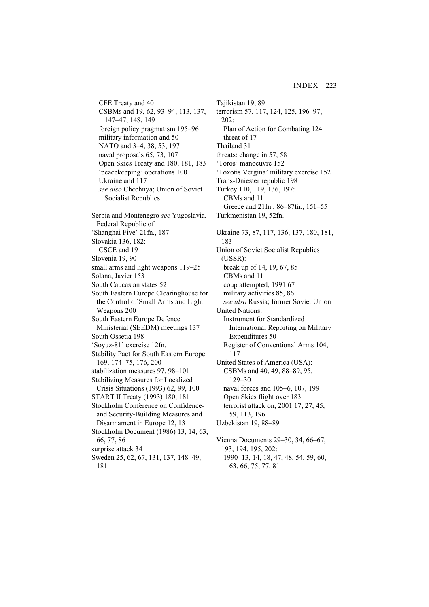- CFE Treaty and 40 CSBMs and 19, 62, 93–94, 113, 137, 147–47, 148, 149 foreign policy pragmatism 195–96 military information and 50 NATO and 3–4, 38, 53, 197 naval proposals 65, 73, 107 Open Skies Treaty and 180, 181, 183 'peacekeeping' operations 100 Ukraine and 117 *see also* Chechnya; Union of Soviet Socialist Republics Serbia and Montenegro *see* Yugoslavia, Federal Republic of 'Shanghai Five' 21fn., 187 Slovakia 136, 182: CSCE and 19 Slovenia 19, 90 small arms and light weapons 119–25 Solana, Javier 153 South Caucasian states 52 South Eastern Europe Clearinghouse for the Control of Small Arms and Light Weapons 200 South Eastern Europe Defence Ministerial (SEEDM) meetings 137 South Ossetia 198 'Soyuz-81' exercise 12fn. Stability Pact for South Eastern Europe 169, 174–75, 176, 200 stabilization measures 97, 98–101 Stabilizing Measures for Localized Crisis Situations (1993) 62, 99, 100 START II Treaty (1993) 180, 181
- Stockholm Conference on Confidenceand Security-Building Measures and Disarmament in Europe 12, 13
- Stockholm Document (1986) 13, 14, 63, 66, 77, 86
- surprise attack 34
- Sweden 25, 62, 67, 131, 137, 148–49, 181
- Tajikistan 19, 89 terrorism 57, 117, 124, 125, 196–97, 202: Plan of Action for Combating 124 threat of 17 Thailand 31 threats: change in 57, 58 'Toros' manoeuvre 152 'Toxotis Vergina' military exercise 152 Trans-Dniester republic 198 Turkey 110, 119, 136, 197: CBMs and 11 Greece and 21fn., 86–87fn., 151–55 Turkmenistan 19, 52fn. Ukraine 73, 87, 117, 136, 137, 180, 181, 183 Union of Soviet Socialist Republics (USSR): break up of 14, 19, 67, 85 CBMs and 11 coup attempted, 1991 67 military activities 85, 86 *see also* Russia; former Soviet Union United Nations: Instrument for Standardized International Reporting on Military Expenditures 50 Register of Conventional Arms 104, 117 United States of America (USA): CSBMs and 40, 49, 88–89, 95, 129–30 naval forces and 105–6, 107, 199 Open Skies flight over 183 terrorist attack on, 2001 17, 27, 45, 59, 113, 196 Uzbekistan 19, 88–89 Vienna Documents 29–30, 34, 66–67, 193, 194, 195, 202:
	- 1990 13, 14, 18, 47, 48, 54, 59, 60, 63, 66, 75, 77, 81